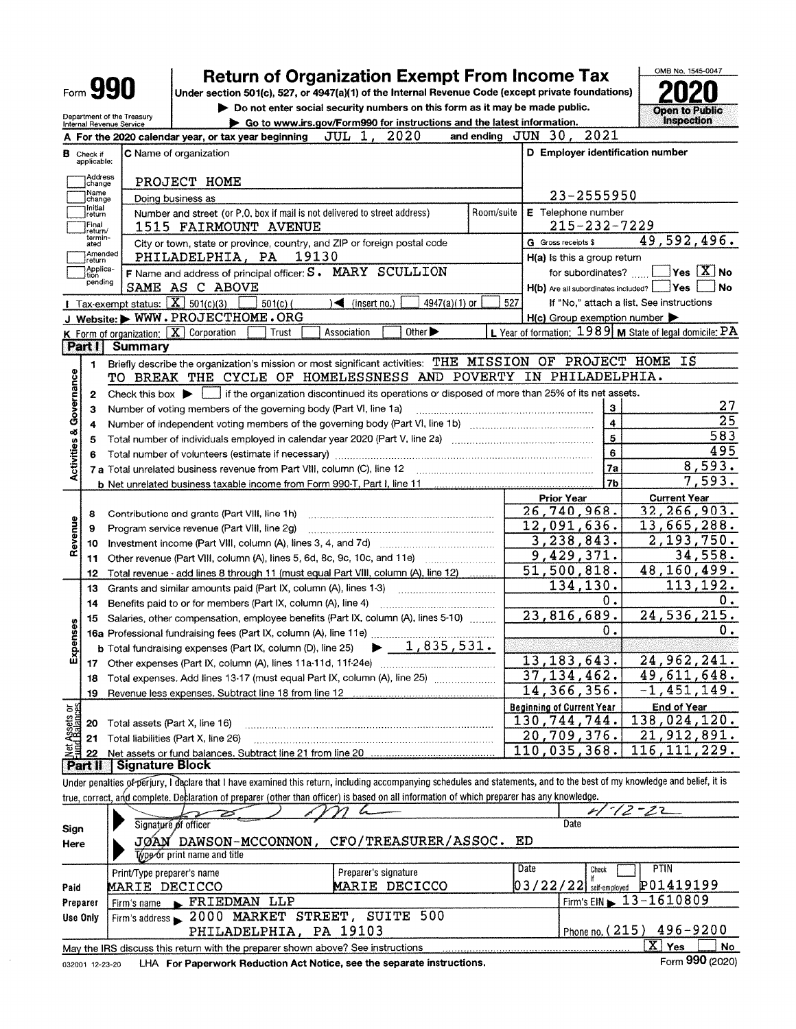| ш<br>ι<br>Form |
|----------------|
|----------------|

Department of the Treasury

# **Return of Organization Exempt From Income Tax**

Under section 501(c), 527, or 4947(a)(1) of the Internal Revenue Code (except private foundations)

Do not enter social security numbers on this form as it may be made public.  $\sim$   $\sim$  $\mathcal{L}$  $\sim$  $-000$  for instructions and and a resolution of  $-1$ 



|                                      | Internal Revenue Service<br>$\triangleright$ Go to www.irs.gov/Form990 for instructions and the latest information.                                                                                                           |                                                                                                                | <b>HIONANNIAI</b>                        |  |  |  |  |
|--------------------------------------|-------------------------------------------------------------------------------------------------------------------------------------------------------------------------------------------------------------------------------|----------------------------------------------------------------------------------------------------------------|------------------------------------------|--|--|--|--|
|                                      | 2020<br>JUL 1,<br>A For the 2020 calendar year, or tax year beginning                                                                                                                                                         | 2021<br>and ending JUN 30,                                                                                     |                                          |  |  |  |  |
| <b>B</b> Check if applicable:        | C Name of organization                                                                                                                                                                                                        |                                                                                                                | D Employer identification number         |  |  |  |  |
| Address<br>change                    | PROJECT HOME                                                                                                                                                                                                                  |                                                                                                                |                                          |  |  |  |  |
| Name<br>change                       | Doing business as                                                                                                                                                                                                             | 23-2555950                                                                                                     |                                          |  |  |  |  |
| Initial<br>return                    | Number and street (or P.O. box if mail is not delivered to street address)                                                                                                                                                    | E Telephone number<br>Room/suite                                                                               |                                          |  |  |  |  |
| Final<br>return/<br>termin-          | 1515 FAIRMOUNT AVENUE                                                                                                                                                                                                         | $215 - 232 - 7229$                                                                                             |                                          |  |  |  |  |
| ated<br>Amended                      | City or town, state or province, country, and ZIP or foreign postal code                                                                                                                                                      | G Gross receipts \$                                                                                            | 49,592,496.                              |  |  |  |  |
| return<br>Applica-                   | PHILADELPHIA, PA 19130                                                                                                                                                                                                        | H(a) is this a group return                                                                                    |                                          |  |  |  |  |
| tion<br>pending                      | F Name and address of principal officer: S. MARY SCULLION                                                                                                                                                                     | for subordinates?                                                                                              | $Yes$ $X$ No                             |  |  |  |  |
|                                      | SAME AS C ABOVE                                                                                                                                                                                                               | H(b) Are all subordinates included? Ves                                                                        | <b>No</b>                                |  |  |  |  |
|                                      | <b>Tax-exempt status:</b> $\boxed{\mathbf{X}}$ 501(c)(3)<br>$4947(a)(1)$ or<br>$501(c)$ (<br>$\blacktriangleleft$ (insert no.)                                                                                                | 527                                                                                                            | If "No," attach a list. See instructions |  |  |  |  |
|                                      | J Website: WWW.PROJECTHOME.ORG<br>Other $\blacktriangleright$<br>Association                                                                                                                                                  | $H(c)$ Group exemption number $\blacktriangleright$<br>L Year of formation: 1989 M State of legal domicile: PA |                                          |  |  |  |  |
| Part I                               | <b>K</b> Form of organization: $\boxed{\mathbf{X}}$ Corporation<br>Trust<br><b>Summary</b>                                                                                                                                    |                                                                                                                |                                          |  |  |  |  |
|                                      | Briefly describe the organization's mission or most significant activities: THE MISSION OF PROJECT HOME IS                                                                                                                    |                                                                                                                |                                          |  |  |  |  |
| 1                                    | TO BREAK THE CYCLE OF HOMELESSNESS AND POVERTY IN PHILADELPHIA.                                                                                                                                                               |                                                                                                                |                                          |  |  |  |  |
| Governance<br>2                      | Check this box $\blacktriangleright$ if the organization discontinued its operations or disposed of more than 25% of its net assets.                                                                                          |                                                                                                                |                                          |  |  |  |  |
| з                                    | Number of voting members of the governing body (Part VI, line 1a)                                                                                                                                                             | 3                                                                                                              | 27                                       |  |  |  |  |
| 4                                    | Number of independent voting members of the governing body (Part VI, line 1b)                                                                                                                                                 | 4                                                                                                              | $\overline{25}$                          |  |  |  |  |
| 5                                    | Total number of individuals employed in calendar year 2020 (Part V, line 2a) manufacture controller to include the U                                                                                                          | 5                                                                                                              | 583                                      |  |  |  |  |
| 6                                    | Total number of volunteers (estimate if necessary) [11] manufactured number of volunteers (estimate if necessary) [11] manufactured number of volunteers (estimate if necessary) [11] manufactured number of the state of the | 6                                                                                                              | 495                                      |  |  |  |  |
| <b>Activities &amp;</b>              |                                                                                                                                                                                                                               | 7a                                                                                                             | 8,593.                                   |  |  |  |  |
|                                      | <b>b</b> Net unrelated business taxable income from Form 990-T, Part I, line 11                                                                                                                                               | 7 <sub>b</sub>                                                                                                 | 7,593.                                   |  |  |  |  |
|                                      |                                                                                                                                                                                                                               | <b>Prior Year</b>                                                                                              | <b>Current Year</b>                      |  |  |  |  |
| 8                                    | Contributions and grants (Part VIII, line 1h)                                                                                                                                                                                 | 26,740,968.                                                                                                    | 32, 266, 903.                            |  |  |  |  |
| 9                                    | Program service revenue (Part VIII, line 2g)                                                                                                                                                                                  | 12,091,636.                                                                                                    | 13,665,288.                              |  |  |  |  |
| Revenue<br>10                        | Investment income (Part VIII, column (A), lines 3, 4, and 7d)                                                                                                                                                                 | 3,238,843.                                                                                                     | 2,193,750.                               |  |  |  |  |
| 11                                   | Other revenue (Part VIII, column (A), lines 5, 6d, 8c, 9c, 10c, and 11e)                                                                                                                                                      | 9,429,371.                                                                                                     | 34,558.                                  |  |  |  |  |
| 12                                   | Total revenue - add lines 8 through 11 (must equal Part VIII, column (A), line 12)                                                                                                                                            | 51,500,818.                                                                                                    | 48, 160, 499.                            |  |  |  |  |
| 13                                   | Grants and similar amounts paid (Part IX, column (A), lines 1-3)                                                                                                                                                              | 134,130.                                                                                                       | 113, 192.                                |  |  |  |  |
| 14                                   | Benefits paid to or for members (Part IX, column (A), line 4)                                                                                                                                                                 | 0.                                                                                                             | Ο.                                       |  |  |  |  |
| 15                                   | Salaries, other compensation, employee benefits (Part IX, column (A), lines 5-10)                                                                                                                                             | 23,816,689.<br>$\mathfrak{o}$ .                                                                                | 24,536,215.<br>0.                        |  |  |  |  |
|                                      | $\blacktriangleright$ 1,835,531.                                                                                                                                                                                              |                                                                                                                |                                          |  |  |  |  |
| Expenses                             | <b>b</b> Total fundraising expenses (Part IX, column (D), line 25)                                                                                                                                                            | 13, 183, 643.                                                                                                  | 24,962,241.                              |  |  |  |  |
| 17                                   |                                                                                                                                                                                                                               | 37, 134, 462.                                                                                                  | 49,611,648.                              |  |  |  |  |
| 18<br>19                             | Total expenses. Add lines 13-17 (must equal Part IX, column (A), line 25)                                                                                                                                                     | 14,366,356.                                                                                                    | $-1,451,149.$                            |  |  |  |  |
|                                      |                                                                                                                                                                                                                               | <b>Beginning of Current Year</b>                                                                               | End of Year                              |  |  |  |  |
| 20                                   | Total assets (Part X, line 16)                                                                                                                                                                                                | 130, 744, 744.                                                                                                 | 138,024,120.                             |  |  |  |  |
| 21                                   | Total liabilities (Part X, line 26)                                                                                                                                                                                           | 20,709,376.                                                                                                    | 21,912,891.                              |  |  |  |  |
| Net Assets or<br>Eund Balances<br>22 | Net assets or fund balances. Subtract line 21 from line 20                                                                                                                                                                    | 110,035,368.                                                                                                   | 116, 111, 229.                           |  |  |  |  |
| <b>Part II</b>                       | <b>Signature Block</b>                                                                                                                                                                                                        |                                                                                                                |                                          |  |  |  |  |
|                                      | Under penalties of perjury, I declare that I have examined this return, including accompanying schedules and statements, and to the best of my knowledge and belief, it is                                                    |                                                                                                                |                                          |  |  |  |  |
|                                      | true, correct, and complete. Declaration of preparer (other than officer) is based on all information of which preparer has any knowledge.                                                                                    |                                                                                                                |                                          |  |  |  |  |
|                                      |                                                                                                                                                                                                                               |                                                                                                                | $12 - 22$                                |  |  |  |  |
| Sign                                 | Signature of officer                                                                                                                                                                                                          | Date                                                                                                           |                                          |  |  |  |  |
| Here                                 | JØAN DAWSON-MCCONNON, CFO/TREASURER/ASSOC. ED                                                                                                                                                                                 |                                                                                                                |                                          |  |  |  |  |
|                                      | T√ne∕or orint name and title                                                                                                                                                                                                  |                                                                                                                |                                          |  |  |  |  |

|          | ype or print name and title                                                                  |                      |                                              |  |  |  |  |  |  |  |
|----------|----------------------------------------------------------------------------------------------|----------------------|----------------------------------------------|--|--|--|--|--|--|--|
|          | Print/Type preparer's name                                                                   | Preparer's signature | Date<br><b>PTIN</b><br>Check                 |  |  |  |  |  |  |  |
| Paid     | MARIE DECICCO                                                                                | MARIE DECICCO        | <b>P01419199</b><br>$03/22/22$ self-employed |  |  |  |  |  |  |  |
| Preparer | Firm's name FRIEDMAN LLP                                                                     |                      | $\frac{1}{2}$ Firm's EIN $\geq 13 - 1610809$ |  |  |  |  |  |  |  |
| Use Only | Firm's address 2000 MARKET STREET, SUITE 500                                                 |                      |                                              |  |  |  |  |  |  |  |
|          | Phone no. (215) 496-9200<br>PHILADELPHIA, PA 19103                                           |                      |                                              |  |  |  |  |  |  |  |
|          | No<br>Yes<br>May the IRS discuss this return with the preparer shown above? See instructions |                      |                                              |  |  |  |  |  |  |  |
|          |                                                                                              |                      |                                              |  |  |  |  |  |  |  |

LHA For Paperwork Reduction Act Notice, see the separate instructions. 032001 12-23-20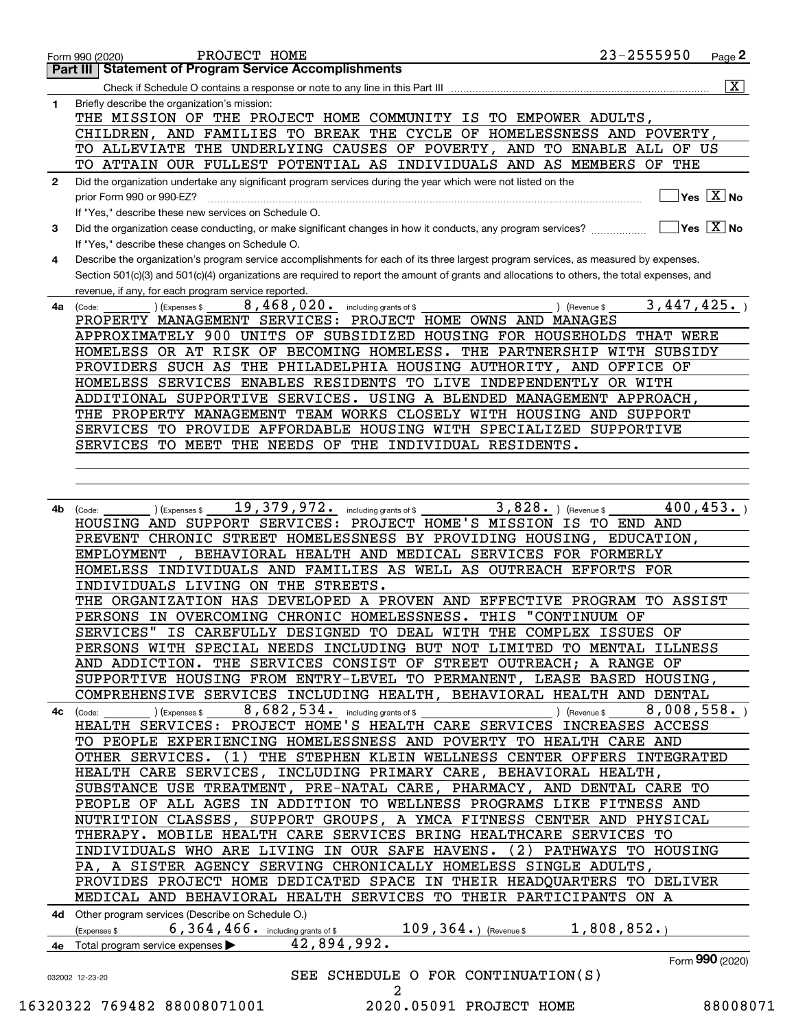|              | PROJECT HOME<br>Form 990 (2020)                                                                                                              | 23-2555950                   | $Page$ 2                |
|--------------|----------------------------------------------------------------------------------------------------------------------------------------------|------------------------------|-------------------------|
|              | <b>Statement of Program Service Accomplishments</b><br>Part III I                                                                            |                              |                         |
|              | Check if Schedule O contains a response or note to any line in this Part III                                                                 |                              | $\overline{\mathbf{x}}$ |
| 1            | Briefly describe the organization's mission:                                                                                                 |                              |                         |
|              | THE MISSION OF THE PROJECT HOME COMMUNITY IS TO EMPOWER ADULTS,                                                                              |                              |                         |
|              | CHILDREN, AND FAMILIES TO BREAK THE CYCLE OF HOMELESSNESS AND POVERTY,                                                                       |                              |                         |
|              | TO ALLEVIATE THE UNDERLYING CAUSES OF POVERTY, AND TO ENABLE ALL OF US                                                                       |                              |                         |
|              | TO ATTAIN OUR FULLEST POTENTIAL AS INDIVIDUALS AND AS MEMBERS OF THE                                                                         |                              |                         |
| $\mathbf{2}$ | Did the organization undertake any significant program services during the year which were not listed on the                                 |                              |                         |
|              | prior Form 990 or 990-EZ?                                                                                                                    | $\sqrt{}$ Yes $\sqrt{X}$ No  |                         |
|              | If "Yes," describe these new services on Schedule O.                                                                                         |                              |                         |
| 3            | Did the organization cease conducting, or make significant changes in how it conducts, any program services?                                 | $\sqrt{}$ Yes $\sqrt{X}$ No  |                         |
|              | If "Yes," describe these changes on Schedule O.                                                                                              |                              |                         |
| 4            | Describe the organization's program service accomplishments for each of its three largest program services, as measured by expenses.         |                              |                         |
|              | Section 501(c)(3) and 501(c)(4) organizations are required to report the amount of grants and allocations to others, the total expenses, and |                              |                         |
|              | revenue, if any, for each program service reported.                                                                                          |                              |                         |
| 4a           | 8,468,020.<br>including grants of \$<br>(Expenses \$<br>(Code:                                                                               | 3,447,425.<br>) (Revenue \$  |                         |
|              | PROPERTY MANAGEMENT SERVICES: PROJECT HOME OWNS AND MANAGES                                                                                  |                              |                         |
|              | APPROXIMATELY 900 UNITS OF SUBSIDIZED HOUSING FOR HOUSEHOLDS THAT WERE                                                                       |                              |                         |
|              | HOMELESS OR AT RISK OF BECOMING HOMELESS. THE PARTNERSHIP WITH SUBSIDY                                                                       |                              |                         |
|              | PROVIDERS SUCH AS THE PHILADELPHIA HOUSING AUTHORITY, AND OFFICE OF                                                                          |                              |                         |
|              |                                                                                                                                              |                              |                         |
|              | HOMELESS SERVICES ENABLES RESIDENTS TO LIVE INDEPENDENTLY OR WITH                                                                            |                              |                         |
|              | ADDITIONAL SUPPORTIVE SERVICES. USING A BLENDED MANAGEMENT APPROACH,                                                                         |                              |                         |
|              | THE PROPERTY MANAGEMENT TEAM WORKS CLOSELY WITH HOUSING AND SUPPORT                                                                          |                              |                         |
|              | SERVICES TO PROVIDE AFFORDABLE HOUSING WITH SPECIALIZED SUPPORTIVE                                                                           |                              |                         |
|              | SERVICES TO MEET THE NEEDS OF THE INDIVIDUAL RESIDENTS.                                                                                      |                              |                         |
|              |                                                                                                                                              |                              |                         |
|              | HOUSING AND SUPPORT SERVICES: PROJECT HOME'S MISSION IS TO END AND<br>PREVENT CHRONIC STREET HOMELESSNESS BY PROVIDING HOUSING, EDUCATION,   |                              |                         |
|              | BEHAVIORAL HEALTH AND MEDICAL SERVICES FOR FORMERLY<br>EMPLOYMENT                                                                            |                              |                         |
|              | HOMELESS INDIVIDUALS AND FAMILIES AS WELL AS OUTREACH EFFORTS FOR                                                                            |                              |                         |
|              | INDIVIDUALS LIVING ON THE STREETS.                                                                                                           |                              |                         |
|              | THE ORGANIZATION HAS DEVELOPED A PROVEN AND EFFECTIVE PROGRAM TO ASSIST                                                                      |                              |                         |
|              | PERSONS IN OVERCOMING CHRONIC HOMELESSNESS.                                                                                                  | THIS "CONTINUUM OF           |                         |
|              | SERVICES"<br>IS CAREFULLY DESIGNED TO DEAL WITH THE COMPLEX ISSUES OF                                                                        |                              |                         |
|              | PERSONS WITH SPECIAL NEEDS INCLUDING BUT NOT LIMITED TO MENTAL ILLNESS                                                                       |                              |                         |
|              | AND ADDICTION. THE SERVICES CONSIST OF STREET OUTREACH; A RANGE OF                                                                           |                              |                         |
|              | SUPPORTIVE HOUSING FROM ENTRY-LEVEL TO PERMANENT, LEASE BASED HOUSING,                                                                       |                              |                         |
|              | COMPREHENSIVE SERVICES INCLUDING HEALTH, BEHAVIORAL HEALTH AND DENTAL                                                                        |                              |                         |
| 4c           | $8,682,534$ $\cdot$ including grants of \$<br>(Expenses \$<br>(Code:                                                                         | 8,008,558.<br>) (Revenue \$  |                         |
|              | HEALTH SERVICES: PROJECT HOME'S HEALTH CARE SERVICES INCREASES ACCESS                                                                        |                              |                         |
|              | TO PEOPLE EXPERIENCING HOMELESSNESS AND POVERTY TO HEALTH CARE AND                                                                           |                              |                         |
|              | OTHER SERVICES.<br>THE STEPHEN KLEIN WELLNESS CENTER OFFERS INTEGRATED<br>$\perp$                                                            |                              |                         |
|              | HEALTH CARE SERVICES, INCLUDING PRIMARY CARE, BEHAVIORAL HEALTH,                                                                             |                              |                         |
|              | SUBSTANCE USE TREATMENT, PRE-NATAL CARE, PHARMACY, AND DENTAL CARE TO                                                                        |                              |                         |
|              | PEOPLE OF ALL AGES IN ADDITION TO WELLNESS PROGRAMS LIKE FITNESS AND                                                                         |                              |                         |
|              |                                                                                                                                              |                              |                         |
|              | NUTRITION CLASSES,<br>SUPPORT GROUPS, A YMCA FITNESS CENTER AND PHYSICAL                                                                     |                              |                         |
|              | THERAPY. MOBILE HEALTH CARE SERVICES BRING HEALTHCARE SERVICES TO                                                                            |                              |                         |
|              | INDIVIDUALS WHO ARE LIVING IN OUR SAFE HAVENS.                                                                                               | 2)<br>PATHWAYS<br>TO HOUSING |                         |
|              | PA, A SISTER AGENCY SERVING CHRONICALLY HOMELESS SINGLE ADULTS,                                                                              |                              |                         |
|              | PROVIDES PROJECT HOME DEDICATED SPACE IN THEIR HEADQUARTERS TO DELIVER                                                                       |                              |                         |
|              | MEDICAL AND BEHAVIORAL HEALTH SERVICES TO THEIR PARTICIPANTS ON A                                                                            |                              |                         |
|              | 4d Other program services (Describe on Schedule O.)                                                                                          |                              |                         |
|              | $109, 364.$ (Revenue \$<br>$6,364,466$ $\cdot$ including grants of \$<br>(Expenses \$                                                        | 1,808,852.                   |                         |
|              | 42,894,992.<br>4e Total program service expenses                                                                                             |                              |                         |
|              |                                                                                                                                              | Form 990 (2020)              |                         |
|              | SEE SCHEDULE O FOR CONTINUATION(S)<br>032002 12-23-20                                                                                        |                              |                         |
|              | 2                                                                                                                                            |                              |                         |
|              | 16320322 769482 88008071001<br>2020.05091 PROJECT HOME                                                                                       |                              | 88008071                |
|              |                                                                                                                                              |                              |                         |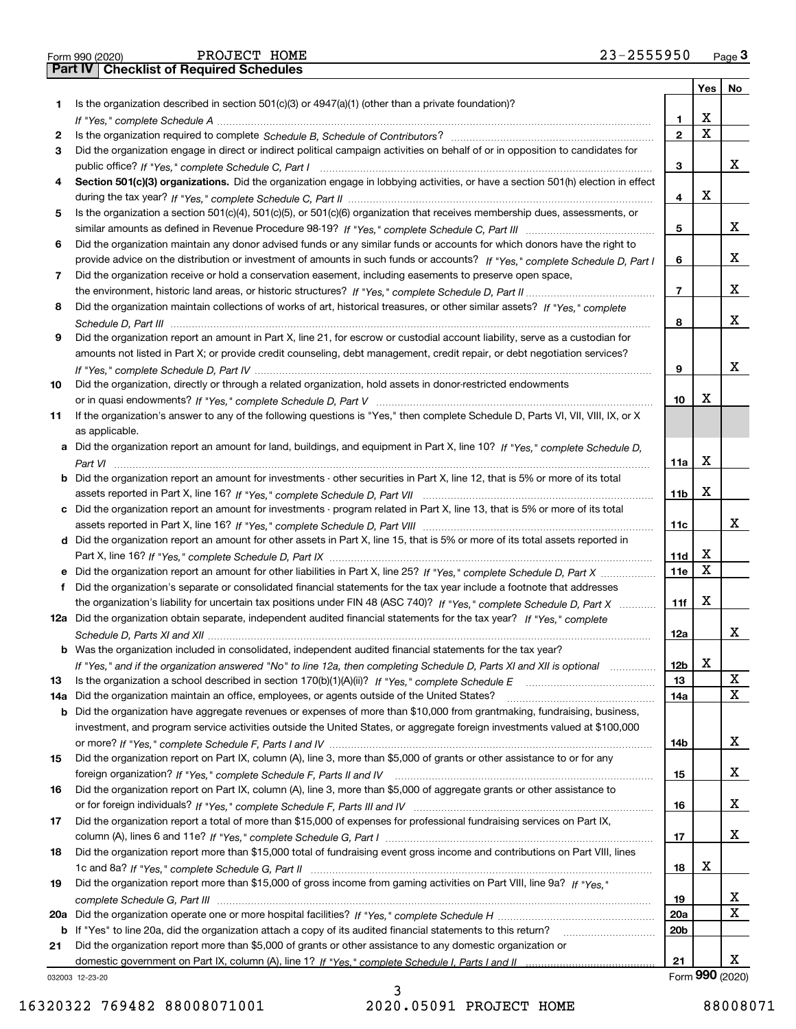| Form 990 (2020) |                                                  | PROJECT | HOME | $-2555950$ | $P$ age $\ddot{\bullet}$ |
|-----------------|--------------------------------------------------|---------|------|------------|--------------------------|
|                 | <b>Part IV   Checklist of Required Schedules</b> |         |      |            |                          |

|     |                                                                                                                                                 |                 | Yes                     | No                    |
|-----|-------------------------------------------------------------------------------------------------------------------------------------------------|-----------------|-------------------------|-----------------------|
| 1   | Is the organization described in section $501(c)(3)$ or $4947(a)(1)$ (other than a private foundation)?                                         |                 |                         |                       |
|     |                                                                                                                                                 | 1.              | X                       |                       |
| 2   |                                                                                                                                                 | $\overline{2}$  | $\overline{\mathbf{x}}$ |                       |
| 3   | Did the organization engage in direct or indirect political campaign activities on behalf of or in opposition to candidates for                 |                 |                         |                       |
|     |                                                                                                                                                 | 3               |                         | x                     |
| 4   | Section 501(c)(3) organizations. Did the organization engage in lobbying activities, or have a section 501(h) election in effect                |                 |                         |                       |
|     |                                                                                                                                                 | 4               | X                       |                       |
| 5   | Is the organization a section 501(c)(4), 501(c)(5), or 501(c)(6) organization that receives membership dues, assessments, or                    |                 |                         |                       |
|     |                                                                                                                                                 | 5               |                         | х                     |
| 6   | Did the organization maintain any donor advised funds or any similar funds or accounts for which donors have the right to                       |                 |                         |                       |
|     | provide advice on the distribution or investment of amounts in such funds or accounts? If "Yes," complete Schedule D, Part I                    | 6               |                         | x                     |
| 7   | Did the organization receive or hold a conservation easement, including easements to preserve open space,                                       |                 |                         |                       |
|     |                                                                                                                                                 | $\overline{7}$  |                         | x                     |
| 8   | Did the organization maintain collections of works of art, historical treasures, or other similar assets? If "Yes," complete                    |                 |                         | x                     |
|     |                                                                                                                                                 | 8               |                         |                       |
| 9   | Did the organization report an amount in Part X, line 21, for escrow or custodial account liability, serve as a custodian for                   |                 |                         |                       |
|     | amounts not listed in Part X; or provide credit counseling, debt management, credit repair, or debt negotiation services?                       |                 |                         | x                     |
|     |                                                                                                                                                 | 9               |                         |                       |
| 10  | Did the organization, directly or through a related organization, hold assets in donor-restricted endowments                                    | 10              | х                       |                       |
|     | If the organization's answer to any of the following questions is "Yes," then complete Schedule D, Parts VI, VII, VIII, IX, or X                |                 |                         |                       |
| 11  |                                                                                                                                                 |                 |                         |                       |
|     | as applicable.<br>a Did the organization report an amount for land, buildings, and equipment in Part X, line 10? If "Yes," complete Schedule D, |                 |                         |                       |
|     |                                                                                                                                                 | 11a             | X                       |                       |
| b   | Did the organization report an amount for investments - other securities in Part X, line 12, that is 5% or more of its total                    |                 |                         |                       |
|     |                                                                                                                                                 | 11b             | Х                       |                       |
| c   | Did the organization report an amount for investments - program related in Part X, line 13, that is 5% or more of its total                     |                 |                         |                       |
|     |                                                                                                                                                 | 11c             |                         | x                     |
|     | d Did the organization report an amount for other assets in Part X, line 15, that is 5% or more of its total assets reported in                 |                 |                         |                       |
|     |                                                                                                                                                 | 11d             | х                       |                       |
|     |                                                                                                                                                 | 11e             | $\mathbf X$             |                       |
| f   | Did the organization's separate or consolidated financial statements for the tax year include a footnote that addresses                         |                 |                         |                       |
|     | the organization's liability for uncertain tax positions under FIN 48 (ASC 740)? If "Yes," complete Schedule D, Part X                          | 11f             | Х                       |                       |
|     | 12a Did the organization obtain separate, independent audited financial statements for the tax year? If "Yes," complete                         |                 |                         |                       |
|     |                                                                                                                                                 | 12a             |                         | x                     |
|     | <b>b</b> Was the organization included in consolidated, independent audited financial statements for the tax year?                              |                 |                         |                       |
|     | If "Yes," and if the organization answered "No" to line 12a, then completing Schedule D, Parts XI and XII is optional                           | 12b             | X                       |                       |
| 13  |                                                                                                                                                 | 13              |                         | X                     |
| 14a | Did the organization maintain an office, employees, or agents outside of the United States?                                                     | 14a             |                         | X                     |
| b   | Did the organization have aggregate revenues or expenses of more than \$10,000 from grantmaking, fundraising, business,                         |                 |                         |                       |
|     | investment, and program service activities outside the United States, or aggregate foreign investments valued at \$100,000                      |                 |                         |                       |
|     |                                                                                                                                                 | 14b             |                         | x                     |
| 15  | Did the organization report on Part IX, column (A), line 3, more than \$5,000 of grants or other assistance to or for any                       |                 |                         |                       |
|     |                                                                                                                                                 | 15              |                         | x                     |
| 16  | Did the organization report on Part IX, column (A), line 3, more than \$5,000 of aggregate grants or other assistance to                        |                 |                         |                       |
|     |                                                                                                                                                 | 16              |                         | x                     |
| 17  | Did the organization report a total of more than \$15,000 of expenses for professional fundraising services on Part IX,                         |                 |                         |                       |
|     |                                                                                                                                                 | 17              |                         | x                     |
| 18  | Did the organization report more than \$15,000 total of fundraising event gross income and contributions on Part VIII, lines                    |                 |                         |                       |
|     |                                                                                                                                                 | 18              | х                       |                       |
| 19  | Did the organization report more than \$15,000 of gross income from gaming activities on Part VIII, line 9a? If "Yes."                          |                 |                         |                       |
|     |                                                                                                                                                 | 19              |                         | X                     |
| 20a |                                                                                                                                                 | 20a             |                         | Χ                     |
| b   | If "Yes" to line 20a, did the organization attach a copy of its audited financial statements to this return?                                    | 20 <sub>b</sub> |                         |                       |
| 21  | Did the organization report more than \$5,000 of grants or other assistance to any domestic organization or                                     |                 |                         |                       |
|     |                                                                                                                                                 | 21              |                         | X.<br>Form 990 (2020) |
|     | 032003 12-23-20                                                                                                                                 |                 |                         |                       |

032003 12-23-20

3 16320322 769482 88008071001 2020.05091 PROJECT HOME 88008071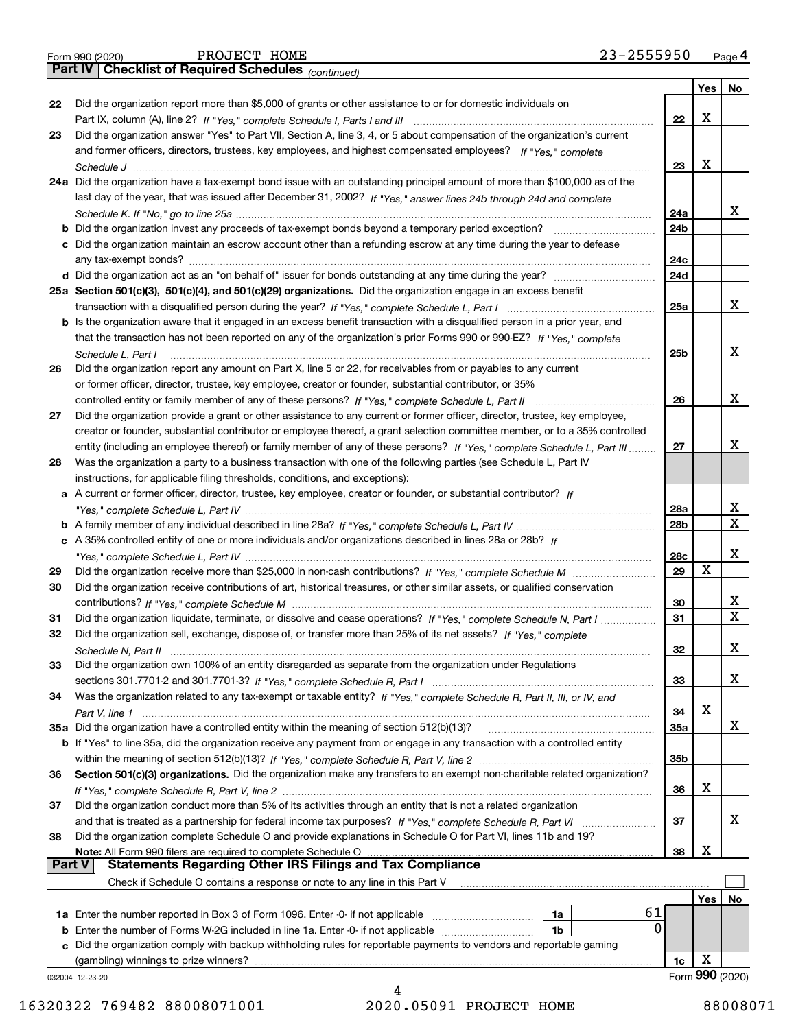|  | Form 990 (2020) |
|--|-----------------|
|  |                 |

*(continued)*

|               |                                                                                                                              |                 | Yes | No              |  |  |  |  |
|---------------|------------------------------------------------------------------------------------------------------------------------------|-----------------|-----|-----------------|--|--|--|--|
| 22            | Did the organization report more than \$5,000 of grants or other assistance to or for domestic individuals on                |                 |     |                 |  |  |  |  |
|               |                                                                                                                              | 22              | x   |                 |  |  |  |  |
| 23            | Did the organization answer "Yes" to Part VII, Section A, line 3, 4, or 5 about compensation of the organization's current   |                 |     |                 |  |  |  |  |
|               | and former officers, directors, trustees, key employees, and highest compensated employees? If "Yes," complete               |                 |     |                 |  |  |  |  |
|               |                                                                                                                              | 23              | х   |                 |  |  |  |  |
|               | 24a Did the organization have a tax-exempt bond issue with an outstanding principal amount of more than \$100,000 as of the  |                 |     |                 |  |  |  |  |
|               | last day of the year, that was issued after December 31, 2002? If "Yes," answer lines 24b through 24d and complete           |                 |     |                 |  |  |  |  |
|               |                                                                                                                              | 24a             |     | x.              |  |  |  |  |
|               | <b>b</b> Did the organization invest any proceeds of tax-exempt bonds beyond a temporary period exception?                   | 24b             |     |                 |  |  |  |  |
|               | c Did the organization maintain an escrow account other than a refunding escrow at any time during the year to defease       |                 |     |                 |  |  |  |  |
|               |                                                                                                                              | 24c             |     |                 |  |  |  |  |
|               |                                                                                                                              | 24d             |     |                 |  |  |  |  |
|               | 25a Section 501(c)(3), 501(c)(4), and 501(c)(29) organizations. Did the organization engage in an excess benefit             |                 |     |                 |  |  |  |  |
|               |                                                                                                                              | 25a             |     | x.              |  |  |  |  |
|               | b Is the organization aware that it engaged in an excess benefit transaction with a disqualified person in a prior year, and |                 |     |                 |  |  |  |  |
|               | that the transaction has not been reported on any of the organization's prior Forms 990 or 990-EZ? If "Yes," complete        |                 |     |                 |  |  |  |  |
|               | Schedule L. Part I                                                                                                           | 25 <sub>b</sub> |     | x               |  |  |  |  |
| 26            | Did the organization report any amount on Part X, line 5 or 22, for receivables from or payables to any current              |                 |     |                 |  |  |  |  |
|               | or former officer, director, trustee, key employee, creator or founder, substantial contributor, or 35%                      |                 |     |                 |  |  |  |  |
|               | controlled entity or family member of any of these persons? If "Yes," complete Schedule L, Part II                           | 26              |     | х               |  |  |  |  |
| 27            | Did the organization provide a grant or other assistance to any current or former officer, director, trustee, key employee,  |                 |     |                 |  |  |  |  |
|               | creator or founder, substantial contributor or employee thereof, a grant selection committee member, or to a 35% controlled  |                 |     |                 |  |  |  |  |
|               | entity (including an employee thereof) or family member of any of these persons? If "Yes," complete Schedule L, Part III     | 27              |     | x               |  |  |  |  |
| 28            | Was the organization a party to a business transaction with one of the following parties (see Schedule L, Part IV            |                 |     |                 |  |  |  |  |
|               | instructions, for applicable filing thresholds, conditions, and exceptions):                                                 |                 |     |                 |  |  |  |  |
|               | a A current or former officer, director, trustee, key employee, creator or founder, or substantial contributor? If           |                 |     |                 |  |  |  |  |
|               |                                                                                                                              |                 |     |                 |  |  |  |  |
|               |                                                                                                                              | 28 <sub>b</sub> |     | х               |  |  |  |  |
|               | c A 35% controlled entity of one or more individuals and/or organizations described in lines 28a or 28b? If                  |                 |     |                 |  |  |  |  |
|               |                                                                                                                              | 28c<br>29       | х   | x               |  |  |  |  |
| 29            | Did the organization receive contributions of art, historical treasures, or other similar assets, or qualified conservation  |                 |     |                 |  |  |  |  |
| 30            |                                                                                                                              | 30              |     | х               |  |  |  |  |
| 31            | Did the organization liquidate, terminate, or dissolve and cease operations? If "Yes," complete Schedule N, Part I           | 31              |     | X               |  |  |  |  |
| 32            | Did the organization sell, exchange, dispose of, or transfer more than 25% of its net assets? If "Yes," complete             |                 |     |                 |  |  |  |  |
|               |                                                                                                                              | 32              |     | x               |  |  |  |  |
| 33            | Did the organization own 100% of an entity disregarded as separate from the organization under Regulations                   |                 |     |                 |  |  |  |  |
|               |                                                                                                                              | 33              |     | x               |  |  |  |  |
| 34            | Was the organization related to any tax-exempt or taxable entity? If "Yes," complete Schedule R, Part II, III, or IV, and    |                 |     |                 |  |  |  |  |
|               |                                                                                                                              | 34              | х   |                 |  |  |  |  |
|               | 35a Did the organization have a controlled entity within the meaning of section 512(b)(13)?                                  | <b>35a</b>      |     | x               |  |  |  |  |
|               | b If "Yes" to line 35a, did the organization receive any payment from or engage in any transaction with a controlled entity  |                 |     |                 |  |  |  |  |
|               |                                                                                                                              | 35b             |     |                 |  |  |  |  |
| 36            | Section 501(c)(3) organizations. Did the organization make any transfers to an exempt non-charitable related organization?   |                 |     |                 |  |  |  |  |
|               |                                                                                                                              | 36              | х   |                 |  |  |  |  |
| 37            | Did the organization conduct more than 5% of its activities through an entity that is not a related organization             |                 |     |                 |  |  |  |  |
|               |                                                                                                                              | 37              |     | x               |  |  |  |  |
| 38            | Did the organization complete Schedule O and provide explanations in Schedule O for Part VI, lines 11b and 19?               |                 |     |                 |  |  |  |  |
|               | Note: All Form 990 filers are required to complete Schedule O                                                                | 38              | х   |                 |  |  |  |  |
| <b>Part V</b> | <b>Statements Regarding Other IRS Filings and Tax Compliance</b>                                                             |                 |     |                 |  |  |  |  |
|               | Check if Schedule O contains a response or note to any line in this Part V                                                   |                 |     |                 |  |  |  |  |
|               |                                                                                                                              |                 | Yes | No              |  |  |  |  |
|               | 61<br>1a                                                                                                                     |                 |     |                 |  |  |  |  |
|               | 0<br><b>b</b> Enter the number of Forms W-2G included in line 1a. Enter -0- if not applicable<br>1b                          |                 |     |                 |  |  |  |  |
|               | c Did the organization comply with backup withholding rules for reportable payments to vendors and reportable gaming         |                 |     |                 |  |  |  |  |
|               | (gambling) winnings to prize winners?                                                                                        | 1c              | х   |                 |  |  |  |  |
|               | 032004 12-23-20                                                                                                              |                 |     | Form 990 (2020) |  |  |  |  |

4 16320322 769482 88008071001 2020.05091 PROJECT HOME 88008071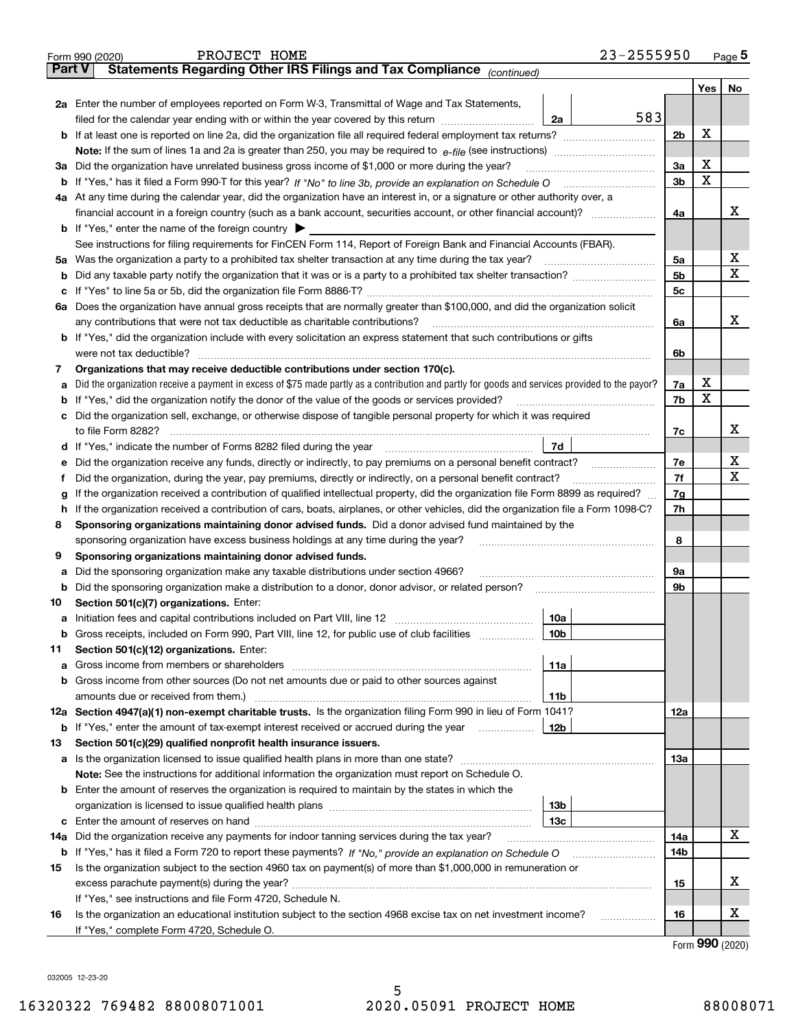|        | $23 - 2555950$<br>PROJECT HOME<br>Form 990 (2020)<br>Statements Regarding Other IRS Filings and Tax Compliance (continued)                                                                                                          |                      |     | Page 5 |  |  |  |  |  |
|--------|-------------------------------------------------------------------------------------------------------------------------------------------------------------------------------------------------------------------------------------|----------------------|-----|--------|--|--|--|--|--|
| Part V |                                                                                                                                                                                                                                     |                      |     |        |  |  |  |  |  |
|        |                                                                                                                                                                                                                                     |                      | Yes | No     |  |  |  |  |  |
|        | 2a Enter the number of employees reported on Form W-3, Transmittal of Wage and Tax Statements,<br>583                                                                                                                               |                      |     |        |  |  |  |  |  |
|        | filed for the calendar year ending with or within the year covered by this return [11] [11] filed for the calendar year ending with or within the year covered by this return<br>2a                                                 |                      | х   |        |  |  |  |  |  |
|        | <b>b</b> If at least one is reported on line 2a, did the organization file all required federal employment tax returns?                                                                                                             | 2 <sub>b</sub>       |     |        |  |  |  |  |  |
|        | <b>Note:</b> If the sum of lines 1a and 2a is greater than 250, you may be required to $e$ -file (see instructions) <i>manimummmmmm</i>                                                                                             |                      | х   |        |  |  |  |  |  |
|        | 3a Did the organization have unrelated business gross income of \$1,000 or more during the year?                                                                                                                                    | 3a<br>3 <sub>b</sub> | х   |        |  |  |  |  |  |
|        | <b>b</b> If "Yes," has it filed a Form 990-T for this year? If "No" to line 3b, provide an explanation on Schedule O                                                                                                                |                      |     |        |  |  |  |  |  |
|        | 4a At any time during the calendar year, did the organization have an interest in, or a signature or other authority over, a                                                                                                        | 4a                   |     | x      |  |  |  |  |  |
|        | <b>b</b> If "Yes," enter the name of the foreign country $\blacktriangleright$                                                                                                                                                      |                      |     |        |  |  |  |  |  |
|        | See instructions for filing requirements for FinCEN Form 114, Report of Foreign Bank and Financial Accounts (FBAR).                                                                                                                 |                      |     |        |  |  |  |  |  |
|        | 5a Was the organization a party to a prohibited tax shelter transaction at any time during the tax year?                                                                                                                            | 5a                   |     | х      |  |  |  |  |  |
|        |                                                                                                                                                                                                                                     | 5 <sub>b</sub>       |     | X      |  |  |  |  |  |
|        |                                                                                                                                                                                                                                     | 5 <sub>c</sub>       |     |        |  |  |  |  |  |
|        | 6a Does the organization have annual gross receipts that are normally greater than \$100,000, and did the organization solicit                                                                                                      |                      |     |        |  |  |  |  |  |
|        | any contributions that were not tax deductible as charitable contributions?                                                                                                                                                         | 6a                   |     | x      |  |  |  |  |  |
|        | <b>b</b> If "Yes," did the organization include with every solicitation an express statement that such contributions or gifts                                                                                                       |                      |     |        |  |  |  |  |  |
|        | were not tax deductible?                                                                                                                                                                                                            | 6b                   |     |        |  |  |  |  |  |
| 7      | Organizations that may receive deductible contributions under section 170(c).                                                                                                                                                       |                      |     |        |  |  |  |  |  |
|        | a Did the organization receive a payment in excess of \$75 made partly as a contribution and partly for goods and services provided to the payor?                                                                                   | 7a                   | х   |        |  |  |  |  |  |
|        | <b>b</b> If "Yes," did the organization notify the donor of the value of the goods or services provided?                                                                                                                            | 7b                   | х   |        |  |  |  |  |  |
|        | c Did the organization sell, exchange, or otherwise dispose of tangible personal property for which it was required                                                                                                                 |                      |     |        |  |  |  |  |  |
|        | to file Form 8282?                                                                                                                                                                                                                  | 7c                   |     | х      |  |  |  |  |  |
|        | 7d<br>d If "Yes," indicate the number of Forms 8282 filed during the year                                                                                                                                                           |                      |     |        |  |  |  |  |  |
| е      | Did the organization receive any funds, directly or indirectly, to pay premiums on a personal benefit contract?<br>and a construction of the construction of the construction of the construction of the construction of the constr |                      |     |        |  |  |  |  |  |
| f      | Did the organization, during the year, pay premiums, directly or indirectly, on a personal benefit contract?                                                                                                                        | 7f                   |     | X      |  |  |  |  |  |
| g      | If the organization received a contribution of qualified intellectual property, did the organization file Form 8899 as required?                                                                                                    | 7g                   |     |        |  |  |  |  |  |
|        | h If the organization received a contribution of cars, boats, airplanes, or other vehicles, did the organization file a Form 1098-C?                                                                                                | 7h                   |     |        |  |  |  |  |  |
| 8      | Sponsoring organizations maintaining donor advised funds. Did a donor advised fund maintained by the                                                                                                                                |                      |     |        |  |  |  |  |  |
|        | sponsoring organization have excess business holdings at any time during the year?                                                                                                                                                  | 8                    |     |        |  |  |  |  |  |
| 9      | Sponsoring organizations maintaining donor advised funds.                                                                                                                                                                           |                      |     |        |  |  |  |  |  |
| a      | Did the sponsoring organization make any taxable distributions under section 4966?                                                                                                                                                  | 9а                   |     |        |  |  |  |  |  |
|        | <b>b</b> Did the sponsoring organization make a distribution to a donor, donor advisor, or related person?                                                                                                                          | 9b                   |     |        |  |  |  |  |  |
| 10     | Section 501(c)(7) organizations. Enter:                                                                                                                                                                                             |                      |     |        |  |  |  |  |  |
|        | 10a                                                                                                                                                                                                                                 |                      |     |        |  |  |  |  |  |
|        | b Gross receipts, included on Form 990, Part VIII, line 12, for public use of club facilities<br>10 <sub>b</sub>                                                                                                                    |                      |     |        |  |  |  |  |  |
| 11     | Section 501(c)(12) organizations. Enter:                                                                                                                                                                                            |                      |     |        |  |  |  |  |  |
| а      | 11a                                                                                                                                                                                                                                 |                      |     |        |  |  |  |  |  |
|        | <b>b</b> Gross income from other sources (Do not net amounts due or paid to other sources against                                                                                                                                   |                      |     |        |  |  |  |  |  |
|        | 11b                                                                                                                                                                                                                                 |                      |     |        |  |  |  |  |  |
|        | 12a Section 4947(a)(1) non-exempt charitable trusts. Is the organization filing Form 990 in lieu of Form 1041?                                                                                                                      | 12a                  |     |        |  |  |  |  |  |
|        | <b>b</b> If "Yes," enter the amount of tax-exempt interest received or accrued during the year<br>12b                                                                                                                               |                      |     |        |  |  |  |  |  |
| 13     | Section 501(c)(29) qualified nonprofit health insurance issuers.                                                                                                                                                                    |                      |     |        |  |  |  |  |  |
|        |                                                                                                                                                                                                                                     | <b>13a</b>           |     |        |  |  |  |  |  |
|        | Note: See the instructions for additional information the organization must report on Schedule O.                                                                                                                                   |                      |     |        |  |  |  |  |  |
|        | <b>b</b> Enter the amount of reserves the organization is required to maintain by the states in which the                                                                                                                           |                      |     |        |  |  |  |  |  |
|        | 13b                                                                                                                                                                                                                                 |                      |     |        |  |  |  |  |  |
|        | 13с                                                                                                                                                                                                                                 |                      |     |        |  |  |  |  |  |
| 14a    | Did the organization receive any payments for indoor tanning services during the tax year?                                                                                                                                          | 14a                  |     | х      |  |  |  |  |  |
|        |                                                                                                                                                                                                                                     | 14b                  |     |        |  |  |  |  |  |
| 15     | Is the organization subject to the section 4960 tax on payment(s) of more than \$1,000,000 in remuneration or                                                                                                                       |                      |     | х      |  |  |  |  |  |
|        |                                                                                                                                                                                                                                     | 15                   |     |        |  |  |  |  |  |
| 16     | If "Yes," see instructions and file Form 4720, Schedule N.<br>Is the organization an educational institution subject to the section 4968 excise tax on net investment income?                                                       | 16                   |     | х      |  |  |  |  |  |
|        | .<br>If "Yes," complete Form 4720, Schedule O.                                                                                                                                                                                      |                      |     |        |  |  |  |  |  |
|        |                                                                                                                                                                                                                                     |                      |     |        |  |  |  |  |  |

Form (2020) **990**

032005 12-23-20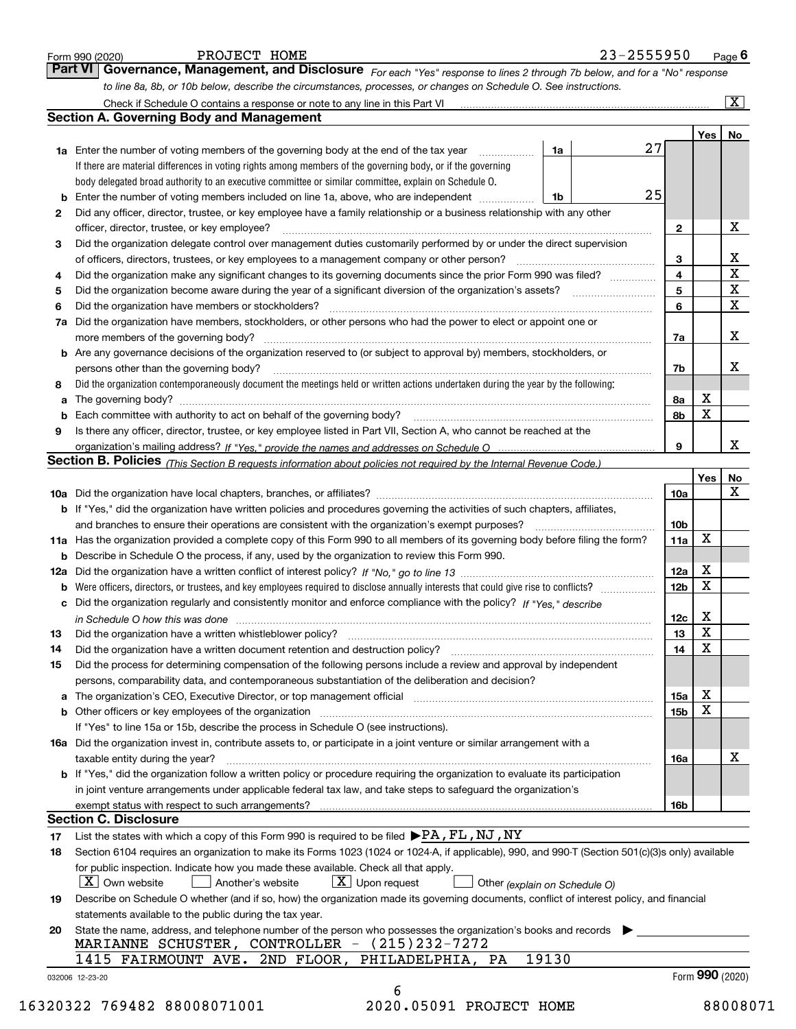|    | Governance, Management, and Disclosure For each "Yes" response to lines 2 through 7b below, and for a "No" response<br>Part VI<br>to line 8a, 8b, or 10b below, describe the circumstances, processes, or changes on Schedule O. See instructions.                                                                                                                                                                                                                                                |    |    |                 |                 |                          |
|----|---------------------------------------------------------------------------------------------------------------------------------------------------------------------------------------------------------------------------------------------------------------------------------------------------------------------------------------------------------------------------------------------------------------------------------------------------------------------------------------------------|----|----|-----------------|-----------------|--------------------------|
|    |                                                                                                                                                                                                                                                                                                                                                                                                                                                                                                   |    |    |                 |                 | $\boxed{\textbf{X}}$     |
|    | <b>Section A. Governing Body and Management</b>                                                                                                                                                                                                                                                                                                                                                                                                                                                   |    |    |                 |                 |                          |
|    |                                                                                                                                                                                                                                                                                                                                                                                                                                                                                                   |    |    |                 | Yes             | No                       |
|    | <b>1a</b> Enter the number of voting members of the governing body at the end of the tax year <i>manumum</i>                                                                                                                                                                                                                                                                                                                                                                                      | 1a | 27 |                 |                 |                          |
|    | If there are material differences in voting rights among members of the governing body, or if the governing                                                                                                                                                                                                                                                                                                                                                                                       |    |    |                 |                 |                          |
|    | body delegated broad authority to an executive committee or similar committee, explain on Schedule O.                                                                                                                                                                                                                                                                                                                                                                                             |    |    |                 |                 |                          |
|    | Enter the number of voting members included on line 1a, above, who are independent                                                                                                                                                                                                                                                                                                                                                                                                                | 1b | 25 |                 |                 |                          |
| 2  | Did any officer, director, trustee, or key employee have a family relationship or a business relationship with any other                                                                                                                                                                                                                                                                                                                                                                          |    |    |                 |                 |                          |
|    | officer, director, trustee, or key employee?                                                                                                                                                                                                                                                                                                                                                                                                                                                      |    |    | $\mathbf{2}$    |                 | x                        |
| 3  | Did the organization delegate control over management duties customarily performed by or under the direct supervision                                                                                                                                                                                                                                                                                                                                                                             |    |    |                 |                 |                          |
|    |                                                                                                                                                                                                                                                                                                                                                                                                                                                                                                   |    |    | 3               |                 | $\underline{\mathbf{X}}$ |
| 4  | Did the organization make any significant changes to its governing documents since the prior Form 990 was filed?                                                                                                                                                                                                                                                                                                                                                                                  |    |    | 4               |                 | $\overline{\mathtt{x}}$  |
| 5  |                                                                                                                                                                                                                                                                                                                                                                                                                                                                                                   |    |    | 5               |                 | $\mathbf{x}$             |
| 6  | Did the organization have members or stockholders?<br>$\begin{minipage}{0.5\textwidth} \begin{tabular}{ l l l } \hline \multicolumn{1}{ l l l } \hline \multicolumn{1}{ l l } \multicolumn{1}{ l } \multicolumn{1}{ l } \multicolumn{1}{ l } \multicolumn{1}{ l } \multicolumn{1}{ l } \multicolumn{1}{ l } \multicolumn{1}{ l } \multicolumn{1}{ l } \multicolumn{1}{ l } \multicolumn{1}{ l } \multicolumn{1}{ l } \multicolumn{1}{ l } \multicolumn{1}{ l } \multicolumn{1}{ l } \multicolumn$ |    |    | 6               |                 | X                        |
| 7a | Did the organization have members, stockholders, or other persons who had the power to elect or appoint one or                                                                                                                                                                                                                                                                                                                                                                                    |    |    |                 |                 |                          |
|    | more members of the governing body?                                                                                                                                                                                                                                                                                                                                                                                                                                                               |    |    | 7a              |                 | X                        |
|    | <b>b</b> Are any governance decisions of the organization reserved to (or subject to approval by) members, stockholders, or                                                                                                                                                                                                                                                                                                                                                                       |    |    |                 |                 |                          |
|    | persons other than the governing body?                                                                                                                                                                                                                                                                                                                                                                                                                                                            |    |    | 7b              |                 | х                        |
| 8  | Did the organization contemporaneously document the meetings held or written actions undertaken during the year by the following:                                                                                                                                                                                                                                                                                                                                                                 |    |    |                 |                 |                          |
| а  |                                                                                                                                                                                                                                                                                                                                                                                                                                                                                                   |    |    | 8a              | х               |                          |
| b  |                                                                                                                                                                                                                                                                                                                                                                                                                                                                                                   |    |    | 8b              | X               |                          |
| 9  | Is there any officer, director, trustee, or key employee listed in Part VII, Section A, who cannot be reached at the                                                                                                                                                                                                                                                                                                                                                                              |    |    |                 |                 |                          |
|    |                                                                                                                                                                                                                                                                                                                                                                                                                                                                                                   |    |    | 9               |                 | X                        |
|    | Section B. Policies (This Section B requests information about policies not required by the Internal Revenue Code.)                                                                                                                                                                                                                                                                                                                                                                               |    |    |                 |                 |                          |
|    |                                                                                                                                                                                                                                                                                                                                                                                                                                                                                                   |    |    |                 | Yes             | No                       |
|    |                                                                                                                                                                                                                                                                                                                                                                                                                                                                                                   |    |    | 10a             |                 | X                        |
|    | b If "Yes," did the organization have written policies and procedures governing the activities of such chapters, affiliates,                                                                                                                                                                                                                                                                                                                                                                      |    |    |                 |                 |                          |
|    | and branches to ensure their operations are consistent with the organization's exempt purposes?                                                                                                                                                                                                                                                                                                                                                                                                   |    |    | 10 <sub>b</sub> |                 |                          |
|    | 11a Has the organization provided a complete copy of this Form 990 to all members of its governing body before filing the form?                                                                                                                                                                                                                                                                                                                                                                   |    |    | 11a             | х               |                          |
|    | <b>b</b> Describe in Schedule O the process, if any, used by the organization to review this Form 990.                                                                                                                                                                                                                                                                                                                                                                                            |    |    |                 |                 |                          |
|    |                                                                                                                                                                                                                                                                                                                                                                                                                                                                                                   |    |    | 12a             | Х               |                          |
| b  | Were officers, directors, or trustees, and key employees required to disclose annually interests that could give rise to conflicts?                                                                                                                                                                                                                                                                                                                                                               |    |    | 12 <sub>b</sub> | х               |                          |
| с  | Did the organization regularly and consistently monitor and enforce compliance with the policy? If "Yes," describe                                                                                                                                                                                                                                                                                                                                                                                |    |    |                 |                 |                          |
|    | in Schedule O how this was done manufactured and contain an according to the way to be a set of the state of t                                                                                                                                                                                                                                                                                                                                                                                    |    |    | 12c             | х               |                          |
| 13 | Did the organization have a written whistleblower policy?                                                                                                                                                                                                                                                                                                                                                                                                                                         |    |    | 13              | х               |                          |
| 14 |                                                                                                                                                                                                                                                                                                                                                                                                                                                                                                   |    |    | 14              | X               |                          |
| 15 | Did the process for determining compensation of the following persons include a review and approval by independent                                                                                                                                                                                                                                                                                                                                                                                |    |    |                 |                 |                          |
|    | persons, comparability data, and contemporaneous substantiation of the deliberation and decision?                                                                                                                                                                                                                                                                                                                                                                                                 |    |    |                 |                 |                          |
| а  | The organization's CEO, Executive Director, or top management official manufactured content content of the organization's CEO, Executive Director, or top management official                                                                                                                                                                                                                                                                                                                     |    |    | <b>15a</b>      | х               |                          |
| b  |                                                                                                                                                                                                                                                                                                                                                                                                                                                                                                   |    |    | 15b             | X               |                          |
|    | If "Yes" to line 15a or 15b, describe the process in Schedule O (see instructions).                                                                                                                                                                                                                                                                                                                                                                                                               |    |    |                 |                 |                          |
|    | 16a Did the organization invest in, contribute assets to, or participate in a joint venture or similar arrangement with a                                                                                                                                                                                                                                                                                                                                                                         |    |    |                 |                 |                          |
|    | taxable entity during the year?                                                                                                                                                                                                                                                                                                                                                                                                                                                                   |    |    | 16a             |                 | х                        |
|    | b If "Yes," did the organization follow a written policy or procedure requiring the organization to evaluate its participation                                                                                                                                                                                                                                                                                                                                                                    |    |    |                 |                 |                          |
|    | in joint venture arrangements under applicable federal tax law, and take steps to safeguard the organization's                                                                                                                                                                                                                                                                                                                                                                                    |    |    |                 |                 |                          |
|    |                                                                                                                                                                                                                                                                                                                                                                                                                                                                                                   |    |    | 16b             |                 |                          |
|    | <b>Section C. Disclosure</b>                                                                                                                                                                                                                                                                                                                                                                                                                                                                      |    |    |                 |                 |                          |
| 17 | List the states with which a copy of this Form 990 is required to be filed $\blacktriangleright$ PA, FL, NJ, NY                                                                                                                                                                                                                                                                                                                                                                                   |    |    |                 |                 |                          |
| 18 | Section 6104 requires an organization to make its Forms 1023 (1024 or 1024-A, if applicable), 990, and 990-T (Section 501(c)(3)s only) available                                                                                                                                                                                                                                                                                                                                                  |    |    |                 |                 |                          |
|    | for public inspection. Indicate how you made these available. Check all that apply.                                                                                                                                                                                                                                                                                                                                                                                                               |    |    |                 |                 |                          |
|    | $ X $ Own website<br>$X$ Upon request<br>Another's website<br>Other (explain on Schedule O)                                                                                                                                                                                                                                                                                                                                                                                                       |    |    |                 |                 |                          |
| 19 | Describe on Schedule O whether (and if so, how) the organization made its governing documents, conflict of interest policy, and financial                                                                                                                                                                                                                                                                                                                                                         |    |    |                 |                 |                          |
|    | statements available to the public during the tax year.                                                                                                                                                                                                                                                                                                                                                                                                                                           |    |    |                 |                 |                          |
|    | State the name, address, and telephone number of the person who possesses the organization's books and records                                                                                                                                                                                                                                                                                                                                                                                    |    |    |                 |                 |                          |
| 20 |                                                                                                                                                                                                                                                                                                                                                                                                                                                                                                   |    |    |                 |                 |                          |
|    | MARIANNE SCHUSTER, CONTROLLER - (215)232-7272                                                                                                                                                                                                                                                                                                                                                                                                                                                     |    |    |                 |                 |                          |
|    | 19130<br>1415 FAIRMOUNT AVE. 2ND FLOOR, PHILADELPHIA, PA                                                                                                                                                                                                                                                                                                                                                                                                                                          |    |    |                 |                 |                          |
|    | 032006 12-23-20                                                                                                                                                                                                                                                                                                                                                                                                                                                                                   |    |    |                 | Form 990 (2020) |                          |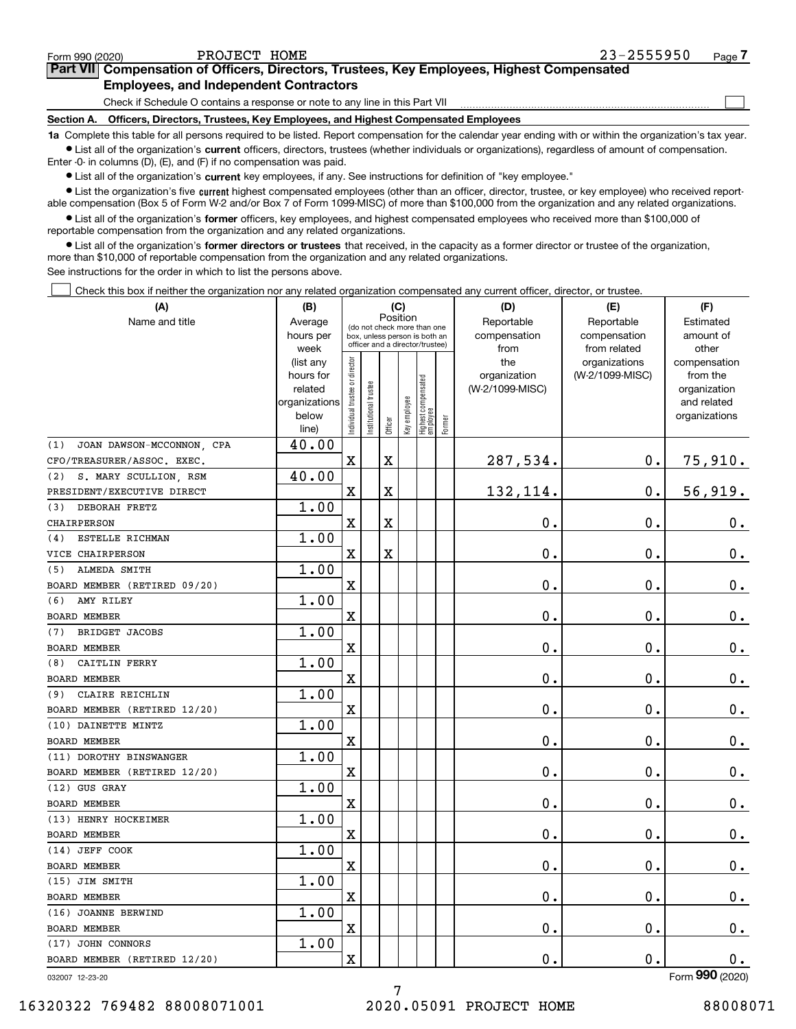$\mathcal{L}^{\text{max}}$ 

| orm 990 (2020) <sup>.</sup> | PROJECT HOME                                  |                                                                                            | 23-2555950 | Page <i>I</i> |
|-----------------------------|-----------------------------------------------|--------------------------------------------------------------------------------------------|------------|---------------|
|                             |                                               | Part VII Compensation of Officers, Directors, Trustees, Key Employees, Highest Compensated |            |               |
|                             | <b>Employees, and Independent Contractors</b> |                                                                                            |            |               |

Check if Schedule O contains a response or note to any line in this Part VII

**Section A. Officers, Directors, Trustees, Key Employees, and Highest Compensated Employees**

**1a**  Complete this table for all persons required to be listed. Report compensation for the calendar year ending with or within the organization's tax year. **•** List all of the organization's current officers, directors, trustees (whether individuals or organizations), regardless of amount of compensation.

Enter -0- in columns (D), (E), and (F) if no compensation was paid.

 $\bullet$  List all of the organization's  $\,$ current key employees, if any. See instructions for definition of "key employee."

**•** List the organization's five current highest compensated employees (other than an officer, director, trustee, or key employee) who received reportable compensation (Box 5 of Form W-2 and/or Box 7 of Form 1099-MISC) of more than \$100,000 from the organization and any related organizations.

**•** List all of the organization's former officers, key employees, and highest compensated employees who received more than \$100,000 of reportable compensation from the organization and any related organizations.

**former directors or trustees**  ¥ List all of the organization's that received, in the capacity as a former director or trustee of the organization, more than \$10,000 of reportable compensation from the organization and any related organizations.

See instructions for the order in which to list the persons above.

Check this box if neither the organization nor any related organization compensated any current officer, director, or trustee.  $\mathcal{L}^{\text{max}}$ 

| (A)                              | (B)                      |                                         |                                                                  |         | (C)          |                                  |        | (D)             | (E)             | (F)                         |
|----------------------------------|--------------------------|-----------------------------------------|------------------------------------------------------------------|---------|--------------|----------------------------------|--------|-----------------|-----------------|-----------------------------|
| Name and title                   | Average                  | Position<br>(do not check more than one |                                                                  |         |              |                                  |        | Reportable      | Reportable      | Estimated                   |
|                                  | hours per                |                                         | box, unless person is both an<br>officer and a director/trustee) |         |              |                                  |        | compensation    | compensation    | amount of                   |
|                                  | week                     |                                         |                                                                  |         |              |                                  |        | from            | from related    | other                       |
|                                  | (list any                |                                         |                                                                  |         |              |                                  |        | the             | organizations   | compensation                |
|                                  | hours for                |                                         |                                                                  |         |              |                                  |        | organization    | (W-2/1099-MISC) | from the                    |
|                                  | related<br>organizations |                                         |                                                                  |         |              |                                  |        | (W-2/1099-MISC) |                 | organization<br>and related |
|                                  | below                    |                                         |                                                                  |         |              |                                  |        |                 |                 | organizations               |
|                                  | line)                    | Individual trustee or director          | Institutional trustee                                            | Officer | Key employee | Highest compensated<br> employee | Former |                 |                 |                             |
| JOAN DAWSON-MCCONNON, CPA<br>(1) | 40.00                    |                                         |                                                                  |         |              |                                  |        |                 |                 |                             |
| CFO/TREASURER/ASSOC. EXEC.       |                          | X                                       |                                                                  | X       |              |                                  |        | 287,534.        | $\mathbf 0$ .   | 75,910.                     |
| S. MARY SCULLION, RSM<br>(2)     | 40.00                    |                                         |                                                                  |         |              |                                  |        |                 |                 |                             |
| PRESIDENT/EXECUTIVE DIRECT       |                          | X                                       |                                                                  | X       |              |                                  |        | 132,114.        | $\mathbf 0$ .   | 56,919.                     |
| DEBORAH FRETZ<br>(3)             | 1.00                     |                                         |                                                                  |         |              |                                  |        |                 |                 |                             |
| CHAIRPERSON                      |                          | X                                       |                                                                  | X       |              |                                  |        | 0.              | $\mathbf 0$ .   | 0.                          |
| ESTELLE RICHMAN<br>(4)           | 1.00                     |                                         |                                                                  |         |              |                                  |        |                 |                 |                             |
| VICE CHAIRPERSON                 |                          | X                                       |                                                                  | X       |              |                                  |        | 0.              | $\mathbf 0$ .   | 0.                          |
| ALMEDA SMITH<br>(5)              | 1.00                     |                                         |                                                                  |         |              |                                  |        |                 |                 |                             |
| BOARD MEMBER (RETIRED 09/20)     |                          | X                                       |                                                                  |         |              |                                  |        | 0.              | $\mathbf 0$ .   | 0.                          |
| AMY RILEY<br>(6)                 | 1.00                     |                                         |                                                                  |         |              |                                  |        |                 |                 |                             |
| <b>BOARD MEMBER</b>              |                          | X                                       |                                                                  |         |              |                                  |        | 0.              | $\mathbf 0$ .   | 0.                          |
| BRIDGET JACOBS<br>(7)            | 1.00                     |                                         |                                                                  |         |              |                                  |        |                 |                 |                             |
| BOARD MEMBER                     |                          | $\mathbf X$                             |                                                                  |         |              |                                  |        | 0.              | $\mathbf 0$ .   | 0.                          |
| CAITLIN FERRY<br>(8)             | 1.00                     |                                         |                                                                  |         |              |                                  |        |                 |                 |                             |
| BOARD MEMBER                     |                          | $\mathbf X$                             |                                                                  |         |              |                                  |        | 0.              | $\mathbf 0$ .   | $0_{.}$                     |
| CLAIRE REICHLIN<br>(9)           | 1.00                     |                                         |                                                                  |         |              |                                  |        |                 |                 |                             |
| BOARD MEMBER (RETIRED 12/20)     |                          | X                                       |                                                                  |         |              |                                  |        | 0.              | $\mathbf 0$ .   | $\mathbf 0$ .               |
| (10) DAINETTE MINTZ              | 1.00                     |                                         |                                                                  |         |              |                                  |        |                 |                 |                             |
| BOARD MEMBER                     |                          | $\mathbf X$                             |                                                                  |         |              |                                  |        | 0.              | $\mathbf 0$ .   | 0.                          |
| (11) DOROTHY BINSWANGER          | 1.00                     |                                         |                                                                  |         |              |                                  |        |                 |                 |                             |
| BOARD MEMBER (RETIRED 12/20)     |                          | X                                       |                                                                  |         |              |                                  |        | 0.              | $\mathbf 0$ .   | 0.                          |
| (12) GUS GRAY                    | 1.00                     |                                         |                                                                  |         |              |                                  |        |                 |                 |                             |
| BOARD MEMBER                     |                          | X                                       |                                                                  |         |              |                                  |        | 0.              | $\mathbf 0$ .   | 0.                          |
| (13) HENRY HOCKEIMER             | 1.00                     |                                         |                                                                  |         |              |                                  |        |                 |                 |                             |
| <b>BOARD MEMBER</b>              |                          | X                                       |                                                                  |         |              |                                  |        | 0.              | $\mathbf 0$ .   | 0.                          |
| (14) JEFF COOK                   | 1.00                     |                                         |                                                                  |         |              |                                  |        |                 |                 |                             |
| BOARD MEMBER                     |                          | X                                       |                                                                  |         |              |                                  |        | 0.              | 0.              | 0.                          |
| (15) JIM SMITH                   | 1.00                     |                                         |                                                                  |         |              |                                  |        |                 |                 |                             |
| <b>BOARD MEMBER</b>              |                          | X                                       |                                                                  |         |              |                                  |        | 0.              | $\mathbf 0$ .   | 0.                          |
| (16) JOANNE BERWIND              | 1.00                     |                                         |                                                                  |         |              |                                  |        |                 |                 |                             |
| BOARD MEMBER                     |                          | x                                       |                                                                  |         |              |                                  |        | 0.              | $\mathbf 0$ .   | 0.                          |
| (17) JOHN CONNORS                | 1.00                     |                                         |                                                                  |         |              |                                  |        |                 |                 |                             |
| BOARD MEMBER (RETIRED 12/20)     |                          | x                                       |                                                                  |         |              |                                  |        | 0.              | $\mathbf 0$ .   | 0.                          |
| 032007 12-23-20                  |                          |                                         |                                                                  |         |              |                                  |        |                 |                 | Form 990 (2020)             |

032007 12-23-20

16320322 769482 88008071001 2020.05091 PROJECT HOME 88008071

7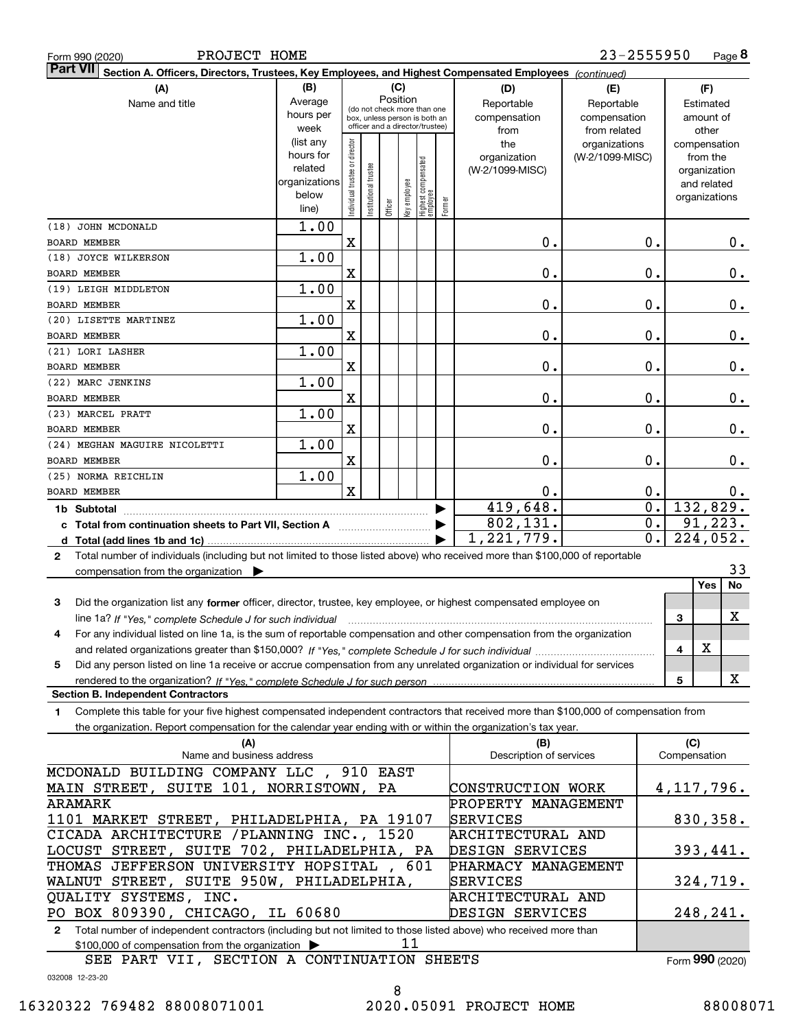| PROJECT HOME<br>Form 990 (2020)                                                                                                                |               |                               |                      |                                                              |              |                                   |        |                                | 23-2555950      |          |                     | Page 8          |
|------------------------------------------------------------------------------------------------------------------------------------------------|---------------|-------------------------------|----------------------|--------------------------------------------------------------|--------------|-----------------------------------|--------|--------------------------------|-----------------|----------|---------------------|-----------------|
| <b>Part VII</b><br>Section A. Officers, Directors, Trustees, Key Employees, and Highest Compensated Employees (continued)                      |               |                               |                      |                                                              |              |                                   |        |                                |                 |          |                     |                 |
| (B)<br>(C)<br>(A)<br>(D)<br>(F)<br>(E)                                                                                                         |               |                               |                      |                                                              |              |                                   |        |                                |                 |          |                     |                 |
| Name and title                                                                                                                                 | Average       |                               |                      | Position                                                     |              |                                   |        | Reportable                     | Reportable      |          |                     | Estimated       |
|                                                                                                                                                | hours per     |                               |                      | (do not check more than one<br>box, unless person is both an |              |                                   |        | compensation                   | compensation    |          |                     | amount of       |
|                                                                                                                                                | week          |                               |                      | officer and a director/trustee)                              |              |                                   |        | from                           | from related    |          |                     | other           |
|                                                                                                                                                | (list any     |                               |                      |                                                              |              |                                   |        | the                            | organizations   |          |                     | compensation    |
|                                                                                                                                                | hours for     |                               |                      |                                                              |              |                                   |        | organization                   | (W-2/1099-MISC) |          |                     | from the        |
|                                                                                                                                                | related       |                               |                      |                                                              |              |                                   |        | (W-2/1099-MISC)                |                 |          |                     | organization    |
|                                                                                                                                                | organizations | ndividual trustee or director | nstitutional trustee |                                                              |              |                                   |        |                                |                 |          |                     | and related     |
|                                                                                                                                                | below         |                               |                      |                                                              | key employee |                                   |        |                                |                 |          |                     | organizations   |
|                                                                                                                                                | line)         |                               |                      | Officer                                                      |              | Highest compensated<br>  employee | Former |                                |                 |          |                     |                 |
| (18) JOHN MCDONALD                                                                                                                             | 1.00          |                               |                      |                                                              |              |                                   |        |                                |                 |          |                     |                 |
| <b>BOARD MEMBER</b>                                                                                                                            |               | $\mathbf x$                   |                      |                                                              |              |                                   |        | 0.                             |                 | 0.       |                     | 0.              |
| (18) JOYCE WILKERSON                                                                                                                           | 1.00          |                               |                      |                                                              |              |                                   |        |                                |                 |          |                     |                 |
| <b>BOARD MEMBER</b>                                                                                                                            |               | X                             |                      |                                                              |              |                                   |        | 0.                             |                 | 0.       |                     | 0.              |
|                                                                                                                                                | 1.00          |                               |                      |                                                              |              |                                   |        |                                |                 |          |                     |                 |
| (19) LEIGH MIDDLETON                                                                                                                           |               |                               |                      |                                                              |              |                                   |        |                                |                 |          |                     |                 |
| <b>BOARD MEMBER</b>                                                                                                                            |               | $\mathbf X$                   |                      |                                                              |              |                                   |        | 0.                             |                 | 0.       |                     | 0.              |
| (20) LISETTE MARTINEZ                                                                                                                          | 1.00          |                               |                      |                                                              |              |                                   |        |                                |                 |          |                     |                 |
| <b>BOARD MEMBER</b>                                                                                                                            |               | $\mathbf X$                   |                      |                                                              |              |                                   |        | 0.                             |                 | 0.       |                     | 0.              |
| (21) LORI LASHER                                                                                                                               | 1.00          |                               |                      |                                                              |              |                                   |        |                                |                 |          |                     |                 |
| <b>BOARD MEMBER</b>                                                                                                                            |               | $\mathbf X$                   |                      |                                                              |              |                                   |        | 0.                             |                 | 0.       |                     | 0.              |
| (22) MARC JENKINS                                                                                                                              | 1.00          |                               |                      |                                                              |              |                                   |        |                                |                 |          |                     |                 |
| <b>BOARD MEMBER</b>                                                                                                                            |               | $\mathbf X$                   |                      |                                                              |              |                                   |        | 0.                             |                 | 0.       |                     | $0$ .           |
| (23) MARCEL PRATT                                                                                                                              | 1.00          |                               |                      |                                                              |              |                                   |        |                                |                 |          |                     |                 |
| <b>BOARD MEMBER</b>                                                                                                                            |               | $\mathbf X$                   |                      |                                                              |              |                                   |        | 0.                             |                 | 0.       |                     |                 |
|                                                                                                                                                |               |                               |                      |                                                              |              |                                   |        |                                |                 |          |                     | 0.              |
| (24) MEGHAN MAGUIRE NICOLETTI                                                                                                                  | 1.00          |                               |                      |                                                              |              |                                   |        |                                |                 |          |                     |                 |
| <b>BOARD MEMBER</b>                                                                                                                            |               | $\mathbf X$                   |                      |                                                              |              |                                   |        | 0.                             |                 | 0.       |                     | 0.              |
| (25) NORMA REICHLIN                                                                                                                            | 1.00          |                               |                      |                                                              |              |                                   |        |                                |                 |          |                     |                 |
| <b>BOARD MEMBER</b>                                                                                                                            |               | $\mathbf x$                   |                      |                                                              |              |                                   |        | 0.                             |                 | 0.       |                     | 0.              |
| 419,648.<br>1b Subtotal                                                                                                                        |               |                               |                      |                                                              |              |                                   | 0.     |                                | 132,829.        |          |                     |                 |
| 802,131.<br>c Total from continuation sheets to Part VII, Section A [11, 11] [11] Contains the Total from continuum                            |               |                               |                      |                                                              |              |                                   |        | 0.                             |                 | 91, 223. |                     |                 |
| 1,221,779.                                                                                                                                     |               |                               |                      |                                                              |              |                                   |        | 0.                             |                 | 224,052. |                     |                 |
| Total number of individuals (including but not limited to those listed above) who received more than \$100,000 of reportable<br>$\mathbf{2}$   |               |                               |                      |                                                              |              |                                   |        |                                |                 |          |                     |                 |
|                                                                                                                                                |               |                               |                      |                                                              |              |                                   |        |                                |                 |          |                     | 33              |
| compensation from the organization                                                                                                             |               |                               |                      |                                                              |              |                                   |        |                                |                 |          |                     | Yes<br>No       |
|                                                                                                                                                |               |                               |                      |                                                              |              |                                   |        |                                |                 |          |                     |                 |
| Did the organization list any former officer, director, trustee, key employee, or highest compensated employee on<br>3                         |               |                               |                      |                                                              |              |                                   |        |                                |                 |          |                     |                 |
| line 1a? If "Yes," complete Schedule J for such individual manufactured contains and the 1a? If "Yes," complete Schedule J for such individual |               |                               |                      |                                                              |              |                                   |        |                                |                 |          | 3                   | х               |
| For any individual listed on line 1a, is the sum of reportable compensation and other compensation from the organization                       |               |                               |                      |                                                              |              |                                   |        |                                |                 |          |                     |                 |
|                                                                                                                                                |               |                               |                      |                                                              |              |                                   |        |                                |                 |          | 4                   | х               |
| Did any person listed on line 1a receive or accrue compensation from any unrelated organization or individual for services<br>5                |               |                               |                      |                                                              |              |                                   |        |                                |                 |          |                     |                 |
|                                                                                                                                                |               |                               |                      |                                                              |              |                                   |        |                                |                 |          | 5                   | x               |
| <b>Section B. Independent Contractors</b>                                                                                                      |               |                               |                      |                                                              |              |                                   |        |                                |                 |          |                     |                 |
| Complete this table for your five highest compensated independent contractors that received more than \$100,000 of compensation from<br>1      |               |                               |                      |                                                              |              |                                   |        |                                |                 |          |                     |                 |
| the organization. Report compensation for the calendar year ending with or within the organization's tax year.                                 |               |                               |                      |                                                              |              |                                   |        |                                |                 |          |                     |                 |
|                                                                                                                                                |               |                               |                      |                                                              |              |                                   |        |                                |                 |          |                     |                 |
| (A)<br>Name and business address                                                                                                               |               |                               |                      |                                                              |              |                                   |        | (B)<br>Description of services |                 |          | (C)<br>Compensation |                 |
|                                                                                                                                                |               |                               |                      |                                                              |              |                                   |        |                                |                 |          |                     |                 |
| MCDONALD BUILDING COMPANY LLC, 910 EAST                                                                                                        |               |                               |                      |                                                              |              |                                   |        |                                |                 |          |                     |                 |
| MAIN STREET, SUITE 101, NORRISTOWN, PA                                                                                                         |               |                               |                      |                                                              |              |                                   |        | CONSTRUCTION WORK              |                 |          |                     | 4, 117, 796.    |
| <b>ARAMARK</b>                                                                                                                                 |               |                               |                      |                                                              |              |                                   |        | PROPERTY MANAGEMENT            |                 |          |                     |                 |
| 1101 MARKET STREET, PHILADELPHIA, PA 19107                                                                                                     |               |                               |                      |                                                              |              |                                   |        | SERVICES                       |                 |          |                     | 830,358.        |
| CICADA ARCHITECTURE / PLANNING INC., 1520                                                                                                      |               |                               |                      |                                                              |              |                                   |        | ARCHITECTURAL AND              |                 |          |                     |                 |
| LOCUST STREET, SUITE 702, PHILADELPHIA, PA                                                                                                     |               |                               |                      |                                                              |              |                                   |        | DESIGN SERVICES                |                 |          |                     | 393,441.        |
| THOMAS JEFFERSON UNIVERSITY HOPSITAL , 601                                                                                                     |               |                               |                      |                                                              |              |                                   |        | PHARMACY MANAGEMENT            |                 |          |                     |                 |
| WALNUT STREET, SUITE 950W, PHILADELPHIA,<br>324,719.                                                                                           |               |                               |                      |                                                              |              |                                   |        |                                |                 |          |                     |                 |
| SERVICES                                                                                                                                       |               |                               |                      |                                                              |              |                                   |        |                                |                 |          |                     |                 |
| QUALITY SYSTEMS, INC.<br>ARCHITECTURAL AND                                                                                                     |               |                               |                      |                                                              |              |                                   |        |                                |                 |          |                     |                 |
| PO BOX 809390, CHICAGO, IL 60680                                                                                                               |               |                               |                      |                                                              |              |                                   |        | DESIGN SERVICES                |                 |          |                     | 248,241.        |
| Total number of independent contractors (including but not limited to those listed above) who received more than<br>$\mathbf{2}$               |               |                               |                      |                                                              |              |                                   |        |                                |                 |          |                     |                 |
| \$100,000 of compensation from the organization                                                                                                |               |                               |                      |                                                              | 11           |                                   |        |                                |                 |          |                     |                 |
| SEE PART VII, SECTION A CONTINUATION SHEETS                                                                                                    |               |                               |                      |                                                              |              |                                   |        |                                |                 |          |                     | Form 990 (2020) |
|                                                                                                                                                |               |                               |                      |                                                              |              |                                   |        |                                |                 |          |                     |                 |

032008 12-23-20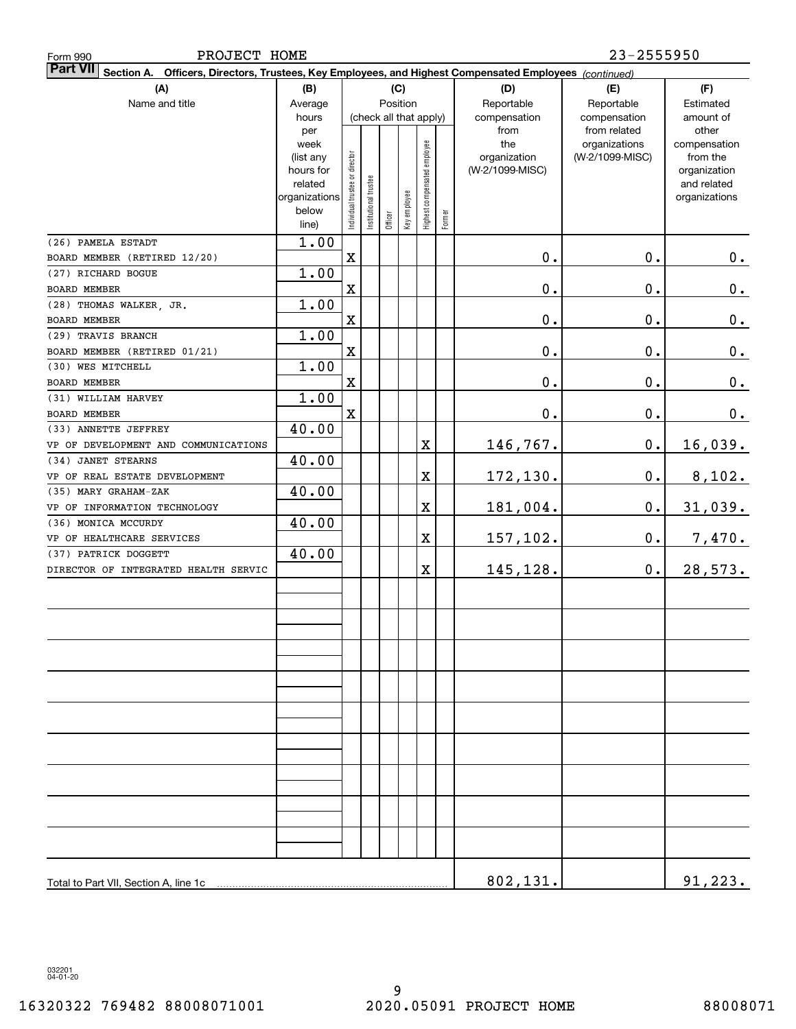| PROJECT HOME<br>Form 990                                                                                                     |                        |                               |                      |         |              |                              |        |                                 | $23 - 2555950$  |                          |
|------------------------------------------------------------------------------------------------------------------------------|------------------------|-------------------------------|----------------------|---------|--------------|------------------------------|--------|---------------------------------|-----------------|--------------------------|
| <b>Part VII</b><br>Section A.<br>Officers, Directors, Trustees, Key Employees, and Highest Compensated Employees (continued) |                        |                               |                      |         |              |                              |        |                                 |                 |                          |
| (A)                                                                                                                          | (B)                    |                               |                      |         | (C)          |                              |        | (D)                             | (E)             | (F)                      |
| Name and title                                                                                                               | Average                |                               |                      |         | Position     |                              |        | Reportable                      | Reportable      | Estimated                |
|                                                                                                                              | hours                  | (check all that apply)        |                      |         |              |                              |        | compensation                    | compensation    | amount of                |
|                                                                                                                              | per                    |                               |                      |         |              |                              |        | from                            | from related    | other                    |
|                                                                                                                              | week                   |                               |                      |         |              | Highest compensated employee |        | the                             | organizations   | compensation             |
|                                                                                                                              | (list any<br>hours for |                               |                      |         |              |                              |        | organization<br>(W-2/1099-MISC) | (W-2/1099-MISC) | from the<br>organization |
|                                                                                                                              | related                |                               |                      |         |              |                              |        |                                 |                 | and related              |
|                                                                                                                              | organizations          | ndividual trustee or director | nstitutional trustee |         |              |                              |        |                                 |                 | organizations            |
|                                                                                                                              | below                  |                               |                      |         | Key employee |                              |        |                                 |                 |                          |
|                                                                                                                              | line)                  |                               |                      | Officer |              |                              | Former |                                 |                 |                          |
| (26) PAMELA ESTADT                                                                                                           | 1.00                   |                               |                      |         |              |                              |        |                                 |                 |                          |
| BOARD MEMBER (RETIRED 12/20)                                                                                                 |                        | $\mathbf X$                   |                      |         |              |                              |        | 0.                              | 0.              | $0_{.}$                  |
| (27) RICHARD BOGUE                                                                                                           | 1.00                   |                               |                      |         |              |                              |        |                                 |                 |                          |
| <b>BOARD MEMBER</b>                                                                                                          |                        | $\mathbf X$                   |                      |         |              |                              |        | $\mathbf 0$ .                   | $0$ .           | $0_{.}$                  |
| (28) THOMAS WALKER, JR.                                                                                                      | 1.00                   |                               |                      |         |              |                              |        |                                 |                 |                          |
| <b>BOARD MEMBER</b>                                                                                                          |                        | $\mathbf X$                   |                      |         |              |                              |        | 0.                              | 0.              | $0_{.}$                  |
| (29) TRAVIS BRANCH                                                                                                           | 1.00                   |                               |                      |         |              |                              |        |                                 |                 |                          |
| BOARD MEMBER (RETIRED 01/21)                                                                                                 |                        | $\mathbf X$                   |                      |         |              |                              |        | 0.                              | 0.              | $\mathbf 0$ .            |
| (30) WES MITCHELL                                                                                                            | 1.00                   |                               |                      |         |              |                              |        |                                 |                 |                          |
| BOARD MEMBER                                                                                                                 |                        | $\mathbf X$                   |                      |         |              |                              |        | 0.                              | 0.              | $0_{.}$                  |
| (31) WILLIAM HARVEY                                                                                                          | 1.00                   |                               |                      |         |              |                              |        |                                 |                 |                          |
| BOARD MEMBER                                                                                                                 |                        | $\mathbf X$                   |                      |         |              |                              |        | $0$ .                           | $0$ .           | 0.                       |
| (33) ANNETTE JEFFREY                                                                                                         | 40.00                  |                               |                      |         |              |                              |        |                                 |                 |                          |
| VP OF DEVELOPMENT AND COMMUNICATIONS                                                                                         |                        |                               |                      |         |              | $\overline{\textbf{X}}$      |        | 146,767.                        | $0$ .           | 16,039.                  |
| (34) JANET STEARNS                                                                                                           | 40.00                  |                               |                      |         |              |                              |        |                                 |                 |                          |
| VP OF REAL ESTATE DEVELOPMENT                                                                                                |                        |                               |                      |         |              | $\overline{\textbf{X}}$      |        | 172,130.                        | $\mathbf 0$ .   | 8,102.                   |
| (35) MARY GRAHAM-ZAK                                                                                                         | 40.00                  |                               |                      |         |              |                              |        |                                 |                 |                          |
| VP OF INFORMATION TECHNOLOGY                                                                                                 |                        |                               |                      |         |              | $\overline{\textbf{X}}$      |        | 181,004.                        | $\mathbf 0$ .   | 31,039.                  |
| (36) MONICA MCCURDY                                                                                                          | 40.00                  |                               |                      |         |              |                              |        |                                 |                 |                          |
| VP OF HEALTHCARE SERVICES                                                                                                    |                        |                               |                      |         |              | $\overline{\textbf{X}}$      |        | 157,102.                        | 0.              | 7,470.                   |
| (37) PATRICK DOGGETT                                                                                                         | 40.00                  |                               |                      |         |              |                              |        |                                 |                 |                          |
| DIRECTOR OF INTEGRATED HEALTH SERVIC                                                                                         |                        |                               |                      |         |              | $\mathbf X$                  |        | 145,128.                        | $\mathbf 0$ .   | 28,573.                  |
|                                                                                                                              |                        |                               |                      |         |              |                              |        |                                 |                 |                          |
|                                                                                                                              |                        |                               |                      |         |              |                              |        |                                 |                 |                          |
|                                                                                                                              |                        |                               |                      |         |              |                              |        |                                 |                 |                          |
|                                                                                                                              |                        |                               |                      |         |              |                              |        |                                 |                 |                          |
|                                                                                                                              |                        |                               |                      |         |              |                              |        |                                 |                 |                          |
|                                                                                                                              |                        |                               |                      |         |              |                              |        |                                 |                 |                          |
|                                                                                                                              |                        |                               |                      |         |              |                              |        |                                 |                 |                          |
|                                                                                                                              |                        |                               |                      |         |              |                              |        |                                 |                 |                          |
|                                                                                                                              |                        |                               |                      |         |              |                              |        |                                 |                 |                          |
|                                                                                                                              |                        |                               |                      |         |              |                              |        |                                 |                 |                          |
|                                                                                                                              |                        |                               |                      |         |              |                              |        |                                 |                 |                          |
|                                                                                                                              |                        |                               |                      |         |              |                              |        |                                 |                 |                          |
|                                                                                                                              |                        |                               |                      |         |              |                              |        |                                 |                 |                          |
|                                                                                                                              |                        |                               |                      |         |              |                              |        |                                 |                 |                          |
|                                                                                                                              |                        |                               |                      |         |              |                              |        |                                 |                 |                          |
|                                                                                                                              |                        |                               |                      |         |              |                              |        |                                 |                 |                          |
|                                                                                                                              |                        |                               |                      |         |              |                              |        |                                 |                 |                          |
|                                                                                                                              |                        |                               |                      |         |              |                              |        |                                 |                 |                          |
|                                                                                                                              |                        |                               |                      |         |              |                              |        |                                 |                 |                          |
| Total to Part VII, Section A, line 1c                                                                                        |                        |                               |                      |         |              |                              |        | 802,131.                        |                 | 91,223.                  |

032201 04-01-20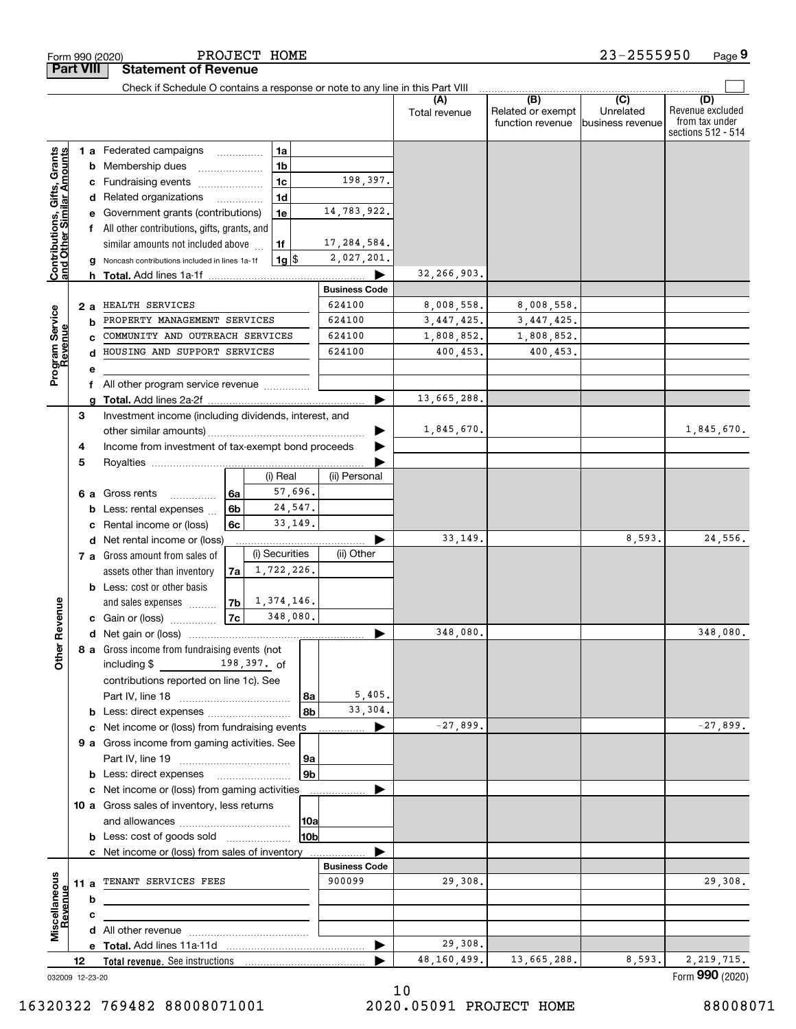| <b>Part VIII</b>                                          |    |        | <b>Statement of Revenue</b>                                                                    |      |                     |                |                      |               |                                              |                                                 |                                                                 |
|-----------------------------------------------------------|----|--------|------------------------------------------------------------------------------------------------|------|---------------------|----------------|----------------------|---------------|----------------------------------------------|-------------------------------------------------|-----------------------------------------------------------------|
|                                                           |    |        | Check if Schedule O contains a response or note to any line in this Part VIII                  |      |                     |                |                      |               |                                              |                                                 |                                                                 |
|                                                           |    |        |                                                                                                |      |                     |                |                      | Total revenue | (B)<br>Related or exempt<br>function revenue | $\overline{C}$<br>Unrelated<br>business revenue | (D)<br>Revenue excluded<br>from tax under<br>sections 512 - 514 |
|                                                           |    |        | 1 a Federated campaigns                                                                        |      | 1a                  |                |                      |               |                                              |                                                 |                                                                 |
|                                                           |    | b      | Membership dues                                                                                |      | 1 <sub>b</sub>      |                |                      |               |                                              |                                                 |                                                                 |
|                                                           |    |        | c Fundraising events                                                                           |      | 1 <sub>c</sub>      |                | 198,397.             |               |                                              |                                                 |                                                                 |
| Contributions, Gifts, Grants<br>and Other Similar Amounts |    |        | d Related organizations                                                                        |      | 1 <sub>d</sub><br>. |                |                      |               |                                              |                                                 |                                                                 |
|                                                           |    |        | e Government grants (contributions)                                                            |      | 1e                  |                | 14,783,922.          |               |                                              |                                                 |                                                                 |
|                                                           |    |        | f All other contributions, gifts, grants, and                                                  |      |                     |                |                      |               |                                              |                                                 |                                                                 |
|                                                           |    |        | similar amounts not included above                                                             |      | 1f                  |                | 17, 284, 584.        |               |                                              |                                                 |                                                                 |
|                                                           |    |        | Noncash contributions included in lines 1a-1f                                                  |      | $1g$ $\frac{1}{3}$  |                | 2,027,201.           |               |                                              |                                                 |                                                                 |
|                                                           |    |        |                                                                                                |      |                     |                |                      | 32,266,903.   |                                              |                                                 |                                                                 |
|                                                           |    |        |                                                                                                |      |                     |                | <b>Business Code</b> |               |                                              |                                                 |                                                                 |
|                                                           |    | 2a     | HEALTH SERVICES                                                                                |      |                     |                | 624100               | 8,008,558.    | 8,008,558.                                   |                                                 |                                                                 |
|                                                           |    | b      | PROPERTY MANAGEMENT SERVICES                                                                   |      |                     |                | 624100               | 3, 447, 425.  | 3, 447, 425.                                 |                                                 |                                                                 |
|                                                           |    |        | COMMUNITY AND OUTREACH SERVICES                                                                |      |                     |                | 624100<br>624100     | 1,808,852.    | 1,808,852.                                   |                                                 |                                                                 |
| Program Service<br>Revenue                                |    |        | HOUSING AND SUPPORT SERVICES                                                                   |      |                     |                |                      | 400,453.      | 400,453.                                     |                                                 |                                                                 |
|                                                           |    | е<br>f |                                                                                                |      |                     |                |                      |               |                                              |                                                 |                                                                 |
|                                                           |    |        | All other program service revenue                                                              |      |                     |                | 13,665,288.          |               |                                              |                                                 |                                                                 |
|                                                           | 3  |        | Investment income (including dividends, interest, and                                          |      |                     |                |                      |               |                                              |                                                 |                                                                 |
|                                                           |    |        |                                                                                                |      |                     |                |                      | 1,845,670.    |                                              |                                                 | 1,845,670.                                                      |
|                                                           | 4  |        | Income from investment of tax-exempt bond proceeds                                             |      |                     |                |                      |               |                                              |                                                 |                                                                 |
|                                                           | 5  |        |                                                                                                |      |                     |                |                      |               |                                              |                                                 |                                                                 |
|                                                           |    |        |                                                                                                |      | (i) Real            |                | (ii) Personal        |               |                                              |                                                 |                                                                 |
|                                                           |    | 6а     | Gross rents<br>.                                                                               | 6a   |                     | 57,696.        |                      |               |                                              |                                                 |                                                                 |
|                                                           |    | b      | Less: rental expenses                                                                          | 6b   |                     | 24,547.        |                      |               |                                              |                                                 |                                                                 |
|                                                           |    | c      | Rental income or (loss)                                                                        | 6c   |                     | 33, 149.       |                      |               |                                              |                                                 |                                                                 |
|                                                           |    | d      | Net rental income or (loss)                                                                    |      |                     |                |                      | 33,149.       |                                              | 8,593.                                          | 24,556.                                                         |
|                                                           |    |        | 7 a Gross amount from sales of                                                                 |      | (i) Securities      |                | (ii) Other           |               |                                              |                                                 |                                                                 |
|                                                           |    |        | assets other than inventory                                                                    | 7a l | 1,722,226.          |                |                      |               |                                              |                                                 |                                                                 |
|                                                           |    |        | <b>b</b> Less: cost or other basis                                                             |      |                     |                |                      |               |                                              |                                                 |                                                                 |
|                                                           |    |        | and sales expenses                                                                             | 7b   | 1,374,146.          |                |                      |               |                                              |                                                 |                                                                 |
| Revenue                                                   |    |        | c Gain or (loss)                                                                               | 7c   | 348,080.            |                |                      |               |                                              |                                                 |                                                                 |
|                                                           |    |        |                                                                                                |      |                     |                |                      | 348,080.      |                                              |                                                 | 348,080.                                                        |
| <b>Other</b>                                              |    |        | 8 a Gross income from fundraising events (not                                                  |      |                     |                |                      |               |                                              |                                                 |                                                                 |
|                                                           |    |        | 198,397. of<br>including $$$                                                                   |      |                     |                |                      |               |                                              |                                                 |                                                                 |
|                                                           |    |        | contributions reported on line 1c). See                                                        |      |                     |                | 5,405.               |               |                                              |                                                 |                                                                 |
|                                                           |    |        |                                                                                                |      |                     | 8a<br>8b       | 33,304.              |               |                                              |                                                 |                                                                 |
|                                                           |    |        |                                                                                                |      |                     |                | ▶                    | $-27,899.$    |                                              |                                                 | $-27,899.$                                                      |
|                                                           |    |        | c Net income or (loss) from fundraising events<br>9 a Gross income from gaming activities. See |      |                     |                |                      |               |                                              |                                                 |                                                                 |
|                                                           |    |        |                                                                                                |      |                     | ∣9a            |                      |               |                                              |                                                 |                                                                 |
|                                                           |    |        | <b>b</b> Less: direct expenses                                                                 |      |                     | 9 <sub>b</sub> |                      |               |                                              |                                                 |                                                                 |
|                                                           |    |        | c Net income or (loss) from gaming activities                                                  |      |                     |                |                      |               |                                              |                                                 |                                                                 |
|                                                           |    |        | 10 a Gross sales of inventory, less returns                                                    |      |                     |                |                      |               |                                              |                                                 |                                                                 |
|                                                           |    |        |                                                                                                |      |                     | 10a            |                      |               |                                              |                                                 |                                                                 |
|                                                           |    |        | <b>b</b> Less: cost of goods sold                                                              |      |                     | 10bl           |                      |               |                                              |                                                 |                                                                 |
|                                                           |    |        | c Net income or (loss) from sales of inventory                                                 |      |                     |                |                      |               |                                              |                                                 |                                                                 |
|                                                           |    |        |                                                                                                |      |                     |                | <b>Business Code</b> |               |                                              |                                                 |                                                                 |
| Miscellaneous                                             |    | 11 a   | TENANT SERVICES FEES                                                                           |      |                     |                | 900099               | 29,308.       |                                              |                                                 | 29,308.                                                         |
| Revenue                                                   |    | b      |                                                                                                |      |                     |                |                      |               |                                              |                                                 |                                                                 |
|                                                           |    | с      |                                                                                                |      |                     |                |                      |               |                                              |                                                 |                                                                 |
|                                                           |    |        |                                                                                                |      |                     |                |                      |               |                                              |                                                 |                                                                 |
|                                                           |    |        |                                                                                                |      |                     |                | ▶                    | 29,308.       |                                              |                                                 |                                                                 |
|                                                           | 12 |        |                                                                                                |      |                     |                |                      | 48, 160, 499. | 13,665,288.                                  | 8,593.                                          | 2, 219, 715.                                                    |
| 032009 12-23-20                                           |    |        |                                                                                                |      |                     |                |                      |               |                                              |                                                 | Form 990 (2020)                                                 |

Form 990 (2020) PROJECT HOME 2 3~2 5 5 9 5 0 Page

PROJECT HOME

**9**

23-2555950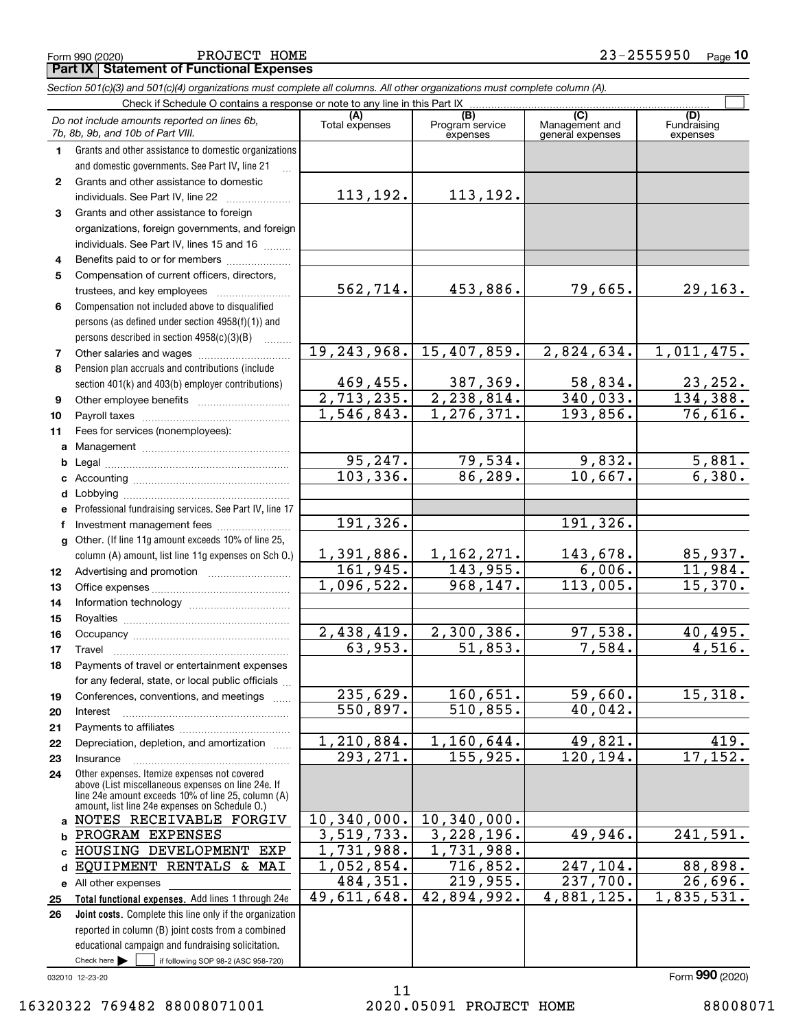Form 990 (2020) Page **Part IX Statement of Functional Expenses** PROJECT HOME 23-2555950

|                | Section 501(c)(3) and 501(c)(4) organizations must complete all columns. All other organizations must complete column (A).                                                                                 |                                     |                                    |                                    |                          |
|----------------|------------------------------------------------------------------------------------------------------------------------------------------------------------------------------------------------------------|-------------------------------------|------------------------------------|------------------------------------|--------------------------|
|                | Check if Schedule O contains a response or note to any line in this Part IX                                                                                                                                | (A)                                 |                                    | (C)                                | (D)                      |
|                | Do not include amounts reported on lines 6b,<br>7b, 8b, 9b, and 10b of Part VIII.                                                                                                                          | Total expenses                      | (B)<br>Program service<br>expenses | Management and<br>general expenses | Fundraising<br>expenses  |
| 1.             | Grants and other assistance to domestic organizations                                                                                                                                                      |                                     |                                    |                                    |                          |
|                | and domestic governments. See Part IV, line 21                                                                                                                                                             |                                     |                                    |                                    |                          |
| $\mathbf{2}$   | Grants and other assistance to domestic                                                                                                                                                                    |                                     |                                    |                                    |                          |
|                | individuals. See Part IV, line 22                                                                                                                                                                          | 113,192.                            | 113,192.                           |                                    |                          |
| 3              | Grants and other assistance to foreign                                                                                                                                                                     |                                     |                                    |                                    |                          |
|                | organizations, foreign governments, and foreign                                                                                                                                                            |                                     |                                    |                                    |                          |
|                | individuals. See Part IV, lines 15 and 16                                                                                                                                                                  |                                     |                                    |                                    |                          |
| 4              | Benefits paid to or for members                                                                                                                                                                            |                                     |                                    |                                    |                          |
| 5              | Compensation of current officers, directors,                                                                                                                                                               |                                     |                                    |                                    |                          |
|                | trustees, and key employees                                                                                                                                                                                | 562, 714.                           | 453,886.                           | 79,665.                            | 29, 163.                 |
| 6              | Compensation not included above to disqualified                                                                                                                                                            |                                     |                                    |                                    |                          |
|                | persons (as defined under section 4958(f)(1)) and                                                                                                                                                          |                                     |                                    |                                    |                          |
|                | persons described in section 4958(c)(3)(B)<br>.                                                                                                                                                            |                                     |                                    |                                    |                          |
| $\overline{7}$ |                                                                                                                                                                                                            | 19, 243, 968.                       | 15,407,859.                        | 2,824,634.                         | 1,011,475.               |
| 8              | Pension plan accruals and contributions (include                                                                                                                                                           |                                     |                                    |                                    |                          |
|                | section 401(k) and 403(b) employer contributions)                                                                                                                                                          | 469,455.<br>$\overline{2,713,235.}$ | 387,369.<br>2,238,814.             | 58,834.<br>340,033.                | $\frac{23,252}{134,388}$ |
| 9              |                                                                                                                                                                                                            | 1,546,843.                          | 1,276,371.                         | 193,856.                           | 76,616.                  |
| 10<br>11       |                                                                                                                                                                                                            |                                     |                                    |                                    |                          |
|                | Fees for services (nonemployees):                                                                                                                                                                          |                                     |                                    |                                    |                          |
| b              |                                                                                                                                                                                                            | 95,247.                             | 79,534.                            | 9,832.                             | 5,881.                   |
| c              |                                                                                                                                                                                                            | 103,336.                            | 86,289.                            | 10,667.                            | 6,380.                   |
| d              |                                                                                                                                                                                                            |                                     |                                    |                                    |                          |
| е              | Professional fundraising services. See Part IV, line 17                                                                                                                                                    |                                     |                                    |                                    |                          |
| f              | Investment management fees                                                                                                                                                                                 | 191,326.                            |                                    | 191,326.                           |                          |
| g              | Other. (If line 11g amount exceeds 10% of line 25,                                                                                                                                                         |                                     |                                    |                                    |                          |
|                | column (A) amount, list line 11g expenses on Sch O.)                                                                                                                                                       | 1,391,886.                          | 1,162,271.                         | 143,678.                           | <u>85,937.</u>           |
| 12             |                                                                                                                                                                                                            | 161,945.                            | 143,955.                           | 6,006.                             | 11,984.                  |
| 13             |                                                                                                                                                                                                            | 1,096,522.                          | 968,147.                           | 113,005.                           | 15,370.                  |
| 14             |                                                                                                                                                                                                            |                                     |                                    |                                    |                          |
| 15             |                                                                                                                                                                                                            |                                     |                                    |                                    |                          |
| 16             |                                                                                                                                                                                                            | 2,438,419.                          | 2,300,386.                         | 97,538.                            | 40,495.                  |
| 17             | Travel                                                                                                                                                                                                     | 63,953.                             | 51,853.                            | 7,584.                             | 4,516.                   |
| 18             | Payments of travel or entertainment expenses                                                                                                                                                               |                                     |                                    |                                    |                          |
|                | for any federal, state, or local public officials                                                                                                                                                          |                                     |                                    |                                    |                          |
| 19             | Conferences, conventions, and meetings                                                                                                                                                                     | 235,629.                            | 160,651.                           | 59,660.                            | 15,318.                  |
| 20             | Interest                                                                                                                                                                                                   | 550,897.                            | 510,855.                           | 40,042.                            |                          |
| 21             |                                                                                                                                                                                                            |                                     |                                    |                                    |                          |
| 22             | Depreciation, depletion, and amortization                                                                                                                                                                  | 1,210,884.<br>293,271.              | 1,160,644.<br>155,925.             | 49,821.<br>120,194.                | 419.<br>17, 152.         |
| 23             | Insurance                                                                                                                                                                                                  |                                     |                                    |                                    |                          |
| 24             | Other expenses. Itemize expenses not covered<br>above (List miscellaneous expenses on line 24e. If<br>line 24e amount exceeds 10% of line 25, column (A)<br>amount, list line 24e expenses on Schedule O.) |                                     |                                    |                                    |                          |
| a              | NOTES RECEIVABLE FORGIV                                                                                                                                                                                    | 10,340,000.                         | 10,340,000.                        |                                    |                          |
|                | PROGRAM EXPENSES                                                                                                                                                                                           | 3,519,733.                          | 3,228,196.                         | 49,946.                            | 241,591.                 |
|                | HOUSING DEVELOPMENT<br>EXP                                                                                                                                                                                 | 1,731,988.                          | $\overline{1}$ , 731, 988.         |                                    |                          |
| d              | EQUIPMENT RENTALS & MAI                                                                                                                                                                                    | 1,052,854.                          | 716,852.                           | 247,104.                           | 88,898.                  |
|                | e All other expenses                                                                                                                                                                                       | 484,351.                            | 219,955.                           | 237,700.                           | 26,696.                  |
| 25             | Total functional expenses. Add lines 1 through 24e                                                                                                                                                         | 49,611,648.                         | 42,894,992.                        | 4,881,125.                         | 1,835,531.               |
| 26             | Joint costs. Complete this line only if the organization                                                                                                                                                   |                                     |                                    |                                    |                          |
|                | reported in column (B) joint costs from a combined                                                                                                                                                         |                                     |                                    |                                    |                          |
|                | educational campaign and fundraising solicitation.                                                                                                                                                         |                                     |                                    |                                    |                          |
|                | Check here $\blacktriangleright$<br>if following SOP 98-2 (ASC 958-720)                                                                                                                                    |                                     |                                    |                                    |                          |

032010 12-23-20

Form (2020) **990**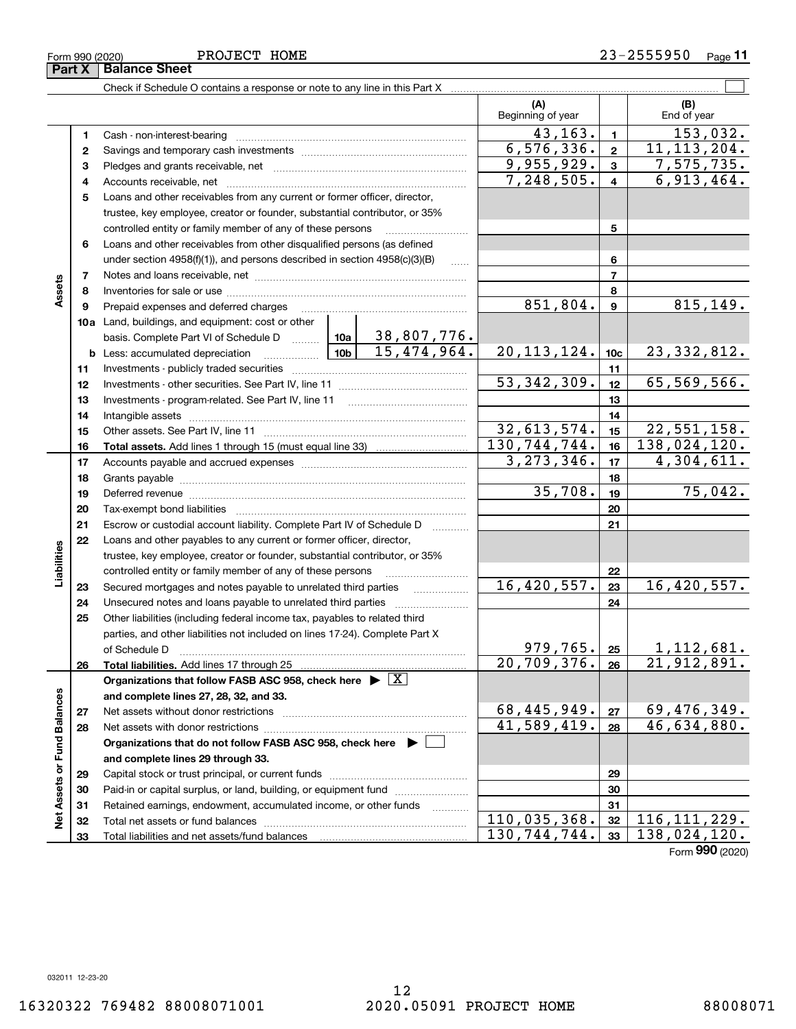|                             |    |                                                                                                                                                                                                                 |                |                     | (A)<br>Beginning of year |                       |                  | (B)<br>End of year      |         |
|-----------------------------|----|-----------------------------------------------------------------------------------------------------------------------------------------------------------------------------------------------------------------|----------------|---------------------|--------------------------|-----------------------|------------------|-------------------------|---------|
|                             | 1  |                                                                                                                                                                                                                 |                |                     |                          | $\overline{43,163}$ . | $\mathbf{1}$     | 153,032.                |         |
|                             | 2  |                                                                                                                                                                                                                 |                |                     | 6, 576, 336.             |                       | $\mathbf{2}$     | 11, 113, 204.           |         |
|                             | з  |                                                                                                                                                                                                                 |                |                     | 9,955,929.               |                       | $\mathbf{3}$     | 7,575,735.              |         |
|                             | 4  |                                                                                                                                                                                                                 | 7,248,505.     |                     | $\overline{\mathbf{4}}$  | 6,913,464.            |                  |                         |         |
|                             | 5  | Loans and other receivables from any current or former officer, director,                                                                                                                                       |                |                     |                          |                       |                  |                         |         |
|                             |    | trustee, key employee, creator or founder, substantial contributor, or 35%                                                                                                                                      |                |                     |                          |                       |                  |                         |         |
|                             |    |                                                                                                                                                                                                                 |                |                     |                          |                       | 5                |                         |         |
|                             | 6  | Loans and other receivables from other disqualified persons (as defined                                                                                                                                         |                |                     |                          |                       |                  |                         |         |
|                             |    | under section $4958(f)(1)$ , and persons described in section $4958(c)(3)(B)$                                                                                                                                   |                |                     |                          |                       | 6                |                         |         |
|                             | 7  |                                                                                                                                                                                                                 |                |                     |                          |                       | $\overline{7}$   |                         |         |
| Assets                      | 8  |                                                                                                                                                                                                                 |                |                     |                          |                       | 8                |                         |         |
|                             | 9  | Prepaid expenses and deferred charges                                                                                                                                                                           |                |                     |                          | 851,804.              | $\boldsymbol{9}$ | 815,149.                |         |
|                             |    | <b>10a</b> Land, buildings, and equipment: cost or other                                                                                                                                                        |                |                     |                          |                       |                  |                         |         |
|                             |    | basis. Complete Part VI of Schedule D  10a                                                                                                                                                                      | 38,807,776.    |                     |                          |                       |                  |                         |         |
|                             |    | $\frac{10b}{100}$ 15, 474, 964.<br><b>b</b> Less: accumulated depreciation                                                                                                                                      | 20, 113, 124.  |                     | 10 <sub>c</sub>          | 23, 332, 812.         |                  |                         |         |
|                             | 11 |                                                                                                                                                                                                                 |                |                     | 11                       |                       |                  |                         |         |
|                             | 12 |                                                                                                                                                                                                                 | 53, 342, 309.  |                     | 12                       | 65, 569, 566.         |                  |                         |         |
|                             | 13 | Investments - program-related. See Part IV, line 11                                                                                                                                                             |                |                     | 13                       |                       |                  |                         |         |
|                             | 14 |                                                                                                                                                                                                                 |                |                     | 14                       |                       |                  |                         |         |
|                             | 15 |                                                                                                                                                                                                                 | 32,613,574.    |                     | 15                       | 22,551,158.           |                  |                         |         |
|                             | 16 |                                                                                                                                                                                                                 | 130, 744, 744. |                     | 16                       | 138,024,120.          |                  |                         |         |
|                             | 17 |                                                                                                                                                                                                                 |                |                     | 3, 273, 346.             |                       | 17               | $\overline{4,304,611}.$ |         |
|                             | 18 |                                                                                                                                                                                                                 |                |                     |                          | 35,708.               | 18               |                         |         |
|                             | 19 |                                                                                                                                                                                                                 |                |                     |                          |                       | 19               |                         | 75,042. |
|                             | 20 |                                                                                                                                                                                                                 |                |                     | 20                       |                       |                  |                         |         |
|                             | 21 | Escrow or custodial account liability. Complete Part IV of Schedule D                                                                                                                                           |                |                     | 21                       |                       |                  |                         |         |
|                             | 22 | Loans and other payables to any current or former officer, director,                                                                                                                                            |                |                     |                          |                       |                  |                         |         |
| Liabilities                 |    | trustee, key employee, creator or founder, substantial contributor, or 35%<br>controlled entity or family member of any of these persons                                                                        |                |                     |                          |                       | 22               |                         |         |
|                             | 23 | Secured mortgages and notes payable to unrelated third parties                                                                                                                                                  |                |                     | 16,420,557.              |                       | 23               | 16,420,557.             |         |
|                             | 24 |                                                                                                                                                                                                                 |                |                     |                          |                       | 24               |                         |         |
|                             | 25 | Other liabilities (including federal income tax, payables to related third                                                                                                                                      |                |                     |                          |                       |                  |                         |         |
|                             |    | parties, and other liabilities not included on lines 17-24). Complete Part X                                                                                                                                    |                |                     |                          |                       |                  |                         |         |
|                             |    | of Schedule D <b>Example 20 Contract 20 Contract 20 Contract 20 <b>Contract 20 Contract 20 Contract 20 Contract 20 Contract 20 Contract 20 Contract 20 Contract 20 Contract 20 Contract 20 Contract 20</b> </b> |                |                     |                          | 979, 765.             | 25               | 1,112,681.              |         |
|                             | 26 |                                                                                                                                                                                                                 |                |                     | 20, 709, 376.            |                       | 26               | 21,912,891.             |         |
|                             |    | Organizations that follow FASB ASC 958, check here $\blacktriangleright \boxed{X}$                                                                                                                              |                |                     |                          |                       |                  |                         |         |
|                             |    | and complete lines 27, 28, 32, and 33.                                                                                                                                                                          |                |                     |                          |                       |                  |                         |         |
|                             | 27 | Net assets without donor restrictions [11] Net assets without donor restrictions [11] Martin Martin Martin Mar                                                                                                  |                |                     | 68,445,949.              |                       | 27               | 69,476,349.             |         |
|                             | 28 |                                                                                                                                                                                                                 |                |                     | 41,589,419.              |                       | 28               | 46,634,880.             |         |
|                             |    | Organizations that do not follow FASB ASC 958, check here $\blacktriangleright$                                                                                                                                 |                |                     |                          |                       |                  |                         |         |
|                             |    | and complete lines 29 through 33.                                                                                                                                                                               |                |                     |                          |                       |                  |                         |         |
|                             | 29 |                                                                                                                                                                                                                 |                |                     |                          |                       |                  |                         |         |
|                             | 30 | Paid-in or capital surplus, or land, building, or equipment fund                                                                                                                                                |                |                     |                          | 30                    |                  |                         |         |
|                             | 31 | Retained earnings, endowment, accumulated income, or other funds                                                                                                                                                |                | 1.1.1.1.1.1.1.1.1.1 |                          |                       | 31               |                         |         |
| Net Assets or Fund Balances | 32 |                                                                                                                                                                                                                 | 110,035,368.   |                     | 32                       | 116, 111, 229.        |                  |                         |         |
|                             | 33 | Total liabilities and net assets/fund balances                                                                                                                                                                  |                |                     | 130, 744, 744.           |                       | 33               | 138,024,120.            |         |
|                             |    |                                                                                                                                                                                                                 |                |                     |                          |                       |                  | Form 990 (2020)         |         |

 $\overline{\phantom{a}}$ 

 $\overline{\phantom{0}}$ 

**Part X Balance Sheet**

PROJECT HOME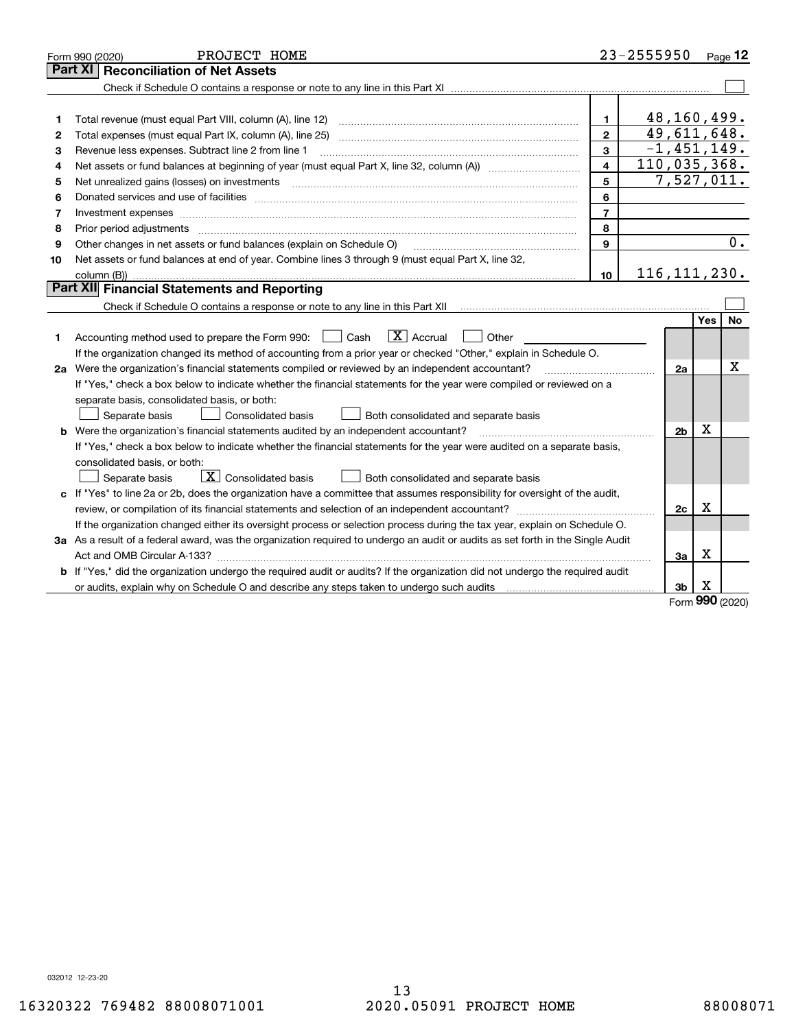|    | PROJECT HOME<br>Form 990 (2020)                                                                                                                                                                                                |                         | $23 - 2555950$  |             | Page 12    |  |  |
|----|--------------------------------------------------------------------------------------------------------------------------------------------------------------------------------------------------------------------------------|-------------------------|-----------------|-------------|------------|--|--|
|    | Part XI<br><b>Reconciliation of Net Assets</b>                                                                                                                                                                                 |                         |                 |             |            |  |  |
|    |                                                                                                                                                                                                                                |                         |                 |             |            |  |  |
|    |                                                                                                                                                                                                                                |                         |                 |             |            |  |  |
| 1  |                                                                                                                                                                                                                                | $\mathbf{1}$            | 48,160,499.     |             |            |  |  |
| 2  |                                                                                                                                                                                                                                | $\overline{2}$          | 49,611,648.     |             |            |  |  |
| 3  | Revenue less expenses. Subtract line 2 from line 1                                                                                                                                                                             | 3                       | $-1, 451, 149.$ |             |            |  |  |
| 4  |                                                                                                                                                                                                                                | $\overline{\mathbf{A}}$ | 110,035,368.    |             |            |  |  |
| 5  | Net unrealized gains (losses) on investments                                                                                                                                                                                   | 5                       |                 |             | 7,527,011. |  |  |
| 6  | Donated services and use of facilities [111] processes and the service of facilities [11] processes and use of facilities [11] processes and the service of facilities [11] processes and the service of the service of the se | 6                       |                 |             |            |  |  |
| 7  | Investment expenses www.communication.com/www.communication.com/www.communication.com/www.com                                                                                                                                  | $\overline{7}$          |                 |             |            |  |  |
| 8  | Prior period adjustments www.communication.communication.com/news/communication.com/news/communication.com/new                                                                                                                 | 8                       |                 |             |            |  |  |
| 9  | Other changes in net assets or fund balances (explain on Schedule O)                                                                                                                                                           | 9                       |                 |             | 0.         |  |  |
| 10 | Net assets or fund balances at end of year. Combine lines 3 through 9 (must equal Part X, line 32,                                                                                                                             |                         |                 |             |            |  |  |
|    |                                                                                                                                                                                                                                | 10                      | 116, 111, 230.  |             |            |  |  |
|    | Part XII Financial Statements and Reporting                                                                                                                                                                                    |                         |                 |             |            |  |  |
|    |                                                                                                                                                                                                                                |                         |                 |             |            |  |  |
|    |                                                                                                                                                                                                                                |                         |                 | <b>Yes</b>  | <b>No</b>  |  |  |
| 1  | $\boxed{\mathbf{X}}$ Accrual<br>Accounting method used to prepare the Form 990: <u>[</u> Cash<br>Other<br>$\perp$                                                                                                              |                         |                 |             |            |  |  |
|    | If the organization changed its method of accounting from a prior year or checked "Other," explain in Schedule O.                                                                                                              |                         |                 |             |            |  |  |
|    | 2a Were the organization's financial statements compiled or reviewed by an independent accountant?                                                                                                                             |                         |                 |             |            |  |  |
|    | If "Yes," check a box below to indicate whether the financial statements for the year were compiled or reviewed on a                                                                                                           |                         |                 |             |            |  |  |
|    | separate basis, consolidated basis, or both:                                                                                                                                                                                   |                         |                 |             |            |  |  |
|    | Both consolidated and separate basis<br>Separate basis<br>Consolidated basis                                                                                                                                                   |                         |                 |             |            |  |  |
|    | b Were the organization's financial statements audited by an independent accountant?                                                                                                                                           |                         | 2 <sub>b</sub>  | X           |            |  |  |
|    | If "Yes," check a box below to indicate whether the financial statements for the year were audited on a separate basis,                                                                                                        |                         |                 |             |            |  |  |
|    | consolidated basis, or both:                                                                                                                                                                                                   |                         |                 |             |            |  |  |
|    | $\boxed{\mathbf{X}}$ Consolidated basis<br>Separate basis<br>Both consolidated and separate basis                                                                                                                              |                         |                 |             |            |  |  |
|    | c If "Yes" to line 2a or 2b, does the organization have a committee that assumes responsibility for oversight of the audit,                                                                                                    |                         |                 |             |            |  |  |
|    |                                                                                                                                                                                                                                |                         | 2c              | $\mathbf X$ |            |  |  |
|    | If the organization changed either its oversight process or selection process during the tax year, explain on Schedule O.                                                                                                      |                         |                 |             |            |  |  |
|    | 3a As a result of a federal award, was the organization required to undergo an audit or audits as set forth in the Single Audit                                                                                                |                         |                 |             |            |  |  |
|    | Act and OMB Circular A-133?                                                                                                                                                                                                    |                         | 3a              | х           |            |  |  |
|    | b If "Yes," did the organization undergo the required audit or audits? If the organization did not undergo the required audit                                                                                                  |                         |                 |             |            |  |  |
|    | or audits, explain why on Schedule O and describe any steps taken to undergo such audits                                                                                                                                       |                         | 3b              | х<br>nnn    |            |  |  |

Form (2020) **990**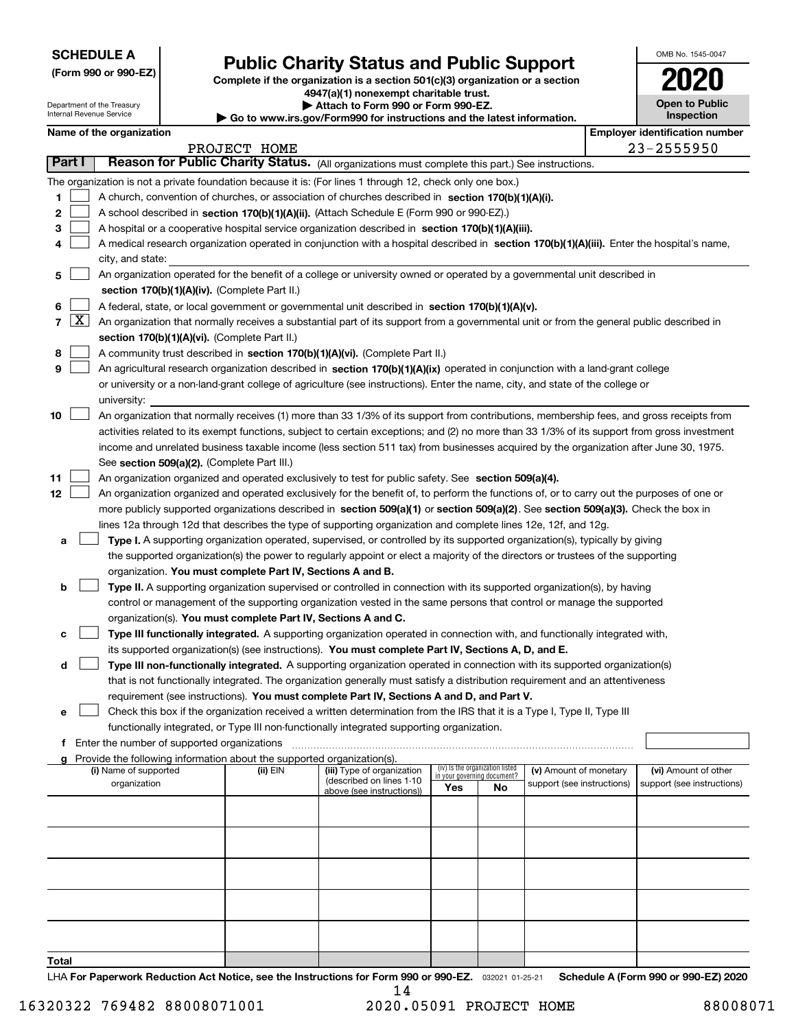| <b>SCHEDULE A</b> |  |
|-------------------|--|
|-------------------|--|

Department of the Treasury Internal Revenue Service

**(Form 990 or 990-EZ)**

# **Public Charity Status and Public Support**

**Complete if the organization is a section 501(c)(3) organization or a section 4947(a)(1) nonexempt charitable trust. | Attach to Form 990 or Form 990-EZ.** 

| Go to www.irs.gov/Form990 for instructions and the latest information. |
|------------------------------------------------------------------------|
|------------------------------------------------------------------------|

| OMB No. 1545-0047                   |
|-------------------------------------|
| 02                                  |
| <b>Open to Public</b><br>Inspection |

|        | Name of the organization<br><b>Employer identification number</b> |                                                                                                                                              |                                                                                                                                |                                                       |                                    |     |                            |  |                            |  |  |
|--------|-------------------------------------------------------------------|----------------------------------------------------------------------------------------------------------------------------------------------|--------------------------------------------------------------------------------------------------------------------------------|-------------------------------------------------------|------------------------------------|-----|----------------------------|--|----------------------------|--|--|
|        |                                                                   |                                                                                                                                              | 23-2555950<br>PROJECT HOME<br>Reason for Public Charity Status. (All organizations must complete this part.) See instructions. |                                                       |                                    |     |                            |  |                            |  |  |
| Part I |                                                                   |                                                                                                                                              |                                                                                                                                |                                                       |                                    |     |                            |  |                            |  |  |
|        |                                                                   | The organization is not a private foundation because it is: (For lines 1 through 12, check only one box.)                                    |                                                                                                                                |                                                       |                                    |     |                            |  |                            |  |  |
| 1      |                                                                   | A church, convention of churches, or association of churches described in section 170(b)(1)(A)(i).                                           |                                                                                                                                |                                                       |                                    |     |                            |  |                            |  |  |
| 2      |                                                                   | A school described in section 170(b)(1)(A)(ii). (Attach Schedule E (Form 990 or 990-EZ).)                                                    |                                                                                                                                |                                                       |                                    |     |                            |  |                            |  |  |
| з      |                                                                   | A hospital or a cooperative hospital service organization described in section 170(b)(1)(A)(iii).                                            |                                                                                                                                |                                                       |                                    |     |                            |  |                            |  |  |
| 4      |                                                                   | A medical research organization operated in conjunction with a hospital described in section 170(b)(1)(A)(iii). Enter the hospital's name,   |                                                                                                                                |                                                       |                                    |     |                            |  |                            |  |  |
|        |                                                                   | city, and state:                                                                                                                             |                                                                                                                                |                                                       |                                    |     |                            |  |                            |  |  |
| 5      |                                                                   | An organization operated for the benefit of a college or university owned or operated by a governmental unit described in                    |                                                                                                                                |                                                       |                                    |     |                            |  |                            |  |  |
|        |                                                                   | section 170(b)(1)(A)(iv). (Complete Part II.)                                                                                                |                                                                                                                                |                                                       |                                    |     |                            |  |                            |  |  |
| 6      |                                                                   | A federal, state, or local government or governmental unit described in section 170(b)(1)(A)(v).                                             |                                                                                                                                |                                                       |                                    |     |                            |  |                            |  |  |
|        | $7 \times$                                                        | An organization that normally receives a substantial part of its support from a governmental unit or from the general public described in    |                                                                                                                                |                                                       |                                    |     |                            |  |                            |  |  |
|        |                                                                   | section 170(b)(1)(A)(vi). (Complete Part II.)                                                                                                |                                                                                                                                |                                                       |                                    |     |                            |  |                            |  |  |
| 8      |                                                                   | A community trust described in section 170(b)(1)(A)(vi). (Complete Part II.)                                                                 |                                                                                                                                |                                                       |                                    |     |                            |  |                            |  |  |
| 9      |                                                                   | An agricultural research organization described in section 170(b)(1)(A)(ix) operated in conjunction with a land-grant college                |                                                                                                                                |                                                       |                                    |     |                            |  |                            |  |  |
|        |                                                                   | or university or a non-land-grant college of agriculture (see instructions). Enter the name, city, and state of the college or               |                                                                                                                                |                                                       |                                    |     |                            |  |                            |  |  |
|        |                                                                   | university:                                                                                                                                  |                                                                                                                                |                                                       |                                    |     |                            |  |                            |  |  |
| 10     |                                                                   | An organization that normally receives (1) more than 33 1/3% of its support from contributions, membership fees, and gross receipts from     |                                                                                                                                |                                                       |                                    |     |                            |  |                            |  |  |
|        |                                                                   | activities related to its exempt functions, subject to certain exceptions; and (2) no more than 33 1/3% of its support from gross investment |                                                                                                                                |                                                       |                                    |     |                            |  |                            |  |  |
|        |                                                                   | income and unrelated business taxable income (less section 511 tax) from businesses acquired by the organization after June 30, 1975.        |                                                                                                                                |                                                       |                                    |     |                            |  |                            |  |  |
|        |                                                                   | See section 509(a)(2). (Complete Part III.)                                                                                                  |                                                                                                                                |                                                       |                                    |     |                            |  |                            |  |  |
| 11     |                                                                   | An organization organized and operated exclusively to test for public safety. See section 509(a)(4).                                         |                                                                                                                                |                                                       |                                    |     |                            |  |                            |  |  |
| 12     |                                                                   | An organization organized and operated exclusively for the benefit of, to perform the functions of, or to carry out the purposes of one or   |                                                                                                                                |                                                       |                                    |     |                            |  |                            |  |  |
|        |                                                                   | more publicly supported organizations described in section 509(a)(1) or section 509(a)(2). See section 509(a)(3). Check the box in           |                                                                                                                                |                                                       |                                    |     |                            |  |                            |  |  |
|        |                                                                   | lines 12a through 12d that describes the type of supporting organization and complete lines 12e, 12f, and 12g.                               |                                                                                                                                |                                                       |                                    |     |                            |  |                            |  |  |
| а      |                                                                   | Type I. A supporting organization operated, supervised, or controlled by its supported organization(s), typically by giving                  |                                                                                                                                |                                                       |                                    |     |                            |  |                            |  |  |
|        |                                                                   | the supported organization(s) the power to regularly appoint or elect a majority of the directors or trustees of the supporting              |                                                                                                                                |                                                       |                                    |     |                            |  |                            |  |  |
|        |                                                                   | organization. You must complete Part IV, Sections A and B.                                                                                   |                                                                                                                                |                                                       |                                    |     |                            |  |                            |  |  |
| b      |                                                                   | Type II. A supporting organization supervised or controlled in connection with its supported organization(s), by having                      |                                                                                                                                |                                                       |                                    |     |                            |  |                            |  |  |
|        |                                                                   | control or management of the supporting organization vested in the same persons that control or manage the supported                         |                                                                                                                                |                                                       |                                    |     |                            |  |                            |  |  |
|        |                                                                   | organization(s). You must complete Part IV, Sections A and C.                                                                                |                                                                                                                                |                                                       |                                    |     |                            |  |                            |  |  |
| с      |                                                                   | Type III functionally integrated. A supporting organization operated in connection with, and functionally integrated with,                   |                                                                                                                                |                                                       |                                    |     |                            |  |                            |  |  |
|        |                                                                   | its supported organization(s) (see instructions). You must complete Part IV, Sections A, D, and E.                                           |                                                                                                                                |                                                       |                                    |     |                            |  |                            |  |  |
| d      |                                                                   | Type III non-functionally integrated. A supporting organization operated in connection with its supported organization(s)                    |                                                                                                                                |                                                       |                                    |     |                            |  |                            |  |  |
|        |                                                                   | that is not functionally integrated. The organization generally must satisfy a distribution requirement and an attentiveness                 |                                                                                                                                |                                                       |                                    |     |                            |  |                            |  |  |
|        |                                                                   | requirement (see instructions). You must complete Part IV, Sections A and D, and Part V.                                                     |                                                                                                                                |                                                       |                                    |     |                            |  |                            |  |  |
| е      |                                                                   | Check this box if the organization received a written determination from the IRS that it is a Type I, Type II, Type III                      |                                                                                                                                |                                                       |                                    |     |                            |  |                            |  |  |
| f      |                                                                   | functionally integrated, or Type III non-functionally integrated supporting organization.<br>Enter the number of supported organizations     |                                                                                                                                |                                                       |                                    |     |                            |  |                            |  |  |
|        |                                                                   | g Provide the following information about the supported organization(s).                                                                     |                                                                                                                                |                                                       |                                    |     |                            |  |                            |  |  |
|        |                                                                   | (i) Name of supported                                                                                                                        | (ii) EIN                                                                                                                       | (iii) Type of organization                            | (iv) Is the organization listed    |     | (v) Amount of monetary     |  | (vi) Amount of other       |  |  |
|        |                                                                   | organization                                                                                                                                 |                                                                                                                                | (described on lines 1-10<br>above (see instructions)) | in your governing document?<br>Yes | No. | support (see instructions) |  | support (see instructions) |  |  |
|        |                                                                   |                                                                                                                                              |                                                                                                                                |                                                       |                                    |     |                            |  |                            |  |  |
|        |                                                                   |                                                                                                                                              |                                                                                                                                |                                                       |                                    |     |                            |  |                            |  |  |
|        |                                                                   |                                                                                                                                              |                                                                                                                                |                                                       |                                    |     |                            |  |                            |  |  |
|        |                                                                   |                                                                                                                                              |                                                                                                                                |                                                       |                                    |     |                            |  |                            |  |  |
|        |                                                                   |                                                                                                                                              |                                                                                                                                |                                                       |                                    |     |                            |  |                            |  |  |
|        |                                                                   |                                                                                                                                              |                                                                                                                                |                                                       |                                    |     |                            |  |                            |  |  |
|        |                                                                   |                                                                                                                                              |                                                                                                                                |                                                       |                                    |     |                            |  |                            |  |  |
|        |                                                                   |                                                                                                                                              |                                                                                                                                |                                                       |                                    |     |                            |  |                            |  |  |
|        |                                                                   |                                                                                                                                              |                                                                                                                                |                                                       |                                    |     |                            |  |                            |  |  |
| Total  |                                                                   |                                                                                                                                              |                                                                                                                                |                                                       |                                    |     |                            |  |                            |  |  |
|        |                                                                   |                                                                                                                                              |                                                                                                                                |                                                       |                                    |     |                            |  |                            |  |  |

LHA For Paperwork Reduction Act Notice, see the Instructions for Form 990 or 990-EZ. <sub>032021</sub> o1-25-21 Schedule A (Form 990 or 990-EZ) 2020 14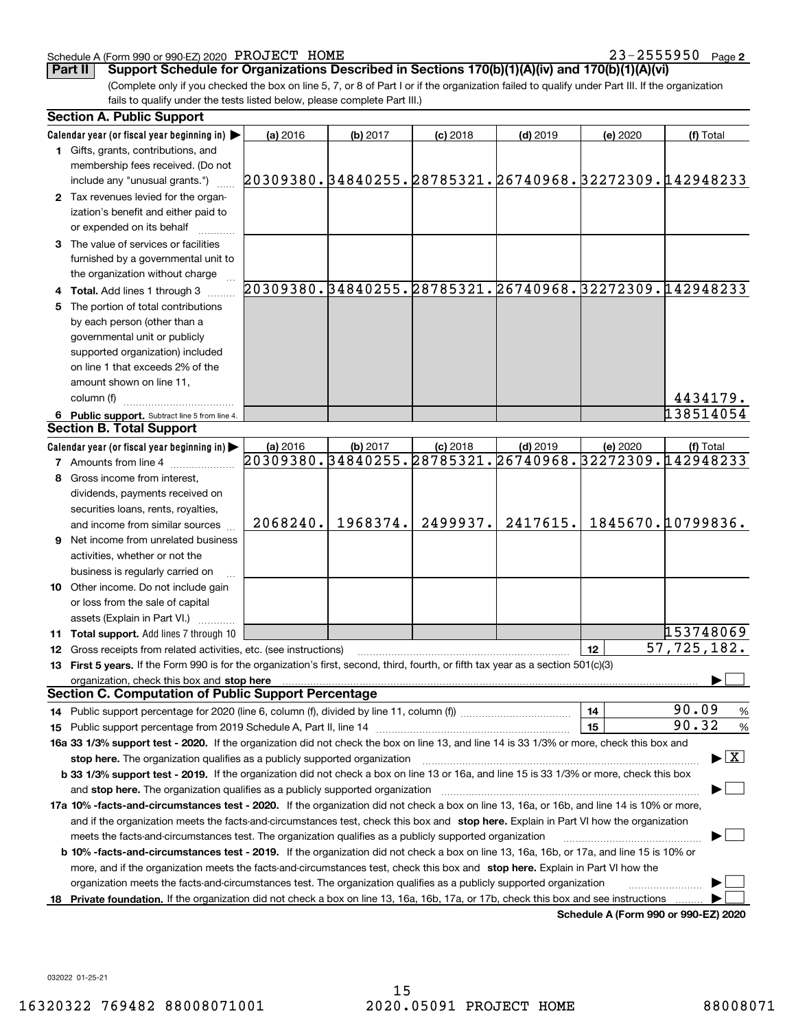#### Schedule A (Form 990 or 990-EZ) 2020 Page PROJECT HOME 23-2555950

**2**

(Complete only if you checked the box on line 5, 7, or 8 of Part I or if the organization failed to qualify under Part III. If the organization fails to qualify under the tests listed below, please complete Part III.) **Part II Support Schedule for Organizations Described in Sections 170(b)(1)(A)(iv) and 170(b)(1)(A)(vi)**

|     | <b>Section A. Public Support</b>                                                                                                                                                                                       |                                                        |          |            |            |          |                                          |  |  |  |
|-----|------------------------------------------------------------------------------------------------------------------------------------------------------------------------------------------------------------------------|--------------------------------------------------------|----------|------------|------------|----------|------------------------------------------|--|--|--|
|     | Calendar year (or fiscal year beginning in) $\blacktriangleright$                                                                                                                                                      | (a) 2016                                               | (b) 2017 | $(c)$ 2018 | $(d)$ 2019 | (e) 2020 | (f) Total                                |  |  |  |
|     | 1 Gifts, grants, contributions, and                                                                                                                                                                                    |                                                        |          |            |            |          |                                          |  |  |  |
|     | membership fees received. (Do not                                                                                                                                                                                      |                                                        |          |            |            |          |                                          |  |  |  |
|     | include any "unusual grants.")                                                                                                                                                                                         | 20309380.34840255.28785321.26740968.32272309.142948233 |          |            |            |          |                                          |  |  |  |
|     | 2 Tax revenues levied for the organ-                                                                                                                                                                                   |                                                        |          |            |            |          |                                          |  |  |  |
|     | ization's benefit and either paid to                                                                                                                                                                                   |                                                        |          |            |            |          |                                          |  |  |  |
|     | or expended on its behalf                                                                                                                                                                                              |                                                        |          |            |            |          |                                          |  |  |  |
|     | 3 The value of services or facilities                                                                                                                                                                                  |                                                        |          |            |            |          |                                          |  |  |  |
|     | furnished by a governmental unit to                                                                                                                                                                                    |                                                        |          |            |            |          |                                          |  |  |  |
|     | the organization without charge                                                                                                                                                                                        |                                                        |          |            |            |          |                                          |  |  |  |
|     | Total. Add lines 1 through 3                                                                                                                                                                                           | 20309380.34840255.28785321.26740968.32272309.142948233 |          |            |            |          |                                          |  |  |  |
| 5.  | The portion of total contributions                                                                                                                                                                                     |                                                        |          |            |            |          |                                          |  |  |  |
|     | by each person (other than a                                                                                                                                                                                           |                                                        |          |            |            |          |                                          |  |  |  |
|     | governmental unit or publicly                                                                                                                                                                                          |                                                        |          |            |            |          |                                          |  |  |  |
|     | supported organization) included                                                                                                                                                                                       |                                                        |          |            |            |          |                                          |  |  |  |
|     | on line 1 that exceeds 2% of the                                                                                                                                                                                       |                                                        |          |            |            |          |                                          |  |  |  |
|     | amount shown on line 11,                                                                                                                                                                                               |                                                        |          |            |            |          |                                          |  |  |  |
|     | column (f)                                                                                                                                                                                                             |                                                        |          |            |            |          | 4434179.                                 |  |  |  |
|     | 6 Public support. Subtract line 5 from line 4.                                                                                                                                                                         |                                                        |          |            |            |          | 138514054                                |  |  |  |
|     | <b>Section B. Total Support</b>                                                                                                                                                                                        |                                                        |          |            |            |          |                                          |  |  |  |
|     | Calendar year (or fiscal year beginning in)                                                                                                                                                                            | (a) 2016                                               | (b) 2017 | $(c)$ 2018 | $(d)$ 2019 | (e) 2020 | (f) Total                                |  |  |  |
|     | <b>7</b> Amounts from line 4                                                                                                                                                                                           | 20309380.34840255.28785321.26740968.32272309.142948233 |          |            |            |          |                                          |  |  |  |
| 8   | Gross income from interest,                                                                                                                                                                                            |                                                        |          |            |            |          |                                          |  |  |  |
|     | dividends, payments received on                                                                                                                                                                                        |                                                        |          |            |            |          |                                          |  |  |  |
|     | securities loans, rents, royalties,                                                                                                                                                                                    |                                                        |          |            |            |          |                                          |  |  |  |
|     | and income from similar sources                                                                                                                                                                                        | 2068240.                                               | 1968374. | 2499937.   | 2417615.   |          | 1845670.10799836.                        |  |  |  |
| 9   | Net income from unrelated business                                                                                                                                                                                     |                                                        |          |            |            |          |                                          |  |  |  |
|     | activities, whether or not the                                                                                                                                                                                         |                                                        |          |            |            |          |                                          |  |  |  |
|     |                                                                                                                                                                                                                        |                                                        |          |            |            |          |                                          |  |  |  |
|     | business is regularly carried on                                                                                                                                                                                       |                                                        |          |            |            |          |                                          |  |  |  |
|     | <b>10</b> Other income. Do not include gain                                                                                                                                                                            |                                                        |          |            |            |          |                                          |  |  |  |
|     | or loss from the sale of capital                                                                                                                                                                                       |                                                        |          |            |            |          |                                          |  |  |  |
|     | assets (Explain in Part VI.)                                                                                                                                                                                           |                                                        |          |            |            |          | 153748069                                |  |  |  |
|     | 11 Total support. Add lines 7 through 10                                                                                                                                                                               |                                                        |          |            |            | 12       | 57,725,182.                              |  |  |  |
|     | 12 Gross receipts from related activities, etc. (see instructions)                                                                                                                                                     |                                                        |          |            |            |          |                                          |  |  |  |
| 13  | First 5 years. If the Form 990 is for the organization's first, second, third, fourth, or fifth tax year as a section 501(c)(3)                                                                                        |                                                        |          |            |            |          |                                          |  |  |  |
|     | organization, check this box and stop here manufactured and content to the state of the state of the state of<br><b>Section C. Computation of Public Support Percentage</b>                                            |                                                        |          |            |            |          |                                          |  |  |  |
|     |                                                                                                                                                                                                                        |                                                        |          |            |            | 14       | 90.09<br>%                               |  |  |  |
|     |                                                                                                                                                                                                                        |                                                        |          |            |            | 15       | 90.32<br>$\frac{9}{6}$                   |  |  |  |
|     | 16a 33 1/3% support test - 2020. If the organization did not check the box on line 13, and line 14 is 33 1/3% or more, check this box and                                                                              |                                                        |          |            |            |          |                                          |  |  |  |
|     |                                                                                                                                                                                                                        |                                                        |          |            |            |          | $\blacktriangleright$ $\boxed{\text{X}}$ |  |  |  |
|     | stop here. The organization qualifies as a publicly supported organization<br>b 33 1/3% support test - 2019. If the organization did not check a box on line 13 or 16a, and line 15 is 33 1/3% or more, check this box |                                                        |          |            |            |          |                                          |  |  |  |
|     |                                                                                                                                                                                                                        |                                                        |          |            |            |          |                                          |  |  |  |
|     | and stop here. The organization qualifies as a publicly supported organization                                                                                                                                         |                                                        |          |            |            |          |                                          |  |  |  |
|     | 17a 10% -facts-and-circumstances test - 2020. If the organization did not check a box on line 13, 16a, or 16b, and line 14 is 10% or more,                                                                             |                                                        |          |            |            |          |                                          |  |  |  |
|     | and if the organization meets the facts-and-circumstances test, check this box and stop here. Explain in Part VI how the organization                                                                                  |                                                        |          |            |            |          |                                          |  |  |  |
|     | meets the facts-and-circumstances test. The organization qualifies as a publicly supported organization                                                                                                                |                                                        |          |            |            |          |                                          |  |  |  |
|     | b 10% -facts-and-circumstances test - 2019. If the organization did not check a box on line 13, 16a, 16b, or 17a, and line 15 is 10% or                                                                                |                                                        |          |            |            |          |                                          |  |  |  |
|     | more, and if the organization meets the facts-and-circumstances test, check this box and stop here. Explain in Part VI how the                                                                                         |                                                        |          |            |            |          |                                          |  |  |  |
|     | organization meets the facts-and-circumstances test. The organization qualifies as a publicly supported organization                                                                                                   |                                                        |          |            |            |          |                                          |  |  |  |
| 18. | Private foundation. If the organization did not check a box on line 13, 16a, 16b, 17a, or 17b, check this box and see instructions                                                                                     |                                                        |          |            |            |          |                                          |  |  |  |

**Schedule A (Form 990 or 990-EZ) 2020**

032022 01-25-21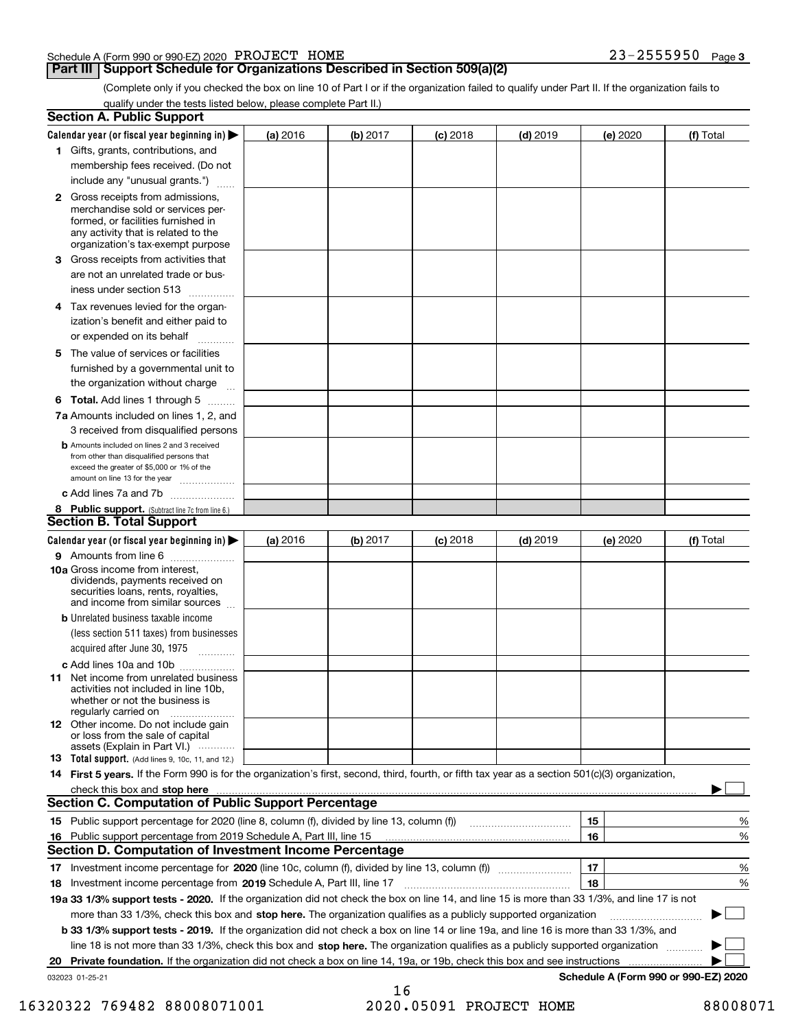#### Schedule A (Form 990 or 990-EZ) 2020 Page PROJECT HOME 23-2555950

#### **Part III Support Schedule for Organizations Described in Section 509(a)(2)**

(Complete only if you checked the box on line 10 of Part I or if the organization failed to qualify under Part II. If the organization fails to qualify under the tests listed below, please complete Part II.)

| <b>Section A. Public Support</b>                                                                                                                                                                                                                                                             |          |          |            |            |                 |                                      |
|----------------------------------------------------------------------------------------------------------------------------------------------------------------------------------------------------------------------------------------------------------------------------------------------|----------|----------|------------|------------|-----------------|--------------------------------------|
| Calendar year (or fiscal year beginning in) $\blacktriangleright$                                                                                                                                                                                                                            | (a) 2016 | (b) 2017 | $(c)$ 2018 | $(d)$ 2019 | <b>(e)</b> 2020 | (f) Total                            |
| 1 Gifts, grants, contributions, and                                                                                                                                                                                                                                                          |          |          |            |            |                 |                                      |
| membership fees received. (Do not                                                                                                                                                                                                                                                            |          |          |            |            |                 |                                      |
| include any "unusual grants.")                                                                                                                                                                                                                                                               |          |          |            |            |                 |                                      |
| <b>2</b> Gross receipts from admissions,<br>merchandise sold or services per-<br>formed, or facilities furnished in<br>any activity that is related to the<br>organization's tax-exempt purpose                                                                                              |          |          |            |            |                 |                                      |
| 3 Gross receipts from activities that<br>are not an unrelated trade or bus-<br>iness under section 513                                                                                                                                                                                       |          |          |            |            |                 |                                      |
| 4 Tax revenues levied for the organ-<br>ization's benefit and either paid to<br>or expended on its behalf                                                                                                                                                                                    |          |          |            |            |                 |                                      |
| 5 The value of services or facilities<br>furnished by a governmental unit to<br>the organization without charge                                                                                                                                                                              |          |          |            |            |                 |                                      |
| <b>6 Total.</b> Add lines 1 through 5 $\dots$                                                                                                                                                                                                                                                |          |          |            |            |                 |                                      |
| 7a Amounts included on lines 1, 2, and<br>3 received from disqualified persons                                                                                                                                                                                                               |          |          |            |            |                 |                                      |
| <b>b</b> Amounts included on lines 2 and 3 received<br>from other than disqualified persons that<br>exceed the greater of \$5,000 or 1% of the<br>amount on line 13 for the year                                                                                                             |          |          |            |            |                 |                                      |
| c Add lines 7a and 7b                                                                                                                                                                                                                                                                        |          |          |            |            |                 |                                      |
| 8 Public support. (Subtract line 7c from line 6.)<br><b>Section B. Total Support</b>                                                                                                                                                                                                         |          |          |            |            |                 |                                      |
| Calendar year (or fiscal year beginning in) $\blacktriangleright$                                                                                                                                                                                                                            | (a) 2016 | (b) 2017 | $(c)$ 2018 | $(d)$ 2019 | (e) 2020        | (f) Total                            |
| 9 Amounts from line 6                                                                                                                                                                                                                                                                        |          |          |            |            |                 |                                      |
| <b>10a</b> Gross income from interest,<br>dividends, payments received on<br>securities loans, rents, royalties,<br>and income from similar sources                                                                                                                                          |          |          |            |            |                 |                                      |
| <b>b</b> Unrelated business taxable income<br>(less section 511 taxes) from businesses<br>acquired after June 30, 1975                                                                                                                                                                       |          |          |            |            |                 |                                      |
| c Add lines 10a and 10b                                                                                                                                                                                                                                                                      |          |          |            |            |                 |                                      |
| 11 Net income from unrelated business<br>activities not included in line 10b,<br>whether or not the business is<br>regularly carried on                                                                                                                                                      |          |          |            |            |                 |                                      |
| <b>12</b> Other income. Do not include gain<br>or loss from the sale of capital<br>assets (Explain in Part VI.)                                                                                                                                                                              |          |          |            |            |                 |                                      |
| <b>13</b> Total support. (Add lines 9, 10c, 11, and 12.)                                                                                                                                                                                                                                     |          |          |            |            |                 |                                      |
| 14 First 5 years. If the Form 990 is for the organization's first, second, third, fourth, or fifth tax year as a section 501(c)(3) organization,                                                                                                                                             |          |          |            |            |                 |                                      |
| check this box and stop here communication and content to the state of the state of the state of the state of the state of the state of the state of the state of the state of the state of the state of the state of the stat<br><b>Section C. Computation of Public Support Percentage</b> |          |          |            |            |                 |                                      |
| 15 Public support percentage for 2020 (line 8, column (f), divided by line 13, column (f))                                                                                                                                                                                                   |          |          |            |            | 15              |                                      |
| 16 Public support percentage from 2019 Schedule A, Part III, line 15                                                                                                                                                                                                                         |          |          |            |            | 16              | %<br>%                               |
| <b>Section D. Computation of Investment Income Percentage</b>                                                                                                                                                                                                                                |          |          |            |            |                 |                                      |
|                                                                                                                                                                                                                                                                                              |          |          |            |            | 17              | %                                    |
| 18 Investment income percentage from 2019 Schedule A, Part III, line 17                                                                                                                                                                                                                      |          |          |            |            | 18              | %                                    |
| 19a 33 1/3% support tests - 2020. If the organization did not check the box on line 14, and line 15 is more than 33 1/3%, and line 17 is not                                                                                                                                                 |          |          |            |            |                 |                                      |
| more than 33 1/3%, check this box and stop here. The organization qualifies as a publicly supported organization                                                                                                                                                                             |          |          |            |            |                 | $\sim$                               |
| b 33 1/3% support tests - 2019. If the organization did not check a box on line 14 or line 19a, and line 16 is more than 33 1/3%, and                                                                                                                                                        |          |          |            |            |                 |                                      |
| line 18 is not more than 33 1/3%, check this box and stop here. The organization qualifies as a publicly supported organization                                                                                                                                                              |          |          |            |            |                 |                                      |
| 20 Private foundation. If the organization did not check a box on line 14, 19a, or 19b, check this box and see instructions                                                                                                                                                                  |          |          |            |            |                 |                                      |
| 032023 01-25-21                                                                                                                                                                                                                                                                              |          |          |            |            |                 | Schedule A (Form 990 or 990-EZ) 2020 |
|                                                                                                                                                                                                                                                                                              |          | 16       |            |            |                 |                                      |

 <sup>16320322 769482 88008071001 2020.05091</sup> PROJECT HOME 88008071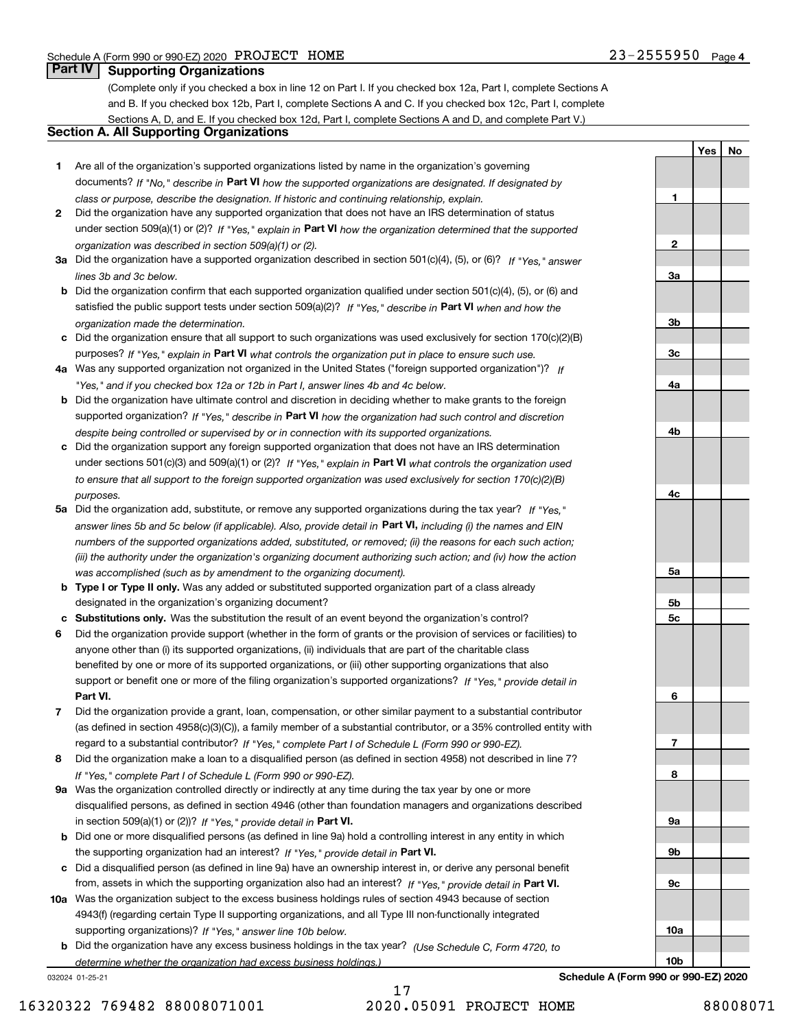**1**

**2**

**3a**

**3b**

**3c**

**4a**

**4b**

**4c**

**5a**

**5b5c**

**6**

**7**

**8**

**9a**

**9b**

**9c**

**10a**

**10b**

**Schedule A (Form 990 or 990-EZ) 2020**

**YesNo**

## **Part IV Supporting Organizations**

(Complete only if you checked a box in line 12 on Part I. If you checked box 12a, Part I, complete Sections A and B. If you checked box 12b, Part I, complete Sections A and C. If you checked box 12c, Part I, complete Sections A, D, and E. If you checked box 12d, Part I, complete Sections A and D, and complete Part V.)

#### **Section A. All Supporting Organizations**

- **1** Are all of the organization's supported organizations listed by name in the organization's governing documents? If "No," describe in **Part VI** how the supported organizations are designated. If designated by *class or purpose, describe the designation. If historic and continuing relationship, explain.*
- **2** Did the organization have any supported organization that does not have an IRS determination of status under section 509(a)(1) or (2)? If "Yes," explain in Part VI how the organization determined that the supported *organization was described in section 509(a)(1) or (2).*
- **3a** Did the organization have a supported organization described in section 501(c)(4), (5), or (6)? If "Yes," answer *lines 3b and 3c below.*
- **b** Did the organization confirm that each supported organization qualified under section 501(c)(4), (5), or (6) and satisfied the public support tests under section 509(a)(2)? If "Yes," describe in **Part VI** when and how the *organization made the determination.*
- **c**Did the organization ensure that all support to such organizations was used exclusively for section 170(c)(2)(B) purposes? If "Yes," explain in **Part VI** what controls the organization put in place to ensure such use.
- **4a***If* Was any supported organization not organized in the United States ("foreign supported organization")? *"Yes," and if you checked box 12a or 12b in Part I, answer lines 4b and 4c below.*
- **b** Did the organization have ultimate control and discretion in deciding whether to make grants to the foreign supported organization? If "Yes," describe in **Part VI** how the organization had such control and discretion *despite being controlled or supervised by or in connection with its supported organizations.*
- **c** Did the organization support any foreign supported organization that does not have an IRS determination under sections 501(c)(3) and 509(a)(1) or (2)? If "Yes," explain in **Part VI** what controls the organization used *to ensure that all support to the foreign supported organization was used exclusively for section 170(c)(2)(B) purposes.*
- **5a** Did the organization add, substitute, or remove any supported organizations during the tax year? If "Yes," answer lines 5b and 5c below (if applicable). Also, provide detail in **Part VI,** including (i) the names and EIN *numbers of the supported organizations added, substituted, or removed; (ii) the reasons for each such action; (iii) the authority under the organization's organizing document authorizing such action; and (iv) how the action was accomplished (such as by amendment to the organizing document).*
- **b** Type I or Type II only. Was any added or substituted supported organization part of a class already designated in the organization's organizing document?
- **cSubstitutions only.**  Was the substitution the result of an event beyond the organization's control?
- **6** Did the organization provide support (whether in the form of grants or the provision of services or facilities) to **Part VI.** *If "Yes," provide detail in* support or benefit one or more of the filing organization's supported organizations? anyone other than (i) its supported organizations, (ii) individuals that are part of the charitable class benefited by one or more of its supported organizations, or (iii) other supporting organizations that also
- **7**Did the organization provide a grant, loan, compensation, or other similar payment to a substantial contributor *If "Yes," complete Part I of Schedule L (Form 990 or 990-EZ).* regard to a substantial contributor? (as defined in section 4958(c)(3)(C)), a family member of a substantial contributor, or a 35% controlled entity with
- **8** Did the organization make a loan to a disqualified person (as defined in section 4958) not described in line 7? *If "Yes," complete Part I of Schedule L (Form 990 or 990-EZ).*
- **9a** Was the organization controlled directly or indirectly at any time during the tax year by one or more in section 509(a)(1) or (2))? If "Yes," *provide detail in* <code>Part VI.</code> disqualified persons, as defined in section 4946 (other than foundation managers and organizations described
- **b** Did one or more disqualified persons (as defined in line 9a) hold a controlling interest in any entity in which the supporting organization had an interest? If "Yes," provide detail in P**art VI**.
- **c**Did a disqualified person (as defined in line 9a) have an ownership interest in, or derive any personal benefit from, assets in which the supporting organization also had an interest? If "Yes," provide detail in P**art VI.**
- **10a** Was the organization subject to the excess business holdings rules of section 4943 because of section supporting organizations)? If "Yes," answer line 10b below. 4943(f) (regarding certain Type II supporting organizations, and all Type III non-functionally integrated
- **b** Did the organization have any excess business holdings in the tax year? (Use Schedule C, Form 4720, to *determine whether the organization had excess business holdings.)*

17

032024 01-25-21

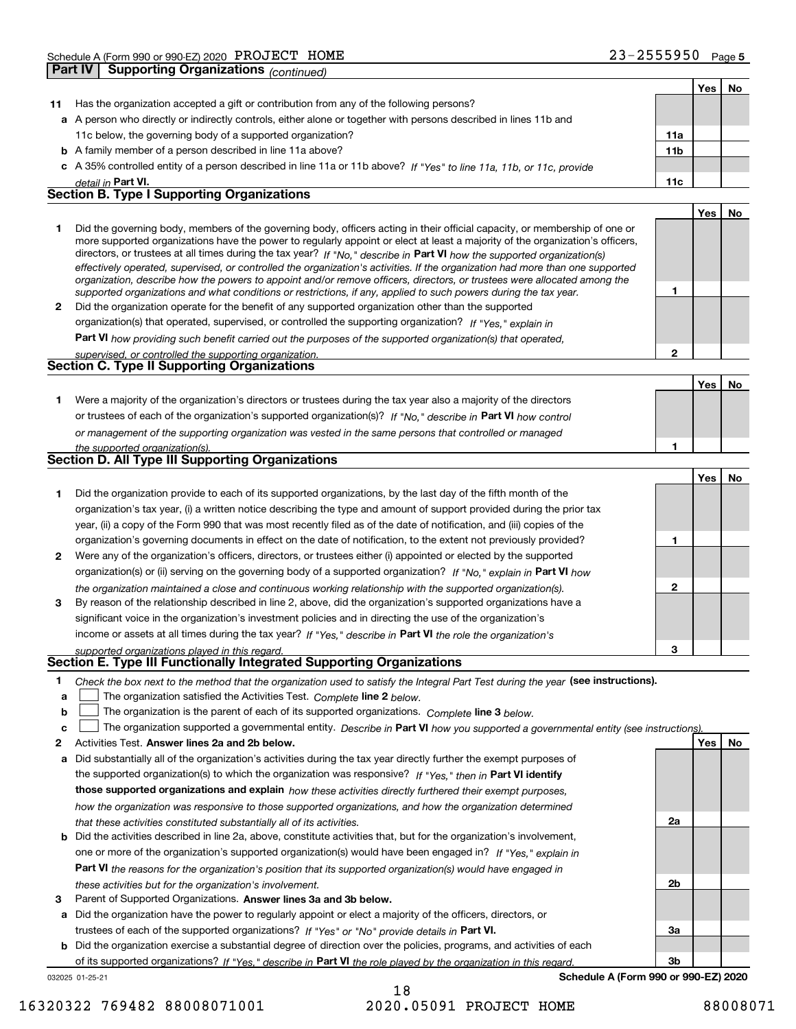|              |                                                                                                                                                                                                                                              |              | Yes | No |
|--------------|----------------------------------------------------------------------------------------------------------------------------------------------------------------------------------------------------------------------------------------------|--------------|-----|----|
| 11           | Has the organization accepted a gift or contribution from any of the following persons?                                                                                                                                                      |              |     |    |
|              | a A person who directly or indirectly controls, either alone or together with persons described in lines 11b and                                                                                                                             |              |     |    |
|              | 11c below, the governing body of a supported organization?                                                                                                                                                                                   | 11a          |     |    |
|              | <b>b</b> A family member of a person described in line 11a above?                                                                                                                                                                            | 11b          |     |    |
|              | c A 35% controlled entity of a person described in line 11a or 11b above? If "Yes" to line 11a, 11b, or 11c, provide                                                                                                                         |              |     |    |
|              | detail in Part VI.                                                                                                                                                                                                                           | 11c          |     |    |
|              | <b>Section B. Type I Supporting Organizations</b>                                                                                                                                                                                            |              |     |    |
|              |                                                                                                                                                                                                                                              |              | Yes | No |
| 1            | Did the governing body, members of the governing body, officers acting in their official capacity, or membership of one or                                                                                                                   |              |     |    |
|              | more supported organizations have the power to regularly appoint or elect at least a majority of the organization's officers,                                                                                                                |              |     |    |
|              | directors, or trustees at all times during the tax year? If "No," describe in Part VI how the supported organization(s)                                                                                                                      |              |     |    |
|              | effectively operated, supervised, or controlled the organization's activities. If the organization had more than one supported                                                                                                               |              |     |    |
|              | organization, describe how the powers to appoint and/or remove officers, directors, or trustees were allocated among the<br>supported organizations and what conditions or restrictions, if any, applied to such powers during the tax year. | 1            |     |    |
| $\mathbf{2}$ | Did the organization operate for the benefit of any supported organization other than the supported                                                                                                                                          |              |     |    |
|              | organization(s) that operated, supervised, or controlled the supporting organization? If "Yes," explain in                                                                                                                                   |              |     |    |
|              | Part VI how providing such benefit carried out the purposes of the supported organization(s) that operated,                                                                                                                                  |              |     |    |
|              | supervised, or controlled the supporting organization.                                                                                                                                                                                       | $\mathbf{2}$ |     |    |
|              | <b>Section C. Type II Supporting Organizations</b>                                                                                                                                                                                           |              |     |    |
|              |                                                                                                                                                                                                                                              |              | Yes | No |
| 1.           | Were a majority of the organization's directors or trustees during the tax year also a majority of the directors                                                                                                                             |              |     |    |
|              | or trustees of each of the organization's supported organization(s)? If "No," describe in Part VI how control                                                                                                                                |              |     |    |
|              | or management of the supporting organization was vested in the same persons that controlled or managed                                                                                                                                       |              |     |    |
|              | the supported organization(s).                                                                                                                                                                                                               | 1            |     |    |
|              | Section D. All Type III Supporting Organizations                                                                                                                                                                                             |              |     |    |
|              |                                                                                                                                                                                                                                              |              | Yes | No |
| 1            | Did the organization provide to each of its supported organizations, by the last day of the fifth month of the                                                                                                                               |              |     |    |
|              | organization's tax year, (i) a written notice describing the type and amount of support provided during the prior tax                                                                                                                        |              |     |    |
|              | year, (ii) a copy of the Form 990 that was most recently filed as of the date of notification, and (iii) copies of the                                                                                                                       |              |     |    |
|              | organization's governing documents in effect on the date of notification, to the extent not previously provided?                                                                                                                             | 1            |     |    |
| 2            | Were any of the organization's officers, directors, or trustees either (i) appointed or elected by the supported                                                                                                                             |              |     |    |
|              | organization(s) or (ii) serving on the governing body of a supported organization? If "No," explain in Part VI how                                                                                                                           |              |     |    |
|              | the organization maintained a close and continuous working relationship with the supported organization(s).                                                                                                                                  | $\mathbf{2}$ |     |    |
| 3            | By reason of the relationship described in line 2, above, did the organization's supported organizations have a                                                                                                                              |              |     |    |
|              | significant voice in the organization's investment policies and in directing the use of the organization's                                                                                                                                   |              |     |    |
|              | income or assets at all times during the tax year? If "Yes," describe in Part VI the role the organization's                                                                                                                                 |              |     |    |
|              | supported organizations played in this regard.                                                                                                                                                                                               | 3            |     |    |
|              | Section E. Type III Functionally Integrated Supporting Organizations                                                                                                                                                                         |              |     |    |
| 1            | Check the box next to the method that the organization used to satisfy the Integral Part Test during the year (see instructions).                                                                                                            |              |     |    |
| a            | The organization satisfied the Activities Test. Complete line 2 below.                                                                                                                                                                       |              |     |    |
| b            | The organization is the parent of each of its supported organizations. Complete line 3 below.                                                                                                                                                |              |     |    |
| c            | The organization supported a governmental entity. Describe in Part VI how you supported a governmental entity (see instructions)                                                                                                             |              |     |    |
| 2            | Activities Test. Answer lines 2a and 2b below.                                                                                                                                                                                               |              | Yes | No |
| а            | Did substantially all of the organization's activities during the tax year directly further the exempt purposes of                                                                                                                           |              |     |    |
|              | the supported organization(s) to which the organization was responsive? If "Yes," then in Part VI identify                                                                                                                                   |              |     |    |
|              | those supported organizations and explain how these activities directly furthered their exempt purposes,                                                                                                                                     |              |     |    |
|              | how the organization was responsive to those supported organizations, and how the organization determined                                                                                                                                    |              |     |    |
|              | that these activities constituted substantially all of its activities.                                                                                                                                                                       | 2a           |     |    |
| b            | Did the activities described in line 2a, above, constitute activities that, but for the organization's involvement,                                                                                                                          |              |     |    |
|              | one or more of the organization's supported organization(s) would have been engaged in? If "Yes," explain in                                                                                                                                 |              |     |    |
|              | Part VI the reasons for the organization's position that its supported organization(s) would have engaged in                                                                                                                                 |              |     |    |
|              | these activities but for the organization's involvement.                                                                                                                                                                                     | 2b           |     |    |
| з            | Parent of Supported Organizations. Answer lines 3a and 3b below.                                                                                                                                                                             |              |     |    |
| а            | Did the organization have the power to regularly appoint or elect a majority of the officers, directors, or                                                                                                                                  |              |     |    |
|              | trustees of each of the supported organizations? If "Yes" or "No" provide details in Part VI.                                                                                                                                                | За           |     |    |
|              |                                                                                                                                                                                                                                              |              |     |    |

**b** Did the organization exercise a substantial degree of direction over the policies, programs, and activities of each of its supported organizations? If "Yes," describe in Part VI the role played by the organization in this regard.

032025 01-25-21

**Schedule A (Form 990 or 990-EZ) 2020**

**3b**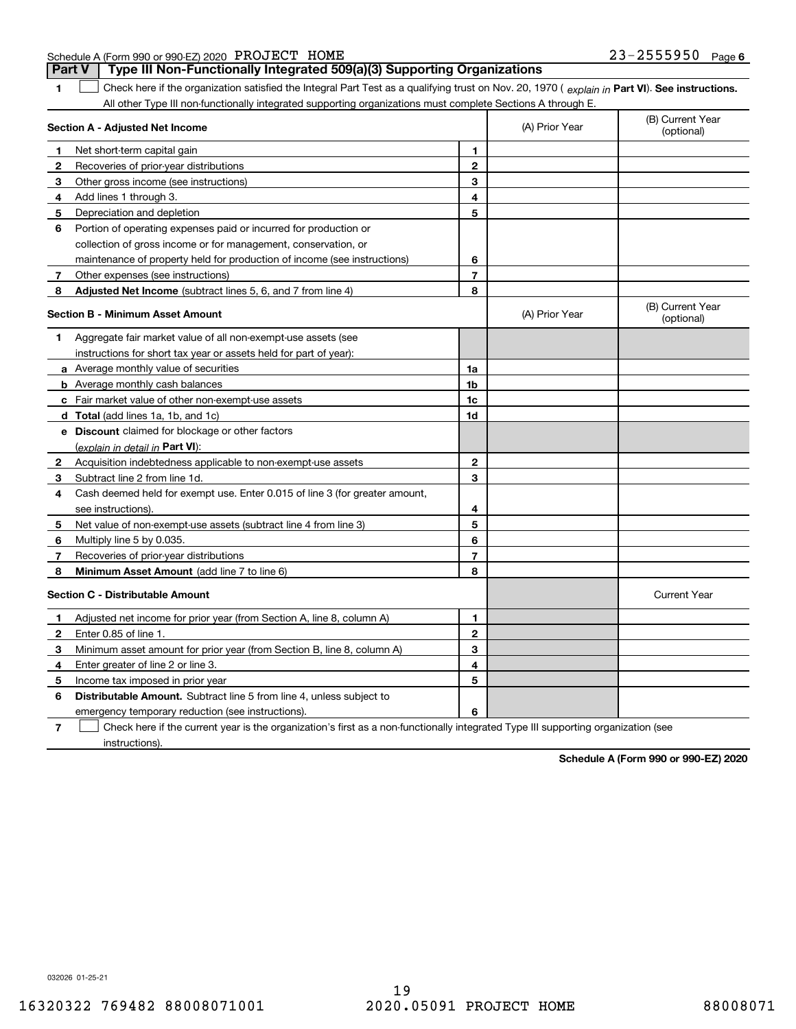| Schedule A (Form 990 or 990-EZ) 2020 PROJECT HOME | $23 - 2555950$ Page 6 |  |
|---------------------------------------------------|-----------------------|--|
|                                                   |                       |  |

|              | Type III Non-Functionally Integrated 509(a)(3) Supporting Organizations<br>Part V                                                              |                |                |                                |
|--------------|------------------------------------------------------------------------------------------------------------------------------------------------|----------------|----------------|--------------------------------|
| 1.           | Check here if the organization satisfied the Integral Part Test as a qualifying trust on Nov. 20, 1970 (explain in Part VI). See instructions. |                |                |                                |
|              | All other Type III non-functionally integrated supporting organizations must complete Sections A through E.                                    |                |                |                                |
|              | Section A - Adjusted Net Income                                                                                                                |                | (A) Prior Year | (B) Current Year<br>(optional) |
| 1            | Net short-term capital gain                                                                                                                    | 1              |                |                                |
| $\mathbf{2}$ | Recoveries of prior-year distributions                                                                                                         | $\mathbf{2}$   |                |                                |
| 3            | Other gross income (see instructions)                                                                                                          | 3              |                |                                |
| 4            | Add lines 1 through 3.                                                                                                                         | 4              |                |                                |
| 5            | Depreciation and depletion                                                                                                                     | 5              |                |                                |
| 6            | Portion of operating expenses paid or incurred for production or                                                                               |                |                |                                |
|              | collection of gross income or for management, conservation, or                                                                                 |                |                |                                |
|              | maintenance of property held for production of income (see instructions)                                                                       | 6              |                |                                |
| 7            | Other expenses (see instructions)                                                                                                              | $\overline{7}$ |                |                                |
| 8            | <b>Adjusted Net Income</b> (subtract lines 5, 6, and 7 from line 4)                                                                            | 8              |                |                                |
|              | <b>Section B - Minimum Asset Amount</b>                                                                                                        |                | (A) Prior Year | (B) Current Year<br>(optional) |
| 1            | Aggregate fair market value of all non-exempt-use assets (see                                                                                  |                |                |                                |
|              | instructions for short tax year or assets held for part of year):                                                                              |                |                |                                |
|              | a Average monthly value of securities                                                                                                          | 1a             |                |                                |
|              | <b>b</b> Average monthly cash balances                                                                                                         | 1 <sub>b</sub> |                |                                |
|              | c Fair market value of other non-exempt-use assets                                                                                             | 1c             |                |                                |
|              | d Total (add lines 1a, 1b, and 1c)                                                                                                             | 1d             |                |                                |
|              | e Discount claimed for blockage or other factors                                                                                               |                |                |                                |
|              | (explain in detail in Part VI):                                                                                                                |                |                |                                |
| $\mathbf{2}$ | Acquisition indebtedness applicable to non-exempt-use assets                                                                                   | $\mathbf{2}$   |                |                                |
| 3            | Subtract line 2 from line 1d.                                                                                                                  | 3              |                |                                |
| 4            | Cash deemed held for exempt use. Enter 0.015 of line 3 (for greater amount,                                                                    |                |                |                                |
|              | see instructions).                                                                                                                             | 4              |                |                                |
| 5            | Net value of non-exempt-use assets (subtract line 4 from line 3)                                                                               | 5              |                |                                |
| 6            | Multiply line 5 by 0.035.                                                                                                                      | 6              |                |                                |
| 7            | Recoveries of prior-year distributions                                                                                                         | $\overline{7}$ |                |                                |
| 8            | <b>Minimum Asset Amount</b> (add line 7 to line 6)                                                                                             | 8              |                |                                |
|              | <b>Section C - Distributable Amount</b>                                                                                                        |                |                | <b>Current Year</b>            |
| 1            | Adjusted net income for prior year (from Section A, line 8, column A)                                                                          | 1              |                |                                |
| 2            | Enter 0.85 of line 1.                                                                                                                          | $\overline{2}$ |                |                                |
| 3            | Minimum asset amount for prior year (from Section B, line 8, column A)                                                                         | 3              |                |                                |
| 4            | Enter greater of line 2 or line 3.                                                                                                             | 4              |                |                                |
| 5            | Income tax imposed in prior year                                                                                                               | 5              |                |                                |
| 6            | <b>Distributable Amount.</b> Subtract line 5 from line 4, unless subject to                                                                    |                |                |                                |
|              | emergency temporary reduction (see instructions).                                                                                              | 6              |                |                                |

**7**Check here if the current year is the organization's first as a non-functionally integrated Type III supporting organization (see instructions).

**Schedule A (Form 990 or 990-EZ) 2020**

032026 01-25-21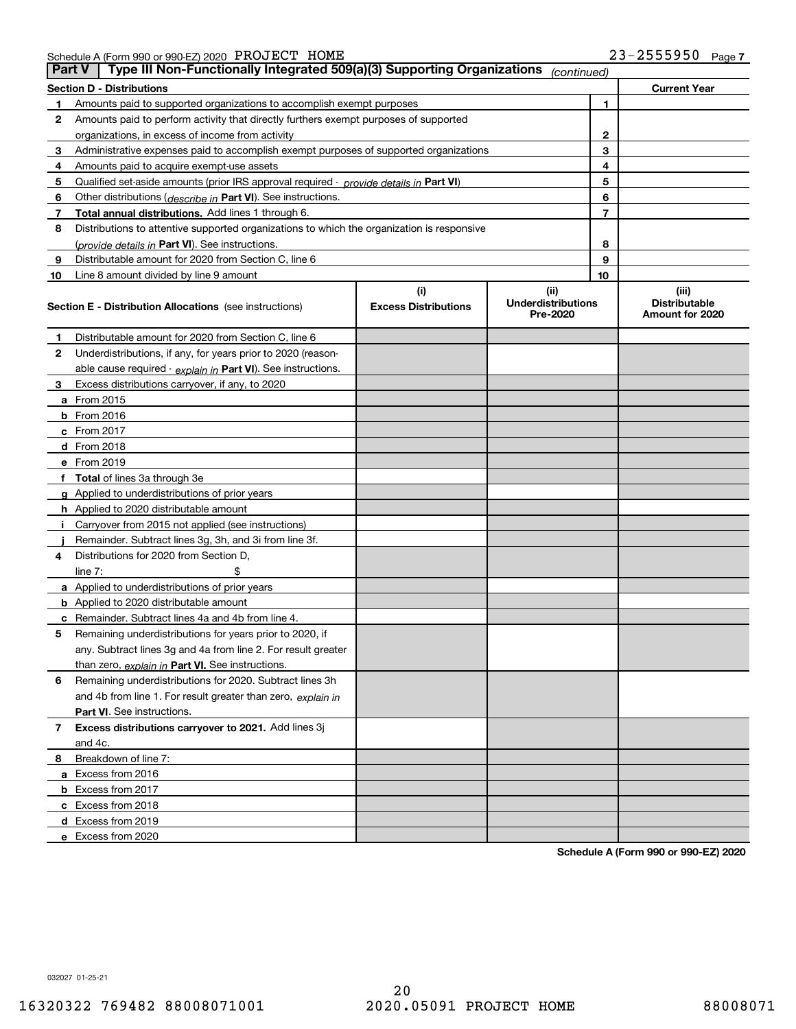| Schedule A (Form 990 or 990-EZ) 2020 $\rm ~PROJECT ~~HOME$ |  | $23 - 2555950$ Page |  |
|------------------------------------------------------------|--|---------------------|--|
|                                                            |  |                     |  |

| <b>Part V</b> | Type III Non-Functionally Integrated 509(a)(3) Supporting Organizations                    |                                    | (continued)                                   |    |                                                  |
|---------------|--------------------------------------------------------------------------------------------|------------------------------------|-----------------------------------------------|----|--------------------------------------------------|
|               | <b>Section D - Distributions</b>                                                           |                                    |                                               |    | <b>Current Year</b>                              |
| 1             | Amounts paid to supported organizations to accomplish exempt purposes                      |                                    |                                               | 1  |                                                  |
| 2             | Amounts paid to perform activity that directly furthers exempt purposes of supported       |                                    |                                               |    |                                                  |
|               | organizations, in excess of income from activity                                           |                                    | 2                                             |    |                                                  |
| 3             | Administrative expenses paid to accomplish exempt purposes of supported organizations      |                                    | 3                                             |    |                                                  |
| 4             | Amounts paid to acquire exempt-use assets                                                  |                                    |                                               | 4  |                                                  |
| 5             | Qualified set-aside amounts (prior IRS approval required - provide details in Part VI)     |                                    |                                               | 5  |                                                  |
| 6             | Other distributions ( <i>describe in</i> Part VI). See instructions.                       |                                    |                                               | 6  |                                                  |
| 7             | Total annual distributions. Add lines 1 through 6.                                         |                                    |                                               | 7  |                                                  |
| 8             | Distributions to attentive supported organizations to which the organization is responsive |                                    |                                               |    |                                                  |
|               | (provide details in Part VI). See instructions.                                            |                                    |                                               | 8  |                                                  |
| 9             | Distributable amount for 2020 from Section C, line 6                                       |                                    |                                               | 9  |                                                  |
| 10            | Line 8 amount divided by line 9 amount                                                     |                                    |                                               | 10 |                                                  |
|               | <b>Section E - Distribution Allocations</b> (see instructions)                             | (i)<br><b>Excess Distributions</b> | (ii)<br><b>Underdistributions</b><br>Pre-2020 |    | (iii)<br><b>Distributable</b><br>Amount for 2020 |
| 1             | Distributable amount for 2020 from Section C, line 6                                       |                                    |                                               |    |                                                  |
| 2             | Underdistributions, if any, for years prior to 2020 (reason-                               |                                    |                                               |    |                                                  |
|               | able cause required - explain in Part VI). See instructions.                               |                                    |                                               |    |                                                  |
| 3             | Excess distributions carryover, if any, to 2020                                            |                                    |                                               |    |                                                  |
|               | a From 2015                                                                                |                                    |                                               |    |                                                  |
|               | <b>b</b> From 2016                                                                         |                                    |                                               |    |                                                  |
|               | $c$ From 2017                                                                              |                                    |                                               |    |                                                  |
|               | d From 2018                                                                                |                                    |                                               |    |                                                  |
|               | e From 2019                                                                                |                                    |                                               |    |                                                  |
|               | f Total of lines 3a through 3e                                                             |                                    |                                               |    |                                                  |
|               | g Applied to underdistributions of prior years                                             |                                    |                                               |    |                                                  |
|               | <b>h</b> Applied to 2020 distributable amount                                              |                                    |                                               |    |                                                  |
|               | Carryover from 2015 not applied (see instructions)                                         |                                    |                                               |    |                                                  |
|               | Remainder. Subtract lines 3g, 3h, and 3i from line 3f.                                     |                                    |                                               |    |                                                  |
| 4             | Distributions for 2020 from Section D,                                                     |                                    |                                               |    |                                                  |
|               | line $7:$                                                                                  |                                    |                                               |    |                                                  |
|               | a Applied to underdistributions of prior years                                             |                                    |                                               |    |                                                  |
|               | <b>b</b> Applied to 2020 distributable amount                                              |                                    |                                               |    |                                                  |
|               | c Remainder. Subtract lines 4a and 4b from line 4.                                         |                                    |                                               |    |                                                  |
| 5.            | Remaining underdistributions for years prior to 2020, if                                   |                                    |                                               |    |                                                  |
|               | any. Subtract lines 3g and 4a from line 2. For result greater                              |                                    |                                               |    |                                                  |
|               | than zero, explain in Part VI. See instructions.                                           |                                    |                                               |    |                                                  |
| 6             | Remaining underdistributions for 2020. Subtract lines 3h                                   |                                    |                                               |    |                                                  |
|               | and 4b from line 1. For result greater than zero, explain in                               |                                    |                                               |    |                                                  |
|               | Part VI. See instructions.                                                                 |                                    |                                               |    |                                                  |
| 7             | Excess distributions carryover to 2021. Add lines 3j                                       |                                    |                                               |    |                                                  |
|               | and 4c.                                                                                    |                                    |                                               |    |                                                  |
| 8             | Breakdown of line 7:                                                                       |                                    |                                               |    |                                                  |
|               | a Excess from 2016                                                                         |                                    |                                               |    |                                                  |
|               | <b>b</b> Excess from 2017                                                                  |                                    |                                               |    |                                                  |
|               | c Excess from 2018                                                                         |                                    |                                               |    |                                                  |
|               | d Excess from 2019                                                                         |                                    |                                               |    |                                                  |
|               | e Excess from 2020                                                                         |                                    |                                               |    |                                                  |

**Schedule A (Form 990 or 990-EZ) 2020**

032027 01-25-21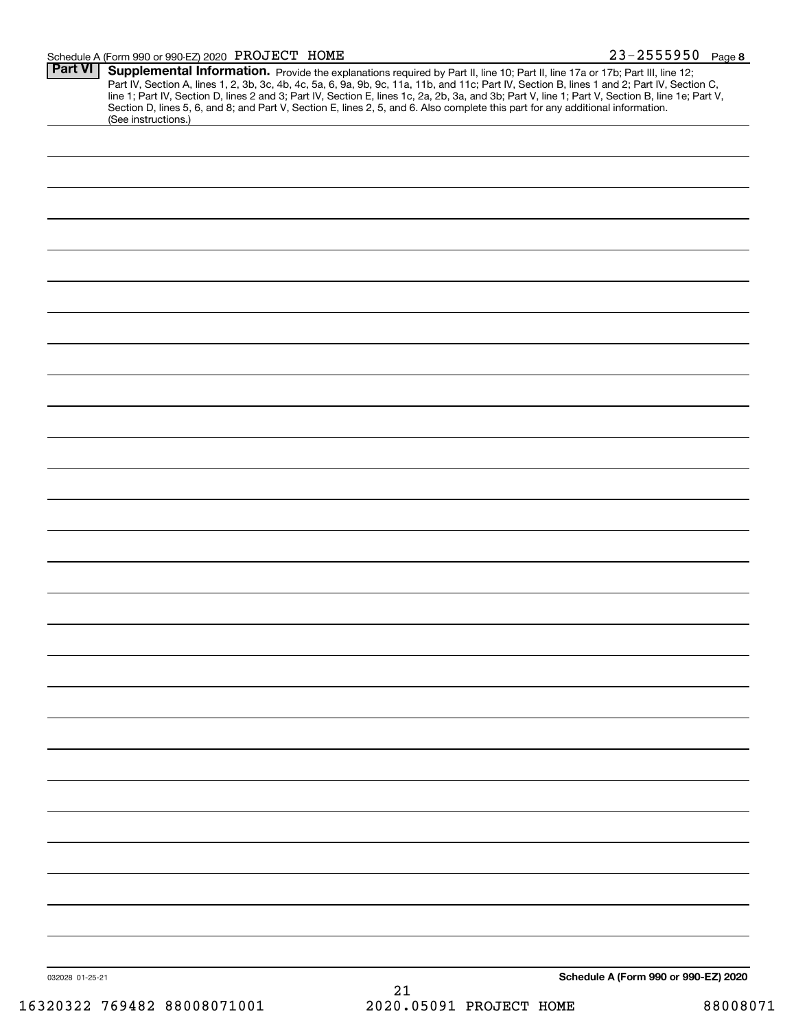#### Schedule A (Form 990 or 990-EZ) 2020 Page PROJECT HOME 23-2555950

| <b>Part VI</b><br>(See instructions.) | Supplemental Information. Provide the explanations required by Part II, line 10; Part II, line 17a or 17b; Part III, line 12;<br>Part IV, Section A, lines 1, 2, 3b, 3c, 4b, 4c, 5a, 6, 9a, 9b, 9c, 11a, 11b, and 11c; Part IV, Section B, lines 1 and 2; Part IV, Section C,<br>line 1; Part IV, Section D, lines 2 and 3; Part IV, Section E, lines 1c, 2a, 2b, 3a, and 3b; Part V, line 1; Part V, Section B, line 1e; Part V,<br>Section D, lines 5, 6, and 8; and Part V, Section E, lines 2, 5, and 6. Also complete this part for any additional information. |
|---------------------------------------|----------------------------------------------------------------------------------------------------------------------------------------------------------------------------------------------------------------------------------------------------------------------------------------------------------------------------------------------------------------------------------------------------------------------------------------------------------------------------------------------------------------------------------------------------------------------|
|                                       |                                                                                                                                                                                                                                                                                                                                                                                                                                                                                                                                                                      |
|                                       |                                                                                                                                                                                                                                                                                                                                                                                                                                                                                                                                                                      |
|                                       |                                                                                                                                                                                                                                                                                                                                                                                                                                                                                                                                                                      |
|                                       |                                                                                                                                                                                                                                                                                                                                                                                                                                                                                                                                                                      |
|                                       |                                                                                                                                                                                                                                                                                                                                                                                                                                                                                                                                                                      |
|                                       |                                                                                                                                                                                                                                                                                                                                                                                                                                                                                                                                                                      |
|                                       |                                                                                                                                                                                                                                                                                                                                                                                                                                                                                                                                                                      |
|                                       |                                                                                                                                                                                                                                                                                                                                                                                                                                                                                                                                                                      |
|                                       |                                                                                                                                                                                                                                                                                                                                                                                                                                                                                                                                                                      |
|                                       |                                                                                                                                                                                                                                                                                                                                                                                                                                                                                                                                                                      |
|                                       |                                                                                                                                                                                                                                                                                                                                                                                                                                                                                                                                                                      |
|                                       |                                                                                                                                                                                                                                                                                                                                                                                                                                                                                                                                                                      |
|                                       |                                                                                                                                                                                                                                                                                                                                                                                                                                                                                                                                                                      |
|                                       |                                                                                                                                                                                                                                                                                                                                                                                                                                                                                                                                                                      |
|                                       |                                                                                                                                                                                                                                                                                                                                                                                                                                                                                                                                                                      |
|                                       |                                                                                                                                                                                                                                                                                                                                                                                                                                                                                                                                                                      |
|                                       |                                                                                                                                                                                                                                                                                                                                                                                                                                                                                                                                                                      |
|                                       |                                                                                                                                                                                                                                                                                                                                                                                                                                                                                                                                                                      |
|                                       |                                                                                                                                                                                                                                                                                                                                                                                                                                                                                                                                                                      |
|                                       |                                                                                                                                                                                                                                                                                                                                                                                                                                                                                                                                                                      |
|                                       |                                                                                                                                                                                                                                                                                                                                                                                                                                                                                                                                                                      |
|                                       |                                                                                                                                                                                                                                                                                                                                                                                                                                                                                                                                                                      |
|                                       |                                                                                                                                                                                                                                                                                                                                                                                                                                                                                                                                                                      |
|                                       |                                                                                                                                                                                                                                                                                                                                                                                                                                                                                                                                                                      |
|                                       |                                                                                                                                                                                                                                                                                                                                                                                                                                                                                                                                                                      |
|                                       |                                                                                                                                                                                                                                                                                                                                                                                                                                                                                                                                                                      |
|                                       |                                                                                                                                                                                                                                                                                                                                                                                                                                                                                                                                                                      |
|                                       |                                                                                                                                                                                                                                                                                                                                                                                                                                                                                                                                                                      |
|                                       |                                                                                                                                                                                                                                                                                                                                                                                                                                                                                                                                                                      |
|                                       |                                                                                                                                                                                                                                                                                                                                                                                                                                                                                                                                                                      |
|                                       |                                                                                                                                                                                                                                                                                                                                                                                                                                                                                                                                                                      |
|                                       |                                                                                                                                                                                                                                                                                                                                                                                                                                                                                                                                                                      |
|                                       |                                                                                                                                                                                                                                                                                                                                                                                                                                                                                                                                                                      |
|                                       |                                                                                                                                                                                                                                                                                                                                                                                                                                                                                                                                                                      |
|                                       |                                                                                                                                                                                                                                                                                                                                                                                                                                                                                                                                                                      |
|                                       |                                                                                                                                                                                                                                                                                                                                                                                                                                                                                                                                                                      |
|                                       |                                                                                                                                                                                                                                                                                                                                                                                                                                                                                                                                                                      |
|                                       |                                                                                                                                                                                                                                                                                                                                                                                                                                                                                                                                                                      |
|                                       |                                                                                                                                                                                                                                                                                                                                                                                                                                                                                                                                                                      |
|                                       |                                                                                                                                                                                                                                                                                                                                                                                                                                                                                                                                                                      |
|                                       |                                                                                                                                                                                                                                                                                                                                                                                                                                                                                                                                                                      |
|                                       |                                                                                                                                                                                                                                                                                                                                                                                                                                                                                                                                                                      |
|                                       |                                                                                                                                                                                                                                                                                                                                                                                                                                                                                                                                                                      |
|                                       |                                                                                                                                                                                                                                                                                                                                                                                                                                                                                                                                                                      |
|                                       |                                                                                                                                                                                                                                                                                                                                                                                                                                                                                                                                                                      |
|                                       |                                                                                                                                                                                                                                                                                                                                                                                                                                                                                                                                                                      |
|                                       |                                                                                                                                                                                                                                                                                                                                                                                                                                                                                                                                                                      |
| 032028 01-25-21                       | Schedule A (Form 990 or 990-EZ) 2020                                                                                                                                                                                                                                                                                                                                                                                                                                                                                                                                 |
| 16320322 769482 88008071001           | 21<br>2020.05091 PROJECT HOME<br>88008071                                                                                                                                                                                                                                                                                                                                                                                                                                                                                                                            |
|                                       |                                                                                                                                                                                                                                                                                                                                                                                                                                                                                                                                                                      |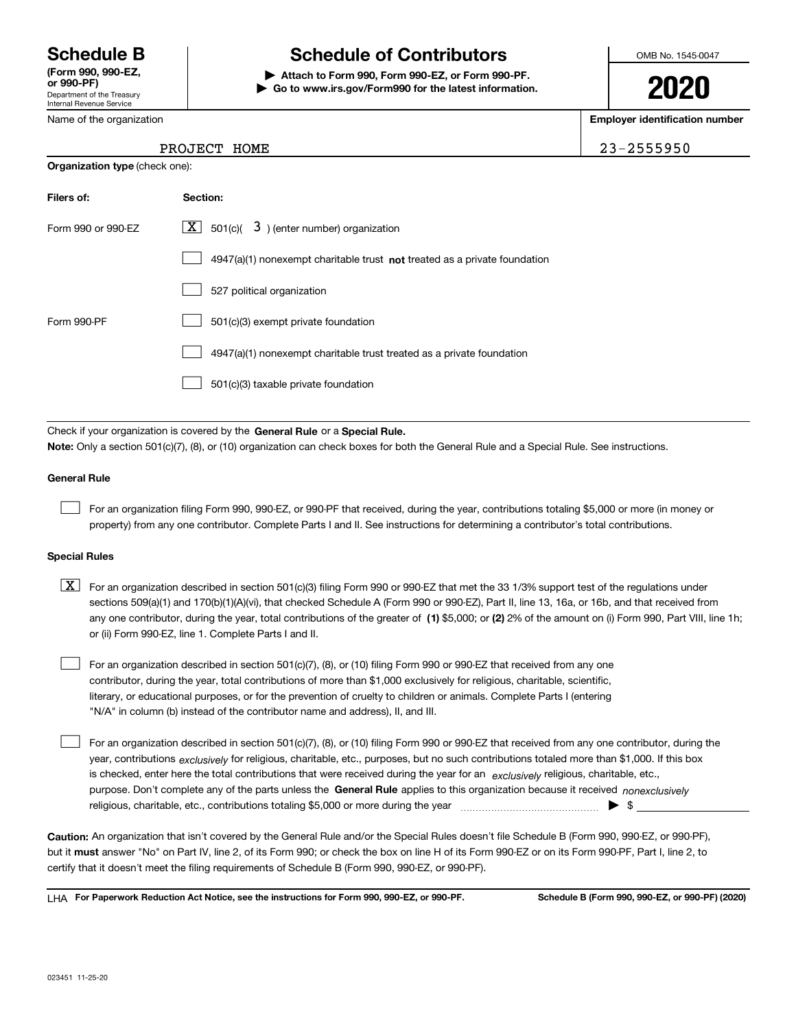Department of the Treasury Internal Revenue Service **(Form 990, 990-EZ, or 990-PF)**

Name of the organization

# **Schedule B Schedule of Contributors**

**| Attach to Form 990, Form 990-EZ, or Form 990-PF. | Go to www.irs.gov/Form990 for the latest information.** OMB No. 1545-0047

**2020**

**Employer identification number**

|  | ı.<br>ᆮᆮ<br>. . |
|--|-----------------|
|  | כככי            |

#### PROJECT HOME 23-2555950

| <b>Organization type (check one):</b> |                                                                                    |  |  |  |  |  |  |
|---------------------------------------|------------------------------------------------------------------------------------|--|--|--|--|--|--|
| Filers of:                            | Section:                                                                           |  |  |  |  |  |  |
| Form 990 or 990-EZ                    | $\boxed{\textbf{X}}$ 501(c)( 3) (enter number) organization                        |  |  |  |  |  |  |
|                                       | $4947(a)(1)$ nonexempt charitable trust <b>not</b> treated as a private foundation |  |  |  |  |  |  |
|                                       | 527 political organization                                                         |  |  |  |  |  |  |
| Form 990-PF                           | 501(c)(3) exempt private foundation                                                |  |  |  |  |  |  |
|                                       | 4947(a)(1) nonexempt charitable trust treated as a private foundation              |  |  |  |  |  |  |
|                                       | 501(c)(3) taxable private foundation                                               |  |  |  |  |  |  |

Check if your organization is covered by the **General Rule** or a **Special Rule. Note:**  Only a section 501(c)(7), (8), or (10) organization can check boxes for both the General Rule and a Special Rule. See instructions.

#### **General Rule**

 $\mathcal{L}^{\text{max}}$ 

For an organization filing Form 990, 990-EZ, or 990-PF that received, during the year, contributions totaling \$5,000 or more (in money or property) from any one contributor. Complete Parts I and II. See instructions for determining a contributor's total contributions.

#### **Special Rules**

any one contributor, during the year, total contributions of the greater of  $\,$  (1) \$5,000; or **(2)** 2% of the amount on (i) Form 990, Part VIII, line 1h;  $\boxed{\textbf{X}}$  For an organization described in section 501(c)(3) filing Form 990 or 990-EZ that met the 33 1/3% support test of the regulations under sections 509(a)(1) and 170(b)(1)(A)(vi), that checked Schedule A (Form 990 or 990-EZ), Part II, line 13, 16a, or 16b, and that received from or (ii) Form 990-EZ, line 1. Complete Parts I and II.

For an organization described in section 501(c)(7), (8), or (10) filing Form 990 or 990-EZ that received from any one contributor, during the year, total contributions of more than \$1,000 exclusively for religious, charitable, scientific, literary, or educational purposes, or for the prevention of cruelty to children or animals. Complete Parts I (entering "N/A" in column (b) instead of the contributor name and address), II, and III.  $\mathcal{L}^{\text{max}}$ 

purpose. Don't complete any of the parts unless the **General Rule** applies to this organization because it received *nonexclusively* year, contributions <sub>exclusively</sub> for religious, charitable, etc., purposes, but no such contributions totaled more than \$1,000. If this box is checked, enter here the total contributions that were received during the year for an  $\;$ exclusively religious, charitable, etc., For an organization described in section 501(c)(7), (8), or (10) filing Form 990 or 990-EZ that received from any one contributor, during the religious, charitable, etc., contributions totaling \$5,000 or more during the year  $\Box$ — $\Box$   $\Box$  $\mathcal{L}^{\text{max}}$ 

**Caution:**  An organization that isn't covered by the General Rule and/or the Special Rules doesn't file Schedule B (Form 990, 990-EZ, or 990-PF),  **must** but it answer "No" on Part IV, line 2, of its Form 990; or check the box on line H of its Form 990-EZ or on its Form 990-PF, Part I, line 2, to certify that it doesn't meet the filing requirements of Schedule B (Form 990, 990-EZ, or 990-PF).

**For Paperwork Reduction Act Notice, see the instructions for Form 990, 990-EZ, or 990-PF. Schedule B (Form 990, 990-EZ, or 990-PF) (2020)** LHA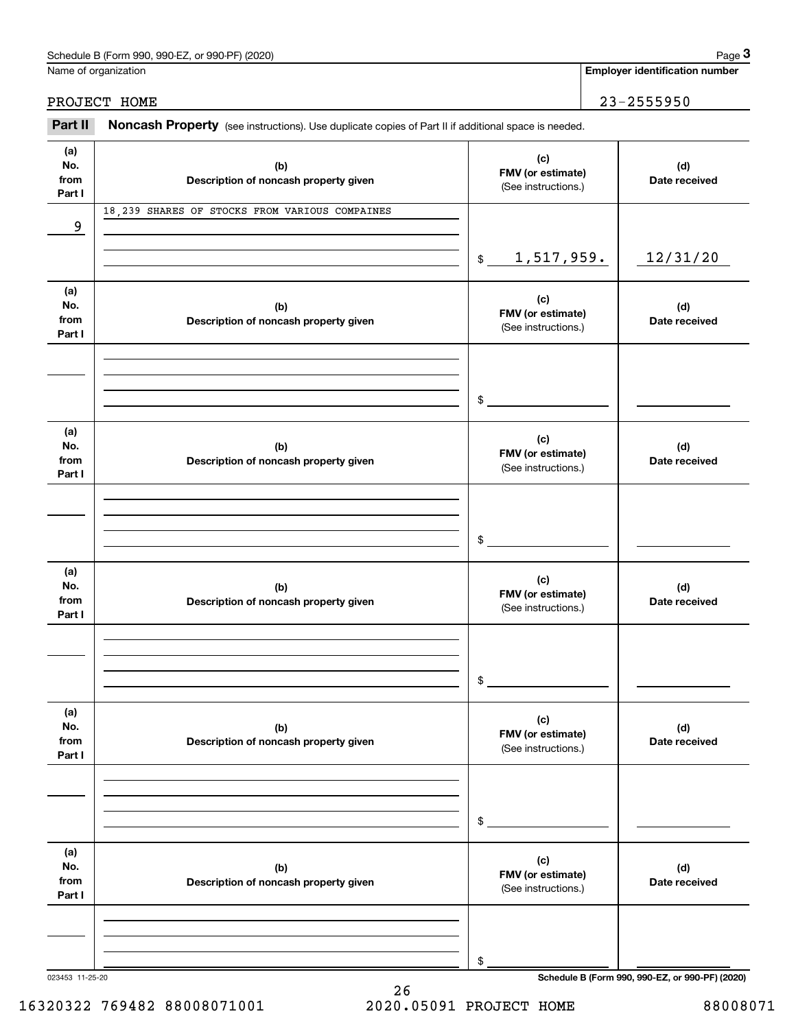| Schedule B (Form 990, 990-EZ, ‹<br>. or 990-PF)<br>(2020)<br>Page |
|-------------------------------------------------------------------|
|-------------------------------------------------------------------|

Name of organization

## PROJECT HOME 23-2555950

Employer identification Page 3<br>
lame of organization<br> **PROJECT HOME**<br> **Part II Noncash Property** (see instructions). Use duplicate copies of Part II if additional space is needed.

| (a)<br>No.<br>from           | (b)<br>Description of noncash property given   | (c)<br>FMV (or estimate)<br>(See instructions.) | (d)<br>Date received                            |
|------------------------------|------------------------------------------------|-------------------------------------------------|-------------------------------------------------|
| Part I<br>9                  | 18,239 SHARES OF STOCKS FROM VARIOUS COMPAINES |                                                 |                                                 |
|                              |                                                | 1,517,959.<br>$\mathfrak{S}$                    | 12/31/20                                        |
| (a)<br>No.<br>from<br>Part I | (b)<br>Description of noncash property given   | (c)<br>FMV (or estimate)<br>(See instructions.) | (d)<br>Date received                            |
|                              |                                                | \$                                              |                                                 |
| (a)<br>No.<br>from<br>Part I | (b)<br>Description of noncash property given   | (c)<br>FMV (or estimate)<br>(See instructions.) | (d)<br>Date received                            |
|                              |                                                | \$                                              |                                                 |
| (a)<br>No.<br>from<br>Part I | (b)<br>Description of noncash property given   | (c)<br>FMV (or estimate)<br>(See instructions.) | (d)<br>Date received                            |
|                              |                                                | \$                                              |                                                 |
| (a)<br>No.<br>from<br>Part I | (b)<br>Description of noncash property given   | (c)<br>FMV (or estimate)<br>(See instructions.) | (d)<br>Date received                            |
|                              |                                                | \$                                              |                                                 |
| (a)<br>No.<br>from<br>Part I | (b)<br>Description of noncash property given   | (c)<br>FMV (or estimate)<br>(See instructions.) | (d)<br>Date received                            |
|                              |                                                | \$                                              |                                                 |
| 023453 11-25-20              |                                                |                                                 | Schedule B (Form 990, 990-EZ, or 990-PF) (2020) |

26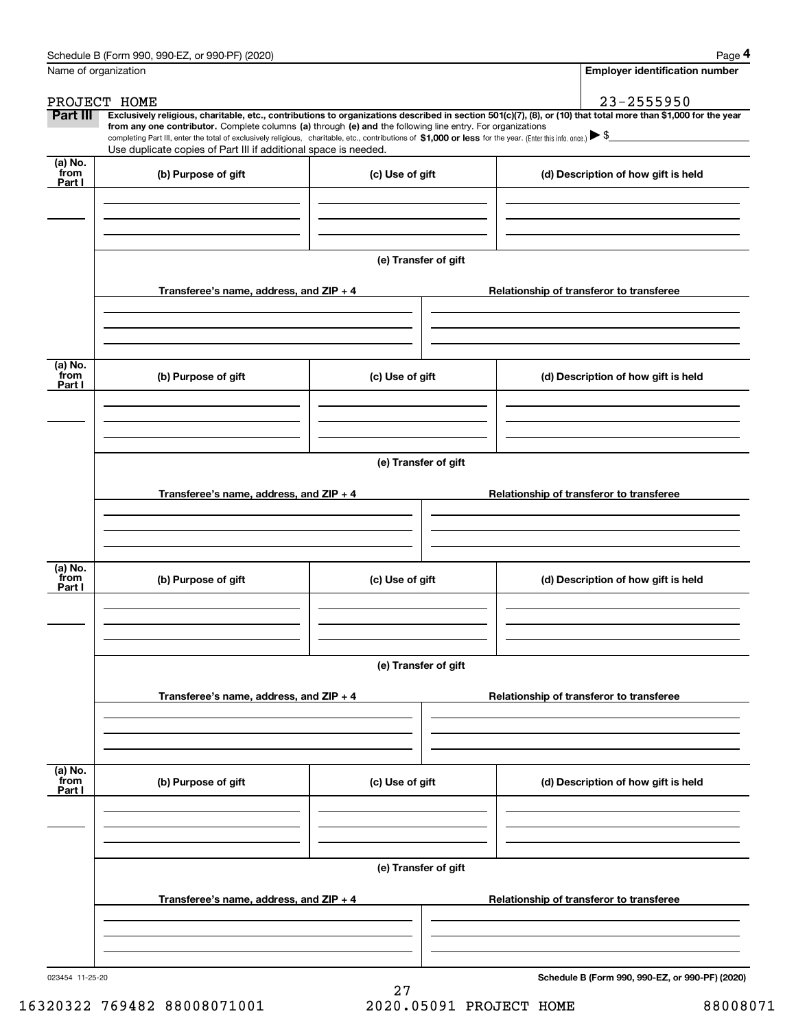| Name of organization | Schedule B (Form 990, 990-EZ, or 990-PF) (2020)                                                                                                                                                                                                                              |                      |                                          | Page 4<br><b>Employer identification number</b> |  |  |  |  |
|----------------------|------------------------------------------------------------------------------------------------------------------------------------------------------------------------------------------------------------------------------------------------------------------------------|----------------------|------------------------------------------|-------------------------------------------------|--|--|--|--|
|                      |                                                                                                                                                                                                                                                                              |                      |                                          |                                                 |  |  |  |  |
|                      | PROJECT HOME                                                                                                                                                                                                                                                                 |                      |                                          | 23-2555950                                      |  |  |  |  |
| Part III             | Exclusively religious, charitable, etc., contributions to organizations described in section 501(c)(7), (8), or (10) that total more than \$1,000 for the year<br>from any one contributor. Complete columns (a) through (e) and the following line entry. For organizations |                      |                                          |                                                 |  |  |  |  |
|                      | completing Part III, enter the total of exclusively religious, charitable, etc., contributions of \$1,000 or less for the year. (Enter this info. once.) \\$<br>Use duplicate copies of Part III if additional space is needed.                                              |                      |                                          |                                                 |  |  |  |  |
| $(a)$ No.            |                                                                                                                                                                                                                                                                              |                      |                                          |                                                 |  |  |  |  |
| from<br>Part I       | (b) Purpose of gift                                                                                                                                                                                                                                                          | (c) Use of gift      |                                          | (d) Description of how gift is held             |  |  |  |  |
|                      |                                                                                                                                                                                                                                                                              |                      |                                          |                                                 |  |  |  |  |
|                      |                                                                                                                                                                                                                                                                              |                      |                                          |                                                 |  |  |  |  |
|                      |                                                                                                                                                                                                                                                                              |                      |                                          |                                                 |  |  |  |  |
|                      |                                                                                                                                                                                                                                                                              | (e) Transfer of gift |                                          |                                                 |  |  |  |  |
|                      |                                                                                                                                                                                                                                                                              |                      | Relationship of transferor to transferee |                                                 |  |  |  |  |
|                      | Transferee's name, address, and ZIP + 4                                                                                                                                                                                                                                      |                      |                                          |                                                 |  |  |  |  |
|                      |                                                                                                                                                                                                                                                                              |                      |                                          |                                                 |  |  |  |  |
|                      |                                                                                                                                                                                                                                                                              |                      |                                          |                                                 |  |  |  |  |
| (a) No.              |                                                                                                                                                                                                                                                                              |                      |                                          |                                                 |  |  |  |  |
| from<br>Part I       | (b) Purpose of gift                                                                                                                                                                                                                                                          | (c) Use of gift      |                                          | (d) Description of how gift is held             |  |  |  |  |
|                      |                                                                                                                                                                                                                                                                              |                      |                                          |                                                 |  |  |  |  |
|                      |                                                                                                                                                                                                                                                                              |                      |                                          |                                                 |  |  |  |  |
|                      |                                                                                                                                                                                                                                                                              |                      |                                          |                                                 |  |  |  |  |
|                      | (e) Transfer of gift                                                                                                                                                                                                                                                         |                      |                                          |                                                 |  |  |  |  |
|                      | Transferee's name, address, and ZIP + 4<br>Relationship of transferor to transferee                                                                                                                                                                                          |                      |                                          |                                                 |  |  |  |  |
|                      |                                                                                                                                                                                                                                                                              |                      |                                          |                                                 |  |  |  |  |
|                      |                                                                                                                                                                                                                                                                              |                      |                                          |                                                 |  |  |  |  |
|                      |                                                                                                                                                                                                                                                                              |                      |                                          |                                                 |  |  |  |  |
| (a) No.<br>from      |                                                                                                                                                                                                                                                                              |                      |                                          |                                                 |  |  |  |  |
| Part I               | (b) Purpose of gift                                                                                                                                                                                                                                                          | (c) Use of gift      |                                          | (d) Description of how gift is held             |  |  |  |  |
|                      |                                                                                                                                                                                                                                                                              |                      |                                          |                                                 |  |  |  |  |
|                      |                                                                                                                                                                                                                                                                              |                      |                                          |                                                 |  |  |  |  |
|                      |                                                                                                                                                                                                                                                                              |                      |                                          |                                                 |  |  |  |  |
|                      |                                                                                                                                                                                                                                                                              | (e) Transfer of gift |                                          |                                                 |  |  |  |  |
|                      | Transferee's name, address, and $ZIP + 4$                                                                                                                                                                                                                                    |                      | Relationship of transferor to transferee |                                                 |  |  |  |  |
|                      |                                                                                                                                                                                                                                                                              |                      |                                          |                                                 |  |  |  |  |
|                      |                                                                                                                                                                                                                                                                              |                      |                                          |                                                 |  |  |  |  |
|                      |                                                                                                                                                                                                                                                                              |                      |                                          |                                                 |  |  |  |  |
| (a) No.<br>from      | (b) Purpose of gift                                                                                                                                                                                                                                                          | (c) Use of gift      |                                          | (d) Description of how gift is held             |  |  |  |  |
| Part I               |                                                                                                                                                                                                                                                                              |                      |                                          |                                                 |  |  |  |  |
|                      |                                                                                                                                                                                                                                                                              |                      |                                          |                                                 |  |  |  |  |
|                      |                                                                                                                                                                                                                                                                              |                      |                                          |                                                 |  |  |  |  |
|                      | (e) Transfer of gift                                                                                                                                                                                                                                                         |                      |                                          |                                                 |  |  |  |  |
|                      |                                                                                                                                                                                                                                                                              |                      |                                          |                                                 |  |  |  |  |
|                      | Transferee's name, address, and $ZIP + 4$                                                                                                                                                                                                                                    |                      | Relationship of transferor to transferee |                                                 |  |  |  |  |
|                      |                                                                                                                                                                                                                                                                              |                      |                                          |                                                 |  |  |  |  |
|                      |                                                                                                                                                                                                                                                                              |                      |                                          |                                                 |  |  |  |  |
|                      |                                                                                                                                                                                                                                                                              |                      |                                          | Schedule B (Form 990, 990-EZ, or 990-PF) (2020) |  |  |  |  |

16320322 769482 88008071001 2020.05091 PROJECT HOME 88008071

27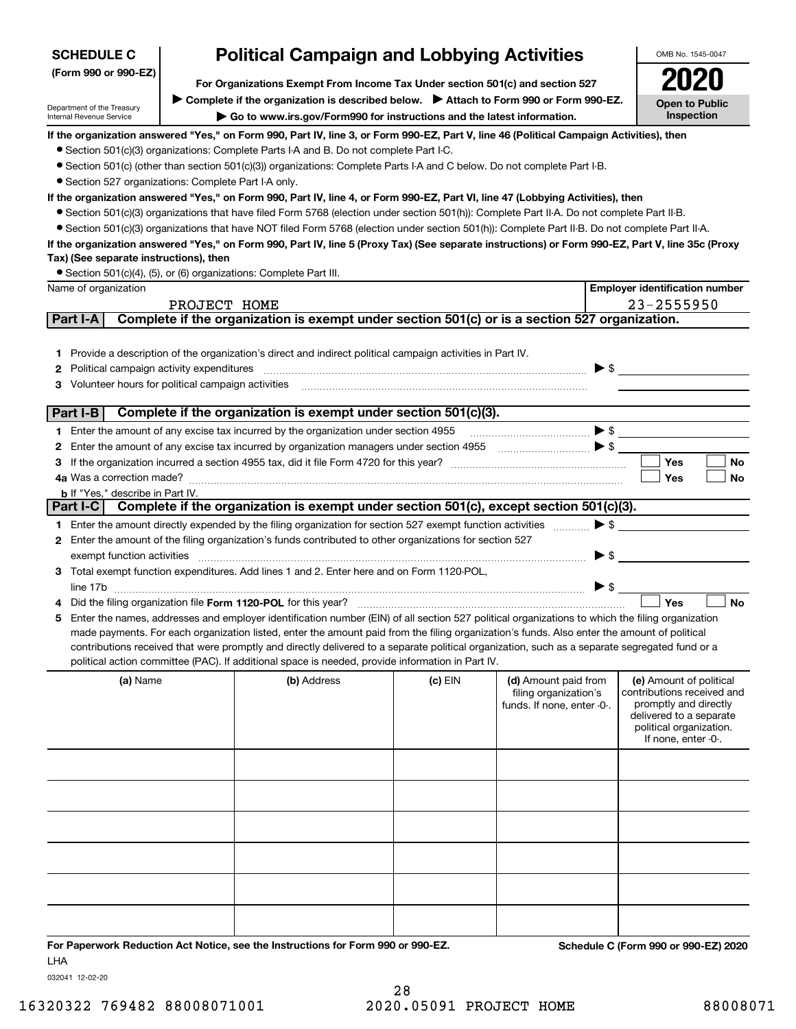|  |  | <b>Political Campaign and Lobbying Activities</b> |
|--|--|---------------------------------------------------|
|  |  |                                                   |
|  |  |                                                   |

**(Form 990 or 990-EZ) For Organizations Exempt From Income Tax Under section 501(c) and section 527**

▶ Complete if the organization is described below. ▶ Attach to Form 990 or Form 990-EZ. **| Go to www.irs.gov/Form990 for instructions and the latest information.**

OMB No. 1545-0047 **2020**

**Open to Public Inspection**

Department of the Treasury Internal Revenue Service

**SCHEDULE C**

**If the organization answered "Yes," on Form 990, Part IV, line 3, or Form 990-EZ, Part V, line 46 (Political Campaign Activities), then**

- Section 501(c)(3) organizations: Complete Parts I-A and B. Do not complete Part I-C.
- Section 501(c) (other than section 501(c)(3)) organizations: Complete Parts I-A and C below. Do not complete Part I-B.
- Section 527 organizations: Complete Part I-A only.

#### **If the organization answered "Yes," on Form 990, Part IV, line 4, or Form 990-EZ, Part VI, line 47 (Lobbying Activities), then**

- Section 501(c)(3) organizations that have filed Form 5768 (election under section 501(h)): Complete Part II-A. Do not complete Part II-B.
- ¥ Section 501(c)(3) organizations that have NOT filed Form 5768 (election under section 501(h)): Complete Part II-B. Do not complete Part II-A.

#### **If the organization answered "Yes," on Form 990, Part IV, line 5 (Proxy Tax) (See separate instructions) or Form 990-EZ, Part V, line 35c (Proxy Tax) (See separate instructions), then**

● Section 501(c)(4), (5), or (6) organizations: Complete Part III.

|    | Name of organization                                                                                                                                                                                                                                                                                                                                                                                                                                                                                                                                 | <b>Employer identification number</b>                                                         |           |                                                                             |                                                                                                                                                             |
|----|------------------------------------------------------------------------------------------------------------------------------------------------------------------------------------------------------------------------------------------------------------------------------------------------------------------------------------------------------------------------------------------------------------------------------------------------------------------------------------------------------------------------------------------------------|-----------------------------------------------------------------------------------------------|-----------|-----------------------------------------------------------------------------|-------------------------------------------------------------------------------------------------------------------------------------------------------------|
|    | PROJECT HOME                                                                                                                                                                                                                                                                                                                                                                                                                                                                                                                                         | $23 - 2555950$                                                                                |           |                                                                             |                                                                                                                                                             |
|    | <b>Part I-A</b>                                                                                                                                                                                                                                                                                                                                                                                                                                                                                                                                      | Complete if the organization is exempt under section 501(c) or is a section 527 organization. |           |                                                                             |                                                                                                                                                             |
|    | 1 Provide a description of the organization's direct and indirect political campaign activities in Part IV.<br>2 Political campaign activity expenditures                                                                                                                                                                                                                                                                                                                                                                                            |                                                                                               |           |                                                                             |                                                                                                                                                             |
|    | $ $ Part I-B $ $                                                                                                                                                                                                                                                                                                                                                                                                                                                                                                                                     | Complete if the organization is exempt under section 501(c)(3).                               |           |                                                                             |                                                                                                                                                             |
|    | 2 Enter the amount of any excise tax incurred by organization managers under section 4955 [100] [100] S [100]<br><b>b</b> If "Yes," describe in Part IV.                                                                                                                                                                                                                                                                                                                                                                                             |                                                                                               |           |                                                                             | Yes<br>No<br>Yes<br><b>No</b>                                                                                                                               |
|    | Part I-C                                                                                                                                                                                                                                                                                                                                                                                                                                                                                                                                             | Complete if the organization is exempt under section 501(c), except section 501(c)(3).        |           |                                                                             |                                                                                                                                                             |
|    | <b>1</b> Enter the amount directly expended by the filing organization for section 527 exempt function activities $\ldots$<br>2 Enter the amount of the filing organization's funds contributed to other organizations for section 527<br>exempt function activities exercised contains and activities and activities exercise and activities and activities and activities and activities and activities and activities and activities and activities and activities an                                                                             |                                                                                               |           |                                                                             | $\blacktriangleright$ \$                                                                                                                                    |
|    | 3 Total exempt function expenditures. Add lines 1 and 2. Enter here and on Form 1120-POL,                                                                                                                                                                                                                                                                                                                                                                                                                                                            |                                                                                               |           |                                                                             |                                                                                                                                                             |
|    |                                                                                                                                                                                                                                                                                                                                                                                                                                                                                                                                                      |                                                                                               |           |                                                                             |                                                                                                                                                             |
| 5. | Enter the names, addresses and employer identification number (EIN) of all section 527 political organizations to which the filing organization<br>made payments. For each organization listed, enter the amount paid from the filing organization's funds. Also enter the amount of political<br>contributions received that were promptly and directly delivered to a separate political organization, such as a separate segregated fund or a<br>political action committee (PAC). If additional space is needed, provide information in Part IV. |                                                                                               |           |                                                                             | <b>No</b><br>Yes                                                                                                                                            |
|    | (a) Name                                                                                                                                                                                                                                                                                                                                                                                                                                                                                                                                             | (b) Address                                                                                   | $(c)$ EIN | (d) Amount paid from<br>filing organization's<br>funds. If none, enter -0-. | (e) Amount of political<br>contributions received and<br>promptly and directly<br>delivered to a separate<br>political organization.<br>If none, enter -0-. |
|    |                                                                                                                                                                                                                                                                                                                                                                                                                                                                                                                                                      |                                                                                               |           |                                                                             |                                                                                                                                                             |
|    |                                                                                                                                                                                                                                                                                                                                                                                                                                                                                                                                                      |                                                                                               |           |                                                                             |                                                                                                                                                             |
|    |                                                                                                                                                                                                                                                                                                                                                                                                                                                                                                                                                      |                                                                                               |           |                                                                             |                                                                                                                                                             |
|    |                                                                                                                                                                                                                                                                                                                                                                                                                                                                                                                                                      |                                                                                               |           |                                                                             |                                                                                                                                                             |
|    |                                                                                                                                                                                                                                                                                                                                                                                                                                                                                                                                                      |                                                                                               |           |                                                                             |                                                                                                                                                             |
|    |                                                                                                                                                                                                                                                                                                                                                                                                                                                                                                                                                      |                                                                                               |           |                                                                             |                                                                                                                                                             |

**For Paperwork Reduction Act Notice, see the Instructions for Form 990 or 990-EZ. Schedule C (Form 990 or 990-EZ) 2020** LHA

032041 12-02-20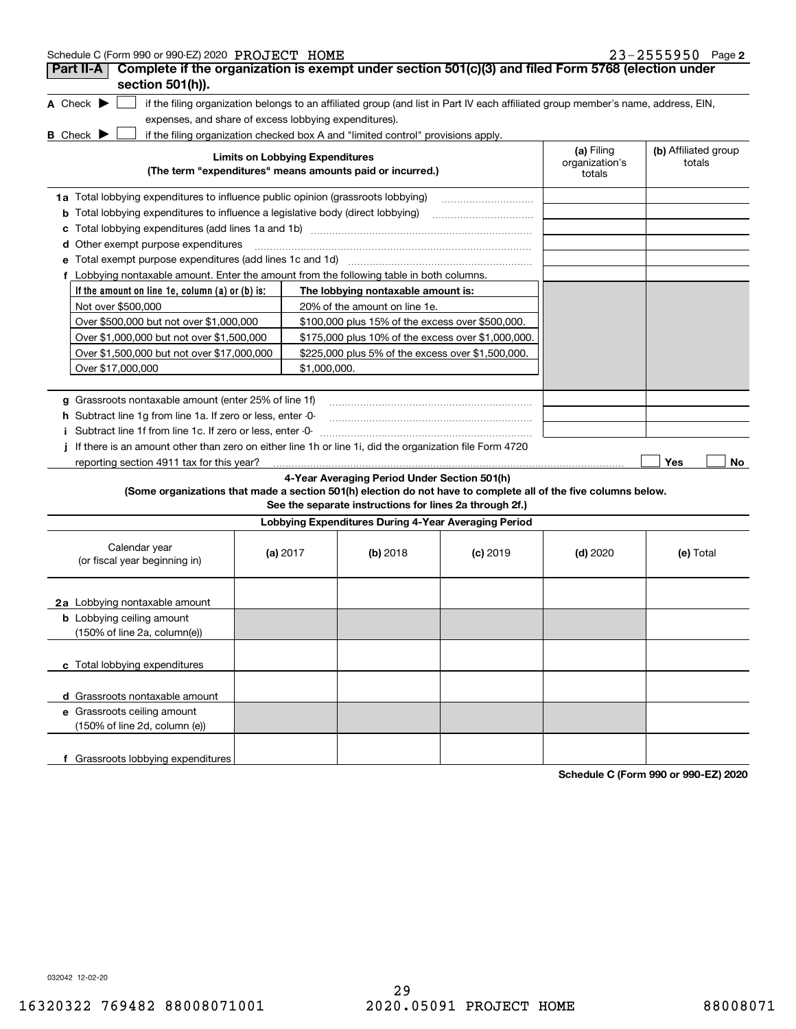| Schedule C (Form 990 or 990-EZ) 2020 PROJECT HOME |                                                                                                                                                                                                                                              |                                                                                                                                                                                                                                                                                                                                |                                                                                                                                                                                                                                                                                                                                                                                                                                                                                                                                                                                                                                                                                                                              |                      |                                                                                                                                                                                                                                                                                                                                                                                              |
|---------------------------------------------------|----------------------------------------------------------------------------------------------------------------------------------------------------------------------------------------------------------------------------------------------|--------------------------------------------------------------------------------------------------------------------------------------------------------------------------------------------------------------------------------------------------------------------------------------------------------------------------------|------------------------------------------------------------------------------------------------------------------------------------------------------------------------------------------------------------------------------------------------------------------------------------------------------------------------------------------------------------------------------------------------------------------------------------------------------------------------------------------------------------------------------------------------------------------------------------------------------------------------------------------------------------------------------------------------------------------------------|----------------------|----------------------------------------------------------------------------------------------------------------------------------------------------------------------------------------------------------------------------------------------------------------------------------------------------------------------------------------------------------------------------------------------|
|                                                   |                                                                                                                                                                                                                                              |                                                                                                                                                                                                                                                                                                                                |                                                                                                                                                                                                                                                                                                                                                                                                                                                                                                                                                                                                                                                                                                                              |                      |                                                                                                                                                                                                                                                                                                                                                                                              |
|                                                   |                                                                                                                                                                                                                                              |                                                                                                                                                                                                                                                                                                                                |                                                                                                                                                                                                                                                                                                                                                                                                                                                                                                                                                                                                                                                                                                                              |                      |                                                                                                                                                                                                                                                                                                                                                                                              |
|                                                   |                                                                                                                                                                                                                                              |                                                                                                                                                                                                                                                                                                                                |                                                                                                                                                                                                                                                                                                                                                                                                                                                                                                                                                                                                                                                                                                                              |                      |                                                                                                                                                                                                                                                                                                                                                                                              |
|                                                   |                                                                                                                                                                                                                                              |                                                                                                                                                                                                                                                                                                                                |                                                                                                                                                                                                                                                                                                                                                                                                                                                                                                                                                                                                                                                                                                                              |                      |                                                                                                                                                                                                                                                                                                                                                                                              |
|                                                   |                                                                                                                                                                                                                                              |                                                                                                                                                                                                                                                                                                                                | (a) Filing                                                                                                                                                                                                                                                                                                                                                                                                                                                                                                                                                                                                                                                                                                                   | (b) Affiliated group |                                                                                                                                                                                                                                                                                                                                                                                              |
|                                                   |                                                                                                                                                                                                                                              |                                                                                                                                                                                                                                                                                                                                | totals                                                                                                                                                                                                                                                                                                                                                                                                                                                                                                                                                                                                                                                                                                                       |                      |                                                                                                                                                                                                                                                                                                                                                                                              |
|                                                   |                                                                                                                                                                                                                                              |                                                                                                                                                                                                                                                                                                                                |                                                                                                                                                                                                                                                                                                                                                                                                                                                                                                                                                                                                                                                                                                                              |                      |                                                                                                                                                                                                                                                                                                                                                                                              |
|                                                   |                                                                                                                                                                                                                                              |                                                                                                                                                                                                                                                                                                                                |                                                                                                                                                                                                                                                                                                                                                                                                                                                                                                                                                                                                                                                                                                                              |                      |                                                                                                                                                                                                                                                                                                                                                                                              |
|                                                   |                                                                                                                                                                                                                                              |                                                                                                                                                                                                                                                                                                                                |                                                                                                                                                                                                                                                                                                                                                                                                                                                                                                                                                                                                                                                                                                                              |                      |                                                                                                                                                                                                                                                                                                                                                                                              |
|                                                   |                                                                                                                                                                                                                                              |                                                                                                                                                                                                                                                                                                                                |                                                                                                                                                                                                                                                                                                                                                                                                                                                                                                                                                                                                                                                                                                                              |                      |                                                                                                                                                                                                                                                                                                                                                                                              |
|                                                   |                                                                                                                                                                                                                                              |                                                                                                                                                                                                                                                                                                                                |                                                                                                                                                                                                                                                                                                                                                                                                                                                                                                                                                                                                                                                                                                                              |                      |                                                                                                                                                                                                                                                                                                                                                                                              |
|                                                   |                                                                                                                                                                                                                                              |                                                                                                                                                                                                                                                                                                                                |                                                                                                                                                                                                                                                                                                                                                                                                                                                                                                                                                                                                                                                                                                                              |                      |                                                                                                                                                                                                                                                                                                                                                                                              |
|                                                   |                                                                                                                                                                                                                                              |                                                                                                                                                                                                                                                                                                                                |                                                                                                                                                                                                                                                                                                                                                                                                                                                                                                                                                                                                                                                                                                                              |                      |                                                                                                                                                                                                                                                                                                                                                                                              |
|                                                   |                                                                                                                                                                                                                                              |                                                                                                                                                                                                                                                                                                                                |                                                                                                                                                                                                                                                                                                                                                                                                                                                                                                                                                                                                                                                                                                                              |                      |                                                                                                                                                                                                                                                                                                                                                                                              |
|                                                   |                                                                                                                                                                                                                                              |                                                                                                                                                                                                                                                                                                                                |                                                                                                                                                                                                                                                                                                                                                                                                                                                                                                                                                                                                                                                                                                                              |                      |                                                                                                                                                                                                                                                                                                                                                                                              |
|                                                   |                                                                                                                                                                                                                                              |                                                                                                                                                                                                                                                                                                                                |                                                                                                                                                                                                                                                                                                                                                                                                                                                                                                                                                                                                                                                                                                                              |                      |                                                                                                                                                                                                                                                                                                                                                                                              |
|                                                   |                                                                                                                                                                                                                                              |                                                                                                                                                                                                                                                                                                                                |                                                                                                                                                                                                                                                                                                                                                                                                                                                                                                                                                                                                                                                                                                                              |                      |                                                                                                                                                                                                                                                                                                                                                                                              |
|                                                   |                                                                                                                                                                                                                                              |                                                                                                                                                                                                                                                                                                                                |                                                                                                                                                                                                                                                                                                                                                                                                                                                                                                                                                                                                                                                                                                                              |                      |                                                                                                                                                                                                                                                                                                                                                                                              |
|                                                   |                                                                                                                                                                                                                                              |                                                                                                                                                                                                                                                                                                                                |                                                                                                                                                                                                                                                                                                                                                                                                                                                                                                                                                                                                                                                                                                                              |                      |                                                                                                                                                                                                                                                                                                                                                                                              |
|                                                   |                                                                                                                                                                                                                                              |                                                                                                                                                                                                                                                                                                                                |                                                                                                                                                                                                                                                                                                                                                                                                                                                                                                                                                                                                                                                                                                                              |                      |                                                                                                                                                                                                                                                                                                                                                                                              |
|                                                   |                                                                                                                                                                                                                                              |                                                                                                                                                                                                                                                                                                                                |                                                                                                                                                                                                                                                                                                                                                                                                                                                                                                                                                                                                                                                                                                                              |                      |                                                                                                                                                                                                                                                                                                                                                                                              |
|                                                   |                                                                                                                                                                                                                                              |                                                                                                                                                                                                                                                                                                                                |                                                                                                                                                                                                                                                                                                                                                                                                                                                                                                                                                                                                                                                                                                                              |                      |                                                                                                                                                                                                                                                                                                                                                                                              |
|                                                   |                                                                                                                                                                                                                                              |                                                                                                                                                                                                                                                                                                                                |                                                                                                                                                                                                                                                                                                                                                                                                                                                                                                                                                                                                                                                                                                                              |                      |                                                                                                                                                                                                                                                                                                                                                                                              |
|                                                   |                                                                                                                                                                                                                                              |                                                                                                                                                                                                                                                                                                                                |                                                                                                                                                                                                                                                                                                                                                                                                                                                                                                                                                                                                                                                                                                                              | Yes                  | No                                                                                                                                                                                                                                                                                                                                                                                           |
|                                                   |                                                                                                                                                                                                                                              |                                                                                                                                                                                                                                                                                                                                |                                                                                                                                                                                                                                                                                                                                                                                                                                                                                                                                                                                                                                                                                                                              |                      |                                                                                                                                                                                                                                                                                                                                                                                              |
|                                                   |                                                                                                                                                                                                                                              |                                                                                                                                                                                                                                                                                                                                |                                                                                                                                                                                                                                                                                                                                                                                                                                                                                                                                                                                                                                                                                                                              |                      |                                                                                                                                                                                                                                                                                                                                                                                              |
|                                                   |                                                                                                                                                                                                                                              |                                                                                                                                                                                                                                                                                                                                |                                                                                                                                                                                                                                                                                                                                                                                                                                                                                                                                                                                                                                                                                                                              |                      |                                                                                                                                                                                                                                                                                                                                                                                              |
|                                                   | $(b)$ 2018                                                                                                                                                                                                                                   | $(c)$ 2019                                                                                                                                                                                                                                                                                                                     | $(d)$ 2020                                                                                                                                                                                                                                                                                                                                                                                                                                                                                                                                                                                                                                                                                                                   | (e) Total            |                                                                                                                                                                                                                                                                                                                                                                                              |
|                                                   |                                                                                                                                                                                                                                              |                                                                                                                                                                                                                                                                                                                                |                                                                                                                                                                                                                                                                                                                                                                                                                                                                                                                                                                                                                                                                                                                              |                      |                                                                                                                                                                                                                                                                                                                                                                                              |
|                                                   |                                                                                                                                                                                                                                              |                                                                                                                                                                                                                                                                                                                                |                                                                                                                                                                                                                                                                                                                                                                                                                                                                                                                                                                                                                                                                                                                              |                      |                                                                                                                                                                                                                                                                                                                                                                                              |
|                                                   |                                                                                                                                                                                                                                              |                                                                                                                                                                                                                                                                                                                                |                                                                                                                                                                                                                                                                                                                                                                                                                                                                                                                                                                                                                                                                                                                              |                      |                                                                                                                                                                                                                                                                                                                                                                                              |
|                                                   |                                                                                                                                                                                                                                              |                                                                                                                                                                                                                                                                                                                                |                                                                                                                                                                                                                                                                                                                                                                                                                                                                                                                                                                                                                                                                                                                              |                      |                                                                                                                                                                                                                                                                                                                                                                                              |
|                                                   |                                                                                                                                                                                                                                              |                                                                                                                                                                                                                                                                                                                                |                                                                                                                                                                                                                                                                                                                                                                                                                                                                                                                                                                                                                                                                                                                              |                      |                                                                                                                                                                                                                                                                                                                                                                                              |
|                                                   |                                                                                                                                                                                                                                              |                                                                                                                                                                                                                                                                                                                                |                                                                                                                                                                                                                                                                                                                                                                                                                                                                                                                                                                                                                                                                                                                              |                      |                                                                                                                                                                                                                                                                                                                                                                                              |
|                                                   |                                                                                                                                                                                                                                              |                                                                                                                                                                                                                                                                                                                                |                                                                                                                                                                                                                                                                                                                                                                                                                                                                                                                                                                                                                                                                                                                              |                      |                                                                                                                                                                                                                                                                                                                                                                                              |
|                                                   | Over \$1,500,000 but not over \$17,000,000<br>g Grassroots nontaxable amount (enter 25% of line 1f)<br>h Subtract line 1g from line 1a. If zero or less, enter -0-<br>Subtract line 1f from line 1c. If zero or less, enter 0-<br>(a) $2017$ | expenses, and share of excess lobbying expenditures).<br><b>Limits on Lobbying Expenditures</b><br>1a Total lobbying expenditures to influence public opinion (grassroots lobbying)<br><b>b</b> Total lobbying expenditures to influence a legislative body (direct lobbying)<br>20% of the amount on line 1e.<br>\$1.000.000. | if the filing organization checked box A and "limited control" provisions apply.<br>(The term "expenditures" means amounts paid or incurred.)<br>f Lobbying nontaxable amount. Enter the amount from the following table in both columns.<br>The lobbying nontaxable amount is:<br>\$100,000 plus 15% of the excess over \$500,000.<br>\$175,000 plus 10% of the excess over \$1,000,000.<br>\$225,000 plus 5% of the excess over \$1,500,000.<br>If there is an amount other than zero on either line 1h or line 1i, did the organization file Form 4720<br>4-Year Averaging Period Under Section 501(h)<br>See the separate instructions for lines 2a through 2f.)<br>Lobbying Expenditures During 4-Year Averaging Period | organization's       | $23 - 2555950$ Page 2<br>Complete if the organization is exempt under section 501(c)(3) and filed Form 5768 (election under<br>if the filing organization belongs to an affiliated group (and list in Part IV each affiliated group member's name, address, EIN,<br>totals<br>(Some organizations that made a section 501(h) election do not have to complete all of the five columns below. |

**Schedule C (Form 990 or 990-EZ) 2020**

032042 12-02-20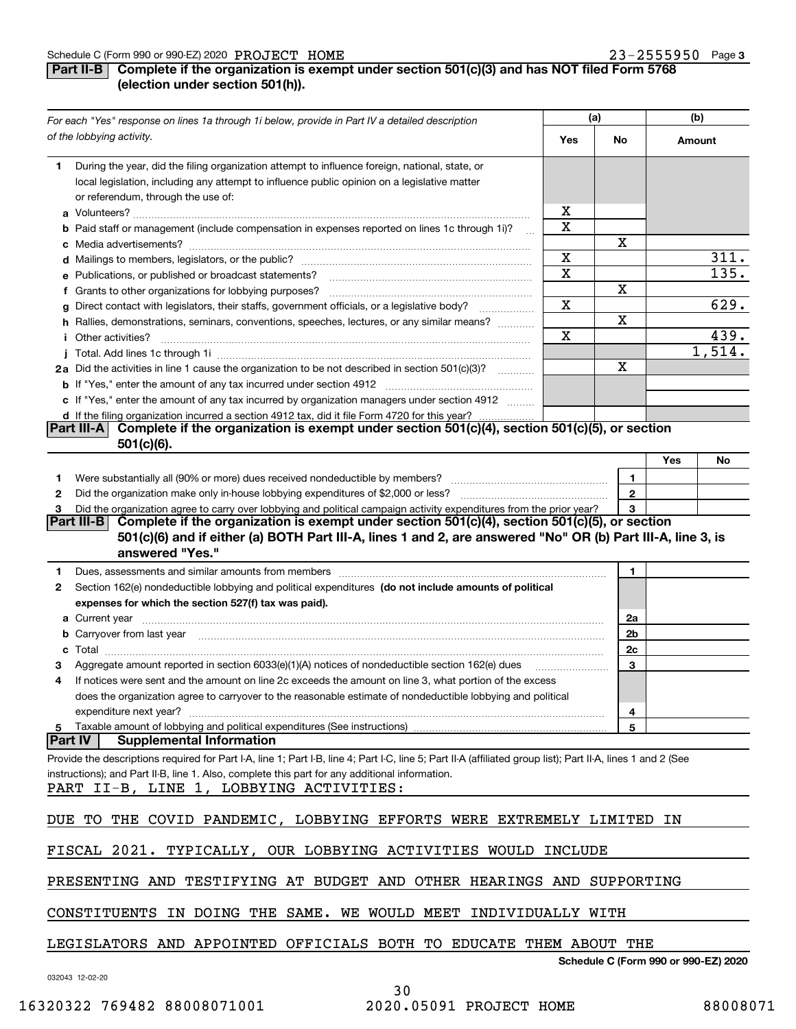## **Part II-B Complete if the organization is exempt under section 501(c)(3) and has NOT filed Form 5768 (election under section 501(h)).**

| For each "Yes" response on lines 1a through 1i below, provide in Part IV a detailed description                                                                                                                                                                                                                                                                | (a)               |             | (b)            |                                      |                            |
|----------------------------------------------------------------------------------------------------------------------------------------------------------------------------------------------------------------------------------------------------------------------------------------------------------------------------------------------------------------|-------------------|-------------|----------------|--------------------------------------|----------------------------|
| of the lobbying activity.                                                                                                                                                                                                                                                                                                                                      |                   | Yes         | No             | Amount                               |                            |
| During the year, did the filing organization attempt to influence foreign, national, state, or<br>1.<br>local legislation, including any attempt to influence public opinion on a legislative matter<br>or referendum, through the use of:                                                                                                                     |                   |             |                |                                      |                            |
|                                                                                                                                                                                                                                                                                                                                                                |                   | х           |                |                                      |                            |
| <b>b</b> Paid staff or management (include compensation in expenses reported on lines 1c through 1i)?                                                                                                                                                                                                                                                          |                   | $\mathbf X$ |                |                                      |                            |
|                                                                                                                                                                                                                                                                                                                                                                |                   | X           | X              |                                      |                            |
|                                                                                                                                                                                                                                                                                                                                                                |                   | $\mathbf x$ |                |                                      | 311.<br>$\overline{135}$ . |
| e Publications, or published or broadcast statements?                                                                                                                                                                                                                                                                                                          |                   |             | X              |                                      |                            |
| Direct contact with legislators, their staffs, government officials, or a legislative body?                                                                                                                                                                                                                                                                    |                   | $\mathbf X$ |                |                                      | 629.                       |
| h Rallies, demonstrations, seminars, conventions, speeches, lectures, or any similar means?                                                                                                                                                                                                                                                                    | .                 |             | X              |                                      |                            |
| <i>i</i> Other activities?                                                                                                                                                                                                                                                                                                                                     |                   | $\mathbf x$ |                |                                      | 439.                       |
|                                                                                                                                                                                                                                                                                                                                                                |                   |             |                |                                      | 1,514.                     |
| 2a Did the activities in line 1 cause the organization to be not described in section 501(c)(3)?                                                                                                                                                                                                                                                               |                   |             | X              |                                      |                            |
|                                                                                                                                                                                                                                                                                                                                                                |                   |             |                |                                      |                            |
| c If "Yes," enter the amount of any tax incurred by organization managers under section 4912                                                                                                                                                                                                                                                                   |                   |             |                |                                      |                            |
| d If the filing organization incurred a section 4912 tax, did it file Form 4720 for this year?                                                                                                                                                                                                                                                                 |                   |             |                |                                      |                            |
| Complete if the organization is exempt under section 501(c)(4), section 501(c)(5), or section<br>Part III-A<br>$501(c)(6)$ .                                                                                                                                                                                                                                   |                   |             |                |                                      |                            |
|                                                                                                                                                                                                                                                                                                                                                                |                   |             |                | Yes                                  | No                         |
| 1                                                                                                                                                                                                                                                                                                                                                              |                   |             | 1.             |                                      |                            |
| Did the organization make only in-house lobbying expenditures of \$2,000 or less?<br>2                                                                                                                                                                                                                                                                         |                   |             | $\overline{2}$ |                                      |                            |
| Did the organization agree to carry over lobbying and political campaign activity expenditures from the prior year?<br>з                                                                                                                                                                                                                                       |                   |             | 3              |                                      |                            |
| Complete if the organization is exempt under section 501(c)(4), section 501(c)(5), or section<br> Part III-B <br>501(c)(6) and if either (a) BOTH Part III-A, lines 1 and 2, are answered "No" OR (b) Part III-A, line 3, is<br>answered "Yes."                                                                                                                |                   |             |                |                                      |                            |
|                                                                                                                                                                                                                                                                                                                                                                |                   |             | 1              |                                      |                            |
| 1<br>Section 162(e) nondeductible lobbying and political expenditures (do not include amounts of political<br>2                                                                                                                                                                                                                                                |                   |             |                |                                      |                            |
| expenses for which the section 527(f) tax was paid).                                                                                                                                                                                                                                                                                                           |                   |             |                |                                      |                            |
|                                                                                                                                                                                                                                                                                                                                                                |                   |             | 2a             |                                      |                            |
| <b>b</b> Carryover from last year <i>maching machine content content in the content of the content of the content of the content of the content of the content of the content of the content of the content of the content of the con</i>                                                                                                                      |                   |             | 2 <sub>b</sub> |                                      |                            |
| c                                                                                                                                                                                                                                                                                                                                                              |                   |             | 2с             |                                      |                            |
| Aggregate amount reported in section 6033(e)(1)(A) notices of nondeductible section 162(e) dues<br>з                                                                                                                                                                                                                                                           |                   |             | 3              |                                      |                            |
| If notices were sent and the amount on line 2c exceeds the amount on line 3, what portion of the excess<br>4                                                                                                                                                                                                                                                   |                   |             |                |                                      |                            |
| does the organization agree to carryover to the reasonable estimate of nondeductible lobbying and political                                                                                                                                                                                                                                                    |                   |             |                |                                      |                            |
| expenditure next year?                                                                                                                                                                                                                                                                                                                                         |                   |             | 4              |                                      |                            |
| Taxable amount of lobbying and political expenditures (See instructions)<br>5                                                                                                                                                                                                                                                                                  |                   |             | 5              |                                      |                            |
| <b>Part IV</b><br><b>Supplemental Information</b><br>Provide the descriptions required for Part I-A, line 1; Part I-B, line 4; Part I-C, line 5; Part II-A (affiliated group list); Part II-A, lines 1 and 2 (See<br>instructions); and Part II-B, line 1. Also, complete this part for any additional information.<br>PART II-B, LINE 1, LOBBYING ACTIVITIES: |                   |             |                |                                      |                            |
| DUE TO THE COVID PANDEMIC, LOBBYING EFFORTS WERE                                                                                                                                                                                                                                                                                                               | EXTREMELY LIMITED |             |                | ΙN                                   |                            |
| FISCAL 2021. TYPICALLY, OUR LOBBYING ACTIVITIES WOULD                                                                                                                                                                                                                                                                                                          |                   | INCLUDE     |                |                                      |                            |
| PRESENTING AND<br>TESTIFYING AT BUDGET AND OTHER HEARINGS AND                                                                                                                                                                                                                                                                                                  |                   |             | SUPPORTING     |                                      |                            |
| CONSTITUENTS<br>IN DOING THE<br>SAME. WE<br><b>WOULD MEET</b>                                                                                                                                                                                                                                                                                                  | INDIVIDUALLY WITH |             |                |                                      |                            |
| LEGISLATORS AND APPOINTED OFFICIALS BOTH TO EDUCATE THEM ABOUT                                                                                                                                                                                                                                                                                                 |                   |             | THE            | Schedule C (Form 990 or 990-F7) 2020 |                            |

032043 12-02-20

**Schedule C (Form 990 or 990-EZ) 2020**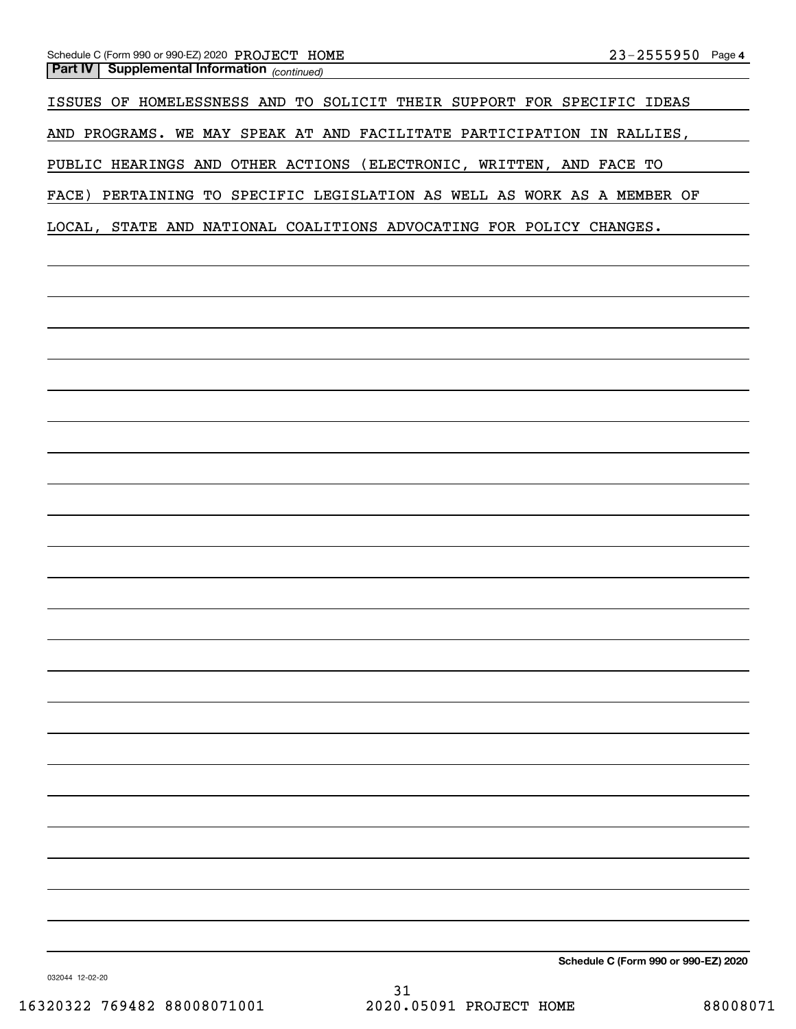|  | Schedule C (Form 990 or 990-EZ) 2020 PROJECT HOME     |  | $23 - 2555950$ Page 4 |  |
|--|-------------------------------------------------------|--|-----------------------|--|
|  | <b>Part IV   Supplemental Information</b> (continued) |  |                       |  |

ISSUES OF HOMELESSNESS AND TO SOLICIT THEIR SUPPORT FOR SPECIFIC IDEAS AND PROGRAMS. WE MAY SPEAK AT AND FACILITATE PARTICIPATION IN RALLIES, PUBLIC HEARINGS AND OTHER ACTIONS (ELECTRONIC, WRITTEN, AND FACE TO FACE) PERTAINING TO SPECIFIC LEGISLATION AS WELL AS WORK AS A MEMBER OF LOCAL, STATE AND NATIONAL COALITIONS ADVOCATING FOR POLICY CHANGES.

**Schedule C (Form 990 or 990-EZ) 2020**

032044 12-02-20

31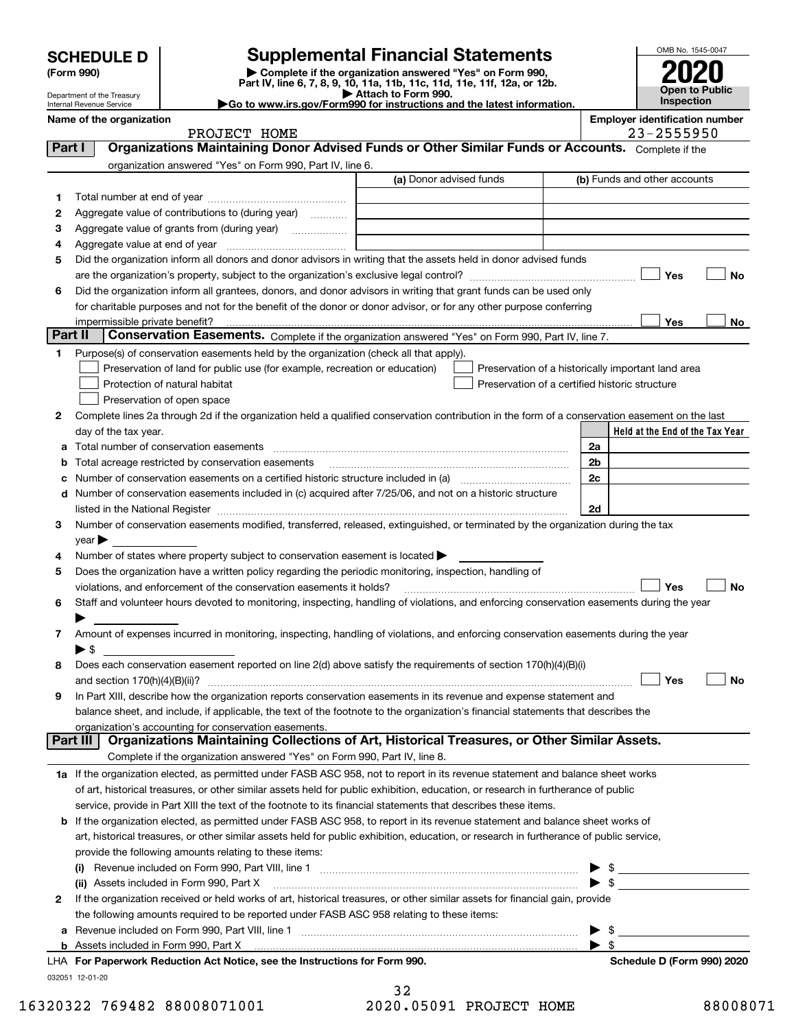| <b>SCHEDULE D</b> |  |
|-------------------|--|
|-------------------|--|

Department of the Treasury Internal Revenue Service

| (Form 990) |  |
|------------|--|
|------------|--|

## **SCHEDULE D Supplemental Financial Statements**

(Form 990)<br>
Pepartment of the Treasury<br>
Department of the Treasury<br>
Department of the Treasury<br>
Department of the Treasury<br> **Co to www.irs.gov/Form990 for instructions and the latest information.**<br> **Co to www.irs.gov/Form9** 



|         | Name of the organization                                                                                                                              | <b>Employer identification number</b> |  |                                                    |  |  |  |
|---------|-------------------------------------------------------------------------------------------------------------------------------------------------------|---------------------------------------|--|----------------------------------------------------|--|--|--|
|         | PROJECT HOME                                                                                                                                          |                                       |  | 23-2555950                                         |  |  |  |
| Part I  | Organizations Maintaining Donor Advised Funds or Other Similar Funds or Accounts. Complete if the                                                     |                                       |  |                                                    |  |  |  |
|         | organization answered "Yes" on Form 990, Part IV, line 6.                                                                                             |                                       |  |                                                    |  |  |  |
|         |                                                                                                                                                       | (a) Donor advised funds               |  | (b) Funds and other accounts                       |  |  |  |
| 1       |                                                                                                                                                       |                                       |  |                                                    |  |  |  |
| 2       | Aggregate value of contributions to (during year)                                                                                                     |                                       |  |                                                    |  |  |  |
| з       | Aggregate value of grants from (during year)                                                                                                          |                                       |  |                                                    |  |  |  |
| 4       |                                                                                                                                                       |                                       |  |                                                    |  |  |  |
| 5       | Did the organization inform all donors and donor advisors in writing that the assets held in donor advised funds                                      |                                       |  |                                                    |  |  |  |
|         | Yes<br>No                                                                                                                                             |                                       |  |                                                    |  |  |  |
| 6       | Did the organization inform all grantees, donors, and donor advisors in writing that grant funds can be used only                                     |                                       |  |                                                    |  |  |  |
|         | for charitable purposes and not for the benefit of the donor or donor advisor, or for any other purpose conferring                                    |                                       |  |                                                    |  |  |  |
|         |                                                                                                                                                       |                                       |  | Yes<br>No                                          |  |  |  |
| Part II | Conservation Easements. Complete if the organization answered "Yes" on Form 990, Part IV, line 7.                                                     |                                       |  |                                                    |  |  |  |
| 1.      | Purpose(s) of conservation easements held by the organization (check all that apply).                                                                 |                                       |  |                                                    |  |  |  |
|         | Preservation of land for public use (for example, recreation or education)                                                                            |                                       |  | Preservation of a historically important land area |  |  |  |
|         | Protection of natural habitat                                                                                                                         |                                       |  | Preservation of a certified historic structure     |  |  |  |
|         | Preservation of open space                                                                                                                            |                                       |  |                                                    |  |  |  |
| 2       | Complete lines 2a through 2d if the organization held a qualified conservation contribution in the form of a conservation easement on the last        |                                       |  |                                                    |  |  |  |
|         | day of the tax year.                                                                                                                                  |                                       |  | Held at the End of the Tax Year                    |  |  |  |
| а       | Total number of conservation easements                                                                                                                |                                       |  | 2a                                                 |  |  |  |
| b       | Total acreage restricted by conservation easements                                                                                                    |                                       |  | 2b                                                 |  |  |  |
| с       |                                                                                                                                                       |                                       |  | 2c                                                 |  |  |  |
| d       | Number of conservation easements included in (c) acquired after 7/25/06, and not on a historic structure                                              |                                       |  |                                                    |  |  |  |
|         |                                                                                                                                                       |                                       |  | 2d                                                 |  |  |  |
| 3       | Number of conservation easements modified, transferred, released, extinguished, or terminated by the organization during the tax                      |                                       |  |                                                    |  |  |  |
|         |                                                                                                                                                       |                                       |  |                                                    |  |  |  |
|         | $year \blacktriangleright$                                                                                                                            |                                       |  |                                                    |  |  |  |
| 4       | Number of states where property subject to conservation easement is located >                                                                         |                                       |  |                                                    |  |  |  |
| 5       | Does the organization have a written policy regarding the periodic monitoring, inspection, handling of                                                |                                       |  | Yes<br>No                                          |  |  |  |
|         | violations, and enforcement of the conservation easements it holds?                                                                                   |                                       |  |                                                    |  |  |  |
| 6       | Staff and volunteer hours devoted to monitoring, inspecting, handling of violations, and enforcing conservation easements during the year             |                                       |  |                                                    |  |  |  |
|         |                                                                                                                                                       |                                       |  |                                                    |  |  |  |
| 7       | Amount of expenses incurred in monitoring, inspecting, handling of violations, and enforcing conservation easements during the year                   |                                       |  |                                                    |  |  |  |
|         | ► \$                                                                                                                                                  |                                       |  |                                                    |  |  |  |
| 8       | Does each conservation easement reported on line 2(d) above satisfy the requirements of section 170(h)(4)(B)(i)                                       |                                       |  |                                                    |  |  |  |
|         |                                                                                                                                                       |                                       |  | Yes<br>No                                          |  |  |  |
|         | In Part XIII, describe how the organization reports conservation easements in its revenue and expense statement and                                   |                                       |  |                                                    |  |  |  |
|         | balance sheet, and include, if applicable, the text of the footnote to the organization's financial statements that describes the                     |                                       |  |                                                    |  |  |  |
|         | organization's accounting for conservation easements.<br>Organizations Maintaining Collections of Art, Historical Treasures, or Other Similar Assets. |                                       |  |                                                    |  |  |  |
|         | Part III I                                                                                                                                            |                                       |  |                                                    |  |  |  |
|         | Complete if the organization answered "Yes" on Form 990, Part IV, line 8.                                                                             |                                       |  |                                                    |  |  |  |
|         | 1a If the organization elected, as permitted under FASB ASC 958, not to report in its revenue statement and balance sheet works                       |                                       |  |                                                    |  |  |  |
|         | of art, historical treasures, or other similar assets held for public exhibition, education, or research in furtherance of public                     |                                       |  |                                                    |  |  |  |
|         | service, provide in Part XIII the text of the footnote to its financial statements that describes these items.                                        |                                       |  |                                                    |  |  |  |
| b       | If the organization elected, as permitted under FASB ASC 958, to report in its revenue statement and balance sheet works of                           |                                       |  |                                                    |  |  |  |
|         | art, historical treasures, or other similar assets held for public exhibition, education, or research in furtherance of public service,               |                                       |  |                                                    |  |  |  |
|         | provide the following amounts relating to these items:                                                                                                |                                       |  |                                                    |  |  |  |
|         | $\mathbb{S}$ and $\mathbb{S}$                                                                                                                         |                                       |  |                                                    |  |  |  |
|         | (ii) Assets included in Form 990, Part X                                                                                                              |                                       |  | $\blacktriangleright$ \$                           |  |  |  |
| 2       | If the organization received or held works of art, historical treasures, or other similar assets for financial gain, provide                          |                                       |  |                                                    |  |  |  |
|         | the following amounts required to be reported under FASB ASC 958 relating to these items:                                                             |                                       |  |                                                    |  |  |  |
| а       |                                                                                                                                                       |                                       |  | <b>S</b>                                           |  |  |  |
|         |                                                                                                                                                       |                                       |  | $\blacktriangleright$ s                            |  |  |  |
|         | LHA For Paperwork Reduction Act Notice, see the Instructions for Form 990.                                                                            |                                       |  | Schedule D (Form 990) 2020                         |  |  |  |
|         | 032051 12-01-20                                                                                                                                       |                                       |  |                                                    |  |  |  |
|         |                                                                                                                                                       | 32                                    |  |                                                    |  |  |  |

2020.05091 PROJECT HOME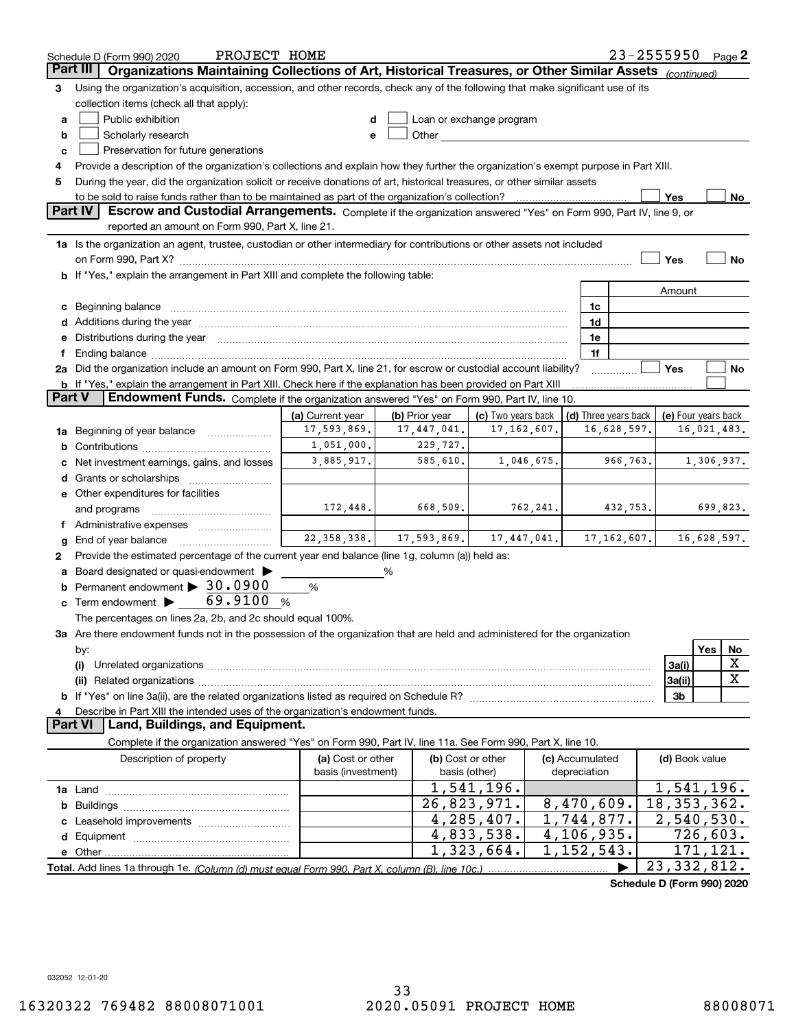|          | PROJECT HOME<br>$23 - 2555950$ Page 2<br>Schedule D (Form 990) 2020                                                                                                                                                                                      |                    |                               |                            |          |                      |          |                |                            |
|----------|----------------------------------------------------------------------------------------------------------------------------------------------------------------------------------------------------------------------------------------------------------|--------------------|-------------------------------|----------------------------|----------|----------------------|----------|----------------|----------------------------|
| Part III | Organizations Maintaining Collections of Art, Historical Treasures, or Other Similar Assets (continued)                                                                                                                                                  |                    |                               |                            |          |                      |          |                |                            |
| 3        | Using the organization's acquisition, accession, and other records, check any of the following that make significant use of its                                                                                                                          |                    |                               |                            |          |                      |          |                |                            |
|          | collection items (check all that apply):                                                                                                                                                                                                                 |                    |                               |                            |          |                      |          |                |                            |
| a        | Public exhibition                                                                                                                                                                                                                                        |                    |                               | Loan or exchange program   |          |                      |          |                |                            |
| b        | Other and the contract of the contract of the contract of the contract of the contract of the contract of the contract of the contract of the contract of the contract of the contract of the contract of the contract of the<br>Scholarly research<br>e |                    |                               |                            |          |                      |          |                |                            |
| c        | Preservation for future generations                                                                                                                                                                                                                      |                    |                               |                            |          |                      |          |                |                            |
| 4        | Provide a description of the organization's collections and explain how they further the organization's exempt purpose in Part XIII.                                                                                                                     |                    |                               |                            |          |                      |          |                |                            |
| 5        | During the year, did the organization solicit or receive donations of art, historical treasures, or other similar assets                                                                                                                                 |                    |                               |                            |          |                      |          |                |                            |
|          | to be sold to raise funds rather than to be maintained as part of the organization's collection?                                                                                                                                                         |                    |                               |                            |          |                      |          | Yes            | No                         |
|          | <b>Part IV</b><br>Escrow and Custodial Arrangements. Complete if the organization answered "Yes" on Form 990, Part IV, line 9, or                                                                                                                        |                    |                               |                            |          |                      |          |                |                            |
|          | reported an amount on Form 990, Part X, line 21.                                                                                                                                                                                                         |                    |                               |                            |          |                      |          |                |                            |
|          | 1a Is the organization an agent, trustee, custodian or other intermediary for contributions or other assets not included                                                                                                                                 |                    |                               |                            |          |                      |          |                |                            |
|          | on Form 990, Part X? [11] matter contracts and contracts and contracts are contracted as a function of the set of the set of the set of the set of the set of the set of the set of the set of the set of the set of the set o                           |                    |                               |                            |          |                      |          | Yes            | No                         |
|          | <b>b</b> If "Yes," explain the arrangement in Part XIII and complete the following table:                                                                                                                                                                |                    |                               |                            |          |                      |          |                |                            |
|          |                                                                                                                                                                                                                                                          |                    |                               |                            |          |                      |          | Amount         |                            |
| c        | Beginning balance <b>contract to the contract of the contract of the contract of the contract of the contract of the contract of the contract of the contract of the contract of the contract of the contract of the contract of</b>                     |                    |                               |                            |          | 1c                   |          |                |                            |
| d        | Additions during the year manufactured and an account of the state of the state of the state of the state of the state of the state of the state of the state of the state of the state of the state of the state of the state                           |                    |                               |                            |          | 1d                   |          |                |                            |
| е        | Distributions during the year manufactured and continuum and contact the year manufactured and contact the year                                                                                                                                          |                    |                               |                            |          | 1e                   |          |                |                            |
|          | Ending balance manufactured and contact and contact the contact of the contact of the contact of the contact of                                                                                                                                          |                    |                               |                            |          | 1f                   |          |                |                            |
|          | 2a Did the organization include an amount on Form 990, Part X, line 21, for escrow or custodial account liability?                                                                                                                                       |                    |                               |                            |          |                      |          | Yes            | No                         |
|          | <b>b</b> If "Yes," explain the arrangement in Part XIII. Check here if the explanation has been provided on Part XIII                                                                                                                                    |                    |                               |                            |          |                      |          |                |                            |
| Part V   | Endowment Funds. Complete if the organization answered "Yes" on Form 990, Part IV, line 10.                                                                                                                                                              |                    |                               |                            |          |                      |          |                |                            |
|          |                                                                                                                                                                                                                                                          | (a) Current year   | (b) Prior year                | (c) Two years back         |          | (d) Three years back |          |                | (e) Four years back        |
| 1a       | Beginning of year balance                                                                                                                                                                                                                                | 17,593,869.        | 17,447,041.                   | 17, 162, 607.              |          | 16,628,597.          |          |                | 16,021,483.                |
| b        |                                                                                                                                                                                                                                                          | 1,051,000.         | 229,727.                      |                            |          |                      |          |                |                            |
|          | Net investment earnings, gains, and losses                                                                                                                                                                                                               | 3,885,917.         | 585,610.                      | 1,046,675.                 |          |                      | 966,763. |                | 1,306,937.                 |
|          |                                                                                                                                                                                                                                                          |                    |                               |                            |          |                      |          |                |                            |
| d        | e Other expenditures for facilities                                                                                                                                                                                                                      |                    |                               |                            |          |                      |          |                |                            |
|          |                                                                                                                                                                                                                                                          | 172,448.           | 668,509.                      |                            | 762,241. |                      | 432,753. |                | 699,823.                   |
|          | and programs                                                                                                                                                                                                                                             |                    |                               |                            |          |                      |          |                |                            |
|          | f Administrative expenses<br>End of year balance                                                                                                                                                                                                         |                    | 22, 358, 338.   17, 593, 869. | 17,447,041.                |          | 17, 162, 607.        |          |                | 16,628,597.                |
| g<br>2   | Provide the estimated percentage of the current year end balance (line 1g, column (a)) held as:                                                                                                                                                          |                    |                               |                            |          |                      |          |                |                            |
|          | Board designated or quasi-endowment                                                                                                                                                                                                                      |                    | %                             |                            |          |                      |          |                |                            |
|          | Permanent endowment > 30.0900                                                                                                                                                                                                                            | %                  |                               |                            |          |                      |          |                |                            |
| c        | Term endowment $\triangleright$ 69.9100                                                                                                                                                                                                                  | - %                |                               |                            |          |                      |          |                |                            |
|          | The percentages on lines 2a, 2b, and 2c should equal 100%.                                                                                                                                                                                               |                    |                               |                            |          |                      |          |                |                            |
|          | 3a Are there endowment funds not in the possession of the organization that are held and administered for the organization                                                                                                                               |                    |                               |                            |          |                      |          |                |                            |
|          | by:                                                                                                                                                                                                                                                      |                    |                               |                            |          |                      |          |                | Yes<br>No                  |
|          | (i)                                                                                                                                                                                                                                                      |                    |                               |                            |          |                      |          | 3a(i)          | х                          |
|          |                                                                                                                                                                                                                                                          |                    |                               |                            |          |                      |          | 3a(ii)         | X                          |
|          |                                                                                                                                                                                                                                                          |                    |                               |                            |          |                      |          | 3 <sub>b</sub> |                            |
|          | Describe in Part XIII the intended uses of the organization's endowment funds.                                                                                                                                                                           |                    |                               |                            |          |                      |          |                |                            |
|          | Land, Buildings, and Equipment.<br><b>Part VI</b>                                                                                                                                                                                                        |                    |                               |                            |          |                      |          |                |                            |
|          | Complete if the organization answered "Yes" on Form 990, Part IV, line 11a. See Form 990, Part X, line 10.                                                                                                                                               |                    |                               |                            |          |                      |          |                |                            |
|          | Description of property                                                                                                                                                                                                                                  | (a) Cost or other  |                               | (b) Cost or other          |          | (c) Accumulated      |          | (d) Book value |                            |
|          |                                                                                                                                                                                                                                                          | basis (investment) |                               | basis (other)              |          | depreciation         |          |                |                            |
|          | 1,541,196.<br>1,541,196.                                                                                                                                                                                                                                 |                    |                               |                            |          |                      |          |                |                            |
| b        |                                                                                                                                                                                                                                                          |                    |                               | 26,823,971.                |          | 8,470,609.           |          |                | 18, 353, 362.              |
|          |                                                                                                                                                                                                                                                          |                    |                               | $\overline{4}$ , 285, 407. |          | 1,744,877.           |          |                | $\overline{2,}540,530.$    |
|          |                                                                                                                                                                                                                                                          |                    |                               | $\overline{4}$ , 833, 538. |          | 4,106,935.           |          |                | 726,603.                   |
|          | $\overline{1,152}, 543.$<br>171,121.<br>1,323,664.<br>e Other                                                                                                                                                                                            |                    |                               |                            |          |                      |          |                |                            |
|          |                                                                                                                                                                                                                                                          |                    |                               |                            |          |                      |          |                | 23, 332, 812.              |
|          | Total. Add lines 1a through 1e. (Column (d) must equal Form 990. Part X. column (B). line 10c.)                                                                                                                                                          |                    |                               |                            |          |                      |          |                |                            |
|          |                                                                                                                                                                                                                                                          |                    |                               |                            |          |                      |          |                | Schedule D (Form 990) 2020 |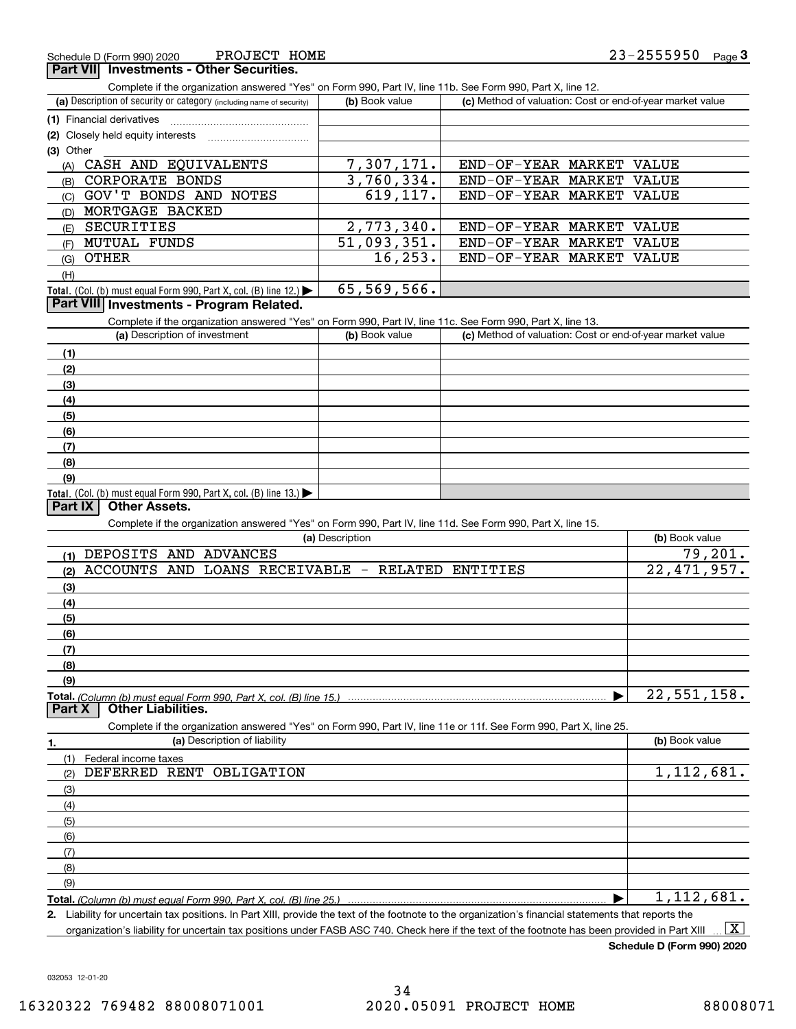PROJECT HOME

| chedule D (Form 990) 2020 | PROJECT HOME                             | 23-2555950 | نة Page |
|---------------------------|------------------------------------------|------------|---------|
|                           | Part VII Investments - Other Securities. |            |         |

Complete if the organization answered "Yes" on Form 990, Part IV, line 11b. See Form 990, Part X, line 12.

| (a) Description of security or category (including name of security)                   | (b) Book value | (c) Method of valuation: Cost or end-of-year market value |
|----------------------------------------------------------------------------------------|----------------|-----------------------------------------------------------|
| (1) Financial derivatives                                                              |                |                                                           |
| (2) Closely held equity interests                                                      |                |                                                           |
| (3) Other                                                                              |                |                                                           |
| CASH AND EQUIVALENTS<br>(A)                                                            | 7,307,171.     | END-OF-YEAR MARKET<br>VALUE                               |
| CORPORATE BONDS<br>(B)                                                                 | 3,760,334.     | END-OF-YEAR MARKET VALUE                                  |
| GOV'T BONDS AND NOTES<br>(C)                                                           | 619, 117.      | END-OF-YEAR MARKET VALUE                                  |
| MORTGAGE BACKED<br>(D)                                                                 |                |                                                           |
| SECURITIES<br>(E)                                                                      | 2,773,340.     | END-OF-YEAR MARKET VALUE                                  |
| MUTUAL FUNDS<br>(F)                                                                    | 51,093,351.    | END-OF-YEAR MARKET VALUE                                  |
| OTHER<br>(G)                                                                           | 16, 253.       | END-OF-YEAR MARKET VALUE                                  |
| (H)                                                                                    |                |                                                           |
| Total. (Col. (b) must equal Form 990, Part X, col. (B) line 12.) $\blacktriangleright$ | 65, 569, 566.  |                                                           |
| $\mathbf{R}$ . The state of $\mathbf{R}$                                               |                |                                                           |

#### **Part VIII Investments - Program Related.**

Complete if the organization answered "Yes" on Form 990, Part IV, line 11c. See Form 990, Part X, line 13.

| (a) Description of investment                                                          | (b) Book value | (c) Method of valuation: Cost or end-of-year market value |
|----------------------------------------------------------------------------------------|----------------|-----------------------------------------------------------|
| (1)                                                                                    |                |                                                           |
| (2)                                                                                    |                |                                                           |
| $\frac{1}{2}$                                                                          |                |                                                           |
| (4)                                                                                    |                |                                                           |
| $\frac{1}{2}$ (5)                                                                      |                |                                                           |
| (6)                                                                                    |                |                                                           |
| (7)                                                                                    |                |                                                           |
| (8)                                                                                    |                |                                                           |
| (9)                                                                                    |                |                                                           |
| Total. (Col. (b) must equal Form 990, Part X, col. (B) line 13.) $\blacktriangleright$ |                |                                                           |

#### **Part IX Other Assets.**

Complete if the organization answered "Yes" on Form 990, Part IV, line 11d. See Form 990, Part X, line 15.

| (a) Description                                                                                                   | (b) Book value |
|-------------------------------------------------------------------------------------------------------------------|----------------|
| DEPOSITS<br>AND<br>ADVANCES<br>(1)                                                                                | 79,201.        |
| <b>ACCOUNTS</b><br>AND<br>LOANS RECEIVABLE -<br><b>RELATED</b><br><b>ENTITIES</b><br>(2)                          | 22, 471, 957.  |
| (3)                                                                                                               |                |
| (4)                                                                                                               |                |
| (5)                                                                                                               |                |
| (6)                                                                                                               |                |
| (7)                                                                                                               |                |
| (8)                                                                                                               |                |
| (9)                                                                                                               |                |
| Total. (Column (b) must equal Form 990, Part X, col. (B) line 15.)                                                | 22,551,158.    |
| <b>Other Liabilities.</b><br>Part X                                                                               |                |
| Complete if the organization answered "Yes" on Form 990, Part IV, line 11e or 11f. See Form 990, Part X, line 25. |                |
| (a) Description of liability<br>1.                                                                                | (b) Book value |
| Federal income taxes<br>(1)                                                                                       |                |
|                                                                                                                   |                |
| OBLIGATION<br>DEFERRED<br>RENT<br>(2)                                                                             | 1,112,681.     |
| (3)                                                                                                               |                |
| (4)                                                                                                               |                |
| (5)                                                                                                               |                |
| (6)                                                                                                               |                |
| (7)                                                                                                               |                |
| (8)                                                                                                               |                |
| (9)                                                                                                               | 1, 112, 681.   |

**2.**Liability for uncertain tax positions. In Part XIII, provide the text of the footnote to the organization's financial statements that reports the organization's liability for uncertain tax positions under FASB ASC 740. Check here if the text of the footnote has been provided in Part XIII  $\boxed{\text{X}}$ 

**Schedule D (Form 990) 2020**

032053 12-01-20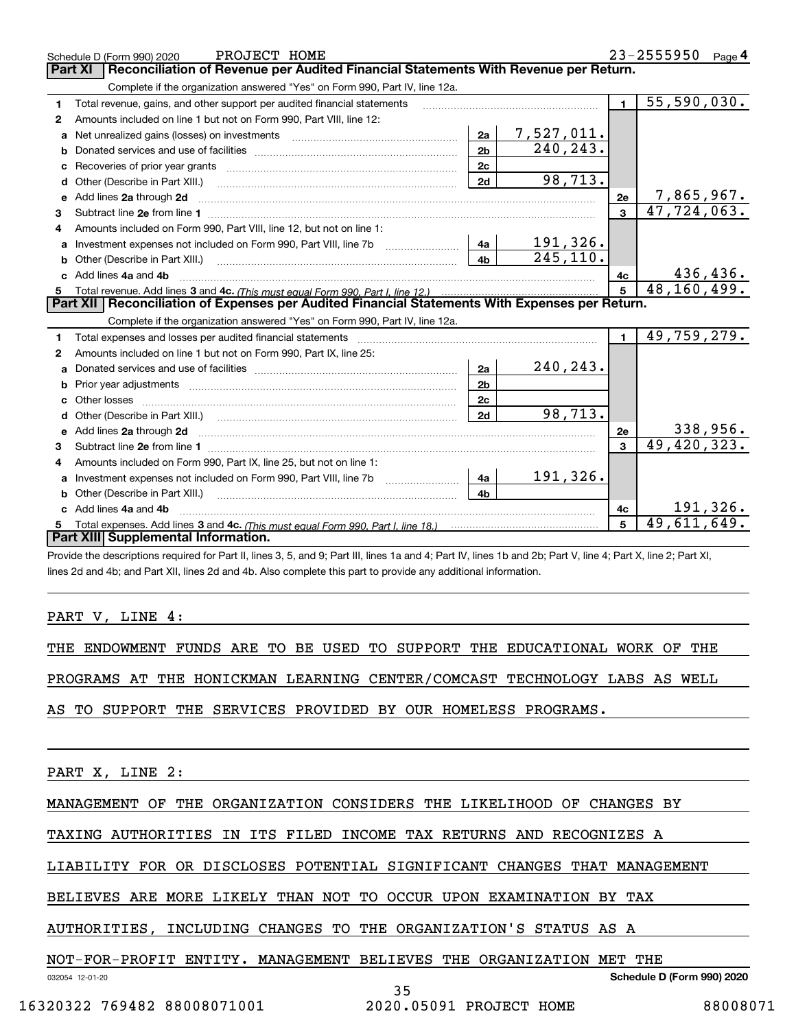|   | PROJECT HOME<br>Schedule D (Form 990) 2020                                                                                                                                                                                          |                |                   |                             | 23-2555950<br>Page 4        |  |  |  |
|---|-------------------------------------------------------------------------------------------------------------------------------------------------------------------------------------------------------------------------------------|----------------|-------------------|-----------------------------|-----------------------------|--|--|--|
|   | Reconciliation of Revenue per Audited Financial Statements With Revenue per Return.<br><b>Part XI</b>                                                                                                                               |                |                   |                             |                             |  |  |  |
|   | Complete if the organization answered "Yes" on Form 990, Part IV, line 12a.                                                                                                                                                         |                |                   |                             |                             |  |  |  |
| 1 | Total revenue, gains, and other support per audited financial statements                                                                                                                                                            |                | $\blacksquare$    | $\overline{55}$ , 590, 030. |                             |  |  |  |
| 2 | Amounts included on line 1 but not on Form 990, Part VIII, line 12:                                                                                                                                                                 |                |                   |                             |                             |  |  |  |
| a | Net unrealized gains (losses) on investments [11] matter contracts and the unrealized gains (losses) on investments                                                                                                                 | 2a             | <u>7,527,011.</u> |                             |                             |  |  |  |
| b |                                                                                                                                                                                                                                     | 2 <sub>b</sub> | 240, 243.         |                             |                             |  |  |  |
|   |                                                                                                                                                                                                                                     | 2c             |                   |                             |                             |  |  |  |
| d | Other (Describe in Part XIII.) <b>Construction Construction</b> Chern Construction Chern Chern Chern Chern Chern Chern                                                                                                              | 2d             | 98,713.           |                             |                             |  |  |  |
| e | Add lines 2a through 2d                                                                                                                                                                                                             |                |                   | 2е                          | 7,865,967.                  |  |  |  |
| 3 |                                                                                                                                                                                                                                     |                |                   | $\mathbf{3}$                | $\overline{47, 724, 063}$ . |  |  |  |
| 4 | Amounts included on Form 990, Part VIII, line 12, but not on line 1:                                                                                                                                                                |                |                   |                             |                             |  |  |  |
| a |                                                                                                                                                                                                                                     |                | 191,326.          |                             |                             |  |  |  |
|   | Other (Describe in Part XIII.) <b>2006</b> 2007 2010 2010 2010 2010 2011 2012 2013 2014 2014 2015 2016 2017 2018 2019 2016 2017 2018 2019 2016 2017 2018 2019 2016 2017 2018 2019 2018 2019 2019 2016 2017 2018 2019 2018 2019 2019 | 4 <sub>b</sub> | 245,110.          |                             |                             |  |  |  |
|   | c Add lines 4a and 4b                                                                                                                                                                                                               |                |                   | 4c                          | 436,436.                    |  |  |  |
|   |                                                                                                                                                                                                                                     |                |                   |                             |                             |  |  |  |
|   |                                                                                                                                                                                                                                     |                |                   | 5                           | 48, 160, 499.               |  |  |  |
|   | Part XII   Reconciliation of Expenses per Audited Financial Statements With Expenses per Return.                                                                                                                                    |                |                   |                             |                             |  |  |  |
|   | Complete if the organization answered "Yes" on Form 990, Part IV, line 12a.                                                                                                                                                         |                |                   |                             |                             |  |  |  |
| 1 |                                                                                                                                                                                                                                     |                |                   | $\blacksquare$              | 49,759,279.                 |  |  |  |
| 2 | Amounts included on line 1 but not on Form 990, Part IX, line 25:                                                                                                                                                                   |                |                   |                             |                             |  |  |  |
| a |                                                                                                                                                                                                                                     | 2a             | 240, 243.         |                             |                             |  |  |  |
| b |                                                                                                                                                                                                                                     | 2 <sub>b</sub> |                   |                             |                             |  |  |  |
|   |                                                                                                                                                                                                                                     | 2c             |                   |                             |                             |  |  |  |
| d | Other (Describe in Part XIII.) (2000) (2000) (2000) (2010) (2010) (2010) (2010) (2010) (2010) (2010) (2010) (2010) (2010) (2010) (2010) (2010) (2010) (2010) (2010) (2010) (2010) (2010) (2010) (2010) (2010) (2010) (2010) (2      | 2d             | 98,713.           |                             |                             |  |  |  |
| е | Add lines 2a through 2d <b>contained a contained a contained a contained a</b> contained a contact the state of the state of the state of the state of the state of the state of the state of the state of the state of the state o |                |                   | 2e                          | <u>338,956.</u>             |  |  |  |
| 3 |                                                                                                                                                                                                                                     |                |                   | 3                           | 49,420,323.                 |  |  |  |
| 4 | Amounts included on Form 990, Part IX, line 25, but not on line 1:                                                                                                                                                                  |                |                   |                             |                             |  |  |  |
| a |                                                                                                                                                                                                                                     | 4a             | 191,326.          |                             |                             |  |  |  |
| b | Other (Describe in Part XIII.)                                                                                                                                                                                                      | 4b             |                   |                             |                             |  |  |  |
| c | Add lines 4a and 4b                                                                                                                                                                                                                 |                |                   | 4c                          | 191,326.                    |  |  |  |
|   | Part XIII Supplemental Information.                                                                                                                                                                                                 |                |                   | 5                           | 49,611,649.                 |  |  |  |

Schedule D (Form 990) 2020 PROJECT HOME  $23 - 2555950$  Page 4

PROJECT HOME

Provide the descriptions required for Part II, lines 3, 5, and 9; Part III, lines 1a and 4; Part IV, lines 1b and 2b; Part V, line 4; Part X, line 2; Part XI, lines 2d and 4b; and Part XII, lines 2d and 4b. Also complete this part to provide any additional information.

#### PART V, LINE 4:

THE ENDOWMENT FUNDS ARE TO BE USED TO SUPPORT THE EDUCATIONAL WORK OF THE

PROGRAMS AT THE HONICKMAN LEARNING CENTER/COMCAST TECHNOLOGY LABS AS WELL

AS TO SUPPORT THE SERVICES PROVIDED BY OUR HOMELESS PROGRAMS.

PART X, LINE 2:

MANAGEMENT OF THE ORGANIZATION CONSIDERS THE LIKELIHOOD OF CHANGES BY

TAXING AUTHORITIES IN ITS FILED INCOME TAX RETURNS AND RECOGNIZES A

LIABILITY FOR OR DISCLOSES POTENTIAL SIGNIFICANT CHANGES THAT MANAGEMENT

35

BELIEVES ARE MORE LIKELY THAN NOT TO OCCUR UPON EXAMINATION BY TAX

AUTHORITIES, INCLUDING CHANGES TO THE ORGANIZATION'S STATUS AS A

NOT-FOR-PROFIT ENTITY. MANAGEMENT BELIEVES THE ORGANIZATION MET THE

032054 12-01-20

**Schedule D (Form 990) 2020**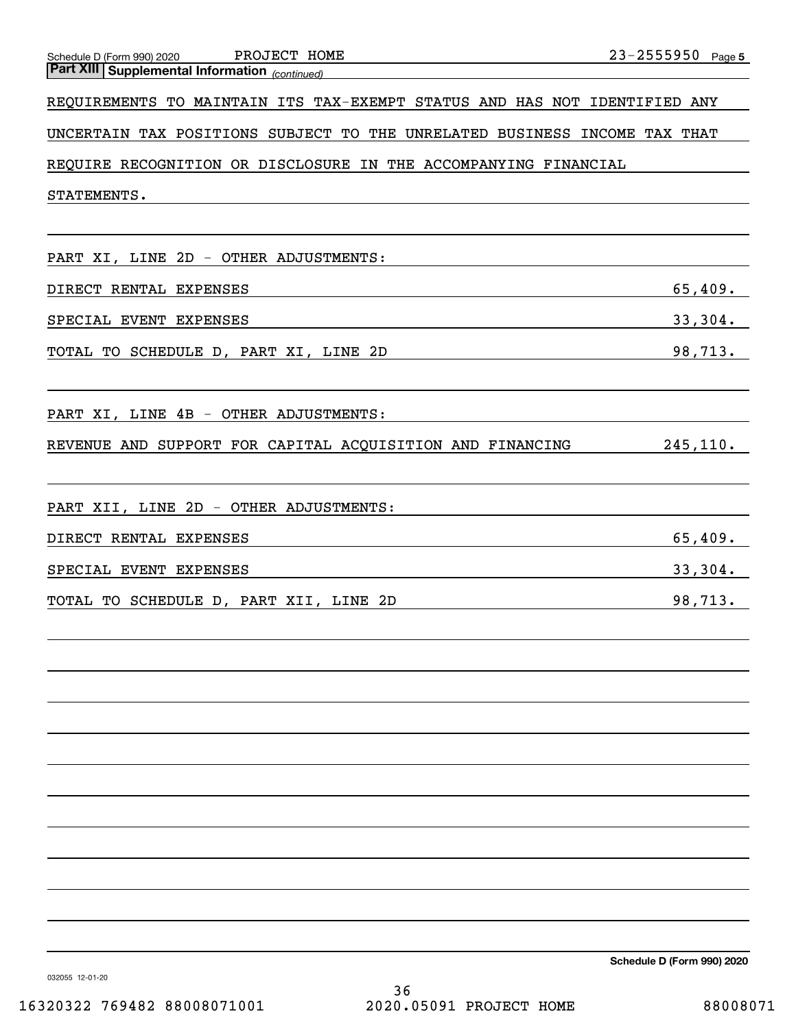| PROJECT HOME<br>Schedule D (Form 990) 2020                                | $23 - 2555950$ Page 5 |
|---------------------------------------------------------------------------|-----------------------|
| Part XIII Supplemental Information (continued)                            |                       |
| REQUIREMENTS TO MAINTAIN ITS TAX-EXEMPT STATUS AND HAS NOT                | IDENTIFIED ANY        |
| UNCERTAIN TAX POSITIONS SUBJECT TO THE UNRELATED BUSINESS INCOME TAX THAT |                       |
| REQUIRE RECOGNITION OR DISCLOSURE IN THE ACCOMPANYING FINANCIAL           |                       |
| STATEMENTS.                                                               |                       |
|                                                                           |                       |
| PART XI, LINE 2D - OTHER ADJUSTMENTS:                                     |                       |
| DIRECT RENTAL EXPENSES                                                    | 65,409.               |
| SPECIAL EVENT EXPENSES                                                    | 33,304.               |
| TOTAL TO SCHEDULE D, PART XI, LINE 2D                                     | 98,713.               |
|                                                                           |                       |
| PART XI, LINE 4B - OTHER ADJUSTMENTS:                                     |                       |
| REVENUE AND SUPPORT FOR CAPITAL ACQUISITION AND FINANCING                 | 245, 110.             |
|                                                                           |                       |
| PART XII, LINE 2D - OTHER ADJUSTMENTS:                                    |                       |
| DIRECT RENTAL EXPENSES                                                    | 65,409.               |
| SPECIAL EVENT EXPENSES                                                    | 33,304.               |
| TOTAL TO SCHEDULE D, PART XII, LINE 2D                                    | 98,713.               |
|                                                                           |                       |
|                                                                           |                       |
|                                                                           |                       |
|                                                                           |                       |
|                                                                           |                       |
|                                                                           |                       |
|                                                                           |                       |
|                                                                           |                       |
|                                                                           |                       |
|                                                                           |                       |

**Schedule D (Form 990) 2020**

032055 12-01-20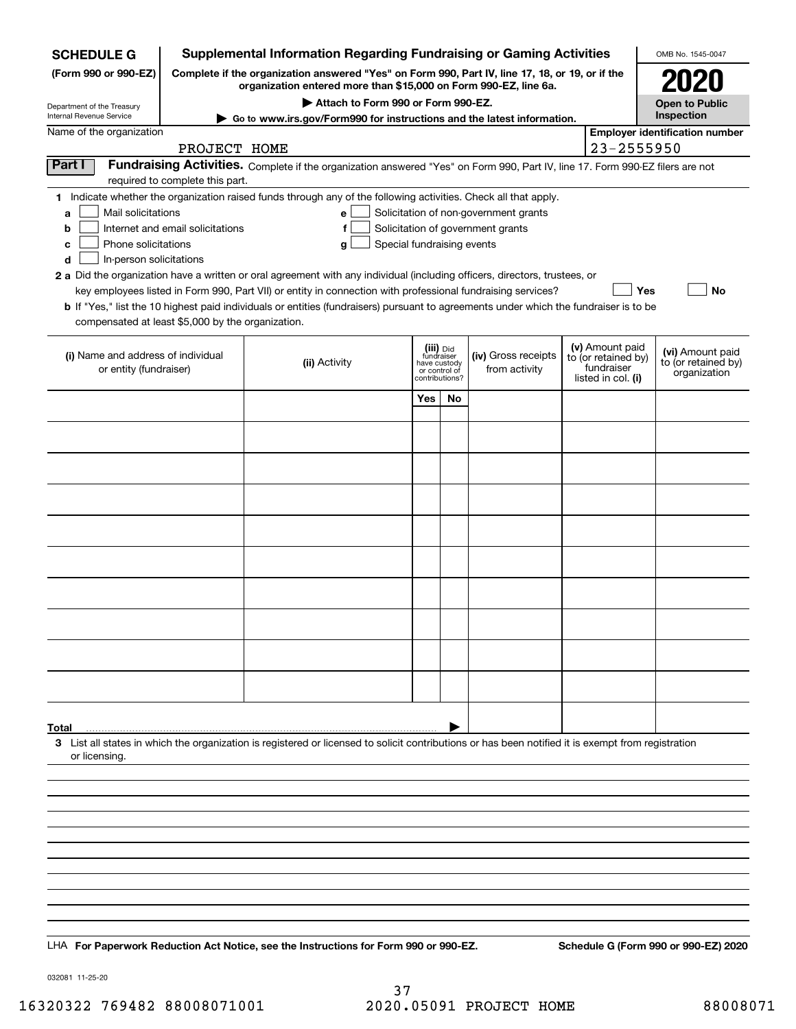| <b>SCHEDULE G</b>                                                                                                                                                   |                                                                                                                                                                     |  |                                    |                                                 |    | <b>Supplemental Information Regarding Fundraising or Gaming Activities</b>                                                    |  |                                                         | OMB No. 1545-0047                     |
|---------------------------------------------------------------------------------------------------------------------------------------------------------------------|---------------------------------------------------------------------------------------------------------------------------------------------------------------------|--|------------------------------------|-------------------------------------------------|----|-------------------------------------------------------------------------------------------------------------------------------|--|---------------------------------------------------------|---------------------------------------|
| (Form 990 or 990-EZ)                                                                                                                                                | Complete if the organization answered "Yes" on Form 990, Part IV, line 17, 18, or 19, or if the<br>organization entered more than \$15,000 on Form 990-EZ, line 6a. |  |                                    |                                                 |    |                                                                                                                               |  |                                                         |                                       |
| Department of the Treasury                                                                                                                                          |                                                                                                                                                                     |  | Attach to Form 990 or Form 990-EZ. |                                                 |    |                                                                                                                               |  |                                                         | <b>Open to Public</b>                 |
| Internal Revenue Service                                                                                                                                            |                                                                                                                                                                     |  |                                    |                                                 |    | ► Go to www.irs.gov/Form990 for instructions and the latest information.                                                      |  |                                                         | Inspection                            |
| Name of the organization                                                                                                                                            | PROJECT HOME                                                                                                                                                        |  |                                    |                                                 |    |                                                                                                                               |  | 23-2555950                                              | <b>Employer identification number</b> |
| Part I                                                                                                                                                              |                                                                                                                                                                     |  |                                    |                                                 |    | Fundraising Activities. Complete if the organization answered "Yes" on Form 990, Part IV, line 17. Form 990-EZ filers are not |  |                                                         |                                       |
| 1 Indicate whether the organization raised funds through any of the following activities. Check all that apply.                                                     | required to complete this part.                                                                                                                                     |  |                                    |                                                 |    |                                                                                                                               |  |                                                         |                                       |
| Mail solicitations<br>a                                                                                                                                             |                                                                                                                                                                     |  | e                                  |                                                 |    | Solicitation of non-government grants                                                                                         |  |                                                         |                                       |
| b                                                                                                                                                                   | Internet and email solicitations                                                                                                                                    |  | f                                  |                                                 |    | Solicitation of government grants                                                                                             |  |                                                         |                                       |
| Phone solicitations<br>с<br>In-person solicitations<br>d                                                                                                            |                                                                                                                                                                     |  | Special fundraising events<br>g    |                                                 |    |                                                                                                                               |  |                                                         |                                       |
| 2 a Did the organization have a written or oral agreement with any individual (including officers, directors, trustees, or                                          |                                                                                                                                                                     |  |                                    |                                                 |    |                                                                                                                               |  |                                                         |                                       |
| b If "Yes," list the 10 highest paid individuals or entities (fundraisers) pursuant to agreements under which the fundraiser is to be                               |                                                                                                                                                                     |  |                                    |                                                 |    | key employees listed in Form 990, Part VII) or entity in connection with professional fundraising services?                   |  | Yes                                                     | <b>No</b>                             |
| compensated at least \$5,000 by the organization.                                                                                                                   |                                                                                                                                                                     |  |                                    |                                                 |    |                                                                                                                               |  |                                                         |                                       |
|                                                                                                                                                                     |                                                                                                                                                                     |  |                                    | (iii) Did<br>fundraiser                         |    |                                                                                                                               |  | (v) Amount paid                                         | (vi) Amount paid                      |
| (i) Name and address of individual<br>or entity (fundraiser)                                                                                                        |                                                                                                                                                                     |  | (ii) Activity                      | have custody<br>or control of<br>contributions? |    | (iv) Gross receipts<br>from activity                                                                                          |  | to (or retained by)<br>fundraiser<br>listed in col. (i) | to (or retained by)<br>organization   |
|                                                                                                                                                                     |                                                                                                                                                                     |  |                                    | Yes                                             | No |                                                                                                                               |  |                                                         |                                       |
|                                                                                                                                                                     |                                                                                                                                                                     |  |                                    |                                                 |    |                                                                                                                               |  |                                                         |                                       |
|                                                                                                                                                                     |                                                                                                                                                                     |  |                                    |                                                 |    |                                                                                                                               |  |                                                         |                                       |
|                                                                                                                                                                     |                                                                                                                                                                     |  |                                    |                                                 |    |                                                                                                                               |  |                                                         |                                       |
|                                                                                                                                                                     |                                                                                                                                                                     |  |                                    |                                                 |    |                                                                                                                               |  |                                                         |                                       |
|                                                                                                                                                                     |                                                                                                                                                                     |  |                                    |                                                 |    |                                                                                                                               |  |                                                         |                                       |
|                                                                                                                                                                     |                                                                                                                                                                     |  |                                    |                                                 |    |                                                                                                                               |  |                                                         |                                       |
|                                                                                                                                                                     |                                                                                                                                                                     |  |                                    |                                                 |    |                                                                                                                               |  |                                                         |                                       |
|                                                                                                                                                                     |                                                                                                                                                                     |  |                                    |                                                 |    |                                                                                                                               |  |                                                         |                                       |
|                                                                                                                                                                     |                                                                                                                                                                     |  |                                    |                                                 |    |                                                                                                                               |  |                                                         |                                       |
|                                                                                                                                                                     |                                                                                                                                                                     |  |                                    |                                                 |    |                                                                                                                               |  |                                                         |                                       |
|                                                                                                                                                                     |                                                                                                                                                                     |  |                                    |                                                 |    |                                                                                                                               |  |                                                         |                                       |
|                                                                                                                                                                     |                                                                                                                                                                     |  |                                    |                                                 |    |                                                                                                                               |  |                                                         |                                       |
| Total                                                                                                                                                               |                                                                                                                                                                     |  |                                    |                                                 |    |                                                                                                                               |  |                                                         |                                       |
| 3 List all states in which the organization is registered or licensed to solicit contributions or has been notified it is exempt from registration<br>or licensing. |                                                                                                                                                                     |  |                                    |                                                 |    |                                                                                                                               |  |                                                         |                                       |
|                                                                                                                                                                     |                                                                                                                                                                     |  |                                    |                                                 |    |                                                                                                                               |  |                                                         |                                       |
|                                                                                                                                                                     |                                                                                                                                                                     |  |                                    |                                                 |    |                                                                                                                               |  |                                                         |                                       |
|                                                                                                                                                                     |                                                                                                                                                                     |  |                                    |                                                 |    |                                                                                                                               |  |                                                         |                                       |
|                                                                                                                                                                     |                                                                                                                                                                     |  |                                    |                                                 |    |                                                                                                                               |  |                                                         |                                       |
|                                                                                                                                                                     |                                                                                                                                                                     |  |                                    |                                                 |    |                                                                                                                               |  |                                                         |                                       |
|                                                                                                                                                                     |                                                                                                                                                                     |  |                                    |                                                 |    |                                                                                                                               |  |                                                         |                                       |
|                                                                                                                                                                     |                                                                                                                                                                     |  |                                    |                                                 |    |                                                                                                                               |  |                                                         |                                       |
| LHA For Paperwork Reduction Act Notice, see the Instructions for Form 990 or 990-EZ.                                                                                |                                                                                                                                                                     |  |                                    |                                                 |    |                                                                                                                               |  |                                                         | Schedule G (Form 990 or 990-EZ) 2020  |
|                                                                                                                                                                     |                                                                                                                                                                     |  |                                    |                                                 |    |                                                                                                                               |  |                                                         |                                       |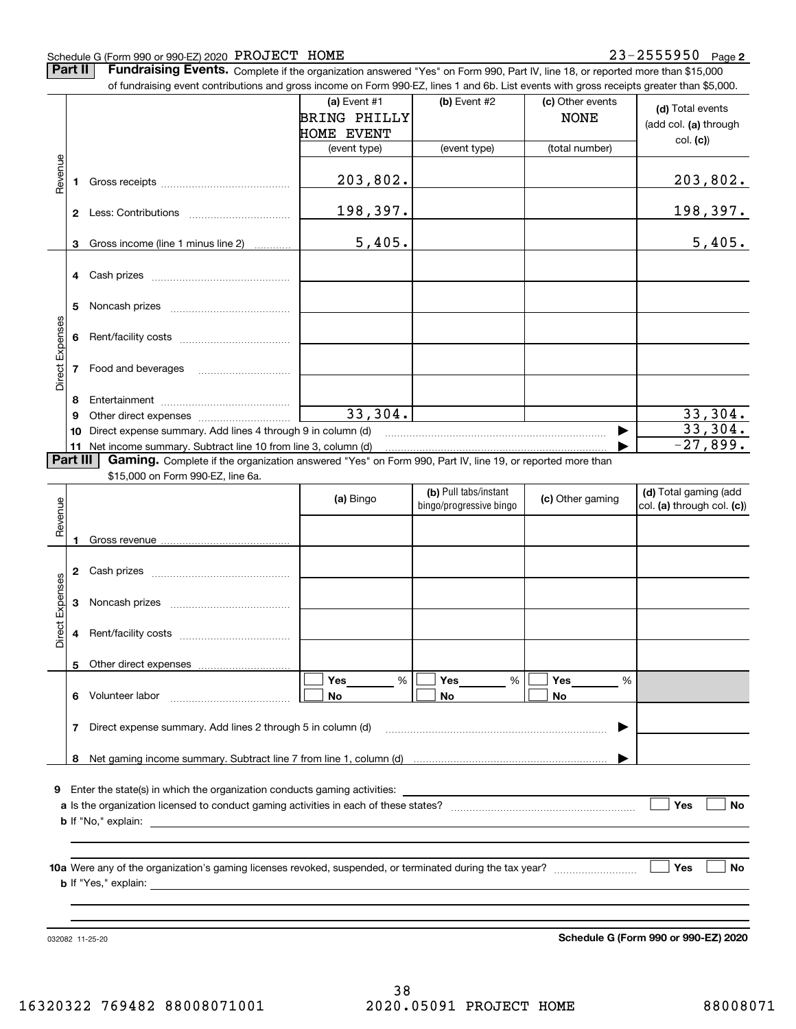#### Schedule G (Form 990 or 990-EZ) 2020 Page PROJECT HOME 23-2555950

**Part II** | Fundraising Events. Complete if the organization answered "Yes" on Form 990, Part IV, line 18, or reported more than \$15,000

|                 |          | of fundraising event contributions and gross income on Form 990-EZ, lines 1 and 6b. List events with gross receipts greater than \$5,000. |                                     |                                                  |                                 |                                                     |
|-----------------|----------|-------------------------------------------------------------------------------------------------------------------------------------------|-------------------------------------|--------------------------------------------------|---------------------------------|-----------------------------------------------------|
|                 |          |                                                                                                                                           | (a) Event #1<br><b>BRING PHILLY</b> | (b) Event #2                                     | (c) Other events<br><b>NONE</b> | (d) Total events                                    |
|                 |          |                                                                                                                                           | <b>HOME EVENT</b>                   |                                                  |                                 | (add col. (a) through                               |
|                 |          |                                                                                                                                           | (event type)                        | (event type)                                     | (total number)                  | col. (c)                                            |
|                 |          |                                                                                                                                           |                                     |                                                  |                                 |                                                     |
| Revenue         | 1.       |                                                                                                                                           | 203,802.                            |                                                  |                                 | 203,802.                                            |
|                 |          |                                                                                                                                           | 198,397.                            |                                                  |                                 | <u>198,397.</u>                                     |
|                 | 3        | Gross income (line 1 minus line 2)                                                                                                        | 5,405.                              |                                                  |                                 | 5,405.                                              |
|                 |          |                                                                                                                                           |                                     |                                                  |                                 |                                                     |
|                 | 5        |                                                                                                                                           |                                     |                                                  |                                 |                                                     |
|                 |          |                                                                                                                                           |                                     |                                                  |                                 |                                                     |
| Direct Expenses |          | 7 Food and beverages                                                                                                                      |                                     |                                                  |                                 |                                                     |
|                 | 8        |                                                                                                                                           |                                     |                                                  |                                 |                                                     |
|                 | 9        |                                                                                                                                           | 33,304.                             |                                                  |                                 | 33,304.                                             |
|                 | 10       | Direct expense summary. Add lines 4 through 9 in column (d)                                                                               |                                     |                                                  |                                 | 33,304.                                             |
|                 |          | 11 Net income summary. Subtract line 10 from line 3, column (d)                                                                           |                                     |                                                  |                                 | $-27,899.$                                          |
|                 | Part III | Gaming. Complete if the organization answered "Yes" on Form 990, Part IV, line 19, or reported more than                                  |                                     |                                                  |                                 |                                                     |
|                 |          | \$15,000 on Form 990-EZ, line 6a.                                                                                                         |                                     |                                                  |                                 |                                                     |
| Revenue         |          |                                                                                                                                           | (a) Bingo                           | (b) Pull tabs/instant<br>bingo/progressive bingo | (c) Other gaming                | (d) Total gaming (add<br>col. (a) through col. (c)) |
|                 |          |                                                                                                                                           |                                     |                                                  |                                 |                                                     |
|                 |          |                                                                                                                                           |                                     |                                                  |                                 |                                                     |
| Expenses        | 3        |                                                                                                                                           |                                     |                                                  |                                 |                                                     |
| <b>Direct</b>   |          |                                                                                                                                           |                                     |                                                  |                                 |                                                     |
|                 |          |                                                                                                                                           |                                     |                                                  |                                 |                                                     |
|                 |          | 5 Other direct expenses                                                                                                                   | %<br>Yes                            | %<br>Yes                                         | Yes<br>%                        |                                                     |
|                 |          | 6 Volunteer labor                                                                                                                         | No                                  | No                                               | No                              |                                                     |
|                 | 7        | Direct expense summary. Add lines 2 through 5 in column (d)                                                                               |                                     |                                                  |                                 |                                                     |
|                 |          |                                                                                                                                           |                                     |                                                  |                                 |                                                     |
|                 |          |                                                                                                                                           |                                     |                                                  |                                 |                                                     |
|                 |          | <b>9</b> Enter the state(s) in which the organization conducts gaming activities:                                                         |                                     |                                                  |                                 |                                                     |
|                 |          |                                                                                                                                           |                                     |                                                  |                                 | Yes<br>No                                           |
|                 |          |                                                                                                                                           |                                     |                                                  |                                 |                                                     |
|                 |          |                                                                                                                                           |                                     |                                                  |                                 |                                                     |
|                 |          |                                                                                                                                           |                                     |                                                  |                                 |                                                     |
|                 |          |                                                                                                                                           |                                     |                                                  |                                 | Yes<br>No                                           |
|                 |          |                                                                                                                                           |                                     |                                                  |                                 |                                                     |
|                 |          |                                                                                                                                           |                                     |                                                  |                                 |                                                     |
|                 |          |                                                                                                                                           |                                     |                                                  |                                 |                                                     |

**Schedule G (Form 990 or 990-EZ) 2020**

032082 11-25-20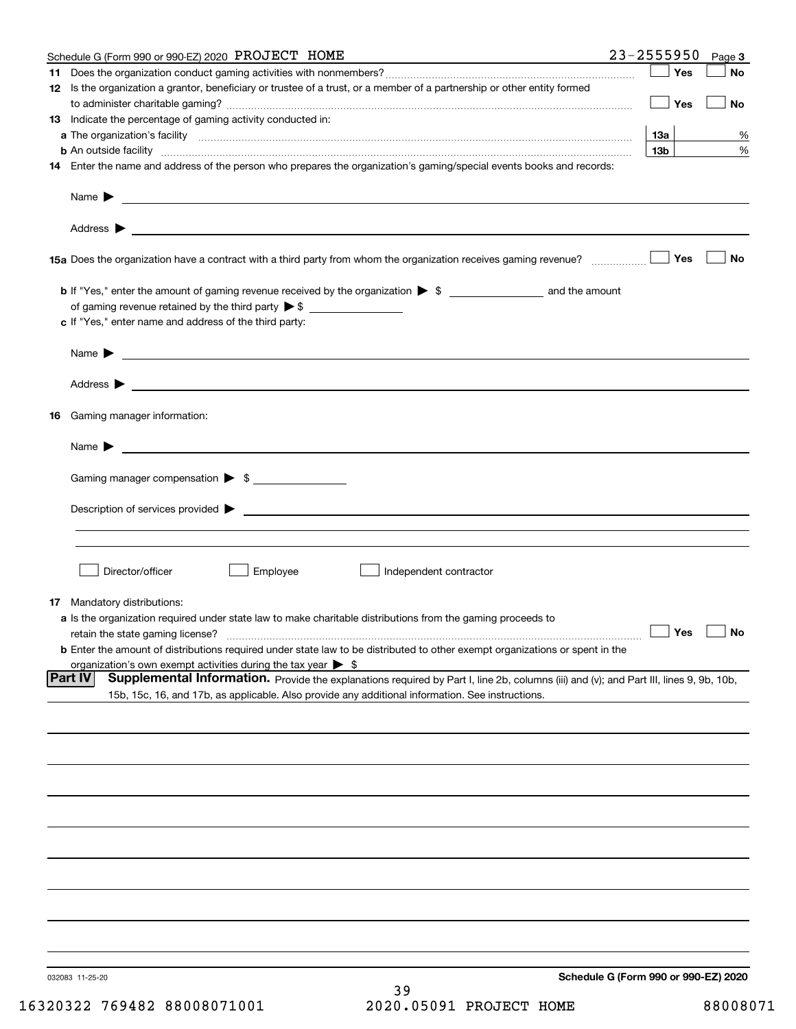|                                                                                                                                                                                                                                                                                                                                                                                                                                                                                                                                                                                                                                                                                                                                                                                                                                                                                            |                                                                                                                                                                                                                                                                                                                                                                                                                                                                                                                                                                                                                                                                                                                |  | $23 - 2555950$ | Page 3    |
|--------------------------------------------------------------------------------------------------------------------------------------------------------------------------------------------------------------------------------------------------------------------------------------------------------------------------------------------------------------------------------------------------------------------------------------------------------------------------------------------------------------------------------------------------------------------------------------------------------------------------------------------------------------------------------------------------------------------------------------------------------------------------------------------------------------------------------------------------------------------------------------------|----------------------------------------------------------------------------------------------------------------------------------------------------------------------------------------------------------------------------------------------------------------------------------------------------------------------------------------------------------------------------------------------------------------------------------------------------------------------------------------------------------------------------------------------------------------------------------------------------------------------------------------------------------------------------------------------------------------|--|----------------|-----------|
| Schedule G (Form 990 or 990-EZ) 2020 PROJECT HOME<br>12 Is the organization a grantor, beneficiary or trustee of a trust, or a member of a partnership or other entity formed<br><b>13</b> Indicate the percentage of gaming activity conducted in:<br>of gaming revenue retained by the third party $\triangleright$ \$<br>c If "Yes," enter name and address of the third party:<br><u> 1989 - Johann Barbara, marka a shekara tsa na shekara tsa na shekara tsa na shekara tsa na shekara tsa na sh</u><br>Name $\blacktriangleright$<br>Gaming manager information:<br>16<br>$Name \rightarrow$<br>Gaming manager compensation > \$<br>Director/officer<br>Employee<br>Independent contractor<br><b>17</b> Mandatory distributions:<br>a Is the organization required under state law to make charitable distributions from the gaming proceeds to<br>retain the state gaming license? |                                                                                                                                                                                                                                                                                                                                                                                                                                                                                                                                                                                                                                                                                                                |  | Yes            | No        |
|                                                                                                                                                                                                                                                                                                                                                                                                                                                                                                                                                                                                                                                                                                                                                                                                                                                                                            |                                                                                                                                                                                                                                                                                                                                                                                                                                                                                                                                                                                                                                                                                                                |  | Yes            | No        |
|                                                                                                                                                                                                                                                                                                                                                                                                                                                                                                                                                                                                                                                                                                                                                                                                                                                                                            |                                                                                                                                                                                                                                                                                                                                                                                                                                                                                                                                                                                                                                                                                                                |  |                |           |
|                                                                                                                                                                                                                                                                                                                                                                                                                                                                                                                                                                                                                                                                                                                                                                                                                                                                                            | <b>b</b> An outside facility <b>contained an according to the contract of the contract of the contract of the contract of the contract of the contract of the contract of the contract of the contract of the contract of the contrac</b><br><b>b</b> Enter the amount of distributions required under state law to be distributed to other exempt organizations or spent in the<br>organization's own exempt activities during the tax year $\triangleright$ \$<br>Supplemental Information. Provide the explanations required by Part I, line 2b, columns (iii) and (v); and Part III, lines 9, 9b, 10b,<br>15b, 15c, 16, and 17b, as applicable. Also provide any additional information. See instructions. |  | 13а            | %         |
| 14 Enter the name and address of the person who prepares the organization's gaming/special events books and records:<br><b>Part IV</b>                                                                                                                                                                                                                                                                                                                                                                                                                                                                                                                                                                                                                                                                                                                                                     |                                                                                                                                                                                                                                                                                                                                                                                                                                                                                                                                                                                                                                                                                                                |  |                | %         |
|                                                                                                                                                                                                                                                                                                                                                                                                                                                                                                                                                                                                                                                                                                                                                                                                                                                                                            |                                                                                                                                                                                                                                                                                                                                                                                                                                                                                                                                                                                                                                                                                                                |  |                |           |
|                                                                                                                                                                                                                                                                                                                                                                                                                                                                                                                                                                                                                                                                                                                                                                                                                                                                                            |                                                                                                                                                                                                                                                                                                                                                                                                                                                                                                                                                                                                                                                                                                                |  |                |           |
|                                                                                                                                                                                                                                                                                                                                                                                                                                                                                                                                                                                                                                                                                                                                                                                                                                                                                            |                                                                                                                                                                                                                                                                                                                                                                                                                                                                                                                                                                                                                                                                                                                |  |                |           |
|                                                                                                                                                                                                                                                                                                                                                                                                                                                                                                                                                                                                                                                                                                                                                                                                                                                                                            |                                                                                                                                                                                                                                                                                                                                                                                                                                                                                                                                                                                                                                                                                                                |  | Yes            | No        |
|                                                                                                                                                                                                                                                                                                                                                                                                                                                                                                                                                                                                                                                                                                                                                                                                                                                                                            |                                                                                                                                                                                                                                                                                                                                                                                                                                                                                                                                                                                                                                                                                                                |  |                |           |
|                                                                                                                                                                                                                                                                                                                                                                                                                                                                                                                                                                                                                                                                                                                                                                                                                                                                                            |                                                                                                                                                                                                                                                                                                                                                                                                                                                                                                                                                                                                                                                                                                                |  |                |           |
|                                                                                                                                                                                                                                                                                                                                                                                                                                                                                                                                                                                                                                                                                                                                                                                                                                                                                            |                                                                                                                                                                                                                                                                                                                                                                                                                                                                                                                                                                                                                                                                                                                |  |                |           |
|                                                                                                                                                                                                                                                                                                                                                                                                                                                                                                                                                                                                                                                                                                                                                                                                                                                                                            |                                                                                                                                                                                                                                                                                                                                                                                                                                                                                                                                                                                                                                                                                                                |  |                |           |
|                                                                                                                                                                                                                                                                                                                                                                                                                                                                                                                                                                                                                                                                                                                                                                                                                                                                                            |                                                                                                                                                                                                                                                                                                                                                                                                                                                                                                                                                                                                                                                                                                                |  |                |           |
|                                                                                                                                                                                                                                                                                                                                                                                                                                                                                                                                                                                                                                                                                                                                                                                                                                                                                            |                                                                                                                                                                                                                                                                                                                                                                                                                                                                                                                                                                                                                                                                                                                |  |                |           |
|                                                                                                                                                                                                                                                                                                                                                                                                                                                                                                                                                                                                                                                                                                                                                                                                                                                                                            |                                                                                                                                                                                                                                                                                                                                                                                                                                                                                                                                                                                                                                                                                                                |  |                |           |
|                                                                                                                                                                                                                                                                                                                                                                                                                                                                                                                                                                                                                                                                                                                                                                                                                                                                                            |                                                                                                                                                                                                                                                                                                                                                                                                                                                                                                                                                                                                                                                                                                                |  |                |           |
|                                                                                                                                                                                                                                                                                                                                                                                                                                                                                                                                                                                                                                                                                                                                                                                                                                                                                            |                                                                                                                                                                                                                                                                                                                                                                                                                                                                                                                                                                                                                                                                                                                |  |                |           |
|                                                                                                                                                                                                                                                                                                                                                                                                                                                                                                                                                                                                                                                                                                                                                                                                                                                                                            |                                                                                                                                                                                                                                                                                                                                                                                                                                                                                                                                                                                                                                                                                                                |  |                |           |
|                                                                                                                                                                                                                                                                                                                                                                                                                                                                                                                                                                                                                                                                                                                                                                                                                                                                                            |                                                                                                                                                                                                                                                                                                                                                                                                                                                                                                                                                                                                                                                                                                                |  |                |           |
|                                                                                                                                                                                                                                                                                                                                                                                                                                                                                                                                                                                                                                                                                                                                                                                                                                                                                            |                                                                                                                                                                                                                                                                                                                                                                                                                                                                                                                                                                                                                                                                                                                |  |                |           |
|                                                                                                                                                                                                                                                                                                                                                                                                                                                                                                                                                                                                                                                                                                                                                                                                                                                                                            |                                                                                                                                                                                                                                                                                                                                                                                                                                                                                                                                                                                                                                                                                                                |  |                |           |
|                                                                                                                                                                                                                                                                                                                                                                                                                                                                                                                                                                                                                                                                                                                                                                                                                                                                                            |                                                                                                                                                                                                                                                                                                                                                                                                                                                                                                                                                                                                                                                                                                                |  |                |           |
|                                                                                                                                                                                                                                                                                                                                                                                                                                                                                                                                                                                                                                                                                                                                                                                                                                                                                            |                                                                                                                                                                                                                                                                                                                                                                                                                                                                                                                                                                                                                                                                                                                |  | $\Box$ Yes     | $\Box$ No |
|                                                                                                                                                                                                                                                                                                                                                                                                                                                                                                                                                                                                                                                                                                                                                                                                                                                                                            |                                                                                                                                                                                                                                                                                                                                                                                                                                                                                                                                                                                                                                                                                                                |  |                |           |
|                                                                                                                                                                                                                                                                                                                                                                                                                                                                                                                                                                                                                                                                                                                                                                                                                                                                                            |                                                                                                                                                                                                                                                                                                                                                                                                                                                                                                                                                                                                                                                                                                                |  |                |           |
|                                                                                                                                                                                                                                                                                                                                                                                                                                                                                                                                                                                                                                                                                                                                                                                                                                                                                            |                                                                                                                                                                                                                                                                                                                                                                                                                                                                                                                                                                                                                                                                                                                |  |                |           |
|                                                                                                                                                                                                                                                                                                                                                                                                                                                                                                                                                                                                                                                                                                                                                                                                                                                                                            |                                                                                                                                                                                                                                                                                                                                                                                                                                                                                                                                                                                                                                                                                                                |  |                |           |
|                                                                                                                                                                                                                                                                                                                                                                                                                                                                                                                                                                                                                                                                                                                                                                                                                                                                                            |                                                                                                                                                                                                                                                                                                                                                                                                                                                                                                                                                                                                                                                                                                                |  |                |           |
|                                                                                                                                                                                                                                                                                                                                                                                                                                                                                                                                                                                                                                                                                                                                                                                                                                                                                            |                                                                                                                                                                                                                                                                                                                                                                                                                                                                                                                                                                                                                                                                                                                |  |                |           |
|                                                                                                                                                                                                                                                                                                                                                                                                                                                                                                                                                                                                                                                                                                                                                                                                                                                                                            |                                                                                                                                                                                                                                                                                                                                                                                                                                                                                                                                                                                                                                                                                                                |  |                |           |
|                                                                                                                                                                                                                                                                                                                                                                                                                                                                                                                                                                                                                                                                                                                                                                                                                                                                                            |                                                                                                                                                                                                                                                                                                                                                                                                                                                                                                                                                                                                                                                                                                                |  |                |           |
|                                                                                                                                                                                                                                                                                                                                                                                                                                                                                                                                                                                                                                                                                                                                                                                                                                                                                            |                                                                                                                                                                                                                                                                                                                                                                                                                                                                                                                                                                                                                                                                                                                |  |                |           |
|                                                                                                                                                                                                                                                                                                                                                                                                                                                                                                                                                                                                                                                                                                                                                                                                                                                                                            |                                                                                                                                                                                                                                                                                                                                                                                                                                                                                                                                                                                                                                                                                                                |  |                |           |
|                                                                                                                                                                                                                                                                                                                                                                                                                                                                                                                                                                                                                                                                                                                                                                                                                                                                                            |                                                                                                                                                                                                                                                                                                                                                                                                                                                                                                                                                                                                                                                                                                                |  |                |           |
|                                                                                                                                                                                                                                                                                                                                                                                                                                                                                                                                                                                                                                                                                                                                                                                                                                                                                            |                                                                                                                                                                                                                                                                                                                                                                                                                                                                                                                                                                                                                                                                                                                |  |                |           |
|                                                                                                                                                                                                                                                                                                                                                                                                                                                                                                                                                                                                                                                                                                                                                                                                                                                                                            |                                                                                                                                                                                                                                                                                                                                                                                                                                                                                                                                                                                                                                                                                                                |  |                |           |
|                                                                                                                                                                                                                                                                                                                                                                                                                                                                                                                                                                                                                                                                                                                                                                                                                                                                                            | Schedule G (Form 990 or 990-EZ) 2020<br>032083 11-25-20<br>39                                                                                                                                                                                                                                                                                                                                                                                                                                                                                                                                                                                                                                                  |  |                |           |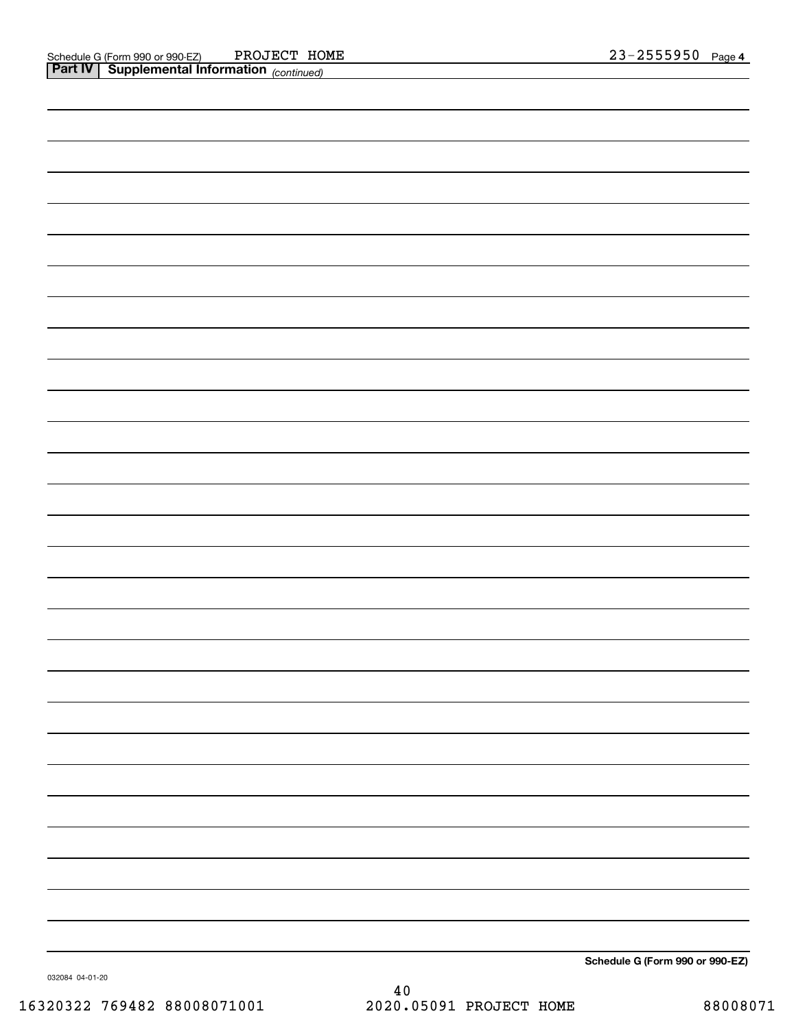| Schedule G (Form 990 or 990-EZ) |
|---------------------------------|

032084 04-01-20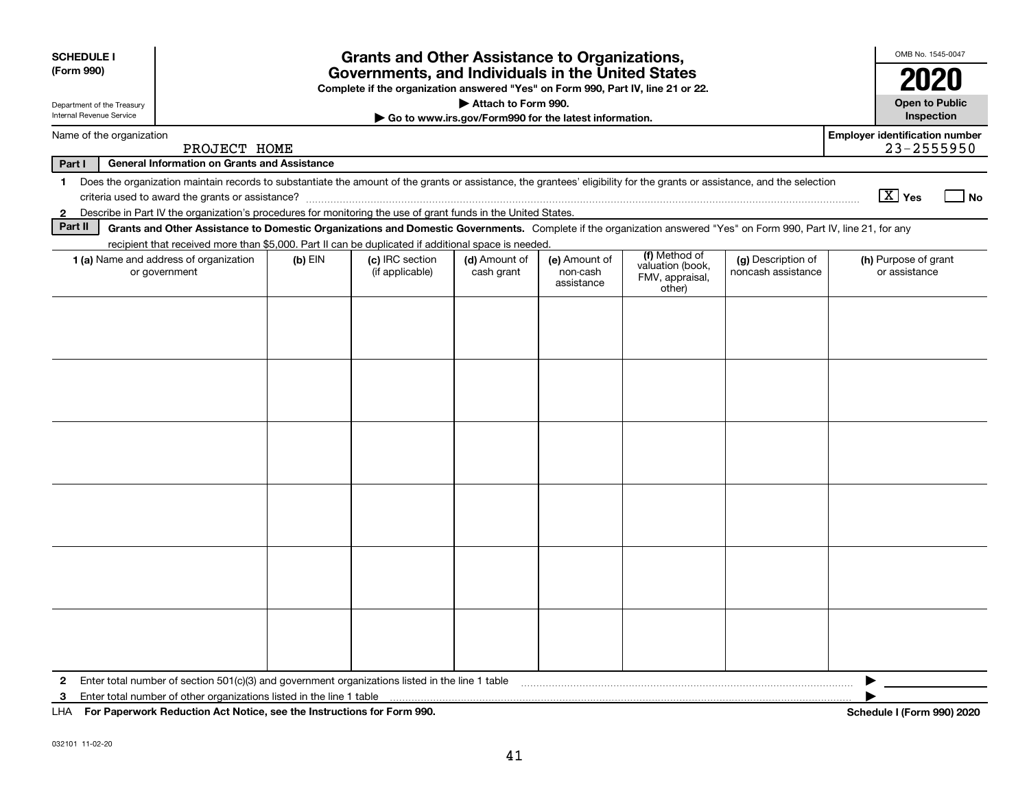| <b>SCHEDULE I</b>                                                                                                                                                                                           |                                                                                                                                                                          |           |                                    |                                                       |                                         |                                                                |                                          | OMB No. 1545-0047                                   |
|-------------------------------------------------------------------------------------------------------------------------------------------------------------------------------------------------------------|--------------------------------------------------------------------------------------------------------------------------------------------------------------------------|-----------|------------------------------------|-------------------------------------------------------|-----------------------------------------|----------------------------------------------------------------|------------------------------------------|-----------------------------------------------------|
| <b>Grants and Other Assistance to Organizations,</b><br>(Form 990)<br>Governments, and Individuals in the United States<br>Complete if the organization answered "Yes" on Form 990, Part IV, line 21 or 22. |                                                                                                                                                                          |           |                                    |                                                       |                                         |                                                                |                                          |                                                     |
| Department of the Treasury                                                                                                                                                                                  |                                                                                                                                                                          |           |                                    | Attach to Form 990.                                   |                                         |                                                                |                                          | 2020<br><b>Open to Public</b>                       |
| Internal Revenue Service                                                                                                                                                                                    |                                                                                                                                                                          |           |                                    | Go to www.irs.gov/Form990 for the latest information. |                                         |                                                                |                                          | Inspection                                          |
| Name of the organization                                                                                                                                                                                    | PROJECT HOME                                                                                                                                                             |           |                                    |                                                       |                                         |                                                                |                                          | <b>Employer identification number</b><br>23-2555950 |
| Part I                                                                                                                                                                                                      | <b>General Information on Grants and Assistance</b>                                                                                                                      |           |                                    |                                                       |                                         |                                                                |                                          |                                                     |
| 1.                                                                                                                                                                                                          | Does the organization maintain records to substantiate the amount of the grants or assistance, the grantees' eligibility for the grants or assistance, and the selection |           |                                    |                                                       |                                         |                                                                |                                          | $\boxed{\text{X}}$ Yes<br>$ $ No                    |
| $\mathbf{2}$                                                                                                                                                                                                | Describe in Part IV the organization's procedures for monitoring the use of grant funds in the United States.                                                            |           |                                    |                                                       |                                         |                                                                |                                          |                                                     |
| Part II                                                                                                                                                                                                     | Grants and Other Assistance to Domestic Organizations and Domestic Governments. Complete if the organization answered "Yes" on Form 990, Part IV, line 21, for any       |           |                                    |                                                       |                                         |                                                                |                                          |                                                     |
|                                                                                                                                                                                                             | recipient that received more than \$5,000. Part II can be duplicated if additional space is needed.                                                                      |           |                                    |                                                       |                                         |                                                                |                                          |                                                     |
|                                                                                                                                                                                                             | 1 (a) Name and address of organization<br>or government                                                                                                                  | $(b)$ EIN | (c) IRC section<br>(if applicable) | (d) Amount of<br>cash grant                           | (e) Amount of<br>non-cash<br>assistance | (f) Method of<br>valuation (book,<br>FMV, appraisal,<br>other) | (g) Description of<br>noncash assistance | (h) Purpose of grant<br>or assistance               |
|                                                                                                                                                                                                             |                                                                                                                                                                          |           |                                    |                                                       |                                         |                                                                |                                          |                                                     |
|                                                                                                                                                                                                             |                                                                                                                                                                          |           |                                    |                                                       |                                         |                                                                |                                          |                                                     |
|                                                                                                                                                                                                             |                                                                                                                                                                          |           |                                    |                                                       |                                         |                                                                |                                          |                                                     |
|                                                                                                                                                                                                             |                                                                                                                                                                          |           |                                    |                                                       |                                         |                                                                |                                          |                                                     |
|                                                                                                                                                                                                             |                                                                                                                                                                          |           |                                    |                                                       |                                         |                                                                |                                          |                                                     |
|                                                                                                                                                                                                             |                                                                                                                                                                          |           |                                    |                                                       |                                         |                                                                |                                          |                                                     |
|                                                                                                                                                                                                             |                                                                                                                                                                          |           |                                    |                                                       |                                         |                                                                |                                          |                                                     |
|                                                                                                                                                                                                             |                                                                                                                                                                          |           |                                    |                                                       |                                         |                                                                |                                          |                                                     |
|                                                                                                                                                                                                             |                                                                                                                                                                          |           |                                    |                                                       |                                         |                                                                |                                          |                                                     |
|                                                                                                                                                                                                             |                                                                                                                                                                          |           |                                    |                                                       |                                         |                                                                |                                          |                                                     |
|                                                                                                                                                                                                             |                                                                                                                                                                          |           |                                    |                                                       |                                         |                                                                |                                          |                                                     |
|                                                                                                                                                                                                             |                                                                                                                                                                          |           |                                    |                                                       |                                         |                                                                |                                          |                                                     |
| $\mathbf{2}$                                                                                                                                                                                                | Enter total number of section $501(c)(3)$ and government organizations listed in the line 1 table                                                                        |           |                                    |                                                       |                                         |                                                                |                                          |                                                     |
| 3                                                                                                                                                                                                           | Enter total number of other organizations listed in the line 1 table                                                                                                     |           |                                    |                                                       |                                         |                                                                |                                          |                                                     |
| LHA For Paperwork Reduction Act Notice, see the Instructions for Form 990.                                                                                                                                  |                                                                                                                                                                          |           |                                    |                                                       |                                         |                                                                |                                          | <b>Schedule I (Form 990) 2020</b>                   |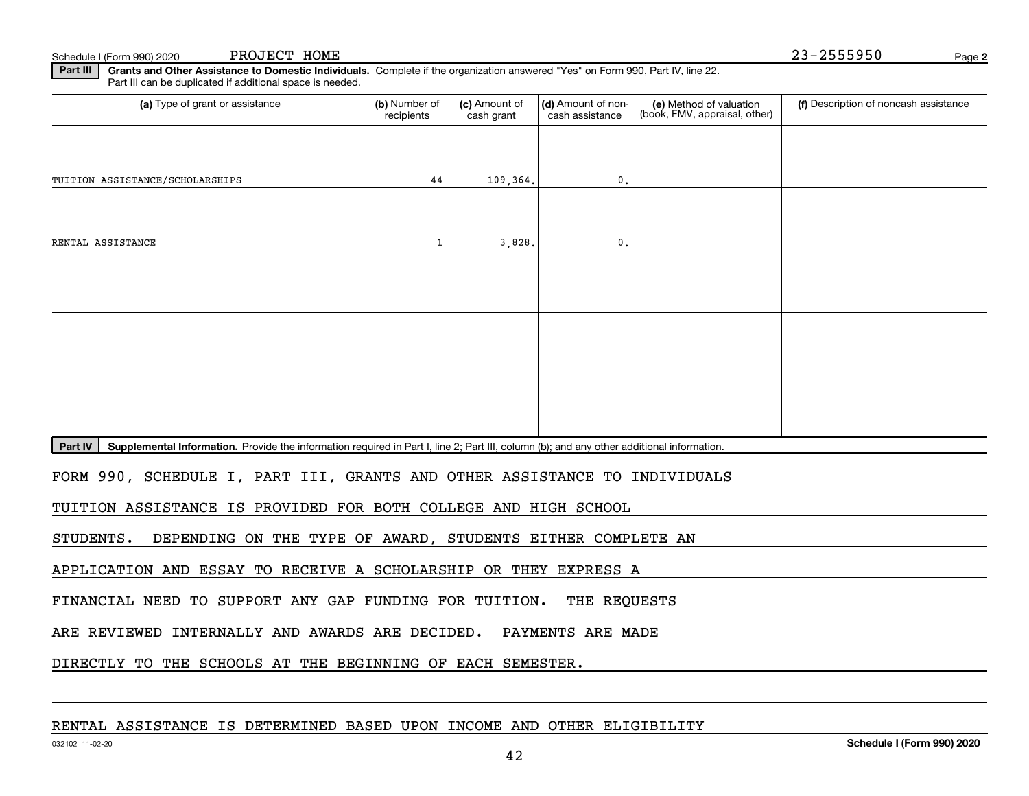Schedule I (Form 990) 2020 PROJECT HOME **Properties and COVID-100** 23 - 2555950 PROJECT HOME

**2**

**Part III | Grants and Other Assistance to Domestic Individuals. Complete if the organization answered "Yes" on Form 990, Part IV, line 22.** Part III can be duplicated if additional space is needed.

| (a) Type of grant or assistance                                                                                                                      | (b) Number of<br>recipients | (c) Amount of<br>cash grant | (d) Amount of non-<br>cash assistance | (e) Method of valuation<br>(book, FMV, appraisal, other) | (f) Description of noncash assistance |  |  |  |  |
|------------------------------------------------------------------------------------------------------------------------------------------------------|-----------------------------|-----------------------------|---------------------------------------|----------------------------------------------------------|---------------------------------------|--|--|--|--|
|                                                                                                                                                      |                             |                             |                                       |                                                          |                                       |  |  |  |  |
| TUITION ASSISTANCE/SCHOLARSHIPS                                                                                                                      | 44                          | 109,364.                    | $\mathbf{0}$ .                        |                                                          |                                       |  |  |  |  |
|                                                                                                                                                      |                             |                             |                                       |                                                          |                                       |  |  |  |  |
| RENTAL ASSISTANCE                                                                                                                                    |                             | 3,828.                      | $\mathbf 0$ .                         |                                                          |                                       |  |  |  |  |
|                                                                                                                                                      |                             |                             |                                       |                                                          |                                       |  |  |  |  |
|                                                                                                                                                      |                             |                             |                                       |                                                          |                                       |  |  |  |  |
|                                                                                                                                                      |                             |                             |                                       |                                                          |                                       |  |  |  |  |
|                                                                                                                                                      |                             |                             |                                       |                                                          |                                       |  |  |  |  |
|                                                                                                                                                      |                             |                             |                                       |                                                          |                                       |  |  |  |  |
|                                                                                                                                                      |                             |                             |                                       |                                                          |                                       |  |  |  |  |
| Supplemental Information. Provide the information required in Part I, line 2; Part III, column (b); and any other additional information.<br>Part IV |                             |                             |                                       |                                                          |                                       |  |  |  |  |
| FORM 990, SCHEDULE I, PART III, GRANTS AND OTHER ASSISTANCE TO INDIVIDUALS                                                                           |                             |                             |                                       |                                                          |                                       |  |  |  |  |
| TUITION ASSISTANCE IS PROVIDED FOR BOTH COLLEGE AND HIGH SCHOOL                                                                                      |                             |                             |                                       |                                                          |                                       |  |  |  |  |
| STUDENTS.<br>DEPENDING ON THE TYPE OF AWARD, STUDENTS EITHER COMPLETE AN                                                                             |                             |                             |                                       |                                                          |                                       |  |  |  |  |
| APPLICATION AND ESSAY TO RECEIVE A SCHOLARSHIP OR THEY EXPRESS A                                                                                     |                             |                             |                                       |                                                          |                                       |  |  |  |  |
| FINANCIAL NEED TO SUPPORT ANY GAP FUNDING FOR TUITION.                                                                                               |                             |                             | THE REQUESTS                          |                                                          |                                       |  |  |  |  |
| INTERNALLY AND AWARDS ARE DECIDED.<br>ARE REVIEWED                                                                                                   |                             |                             | PAYMENTS ARE MADE                     |                                                          |                                       |  |  |  |  |
|                                                                                                                                                      |                             |                             |                                       |                                                          |                                       |  |  |  |  |

DIRECTLY TO THE SCHOOLS AT THE BEGINNING OF EACH SEMESTER.

#### RENTAL ASSISTANCE IS DETERMINED BASED UPON INCOME AND OTHER ELIGIBILITY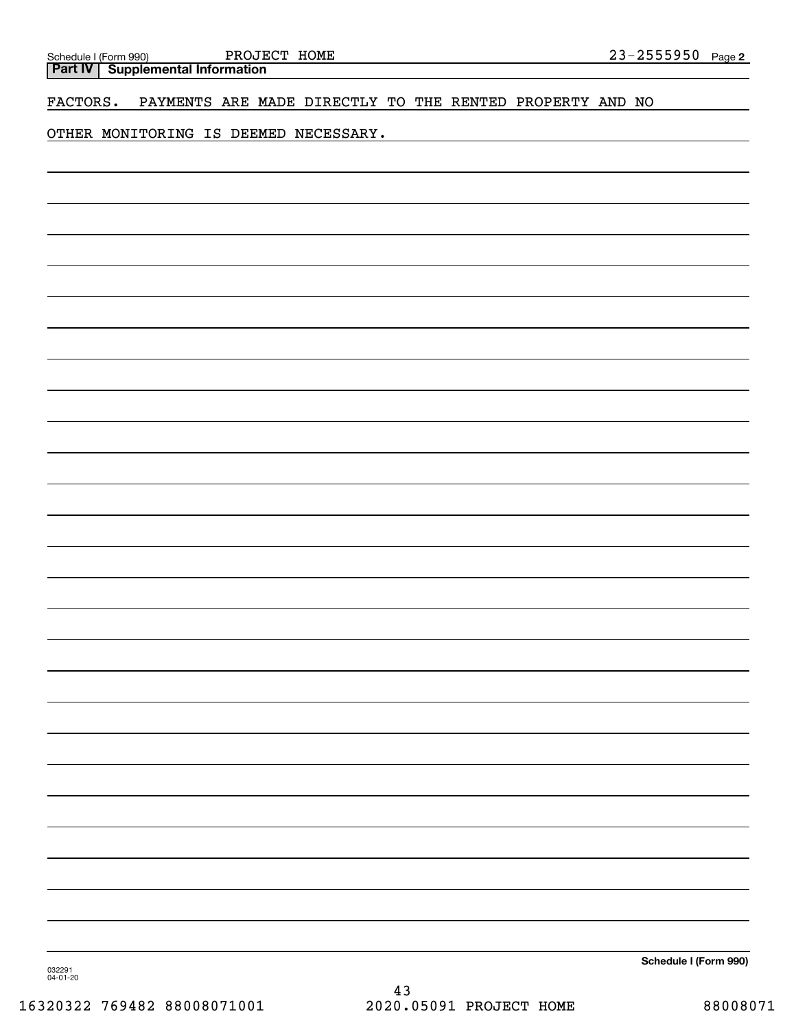**Part IV Supplemental Information**

## FACTORS. PAYMENTS ARE MADE DIRECTLY TO THE RENTED PROPERTY AND NO

OTHER MONITORING IS DEEMED NECESSARY.

**Schedule I (Form 990)**

032291 04-01-20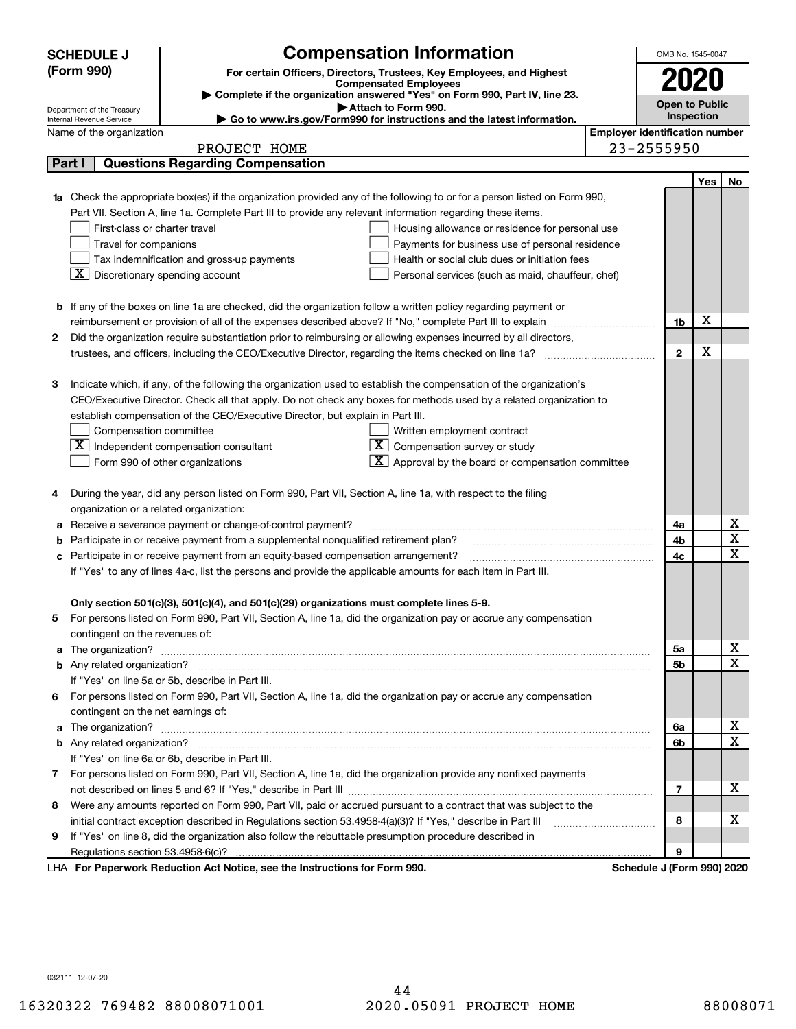|    | <b>Compensation Information</b><br><b>SCHEDULE J</b>                                                                                                                                              |                                       | OMB No. 1545-0047          |     |                         |  |  |  |  |
|----|---------------------------------------------------------------------------------------------------------------------------------------------------------------------------------------------------|---------------------------------------|----------------------------|-----|-------------------------|--|--|--|--|
|    | (Form 990)<br>For certain Officers, Directors, Trustees, Key Employees, and Highest                                                                                                               |                                       |                            |     |                         |  |  |  |  |
|    | <b>Compensated Employees</b>                                                                                                                                                                      |                                       |                            |     |                         |  |  |  |  |
|    | Complete if the organization answered "Yes" on Form 990, Part IV, line 23.<br>Attach to Form 990.                                                                                                 |                                       | <b>Open to Public</b>      |     |                         |  |  |  |  |
|    | Department of the Treasury<br>Go to www.irs.gov/Form990 for instructions and the latest information.<br>Internal Revenue Service                                                                  |                                       | Inspection                 |     |                         |  |  |  |  |
|    | Name of the organization                                                                                                                                                                          | <b>Employer identification number</b> |                            |     |                         |  |  |  |  |
|    | PROJECT HOME                                                                                                                                                                                      |                                       | 23-2555950                 |     |                         |  |  |  |  |
|    | <b>Questions Regarding Compensation</b><br>Part I                                                                                                                                                 |                                       |                            |     |                         |  |  |  |  |
|    |                                                                                                                                                                                                   |                                       |                            | Yes | No                      |  |  |  |  |
|    | 1a Check the appropriate box(es) if the organization provided any of the following to or for a person listed on Form 990,                                                                         |                                       |                            |     |                         |  |  |  |  |
|    | Part VII, Section A, line 1a. Complete Part III to provide any relevant information regarding these items.                                                                                        |                                       |                            |     |                         |  |  |  |  |
|    | First-class or charter travel<br>Housing allowance or residence for personal use                                                                                                                  |                                       |                            |     |                         |  |  |  |  |
|    | Travel for companions<br>Payments for business use of personal residence                                                                                                                          |                                       |                            |     |                         |  |  |  |  |
|    | Tax indemnification and gross-up payments<br>Health or social club dues or initiation fees                                                                                                        |                                       |                            |     |                         |  |  |  |  |
|    | $\boxed{\textbf{X}}$ Discretionary spending account<br>Personal services (such as maid, chauffeur, chef)                                                                                          |                                       |                            |     |                         |  |  |  |  |
|    |                                                                                                                                                                                                   |                                       |                            |     |                         |  |  |  |  |
|    | <b>b</b> If any of the boxes on line 1a are checked, did the organization follow a written policy regarding payment or                                                                            |                                       |                            | х   |                         |  |  |  |  |
|    | reimbursement or provision of all of the expenses described above? If "No," complete Part III to explain                                                                                          |                                       |                            |     |                         |  |  |  |  |
| 2  | Did the organization require substantiation prior to reimbursing or allowing expenses incurred by all directors,                                                                                  |                                       |                            |     |                         |  |  |  |  |
|    | trustees, and officers, including the CEO/Executive Director, regarding the items checked on line 1a?                                                                                             |                                       | $\mathbf{2}$               | х   |                         |  |  |  |  |
|    |                                                                                                                                                                                                   |                                       |                            |     |                         |  |  |  |  |
| 3  | Indicate which, if any, of the following the organization used to establish the compensation of the organization's                                                                                |                                       |                            |     |                         |  |  |  |  |
|    | CEO/Executive Director. Check all that apply. Do not check any boxes for methods used by a related organization to                                                                                |                                       |                            |     |                         |  |  |  |  |
|    | establish compensation of the CEO/Executive Director, but explain in Part III.                                                                                                                    |                                       |                            |     |                         |  |  |  |  |
|    | Compensation committee<br>Written employment contract                                                                                                                                             |                                       |                            |     |                         |  |  |  |  |
|    | $\boxed{\text{X}}$ Independent compensation consultant<br>$X$ Compensation survey or study                                                                                                        |                                       |                            |     |                         |  |  |  |  |
|    | $\mathbf{X}$ Approval by the board or compensation committee<br>Form 990 of other organizations                                                                                                   |                                       |                            |     |                         |  |  |  |  |
|    |                                                                                                                                                                                                   |                                       |                            |     |                         |  |  |  |  |
|    | During the year, did any person listed on Form 990, Part VII, Section A, line 1a, with respect to the filing                                                                                      |                                       |                            |     |                         |  |  |  |  |
|    | organization or a related organization:                                                                                                                                                           |                                       |                            |     | х                       |  |  |  |  |
|    | Receive a severance payment or change-of-control payment?<br>Participate in or receive payment from a supplemental nonqualified retirement plan?                                                  |                                       | 4a<br>4b                   |     | $\overline{\textbf{X}}$ |  |  |  |  |
|    |                                                                                                                                                                                                   |                                       | 4c                         |     | $\overline{\mathbf{x}}$ |  |  |  |  |
|    | Participate in or receive payment from an equity-based compensation arrangement?<br>If "Yes" to any of lines 4a-c, list the persons and provide the applicable amounts for each item in Part III. |                                       |                            |     |                         |  |  |  |  |
|    |                                                                                                                                                                                                   |                                       |                            |     |                         |  |  |  |  |
|    | Only section 501(c)(3), 501(c)(4), and 501(c)(29) organizations must complete lines 5-9.                                                                                                          |                                       |                            |     |                         |  |  |  |  |
|    | For persons listed on Form 990, Part VII, Section A, line 1a, did the organization pay or accrue any compensation                                                                                 |                                       |                            |     |                         |  |  |  |  |
|    | contingent on the revenues of:                                                                                                                                                                    |                                       |                            |     |                         |  |  |  |  |
|    |                                                                                                                                                                                                   |                                       | 5а                         |     | х                       |  |  |  |  |
|    |                                                                                                                                                                                                   |                                       | 5b                         |     | $\overline{\mathbf{x}}$ |  |  |  |  |
|    | If "Yes" on line 5a or 5b, describe in Part III.                                                                                                                                                  |                                       |                            |     |                         |  |  |  |  |
| 6. | For persons listed on Form 990, Part VII, Section A, line 1a, did the organization pay or accrue any compensation                                                                                 |                                       |                            |     |                         |  |  |  |  |
|    | contingent on the net earnings of:                                                                                                                                                                |                                       |                            |     |                         |  |  |  |  |
|    |                                                                                                                                                                                                   |                                       | 6a                         |     | x                       |  |  |  |  |
|    |                                                                                                                                                                                                   |                                       | 6b                         |     | $\overline{\mathbf{x}}$ |  |  |  |  |
|    | If "Yes" on line 6a or 6b, describe in Part III.                                                                                                                                                  |                                       |                            |     |                         |  |  |  |  |
|    | 7 For persons listed on Form 990, Part VII, Section A, line 1a, did the organization provide any nonfixed payments                                                                                |                                       |                            |     |                         |  |  |  |  |
|    |                                                                                                                                                                                                   |                                       | 7                          |     | х                       |  |  |  |  |
| 8  | Were any amounts reported on Form 990, Part VII, paid or accrued pursuant to a contract that was subject to the                                                                                   |                                       |                            |     |                         |  |  |  |  |
|    | initial contract exception described in Regulations section 53.4958-4(a)(3)? If "Yes," describe in Part III                                                                                       |                                       | 8                          |     | X                       |  |  |  |  |
| 9  | If "Yes" on line 8, did the organization also follow the rebuttable presumption procedure described in                                                                                            |                                       |                            |     |                         |  |  |  |  |
|    | Regulations section 53.4958-6(c)?                                                                                                                                                                 |                                       | 9                          |     |                         |  |  |  |  |
|    | LHA For Paperwork Reduction Act Notice, see the Instructions for Form 990.                                                                                                                        |                                       | Schedule J (Form 990) 2020 |     |                         |  |  |  |  |

032111 12-07-20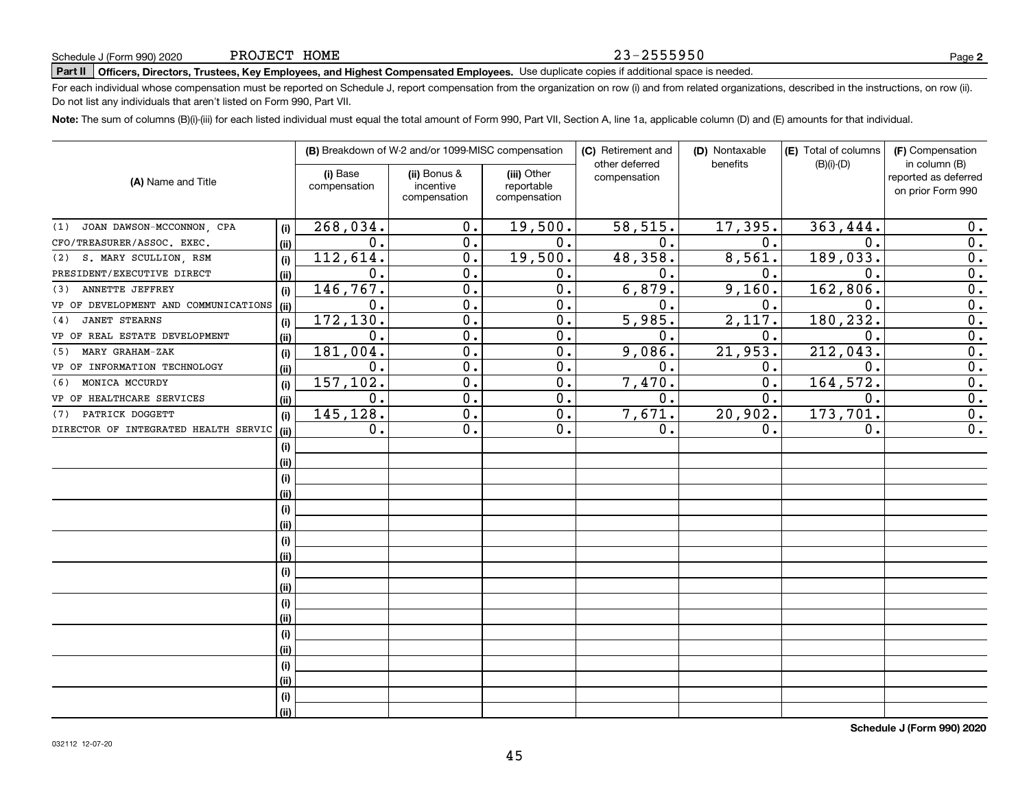#### 23-2555950

**2**

# **Part II Officers, Directors, Trustees, Key Employees, and Highest Compensated Employees.**  Schedule J (Form 990) 2020 Page Use duplicate copies if additional space is needed.

For each individual whose compensation must be reported on Schedule J, report compensation from the organization on row (i) and from related organizations, described in the instructions, on row (ii). Do not list any individuals that aren't listed on Form 990, Part VII.

**Note:**  The sum of columns (B)(i)-(iii) for each listed individual must equal the total amount of Form 990, Part VII, Section A, line 1a, applicable column (D) and (E) amounts for that individual.

|                                      |      |                          | (B) Breakdown of W-2 and/or 1099-MISC compensation |                                           | (C) Retirement and<br>other deferred | (D) Nontaxable | (E) Total of columns | (F) Compensation                                           |
|--------------------------------------|------|--------------------------|----------------------------------------------------|-------------------------------------------|--------------------------------------|----------------|----------------------|------------------------------------------------------------|
| (A) Name and Title                   |      | (i) Base<br>compensation | (ii) Bonus &<br>incentive<br>compensation          | (iii) Other<br>reportable<br>compensation | compensation                         | benefits       | $(B)(i)-(D)$         | in column (B)<br>reported as deferred<br>on prior Form 990 |
| JOAN DAWSON-MCCONNON, CPA<br>(1)     | (i)  | 268,034.                 | 0.                                                 | 19,500.                                   | 58, 515.                             | 17,395.        | 363,444.             | 0.                                                         |
| CFO/TREASURER/ASSOC. EXEC.           | (ii) | 0.                       | 0.                                                 | 0.                                        | 0.                                   | 0.             | $\mathbf 0$ .        | $\overline{0}$ .                                           |
| S. MARY SCULLION, RSM<br>(2)         | (i)  | 112,614.                 | $\overline{0}$ .                                   | 19,500.                                   | 48,358.                              | 8,561.         | 189,033.             | 0.                                                         |
| PRESIDENT/EXECUTIVE DIRECT           | (ii) | 0.                       | 0.                                                 | 0.                                        | 0.                                   | $\mathbf 0$ .  | $\mathbf 0$ .        | $\overline{0}$ .                                           |
| ANNETTE JEFFREY<br>(3)               | (i)  | 146, 767.                | 0.                                                 | 0.                                        | 6,879.                               | 9,160.         | 162,806.             | $\overline{0}$ .                                           |
| VP OF DEVELOPMENT AND COMMUNICATIONS | (ii) | 0.                       | 0.                                                 | 0.                                        | 0.                                   | 0.             | $\mathbf 0$ .        | $\overline{0}$ .                                           |
| <b>JANET STEARNS</b><br>(4)          | (i)  | 172,130.                 | 0.                                                 | 0.                                        | 5,985.                               | 2,117.         | 180, 232.            | 0.                                                         |
| VP OF REAL ESTATE DEVELOPMENT        | (ii) | 0.                       | 0.                                                 | 0.                                        | $\mathbf 0$ .                        | 0.             | 0.                   | 0.                                                         |
| MARY GRAHAM-ZAK<br>(5)               | (i)  | 181,004.                 | $\overline{0}$ .                                   | 0.                                        | 9,086.                               | 21,953.        | 212,043.             | $\overline{0}$ .                                           |
| VP OF INFORMATION TECHNOLOGY         | (ii) | 0.                       | $\overline{0}$ .                                   | 0.                                        | 0.                                   | 0.             | $\mathbf 0$ .        | $\overline{0}$ .                                           |
| MONICA MCCURDY<br>(6)                | (i)  | 157,102.                 | $\mathbf 0$ .                                      | 0.                                        | 7,470.                               | 0.             | 164,572.             | $\overline{0}$ .                                           |
| VP OF HEALTHCARE SERVICES            | (ii) | 0.                       | $\mathbf 0$ .                                      | 0.                                        | 0.                                   | 0.             | $\mathbf 0$ .        | $\overline{0}$ .                                           |
| PATRICK DOGGETT<br>(7)               | (i)  | 145,128.                 | 0.                                                 | 0.                                        | 7,671.                               | 20,902.        | 173,701.             | 0.                                                         |
| DIRECTOR OF INTEGRATED HEALTH SERVIC | (ii) | 0.                       | 0.                                                 | 0.                                        | 0.                                   | 0.             | 0.                   | 0.                                                         |
|                                      | (i)  |                          |                                                    |                                           |                                      |                |                      |                                                            |
|                                      | (ii) |                          |                                                    |                                           |                                      |                |                      |                                                            |
|                                      | (i)  |                          |                                                    |                                           |                                      |                |                      |                                                            |
|                                      | (ii) |                          |                                                    |                                           |                                      |                |                      |                                                            |
|                                      | (i)  |                          |                                                    |                                           |                                      |                |                      |                                                            |
|                                      | (ii) |                          |                                                    |                                           |                                      |                |                      |                                                            |
|                                      | (i)  |                          |                                                    |                                           |                                      |                |                      |                                                            |
|                                      | (ii) |                          |                                                    |                                           |                                      |                |                      |                                                            |
|                                      | (i)  |                          |                                                    |                                           |                                      |                |                      |                                                            |
|                                      | (ii) |                          |                                                    |                                           |                                      |                |                      |                                                            |
|                                      | (i)  |                          |                                                    |                                           |                                      |                |                      |                                                            |
|                                      | (ii) |                          |                                                    |                                           |                                      |                |                      |                                                            |
|                                      | (i)  |                          |                                                    |                                           |                                      |                |                      |                                                            |
|                                      | (ii) |                          |                                                    |                                           |                                      |                |                      |                                                            |
|                                      | (i)  |                          |                                                    |                                           |                                      |                |                      |                                                            |
|                                      | (ii) |                          |                                                    |                                           |                                      |                |                      |                                                            |
|                                      | (i)  |                          |                                                    |                                           |                                      |                |                      |                                                            |
|                                      | (ii) |                          |                                                    |                                           |                                      |                |                      |                                                            |

**Schedule J (Form 990) 2020**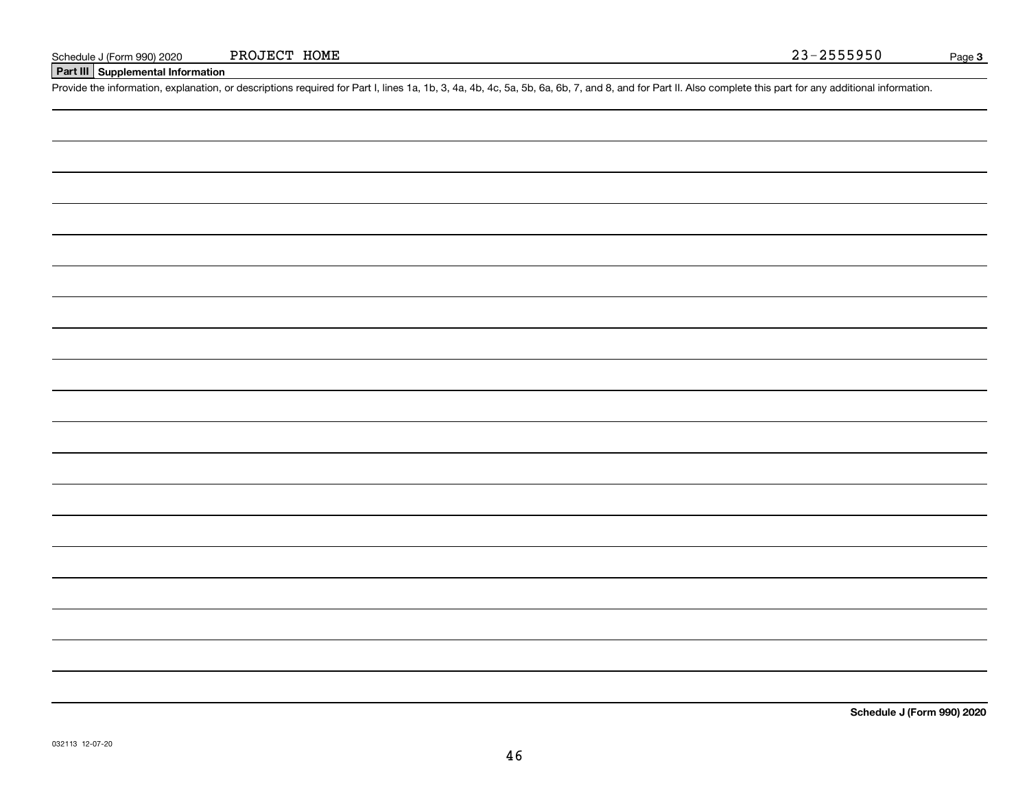#### **Part III Supplemental Information**

Schedule J (Form 990) 2020 PROJECT HOME<br>Part III Supplemental Information<br>Provide the information, explanation, or descriptions required for Part I, lines 1a, 1b, 3, 4a, 4b, 4c, 5a, 5b, 6a, 6b, 7, and 8, and for Part II. A

**Schedule J (Form 990) 2020**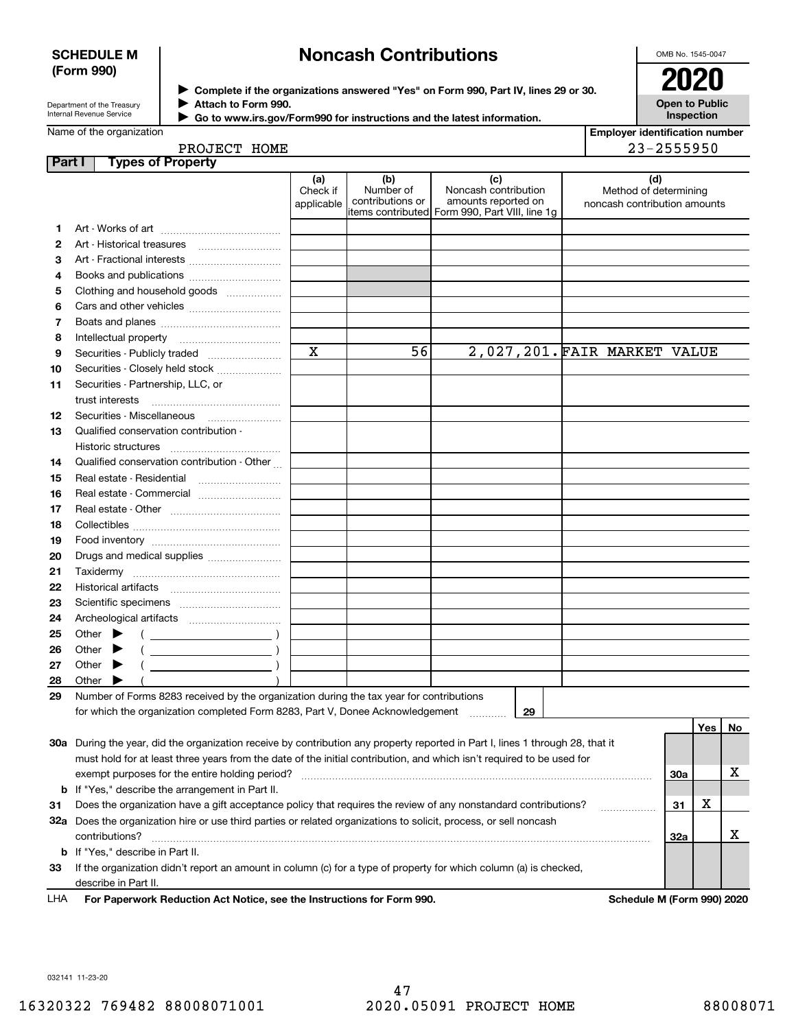#### **SCHEDULE M (Form 990)**

# **Noncash Contributions**

OMB No. 1545-0047

Department of the Treasury Internal Revenue Service

**1213**

**Complete if the organizations answered "Yes" on Form 990, Part IV, lines 29 or 30.** <sup>J</sup>**2020 Attach to Form 990.**  $\blacktriangleright$ 

**Open to Public Inspection**

| Attach to Form 990.                                                    |
|------------------------------------------------------------------------|
| Go to www.irs.gov/Form990 for instructions and the latest information. |

| Employer identification number |  |
|--------------------------------|--|

|     | Name of the organization                                                                                                   |                               |                                      |                                                                                                      | <b>Employer identification number</b>                        |     |     |    |
|-----|----------------------------------------------------------------------------------------------------------------------------|-------------------------------|--------------------------------------|------------------------------------------------------------------------------------------------------|--------------------------------------------------------------|-----|-----|----|
|     | PROJECT HOME<br><b>Types of Property</b><br>Part I                                                                         |                               |                                      |                                                                                                      | 23-2555950                                                   |     |     |    |
|     |                                                                                                                            | (a)<br>Check if<br>applicable | (b)<br>Number of<br>contributions or | (c)<br>Noncash contribution<br>amounts reported on<br>items contributed Form 990, Part VIII, line 1g | (d)<br>Method of determining<br>noncash contribution amounts |     |     |    |
| 1   |                                                                                                                            |                               |                                      |                                                                                                      |                                                              |     |     |    |
| 2   |                                                                                                                            |                               |                                      |                                                                                                      |                                                              |     |     |    |
| 3   | Art - Fractional interests                                                                                                 |                               |                                      |                                                                                                      |                                                              |     |     |    |
| 4   | Books and publications                                                                                                     |                               |                                      |                                                                                                      |                                                              |     |     |    |
| 5   | Clothing and household goods                                                                                               |                               |                                      |                                                                                                      |                                                              |     |     |    |
| 6   |                                                                                                                            |                               |                                      |                                                                                                      |                                                              |     |     |    |
| 7   |                                                                                                                            |                               |                                      |                                                                                                      |                                                              |     |     |    |
| 8   |                                                                                                                            |                               |                                      |                                                                                                      |                                                              |     |     |    |
| 9   | Securities - Publicly traded                                                                                               | X                             | 56                                   | 2,027,201. FAIR MARKET VALUE                                                                         |                                                              |     |     |    |
| 10  | Securities - Closely held stock                                                                                            |                               |                                      |                                                                                                      |                                                              |     |     |    |
| 11  | Securities - Partnership, LLC, or                                                                                          |                               |                                      |                                                                                                      |                                                              |     |     |    |
|     | trust interests                                                                                                            |                               |                                      |                                                                                                      |                                                              |     |     |    |
| 12  |                                                                                                                            |                               |                                      |                                                                                                      |                                                              |     |     |    |
| 13  | Qualified conservation contribution -                                                                                      |                               |                                      |                                                                                                      |                                                              |     |     |    |
|     |                                                                                                                            |                               |                                      |                                                                                                      |                                                              |     |     |    |
| 14  | Qualified conservation contribution - Other                                                                                |                               |                                      |                                                                                                      |                                                              |     |     |    |
| 15  | Real estate - Residential                                                                                                  |                               |                                      |                                                                                                      |                                                              |     |     |    |
| 16  | Real estate - Commercial                                                                                                   |                               |                                      |                                                                                                      |                                                              |     |     |    |
| 17  |                                                                                                                            |                               |                                      |                                                                                                      |                                                              |     |     |    |
| 18  |                                                                                                                            |                               |                                      |                                                                                                      |                                                              |     |     |    |
| 19  |                                                                                                                            |                               |                                      |                                                                                                      |                                                              |     |     |    |
| 20  | Drugs and medical supplies                                                                                                 |                               |                                      |                                                                                                      |                                                              |     |     |    |
| 21  |                                                                                                                            |                               |                                      |                                                                                                      |                                                              |     |     |    |
| 22  |                                                                                                                            |                               |                                      |                                                                                                      |                                                              |     |     |    |
| 23  |                                                                                                                            |                               |                                      |                                                                                                      |                                                              |     |     |    |
| 24  |                                                                                                                            |                               |                                      |                                                                                                      |                                                              |     |     |    |
| 25  | Other $\blacktriangleright$<br>$($ )                                                                                       |                               |                                      |                                                                                                      |                                                              |     |     |    |
| 26  | Other $\blacktriangleright$                                                                                                |                               |                                      |                                                                                                      |                                                              |     |     |    |
| 27  | Other $\blacktriangleright$                                                                                                |                               |                                      |                                                                                                      |                                                              |     |     |    |
| 28  | Other $\blacktriangleright$                                                                                                |                               |                                      |                                                                                                      |                                                              |     |     |    |
| 29  | Number of Forms 8283 received by the organization during the tax year for contributions                                    |                               |                                      |                                                                                                      |                                                              |     |     |    |
|     | for which the organization completed Form 8283, Part V, Donee Acknowledgement                                              |                               |                                      | 29                                                                                                   |                                                              |     |     |    |
|     |                                                                                                                            |                               |                                      |                                                                                                      |                                                              |     | Yes | No |
| 30a | During the year, did the organization receive by contribution any property reported in Part I, lines 1 through 28, that it |                               |                                      |                                                                                                      |                                                              |     |     |    |
|     | must hold for at least three years from the date of the initial contribution, and which isn't required to be used for      |                               |                                      |                                                                                                      |                                                              |     |     |    |
|     | exempt purposes for the entire holding period?                                                                             |                               |                                      |                                                                                                      |                                                              | 30a |     | x  |

**31b** If "Yes," describe the arrangement in Part II. Does the organization have a gift acceptance policy that requires the review of any nonstandard contributions?

**32a** Does the organization hire or use third parties or related organizations to solicit, process, or sell noncash **33**If the organization didn't report an amount in column (c) for a type of property for which column (a) is checked, **3132a b** If "Yes," describe in Part II. . . . . . . . . . . . . . . . . . . . contributions? ~~~~~~~~~~~~~~~~~~~~~~~~~~~~~~~~~~~~~~~~~~~~~~~~~~~~~~ X

**For Paperwork Reduction Act Notice, see the Instructions for Form 990. Schedule M (Form 990) 2020** describe in Part II. LHA

032141 11-23-20

X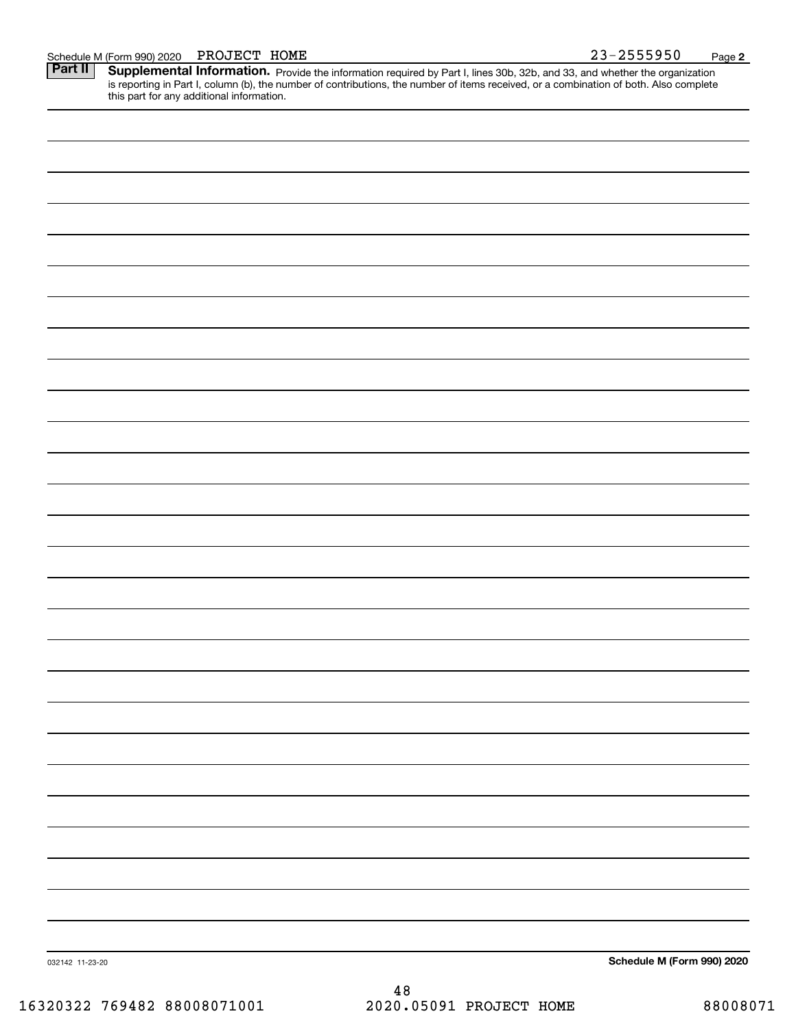| Schedule M (Form 990) 2020 |  | PROJECT | <b>HOME</b> | $23 - 2555950$ | Page |  |
|----------------------------|--|---------|-------------|----------------|------|--|
|----------------------------|--|---------|-------------|----------------|------|--|

Part II | Supplemental Information. Provide the information required by Part I, lines 30b, 32b, and 33, and whether the organization is reporting in Part I, column (b), the number of contributions, the number of items received, or a combination of both. Also complete this part for any additional information.

| 032142 11-23-20 | Schedule M (Form 990) 2020 |
|-----------------|----------------------------|

48 16320322 769482 88008071001 2020.05091 PROJECT HOME 88008071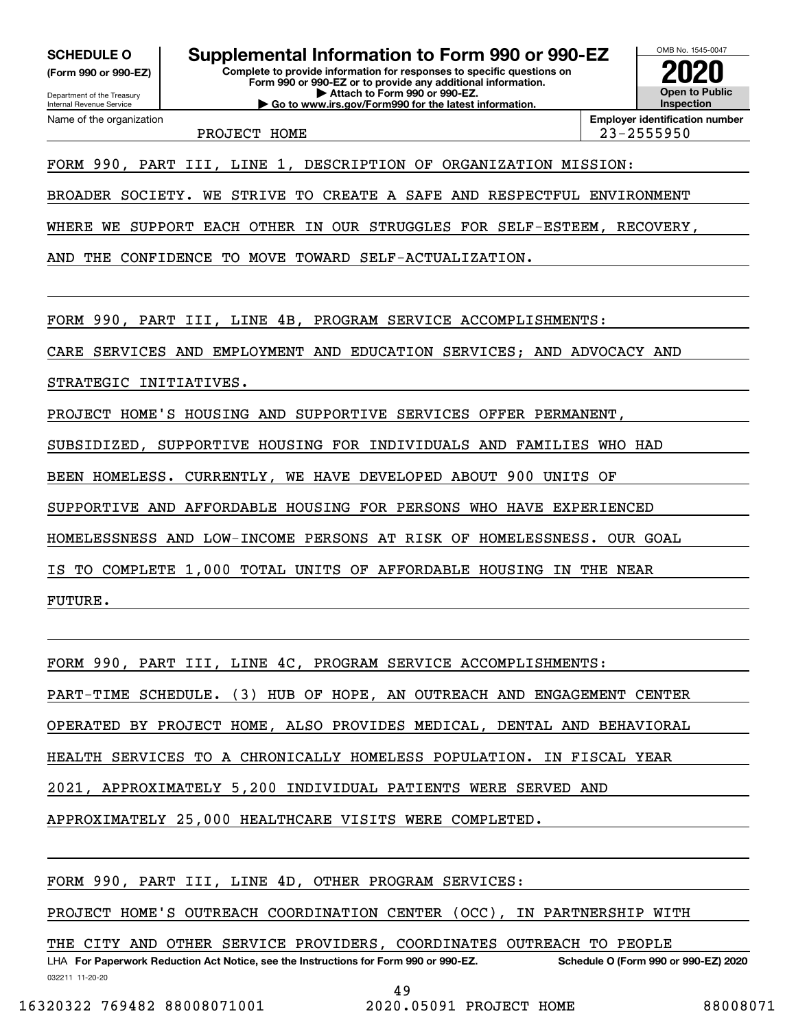**(Form 990 or 990-EZ)**

Department of the Treasury Internal Revenue Service Name of the organization

**Complete to provide information for responses to specific questions on Form 990 or 990-EZ or to provide any additional information. SCHEDULE O Supplemental Information to Form 990 or 990-EZ**

**| Attach to Form 990 or 990-EZ. | Go to www.irs.gov/Form990 for the latest information.**



PROJECT HOME 23-2555950

FORM 990, PART III, LINE 1, DESCRIPTION OF ORGANIZATION MISSION:

BROADER SOCIETY. WE STRIVE TO CREATE A SAFE AND RESPECTFUL ENVIRONMENT

WHERE WE SUPPORT EACH OTHER IN OUR STRUGGLES FOR SELF-ESTEEM, RECOVERY,

AND THE CONFIDENCE TO MOVE TOWARD SELF-ACTUALIZATION.

FORM 990, PART III, LINE 4B, PROGRAM SERVICE ACCOMPLISHMENTS:

CARE SERVICES AND EMPLOYMENT AND EDUCATION SERVICES; AND ADVOCACY AND

STRATEGIC INITIATIVES.

PROJECT HOME'S HOUSING AND SUPPORTIVE SERVICES OFFER PERMANENT

SUBSIDIZED, SUPPORTIVE HOUSING FOR INDIVIDUALS AND FAMILIES WHO HAD

BEEN HOMELESS. CURRENTLY, WE HAVE DEVELOPED ABOUT 900 UNITS OF

SUPPORTIVE AND AFFORDABLE HOUSING FOR PERSONS WHO HAVE EXPERIENCED

HOMELESSNESS AND LOW-INCOME PERSONS AT RISK OF HOMELESSNESS. OUR GOAL

IS TO COMPLETE 1,000 TOTAL UNITS OF AFFORDABLE HOUSING IN THE NEAR

FUTURE.

FORM 990, PART III, LINE 4C, PROGRAM SERVICE ACCOMPLISHMENTS:

PART-TIME SCHEDULE. (3) HUB OF HOPE, AN OUTREACH AND ENGAGEMENT CENTER

OPERATED BY PROJECT HOME, ALSO PROVIDES MEDICAL, DENTAL AND BEHAVIORAL

HEALTH SERVICES TO A CHRONICALLY HOMELESS POPULATION. IN FISCAL YEAR

2021, APPROXIMATELY 5,200 INDIVIDUAL PATIENTS WERE SERVED AND

APPROXIMATELY 25,000 HEALTHCARE VISITS WERE COMPLETED.

FORM 990, PART III, LINE 4D, OTHER PROGRAM SERVICES:

PROJECT HOME'S OUTREACH COORDINATION CENTER (OCC), IN PARTNERSHIP WITH

THE CITY AND OTHER SERVICE PROVIDERS, COORDINATES OUTREACH TO PEOPLE

032211 11-20-20 LHA For Paperwork Reduction Act Notice, see the Instructions for Form 990 or 990-EZ. Schedule O (Form 990 or 990-EZ) 2020 49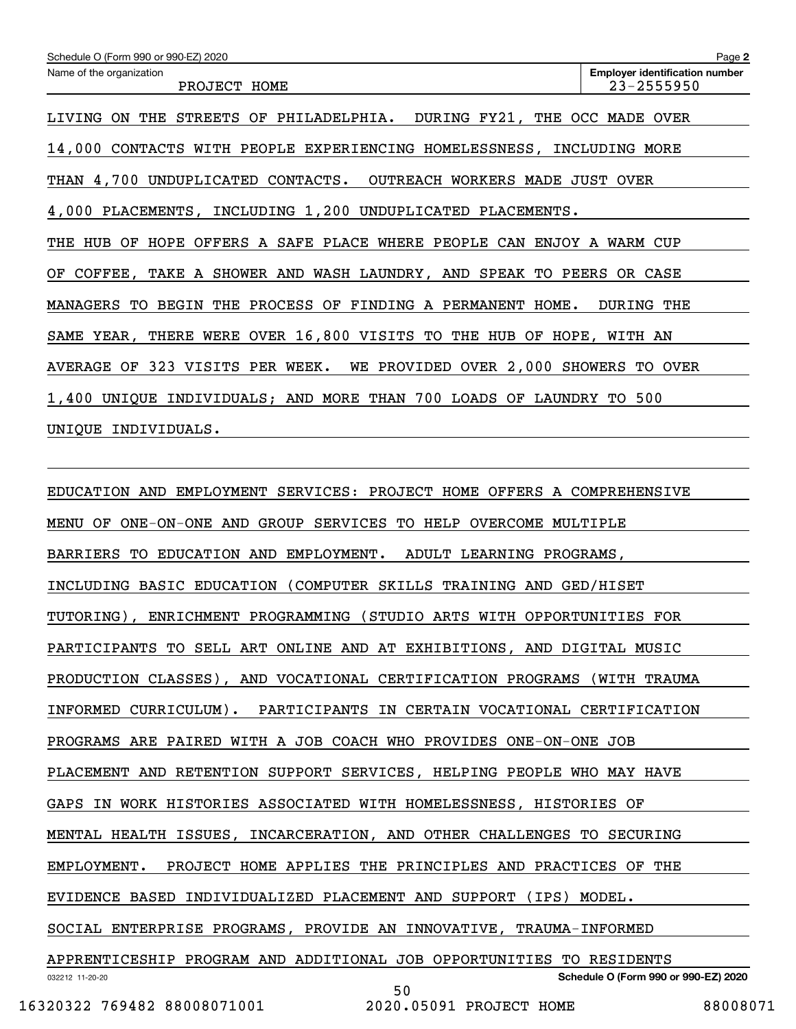| Schedule O (Form 990 or 990-EZ) 2020                                      | Page 2                                                                |  |  |  |  |  |  |  |
|---------------------------------------------------------------------------|-----------------------------------------------------------------------|--|--|--|--|--|--|--|
| Name of the organization<br>PROJECT HOME                                  | <b>Employer identification number</b><br>$23 - 2555950$               |  |  |  |  |  |  |  |
|                                                                           | LIVING ON THE STREETS OF PHILADELPHIA. DURING FY21, THE OCC MADE OVER |  |  |  |  |  |  |  |
| 14,000 CONTACTS WITH PEOPLE EXPERIENCING HOMELESSNESS, INCLUDING MORE     |                                                                       |  |  |  |  |  |  |  |
| THAN 4,700 UNDUPLICATED CONTACTS.<br>OUTREACH WORKERS MADE JUST OVER      |                                                                       |  |  |  |  |  |  |  |
| 4,000 PLACEMENTS, INCLUDING 1,200 UNDUPLICATED PLACEMENTS.                |                                                                       |  |  |  |  |  |  |  |
| THE HUB OF HOPE OFFERS A SAFE PLACE WHERE PEOPLE CAN ENJOY A WARM CUP     |                                                                       |  |  |  |  |  |  |  |
| COFFEE, TAKE A SHOWER AND WASH LAUNDRY, AND SPEAK TO PEERS OR CASE<br>OF  |                                                                       |  |  |  |  |  |  |  |
| MANAGERS TO BEGIN THE PROCESS OF FINDING A PERMANENT HOME.<br>DURING THE  |                                                                       |  |  |  |  |  |  |  |
| SAME YEAR, THERE WERE OVER 16,800 VISITS TO THE HUB OF HOPE, WITH AN      |                                                                       |  |  |  |  |  |  |  |
| AVERAGE OF 323 VISITS PER WEEK.<br>WE PROVIDED OVER 2,000 SHOWERS TO OVER |                                                                       |  |  |  |  |  |  |  |
| 1,400 UNIQUE INDIVIDUALS; AND MORE THAN 700 LOADS OF LAUNDRY TO 500       |                                                                       |  |  |  |  |  |  |  |
| UNIOUE INDIVIDUALS.                                                       |                                                                       |  |  |  |  |  |  |  |
|                                                                           |                                                                       |  |  |  |  |  |  |  |
| EDUCATION AND EMPLOYMENT SERVICES: PROJECT HOME OFFERS A COMPREHENSIVE    |                                                                       |  |  |  |  |  |  |  |
| MENU OF ONE-ON-ONE AND GROUP SERVICES TO HELP OVERCOME MULTIPLE           |                                                                       |  |  |  |  |  |  |  |
| BARRIERS TO EDUCATION AND EMPLOYMENT.<br>ADULT LEARNING PROGRAMS,         |                                                                       |  |  |  |  |  |  |  |

INCLUDING BASIC EDUCATION (COMPUTER SKILLS TRAINING AND GED/HISET

TUTORING), ENRICHMENT PROGRAMMING (STUDIO ARTS WITH OPPORTUNITIES FOR

PARTICIPANTS TO SELL ART ONLINE AND AT EXHIBITIONS, AND DIGITAL MUSIC

PRODUCTION CLASSES), AND VOCATIONAL CERTIFICATION PROGRAMS (WITH TRAUMA

INFORMED CURRICULUM). PARTICIPANTS IN CERTAIN VOCATIONAL CERTIFICATION

PROGRAMS ARE PAIRED WITH A JOB COACH WHO PROVIDES ONE-ON-ONE JOB

PLACEMENT AND RETENTION SUPPORT SERVICES, HELPING PEOPLE WHO MAY HAVE

GAPS IN WORK HISTORIES ASSOCIATED WITH HOMELESSNESS, HISTORIES OF

MENTAL HEALTH ISSUES, INCARCERATION, AND OTHER CHALLENGES TO SECURING

EMPLOYMENT. PROJECT HOME APPLIES THE PRINCIPLES AND PRACTICES OF THE

EVIDENCE BASED INDIVIDUALIZED PLACEMENT AND SUPPORT (IPS) MODEL.

SOCIAL ENTERPRISE PROGRAMS, PROVIDE AN INNOVATIVE, TRAUMA-INFORMED

032212 11-20-20 APPRENTICESHIP PROGRAM AND ADDITIONAL JOB OPPORTUNITIES TO RESIDENTS

50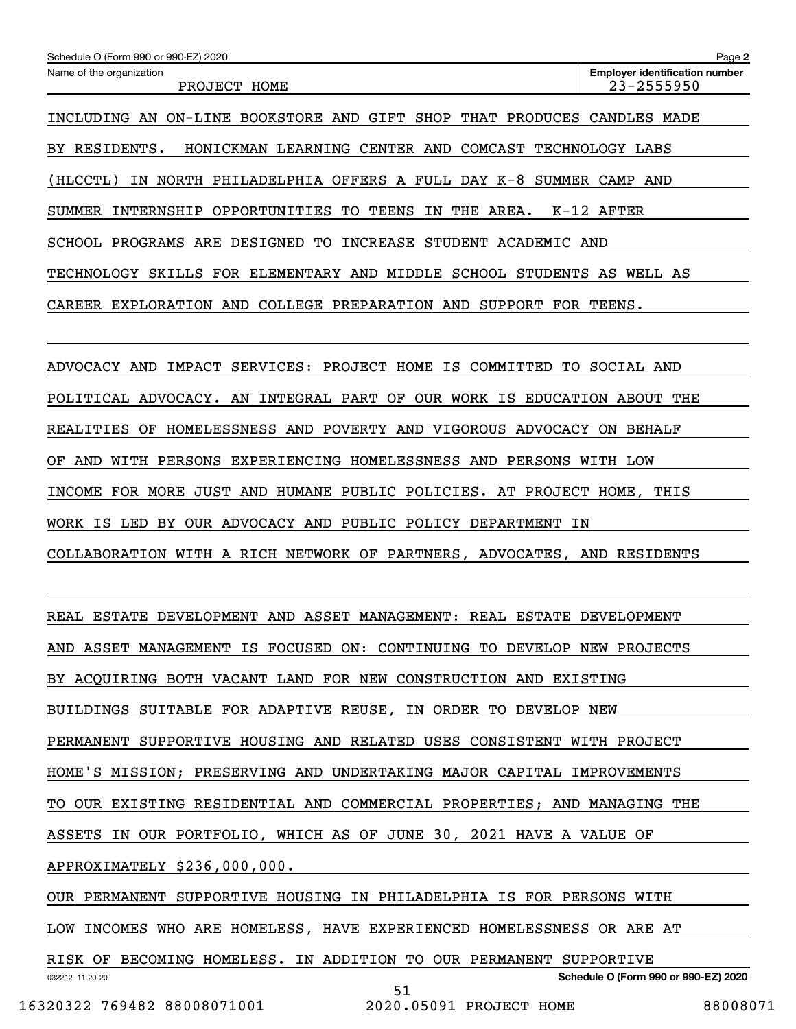| Schedule O (Form 990 or 990-EZ) 2020                                                        | Page 2                                                  |  |  |  |  |  |
|---------------------------------------------------------------------------------------------|---------------------------------------------------------|--|--|--|--|--|
| Name of the organization<br>PROJECT HOME                                                    | <b>Employer identification number</b><br>$23 - 2555950$ |  |  |  |  |  |
| ON-LINE BOOKSTORE AND GIFT SHOP THAT PRODUCES<br>INCLUDING<br>AN                            | CANDLES MADE                                            |  |  |  |  |  |
| COMCAST TECHNOLOGY LABS<br>RESIDENTS.<br>HONICKMAN LEARNING CENTER AND<br>BY.               |                                                         |  |  |  |  |  |
| NORTH PHILADELPHIA OFFERS A FULL DAY K-8 SUMMER<br>(HLCCTL)<br>IN<br>CAMP<br>AND            |                                                         |  |  |  |  |  |
| $K-12$ AFTER<br>TEENS<br>OPPORTUNITIES TO<br>IN<br>THE<br>SUMMER INTERNSHIP<br>AREA.        |                                                         |  |  |  |  |  |
| SCHOOL PROGRAMS ARE DESIGNED<br>TO.<br>INCREASE STUDENT<br>ACADEMIC AND                     |                                                         |  |  |  |  |  |
| SKILLS FOR ELEMENTARY<br>AND<br>MIDDLE<br>SCHOOL<br>STUDENTS<br>TECHNOLOGY<br>AS<br>WELL AS |                                                         |  |  |  |  |  |
| COLLEGE PREPARATION AND<br>SUPPORT<br>CAREER EXPLORATION AND<br>FOR<br>TEENS.               |                                                         |  |  |  |  |  |
|                                                                                             |                                                         |  |  |  |  |  |

ADVOCACY AND IMPACT SERVICES: PROJECT HOME IS COMMITTED TO SOCIAL AND POLITICAL ADVOCACY. AN INTEGRAL PART OF OUR WORK IS EDUCATION ABOUT THE REALITIES OF HOMELESSNESS AND POVERTY AND VIGOROUS ADVOCACY ON BEHALF OF AND WITH PERSONS EXPERIENCING HOMELESSNESS AND PERSONS WITH LOW INCOME FOR MORE JUST AND HUMANE PUBLIC POLICIES. AT PROJECT HOME, THIS WORK IS LED BY OUR ADVOCACY AND PUBLIC POLICY DEPARTMENT IN COLLABORATION WITH A RICH NETWORK OF PARTNERS, ADVOCATES, AND RESIDENTS

REAL ESTATE DEVELOPMENT AND ASSET MANAGEMENT: REAL ESTATE DEVELOPMENT

AND ASSET MANAGEMENT IS FOCUSED ON: CONTINUING TO DEVELOP NEW PROJECTS

BY ACQUIRING BOTH VACANT LAND FOR NEW CONSTRUCTION AND EXISTING

BUILDINGS SUITABLE FOR ADAPTIVE REUSE, IN ORDER TO DEVELOP NEW

PERMANENT SUPPORTIVE HOUSING AND RELATED USES CONSISTENT WITH PROJECT

HOME'S MISSION; PRESERVING AND UNDERTAKING MAJOR CAPITAL IMPROVEMENTS

TO OUR EXISTING RESIDENTIAL AND COMMERCIAL PROPERTIES; AND MANAGING THE

ASSETS IN OUR PORTFOLIO, WHICH AS OF JUNE 30, 2021 HAVE A VALUE OF

APPROXIMATELY \$236,000,000.

OUR PERMANENT SUPPORTIVE HOUSING IN PHILADELPHIA IS FOR PERSONS WITH

LOW INCOMES WHO ARE HOMELESS, HAVE EXPERIENCED HOMELESSNESS OR ARE AT

032212 11-20-20 RISK OF BECOMING HOMELESS. IN ADDITION TO OUR PERMANENT SUPPORTIVE

51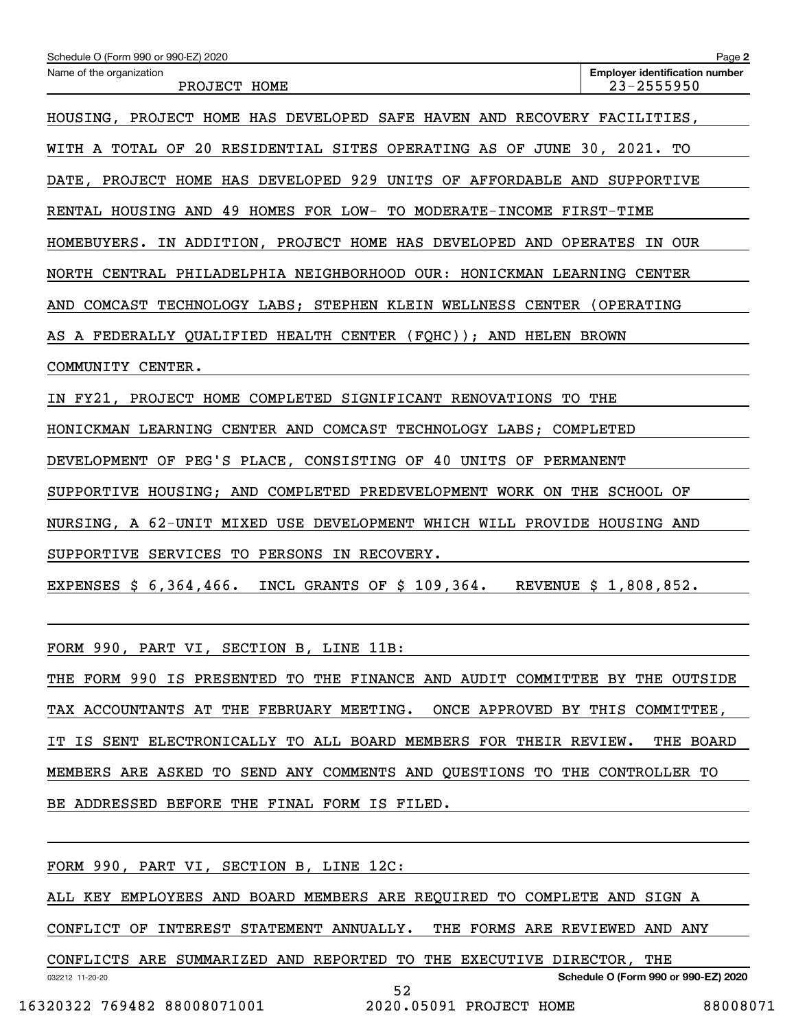| Schedule O (Form 990 or 990-EZ) 2020                                        | Page 2                                                                  |  |  |  |  |  |  |
|-----------------------------------------------------------------------------|-------------------------------------------------------------------------|--|--|--|--|--|--|
| Name of the organization<br>PROJECT HOME                                    | <b>Employer identification number</b><br>$23 - 2555950$                 |  |  |  |  |  |  |
| HOUSING, PROJECT HOME HAS DEVELOPED SAFE HAVEN AND RECOVERY FACILITIES,     |                                                                         |  |  |  |  |  |  |
| WITH A TOTAL OF 20 RESIDENTIAL SITES OPERATING AS OF JUNE 30, 2021. TO      |                                                                         |  |  |  |  |  |  |
|                                                                             | DATE, PROJECT HOME HAS DEVELOPED 929 UNITS OF AFFORDABLE AND SUPPORTIVE |  |  |  |  |  |  |
|                                                                             | RENTAL HOUSING AND 49 HOMES FOR LOW- TO MODERATE-INCOME FIRST-TIME      |  |  |  |  |  |  |
| HOMEBUYERS. IN ADDITION, PROJECT HOME HAS DEVELOPED AND OPERATES IN OUR     |                                                                         |  |  |  |  |  |  |
| NORTH CENTRAL PHILADELPHIA NEIGHBORHOOD OUR: HONICKMAN LEARNING CENTER      |                                                                         |  |  |  |  |  |  |
| AND COMCAST TECHNOLOGY LABS; STEPHEN KLEIN WELLNESS CENTER (OPERATING       |                                                                         |  |  |  |  |  |  |
| AS A FEDERALLY QUALIFIED HEALTH CENTER (FQHC)); AND HELEN BROWN             |                                                                         |  |  |  |  |  |  |
| COMMUNITY CENTER.                                                           |                                                                         |  |  |  |  |  |  |
| IN FY21, PROJECT HOME COMPLETED SIGNIFICANT RENOVATIONS TO THE              |                                                                         |  |  |  |  |  |  |
| HONICKMAN LEARNING CENTER AND COMCAST TECHNOLOGY LABS; COMPLETED            |                                                                         |  |  |  |  |  |  |
| DEVELOPMENT OF PEG'S PLACE, CONSISTING OF 40 UNITS OF PERMANENT             |                                                                         |  |  |  |  |  |  |
| SUPPORTIVE HOUSING; AND COMPLETED PREDEVELOPMENT WORK ON THE SCHOOL OF      |                                                                         |  |  |  |  |  |  |
| NURSING, A 62-UNIT MIXED USE DEVELOPMENT WHICH WILL PROVIDE HOUSING AND     |                                                                         |  |  |  |  |  |  |
| SUPPORTIVE SERVICES TO PERSONS IN RECOVERY.                                 |                                                                         |  |  |  |  |  |  |
| EXPENSES $$6,364,466.$<br>INCL GRANTS OF \$ 109,364. REVENUE \$ 1,808,852.  |                                                                         |  |  |  |  |  |  |
|                                                                             |                                                                         |  |  |  |  |  |  |
| FORM 990, PART VI, SECTION B, LINE 11B:                                     |                                                                         |  |  |  |  |  |  |
| THE FORM 990 IS PRESENTED TO THE FINANCE AND AUDIT COMMITTEE BY THE OUTSIDE |                                                                         |  |  |  |  |  |  |
| TAX ACCOUNTANTS AT THE FEBRUARY MEETING. ONCE APPROVED BY THIS COMMITTEE,   |                                                                         |  |  |  |  |  |  |
| IT IS SENT ELECTRONICALLY TO ALL BOARD MEMBERS FOR THEIR REVIEW. THE BOARD  |                                                                         |  |  |  |  |  |  |

MEMBERS ARE ASKED TO SEND ANY COMMENTS AND QUESTIONS TO THE CONTROLLER TO

BE ADDRESSED BEFORE THE FINAL FORM IS FILED.

FORM 990, PART VI, SECTION B, LINE 12C:

ALL KEY EMPLOYEES AND BOARD MEMBERS ARE REQUIRED TO COMPLETE AND SIGN A

CONFLICT OF INTEREST STATEMENT ANNUALLY. THE FORMS ARE REVIEWED AND ANY

52

CONFLICTS ARE SUMMARIZED AND REPORTED TO THE EXECUTIVE DIRECTOR, THE

**Schedule O (Form 990 or 990-EZ) 2020**

032212 11-20-20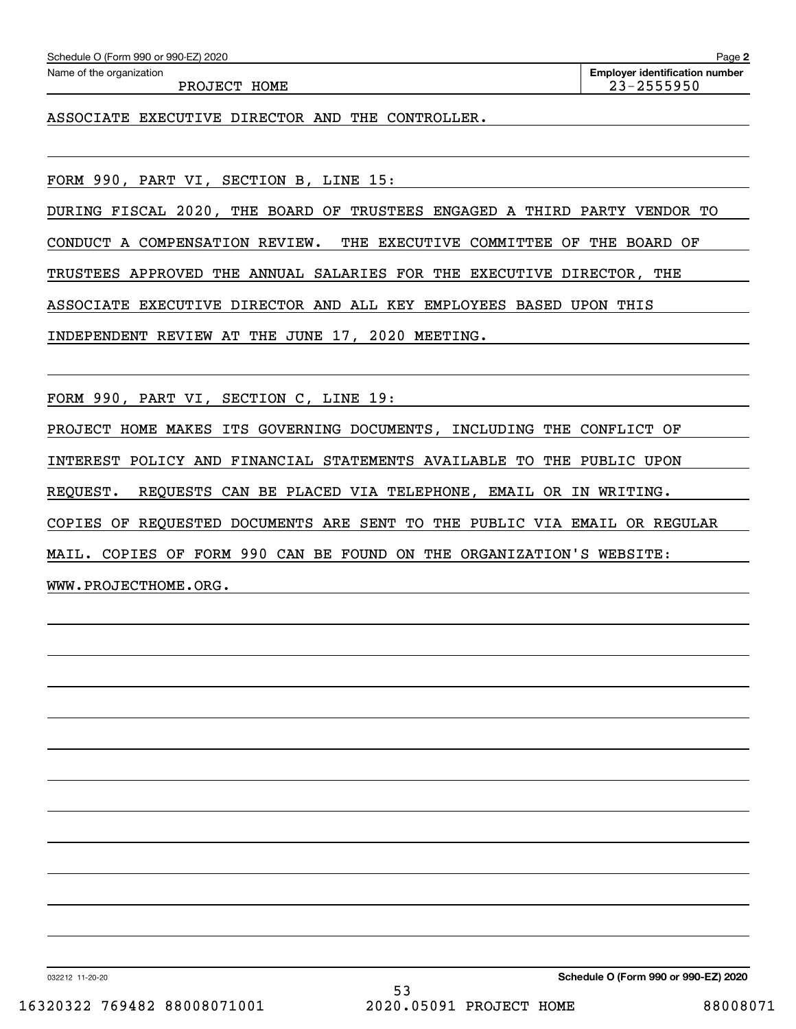| Schedule O (Form 990 or 990-EZ) 2020 |  |  |  |  |  |
|--------------------------------------|--|--|--|--|--|
|--------------------------------------|--|--|--|--|--|

PROJECT HOME 23-2555950

ASSOCIATE EXECUTIVE DIRECTOR AND THE CONTROLLER.

FORM 990, PART VI, SECTION B, LINE 15:

DURING FISCAL 2020, THE BOARD OF TRUSTEES ENGAGED A THIRD PARTY VENDOR TO

CONDUCT A COMPENSATION REVIEW. THE EXECUTIVE COMMITTEE OF THE BOARD OF

TRUSTEES APPROVED THE ANNUAL SALARIES FOR THE EXECUTIVE DIRECTOR, THE

ASSOCIATE EXECUTIVE DIRECTOR AND ALL KEY EMPLOYEES BASED UPON THIS

INDEPENDENT REVIEW AT THE JUNE 17, 2020 MEETING.

FORM 990, PART VI, SECTION C, LINE 19:

PROJECT HOME MAKES ITS GOVERNING DOCUMENTS, INCLUDING THE CONFLICT OF

INTEREST POLICY AND FINANCIAL STATEMENTS AVAILABLE TO THE PUBLIC UPON

REQUEST. REQUESTS CAN BE PLACED VIA TELEPHONE, EMAIL OR IN WRITING.

COPIES OF REQUESTED DOCUMENTS ARE SENT TO THE PUBLIC VIA EMAIL OR REGULAR

MAIL. COPIES OF FORM 990 CAN BE FOUND ON THE ORGANIZATION'S WEBSITE:

WWW.PROJECTHOME.ORG.

032212 11-20-20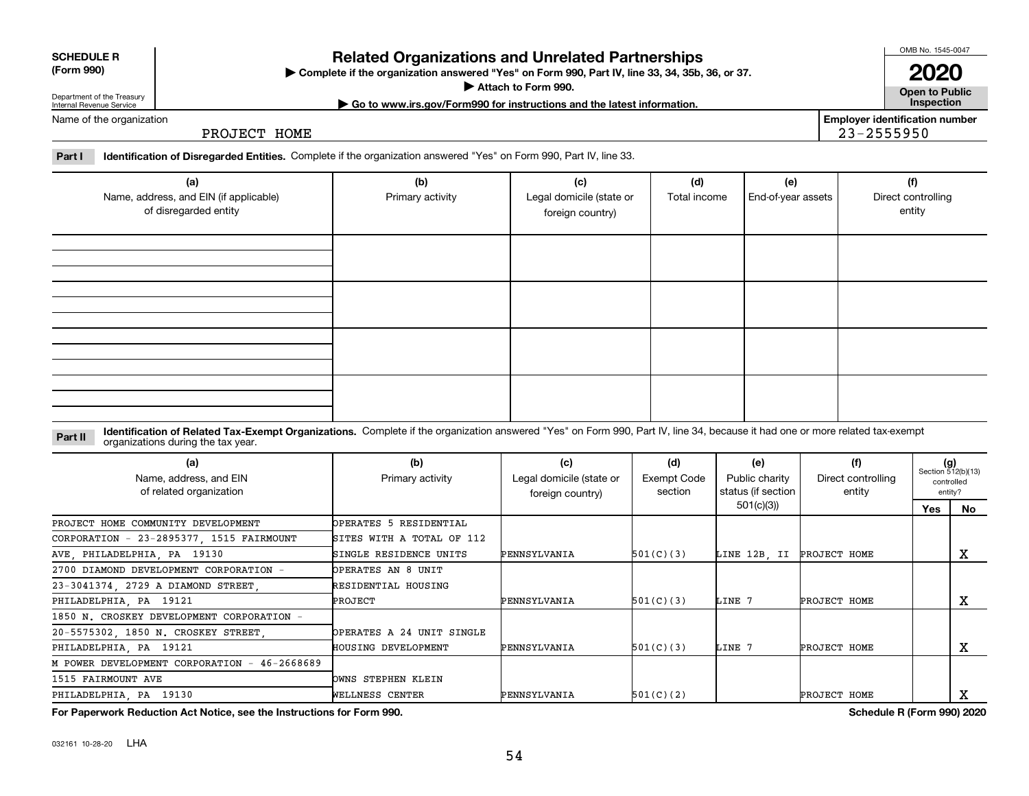| 77 T T | - |
|--------|---|

032161 10-28-20 LHA

# **Related Organizations and Unrelated Partnerships**

**Complete if the organization answered "Yes" on Form 990, Part IV, line 33, 34, 35b, 36, or 37.** |

| $\blacktriangleright$ Attach to Form 990.                              |  | ----                                  |
|------------------------------------------------------------------------|--|---------------------------------------|
|                                                                        |  |                                       |
| Go to www.irs.gov/Form990 for instructions and the latest information. |  | <b>Inspection</b>                     |
|                                                                        |  | <b>Emplover identification number</b> |

Department of the Treasury Internal Revenue Service Name of the organization

**SCHEDULE R (Form 990)**

PROJECT HOME

**Part I Identification of Disregarded Entities.**  Complete if the organization answered "Yes" on Form 990, Part IV, line 33.

| (a)<br>Name, address, and EIN (if applicable)<br>of disregarded entity | (b)<br>Primary activity | (c)<br>Legal domicile (state or<br>foreign country) | (d)<br>Total income | (e)<br>End-of-year assets | (f)<br>Direct controlling<br>entity |
|------------------------------------------------------------------------|-------------------------|-----------------------------------------------------|---------------------|---------------------------|-------------------------------------|
|                                                                        |                         |                                                     |                     |                           |                                     |
|                                                                        |                         |                                                     |                     |                           |                                     |
|                                                                        |                         |                                                     |                     |                           |                                     |
|                                                                        |                         |                                                     |                     |                           |                                     |

**Identification of Related Tax-Exempt Organizations.** Complete if the organization answered "Yes" on Form 990, Part IV, line 34, because it had one or more related tax-exempt **Part II** organizations during the tax year.

| (a)<br>Name, address, and EIN<br>of related organization | (b)<br>Primary activity   | (c)<br>Legal domicile (state or<br>foreign country) | (d)<br>Exempt Code<br>section | (e)<br>Public charity<br>status (if section | (f)<br>Direct controlling<br>entity |     | $(g)$<br>Section 512(b)(13)<br>controlled<br>entity? |
|----------------------------------------------------------|---------------------------|-----------------------------------------------------|-------------------------------|---------------------------------------------|-------------------------------------|-----|------------------------------------------------------|
|                                                          |                           |                                                     |                               | 501(c)(3))                                  |                                     | Yes | No                                                   |
| PROJECT HOME COMMUNITY DEVELOPMENT                       | OPERATES 5 RESIDENTIAL    |                                                     |                               |                                             |                                     |     |                                                      |
| CORPORATION - 23-2895377, 1515 FAIRMOUNT                 | SITES WITH A TOTAL OF 112 |                                                     |                               |                                             |                                     |     |                                                      |
| AVE, PHILADELPHIA, PA 19130                              | SINGLE RESIDENCE UNITS    | PENNSYLVANIA                                        | 501(C)(3)                     | LINE 12B, II                                | PROJECT HOME                        |     | х                                                    |
| 2700 DIAMOND DEVELOPMENT CORPORATION -                   | OPERATES AN 8 UNIT        |                                                     |                               |                                             |                                     |     |                                                      |
| 23-3041374, 2729 A DIAMOND STREET,                       | RESIDENTIAL HOUSING       |                                                     |                               |                                             |                                     |     |                                                      |
| PHILADELPHIA, PA 19121                                   | PROJECT                   | PENNSYLVANIA                                        | 501(C)(3)                     | LINE 7                                      | PROJECT HOME                        |     | x                                                    |
| 1850 N. CROSKEY DEVELOPMENT CORPORATION -                |                           |                                                     |                               |                                             |                                     |     |                                                      |
| 20-5575302, 1850 N. CROSKEY STREET,                      | OPERATES A 24 UNIT SINGLE |                                                     |                               |                                             |                                     |     |                                                      |
| PHILADELPHIA, PA 19121                                   | HOUSING DEVELOPMENT       | PENNSYLVANIA                                        | 501(C)(3)                     | LINE 7                                      | PROJECT HOME                        |     | х                                                    |
| M POWER DEVELOPMENT CORPORATION - 46-2668689             |                           |                                                     |                               |                                             |                                     |     |                                                      |
| 1515 FAIRMOUNT AVE                                       | OWNS STEPHEN KLEIN        |                                                     |                               |                                             |                                     |     |                                                      |
| PHILADELPHIA, PA 19130                                   | WELLNESS CENTER           | PENNSYLVANIA                                        | 501(C)(2)                     |                                             | PROJECT HOME                        |     | х                                                    |

**For Paperwork Reduction Act Notice, see the Instructions for Form 990. Schedule R (Form 990) 2020**

OMB No. 1545-0047

**Open to Public 2020**

23-2555950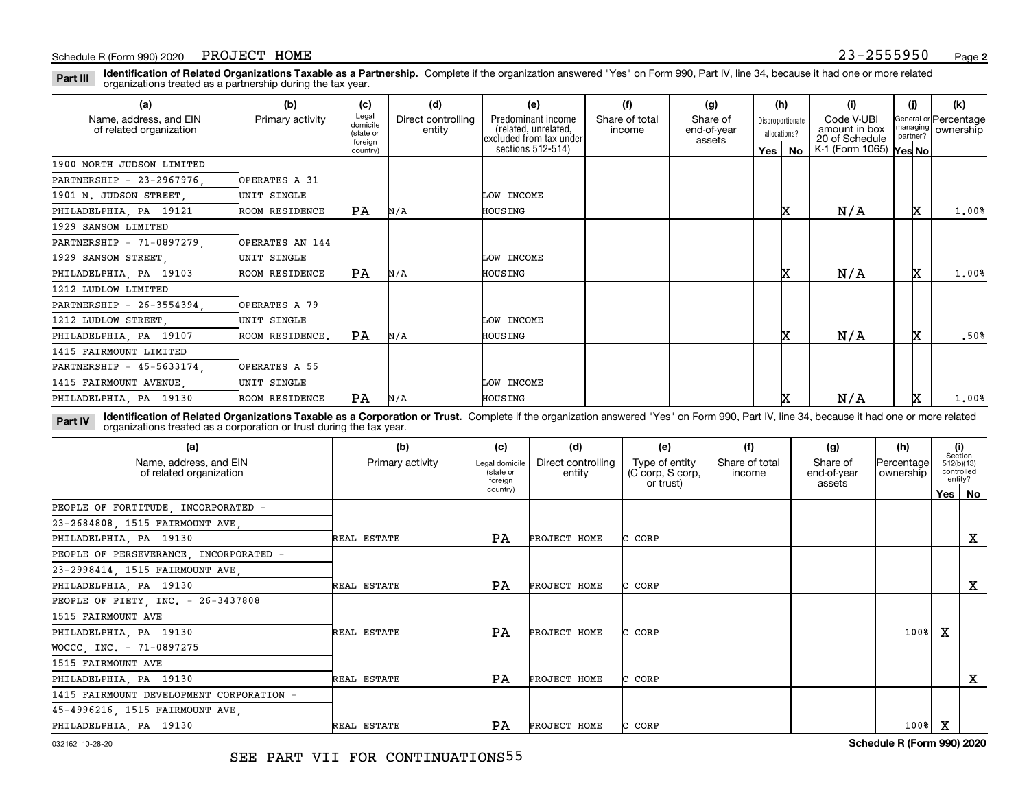**Identification of Related Organizations Taxable as a Partnership.** Complete if the organization answered "Yes" on Form 990, Part IV, line 34, because it had one or more related **Part III** organizations treated as a partnership during the tax year.

| (a)                                               | (b)              | (c)                                       | (d)                          | (e)                                                                   | (f)                      | (g)                               | (h)                              | (i)                                           | (i)                  |   | (k)                                |
|---------------------------------------------------|------------------|-------------------------------------------|------------------------------|-----------------------------------------------------------------------|--------------------------|-----------------------------------|----------------------------------|-----------------------------------------------|----------------------|---|------------------------------------|
| Name, address, and EIN<br>of related organization | Primary activity | Legal<br>domicile<br>(state or<br>foreign | Direct controlling<br>entity | Predominant income<br>(related, unrelated,<br>excluded from tax under | Share of total<br>income | Share of<br>end-of-year<br>assets | Disproportionate<br>allocations? | Code V-UBI<br>amount in box<br>20 of Schedule | managing<br>partner? |   | General or Percentage<br>ownership |
|                                                   |                  | country)                                  |                              | sections 512-514)                                                     |                          |                                   | Yes   No                         | K-1 (Form 1065) Yes No                        |                      |   |                                    |
| 1900 NORTH JUDSON LIMITED                         |                  |                                           |                              |                                                                       |                          |                                   |                                  |                                               |                      |   |                                    |
| PARTNERSHIP - 23-2967976,                         | OPERATES A 31    |                                           |                              |                                                                       |                          |                                   |                                  |                                               |                      |   |                                    |
| 1901 N. JUDSON STREET.                            | UNIT SINGLE      |                                           |                              | LOW INCOME                                                            |                          |                                   |                                  |                                               |                      |   |                                    |
| PHILADELPHIA, PA 19121                            | ROOM RESIDENCE   | PA.                                       | N/A                          | HOUSING                                                               |                          |                                   | x                                | N/A                                           |                      | x | 1,00%                              |
| 1929 SANSOM LIMITED                               |                  |                                           |                              |                                                                       |                          |                                   |                                  |                                               |                      |   |                                    |
| PARTNERSHIP - 71-0897279                          | OPERATES AN 144  |                                           |                              |                                                                       |                          |                                   |                                  |                                               |                      |   |                                    |
| 1929 SANSOM STREET                                | UNIT SINGLE      |                                           |                              | LOW INCOME                                                            |                          |                                   |                                  |                                               |                      |   |                                    |
| PHILADELPHIA, PA 19103                            | ROOM RESIDENCE   | PA.                                       | N/A                          | HOUSING                                                               |                          |                                   | x                                | N/A                                           |                      | х | 1,00%                              |
| 1212 LUDLOW LIMITED                               |                  |                                           |                              |                                                                       |                          |                                   |                                  |                                               |                      |   |                                    |
| PARTNERSHIP - 26-3554394.                         | OPERATES A 79    |                                           |                              |                                                                       |                          |                                   |                                  |                                               |                      |   |                                    |
| 1212 LUDLOW STREET                                | UNIT SINGLE      |                                           |                              | LOW INCOME                                                            |                          |                                   |                                  |                                               |                      |   |                                    |
| PHILADELPHIA, PA 19107                            | ROOM RESIDENCE.  | PA.                                       | N/A                          | HOUSING                                                               |                          |                                   | x                                | N/A                                           |                      | x | .50%                               |
| 1415 FAIRMOUNT LIMITED                            |                  |                                           |                              |                                                                       |                          |                                   |                                  |                                               |                      |   |                                    |
| PARTNERSHIP - 45-5633174                          | OPERATES A 55    |                                           |                              |                                                                       |                          |                                   |                                  |                                               |                      |   |                                    |
| 1415 FAIRMOUNT AVENUE                             | UNIT SINGLE      |                                           |                              | LOW INCOME                                                            |                          |                                   |                                  |                                               |                      |   |                                    |
| PHILADELPHIA, PA 19130                            | ROOM RESIDENCE   | PA                                        | N/A                          | HOUSING                                                               |                          |                                   |                                  | N/A                                           |                      | x | 1,00%                              |

**Identification of Related Organizations Taxable as a Corporation or Trust.** Complete if the organization answered "Yes" on Form 990, Part IV, line 34, because it had one or more related **Part IV** organizations treated as a corporation or trust during the tax year.

| (a)<br>Name, address, and EIN<br>of related organization | (b)<br>Primary activity | (c)<br>Legal domicile<br>(state or<br>foreign | (d)<br>Direct controlling<br>entity | (e)<br>Type of entity<br>(C corp, S corp, | (f)<br>Share of total<br>income | (g)<br>Share of<br>end-of-year | (h)<br> Percentage<br>ownership | (i)<br>Section<br>512(b)(13)<br>controlled<br>entity? |          |
|----------------------------------------------------------|-------------------------|-----------------------------------------------|-------------------------------------|-------------------------------------------|---------------------------------|--------------------------------|---------------------------------|-------------------------------------------------------|----------|
|                                                          |                         | country)                                      |                                     | or trust)                                 |                                 | assets                         |                                 |                                                       | Yes   No |
| PEOPLE OF FORTITUDE, INCORPORATED -                      |                         |                                               |                                     |                                           |                                 |                                |                                 |                                                       |          |
| 23-2684808, 1515 FAIRMOUNT AVE,                          |                         |                                               |                                     |                                           |                                 |                                |                                 |                                                       |          |
| PHILADELPHIA, PA 19130                                   | REAL ESTATE             | PA                                            | PROJECT HOME                        | C CORP                                    |                                 |                                |                                 |                                                       | х        |
| PEOPLE OF PERSEVERANCE, INCORPORATED -                   |                         |                                               |                                     |                                           |                                 |                                |                                 |                                                       |          |
| 23-2998414, 1515 FAIRMOUNT AVE,                          |                         |                                               |                                     |                                           |                                 |                                |                                 |                                                       |          |
| PHILADELPHIA, PA 19130                                   | REAL ESTATE             | PA                                            | PROJECT HOME                        | C CORP                                    |                                 |                                |                                 |                                                       | х        |
| PEOPLE OF PIETY, INC. - 26-3437808                       |                         |                                               |                                     |                                           |                                 |                                |                                 |                                                       |          |
| 1515 FAIRMOUNT AVE                                       |                         |                                               |                                     |                                           |                                 |                                |                                 |                                                       |          |
| PHILADELPHIA, PA 19130                                   | REAL ESTATE             | PA                                            | PROJECT HOME                        | C CORP                                    |                                 |                                | $100$ <sup>8</sup>              | x                                                     |          |
| WOCCC, INC. - 71-0897275                                 |                         |                                               |                                     |                                           |                                 |                                |                                 |                                                       |          |
| 1515 FAIRMOUNT AVE                                       |                         |                                               |                                     |                                           |                                 |                                |                                 |                                                       |          |
| PHILADELPHIA, PA 19130                                   | REAL ESTATE             | PA                                            | PROJECT HOME                        | C CORP                                    |                                 |                                |                                 |                                                       | x        |
| 1415 FAIRMOUNT DEVELOPMENT CORPORATION =                 |                         |                                               |                                     |                                           |                                 |                                |                                 |                                                       |          |
| 45-4996216, 1515 FAIRMOUNT AVE,                          |                         |                                               |                                     |                                           |                                 |                                |                                 |                                                       |          |
| PHILADELPHIA, PA 19130                                   | REAL ESTATE             | PA.                                           | PROJECT HOME                        | C CORP                                    |                                 |                                | 100%                            | X                                                     |          |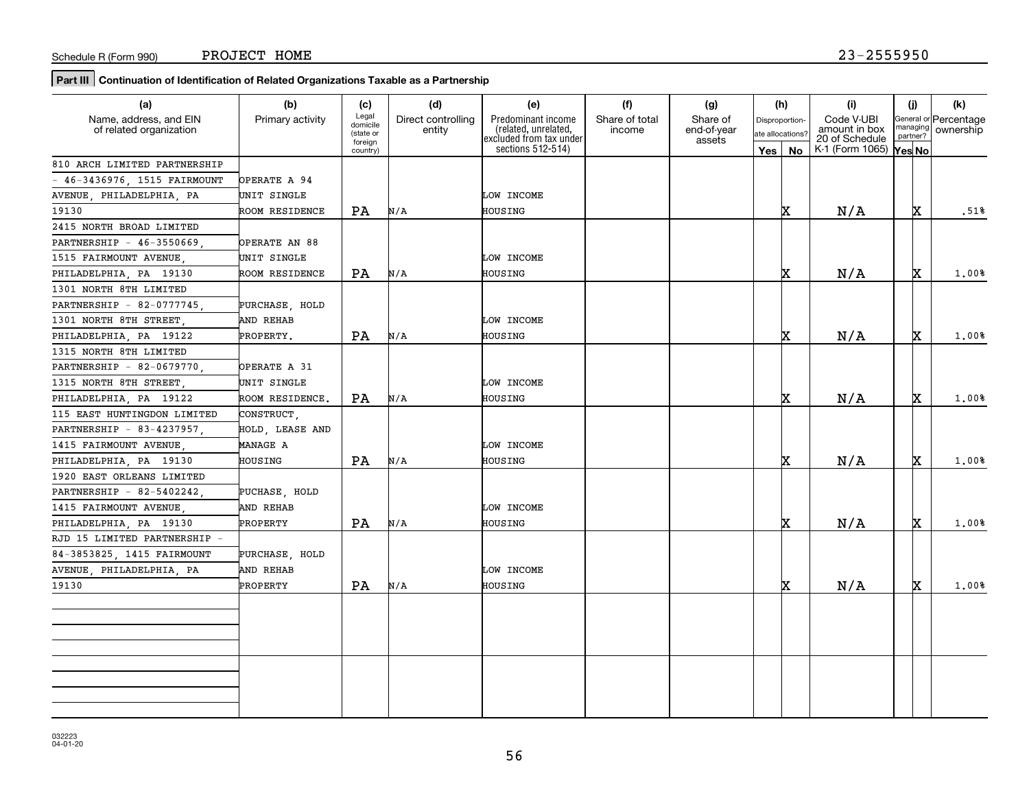$\overline{\phantom{0}}$ 

 $\blacksquare$ 

| (a)                                               | (b)              | (c)                                                   | (d)                          | (e)                                                                                        | (f)                      | (g)                               |                         | (h)                         | (i)                                                                     | (j)                  |   | (k)                                |
|---------------------------------------------------|------------------|-------------------------------------------------------|------------------------------|--------------------------------------------------------------------------------------------|--------------------------|-----------------------------------|-------------------------|-----------------------------|-------------------------------------------------------------------------|----------------------|---|------------------------------------|
| Name, address, and EIN<br>of related organization | Primary activity | Legal<br>domicile<br>(state or<br>foreign<br>country) | Direct controlling<br>entity | Predominant income<br>(related, unrelated,<br>excluded from tax under<br>sections 512-514) | Share of total<br>income | Share of<br>end-of-year<br>assets | ate allocations'<br>Yes | <b>Disproportion-</b><br>No | Code V-UBI<br>amount in box<br>20 of Schedule<br>K-1 (Form 1065) Yes No | managing<br>partner? |   | General or Percentage<br>ownership |
| 810 ARCH LIMITED PARTNERSHIP                      |                  |                                                       |                              |                                                                                            |                          |                                   |                         |                             |                                                                         |                      |   |                                    |
| - 46-3436976, 1515 FAIRMOUNT                      | OPERATE A 94     |                                                       |                              |                                                                                            |                          |                                   |                         |                             |                                                                         |                      |   |                                    |
| AVENUE PHILADELPHIA PA                            | UNIT SINGLE      |                                                       |                              | LOW INCOME                                                                                 |                          |                                   |                         |                             |                                                                         |                      |   |                                    |
| 19130                                             | ROOM RESIDENCE   | PA                                                    | N/A                          | <b>HOUSING</b>                                                                             |                          |                                   |                         | x                           | N/A                                                                     |                      | x | .51%                               |
| 2415 NORTH BROAD LIMITED                          |                  |                                                       |                              |                                                                                            |                          |                                   |                         |                             |                                                                         |                      |   |                                    |
| PARTNERSHIP - 46-3550669                          | OPERATE AN 88    |                                                       |                              |                                                                                            |                          |                                   |                         |                             |                                                                         |                      |   |                                    |
| 1515 FAIRMOUNT AVENUE                             | UNIT SINGLE      |                                                       |                              | LOW INCOME                                                                                 |                          |                                   |                         |                             |                                                                         |                      |   |                                    |
| PHILADELPHIA, PA 19130                            | ROOM RESIDENCE   | PA                                                    | N/A                          | HOUSING                                                                                    |                          |                                   |                         | x                           | N/A                                                                     |                      | x | 1,00%                              |
| 1301 NORTH 8TH LIMITED                            |                  |                                                       |                              |                                                                                            |                          |                                   |                         |                             |                                                                         |                      |   |                                    |
| PARTNERSHIP - 82-0777745,                         | PURCHASE, HOLD   |                                                       |                              |                                                                                            |                          |                                   |                         |                             |                                                                         |                      |   |                                    |
| 1301 NORTH 8TH STREET                             | AND REHAB        |                                                       |                              | LOW INCOME                                                                                 |                          |                                   |                         |                             |                                                                         |                      |   |                                    |
| PHILADELPHIA, PA 19122                            | PROPERTY.        | PA                                                    | N/A                          | HOUSING                                                                                    |                          |                                   |                         | X                           | N/A                                                                     |                      | x | 1.00%                              |
| 1315 NORTH 8TH LIMITED                            |                  |                                                       |                              |                                                                                            |                          |                                   |                         |                             |                                                                         |                      |   |                                    |
| PARTNERSHIP - 82-0679770,                         | OPERATE A 31     |                                                       |                              |                                                                                            |                          |                                   |                         |                             |                                                                         |                      |   |                                    |
| 1315 NORTH 8TH STREET                             | UNIT SINGLE      |                                                       |                              | LOW INCOME                                                                                 |                          |                                   |                         |                             |                                                                         |                      |   |                                    |
| PHILADELPHIA, PA 19122                            | ROOM RESIDENCE.  | PA                                                    | N/A                          | <b>HOUSING</b>                                                                             |                          |                                   |                         | x                           | N/A                                                                     |                      | X | 1,00%                              |
| 115 EAST HUNTINGDON LIMITED                       | CONSTRUCT.       |                                                       |                              |                                                                                            |                          |                                   |                         |                             |                                                                         |                      |   |                                    |
| PARTNERSHIP - 83-4237957,                         | HOLD, LEASE AND  |                                                       |                              |                                                                                            |                          |                                   |                         |                             |                                                                         |                      |   |                                    |
| 1415 FAIRMOUNT AVENUE,                            | <b>MANAGE A</b>  |                                                       |                              | LOW INCOME                                                                                 |                          |                                   |                         |                             |                                                                         |                      |   |                                    |
| PHILADELPHIA, PA 19130                            | HOUSING          | PA                                                    | N/A                          | HOUSING                                                                                    |                          |                                   |                         | x                           | N/A                                                                     |                      | x | 1.00%                              |
| 1920 EAST ORLEANS LIMITED                         |                  |                                                       |                              |                                                                                            |                          |                                   |                         |                             |                                                                         |                      |   |                                    |
| PARTNERSHIP - 82-5402242,                         | PUCHASE, HOLD    |                                                       |                              |                                                                                            |                          |                                   |                         |                             |                                                                         |                      |   |                                    |
| 1415 FAIRMOUNT AVENUE                             | AND REHAB        |                                                       |                              | LOW INCOME                                                                                 |                          |                                   |                         |                             |                                                                         |                      |   |                                    |
| PHILADELPHIA, PA 19130                            | PROPERTY         | PA                                                    | N/A                          | HOUSING                                                                                    |                          |                                   |                         | x                           | N/A                                                                     |                      | X | 1,00%                              |
| RJD 15 LIMITED PARTNERSHIP -                      |                  |                                                       |                              |                                                                                            |                          |                                   |                         |                             |                                                                         |                      |   |                                    |
| 84-3853825, 1415 FAIRMOUNT                        | PURCHASE, HOLD   |                                                       |                              |                                                                                            |                          |                                   |                         |                             |                                                                         |                      |   |                                    |
| AVENUE, PHILADELPHIA, PA                          | AND REHAB        |                                                       |                              | LOW INCOME                                                                                 |                          |                                   |                         |                             |                                                                         |                      |   |                                    |
| 19130                                             | PROPERTY         | PA                                                    | N/A                          | HOUSING                                                                                    |                          |                                   |                         | X.                          | N/A                                                                     |                      | X | 1.00%                              |
|                                                   |                  |                                                       |                              |                                                                                            |                          |                                   |                         |                             |                                                                         |                      |   |                                    |
|                                                   |                  |                                                       |                              |                                                                                            |                          |                                   |                         |                             |                                                                         |                      |   |                                    |
|                                                   |                  |                                                       |                              |                                                                                            |                          |                                   |                         |                             |                                                                         |                      |   |                                    |
|                                                   |                  |                                                       |                              |                                                                                            |                          |                                   |                         |                             |                                                                         |                      |   |                                    |
|                                                   |                  |                                                       |                              |                                                                                            |                          |                                   |                         |                             |                                                                         |                      |   |                                    |
|                                                   |                  |                                                       |                              |                                                                                            |                          |                                   |                         |                             |                                                                         |                      |   |                                    |
|                                                   |                  |                                                       |                              |                                                                                            |                          |                                   |                         |                             |                                                                         |                      |   |                                    |
|                                                   |                  |                                                       |                              |                                                                                            |                          |                                   |                         |                             |                                                                         |                      |   |                                    |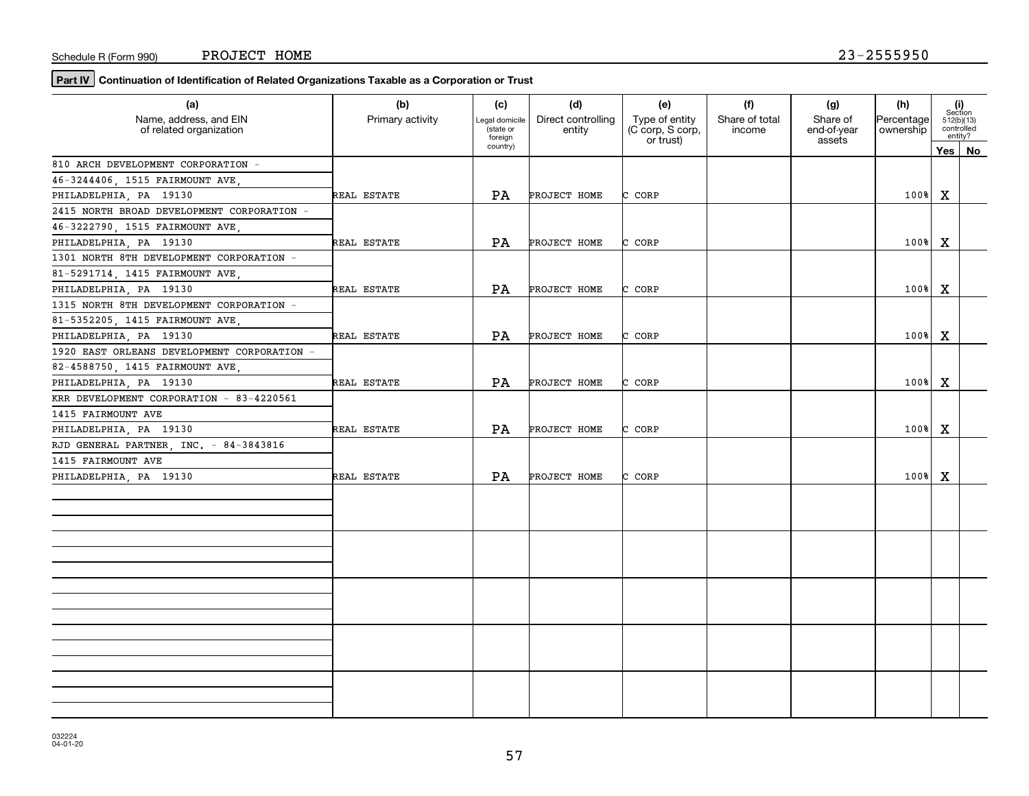**Part IV Continuation of Identification of Related Organizations Taxable as a Corporation or Trust**

| (a)                                               | (b)              | (c)                                    | (d)                          | (e)                                | (f)                      | (g)                               | (h)                     |              |                                                                                                                         |
|---------------------------------------------------|------------------|----------------------------------------|------------------------------|------------------------------------|--------------------------|-----------------------------------|-------------------------|--------------|-------------------------------------------------------------------------------------------------------------------------|
| Name, address, and EIN<br>of related organization | Primary activity | Legal domicile<br>(state or<br>foreign | Direct controlling<br>entity | Type of entity<br>(C corp, S corp, | Share of total<br>income | Share of<br>end-of-year<br>assets | Percentage<br>ownership |              | $\begin{array}{c} \textbf{(i)}\\ \text{Section}\\ 512 \text{(b)} \text{(13)}\\ \text{controlled}\end{array}$<br>entity? |
|                                                   |                  | country)                               |                              | or trust)                          |                          |                                   |                         |              | $Yes \mid No$                                                                                                           |
| 810 ARCH DEVELOPMENT CORPORATION -                |                  |                                        |                              |                                    |                          |                                   |                         |              |                                                                                                                         |
| 46-3244406, 1515 FAIRMOUNT AVE,                   |                  |                                        |                              |                                    |                          |                                   |                         |              |                                                                                                                         |
| PHILADELPHIA, PA 19130                            | REAL ESTATE      | PA                                     | PROJECT HOME                 | C CORP                             |                          |                                   | 100%                    | X            |                                                                                                                         |
| 2415 NORTH BROAD DEVELOPMENT CORPORATION -        |                  |                                        |                              |                                    |                          |                                   |                         |              |                                                                                                                         |
| 46-3222790, 1515 FAIRMOUNT AVE,                   |                  |                                        |                              |                                    |                          |                                   |                         |              |                                                                                                                         |
| PHILADELPHIA, PA 19130                            | REAL ESTATE      | PA.                                    | PROJECT HOME                 | C CORP                             |                          |                                   | 100%                    | $\mathbf{x}$ |                                                                                                                         |
| 1301 NORTH 8TH DEVELOPMENT CORPORATION -          |                  |                                        |                              |                                    |                          |                                   |                         |              |                                                                                                                         |
| 81-5291714, 1415 FAIRMOUNT AVE,                   |                  |                                        |                              |                                    |                          |                                   |                         |              |                                                                                                                         |
| PHILADELPHIA, PA 19130                            | REAL ESTATE      | PA                                     | PROJECT HOME                 | C CORP                             |                          |                                   | $100$ <sup>8</sup> X    |              |                                                                                                                         |
| 1315 NORTH 8TH DEVELOPMENT CORPORATION -          |                  |                                        |                              |                                    |                          |                                   |                         |              |                                                                                                                         |
| 81-5352205, 1415 FAIRMOUNT AVE,                   |                  |                                        |                              |                                    |                          |                                   |                         |              |                                                                                                                         |
| PHILADELPHIA, PA 19130                            | REAL ESTATE      | PA                                     | PROJECT HOME                 | C CORP                             |                          |                                   | 100%                    | X            |                                                                                                                         |
| 1920 EAST ORLEANS DEVELOPMENT CORPORATION -       |                  |                                        |                              |                                    |                          |                                   |                         |              |                                                                                                                         |
| 82-4588750, 1415 FAIRMOUNT AVE,                   |                  |                                        |                              |                                    |                          |                                   |                         |              |                                                                                                                         |
| PHILADELPHIA, PA 19130                            | REAL ESTATE      | PA                                     | PROJECT HOME                 | C CORP                             |                          |                                   | $100$ <sup>8</sup>      | x            |                                                                                                                         |
| KRR DEVELOPMENT CORPORATION - 83-4220561          |                  |                                        |                              |                                    |                          |                                   |                         |              |                                                                                                                         |
| 1415 FAIRMOUNT AVE                                |                  |                                        |                              |                                    |                          |                                   |                         |              |                                                                                                                         |
| PHILADELPHIA, PA 19130                            | REAL ESTATE      | PA                                     | PROJECT HOME                 | C CORP                             |                          |                                   | 100%                    | x            |                                                                                                                         |
| RJD GENERAL PARTNER, INC. - 84-3843816            |                  |                                        |                              |                                    |                          |                                   |                         |              |                                                                                                                         |
| 1415 FAIRMOUNT AVE                                |                  |                                        |                              |                                    |                          |                                   |                         |              |                                                                                                                         |
| PHILADELPHIA, PA 19130                            | REAL ESTATE      | PA                                     | PROJECT HOME                 | C CORP                             |                          |                                   | $100$ <sup>8</sup>      | X            |                                                                                                                         |
|                                                   |                  |                                        |                              |                                    |                          |                                   |                         |              |                                                                                                                         |
|                                                   |                  |                                        |                              |                                    |                          |                                   |                         |              |                                                                                                                         |
|                                                   |                  |                                        |                              |                                    |                          |                                   |                         |              |                                                                                                                         |
|                                                   |                  |                                        |                              |                                    |                          |                                   |                         |              |                                                                                                                         |
|                                                   |                  |                                        |                              |                                    |                          |                                   |                         |              |                                                                                                                         |
|                                                   |                  |                                        |                              |                                    |                          |                                   |                         |              |                                                                                                                         |
|                                                   |                  |                                        |                              |                                    |                          |                                   |                         |              |                                                                                                                         |
|                                                   |                  |                                        |                              |                                    |                          |                                   |                         |              |                                                                                                                         |
|                                                   |                  |                                        |                              |                                    |                          |                                   |                         |              |                                                                                                                         |
|                                                   |                  |                                        |                              |                                    |                          |                                   |                         |              |                                                                                                                         |
|                                                   |                  |                                        |                              |                                    |                          |                                   |                         |              |                                                                                                                         |
|                                                   |                  |                                        |                              |                                    |                          |                                   |                         |              |                                                                                                                         |
|                                                   |                  |                                        |                              |                                    |                          |                                   |                         |              |                                                                                                                         |
|                                                   |                  |                                        |                              |                                    |                          |                                   |                         |              |                                                                                                                         |
|                                                   |                  |                                        |                              |                                    |                          |                                   |                         |              |                                                                                                                         |
|                                                   |                  |                                        |                              |                                    |                          |                                   |                         |              |                                                                                                                         |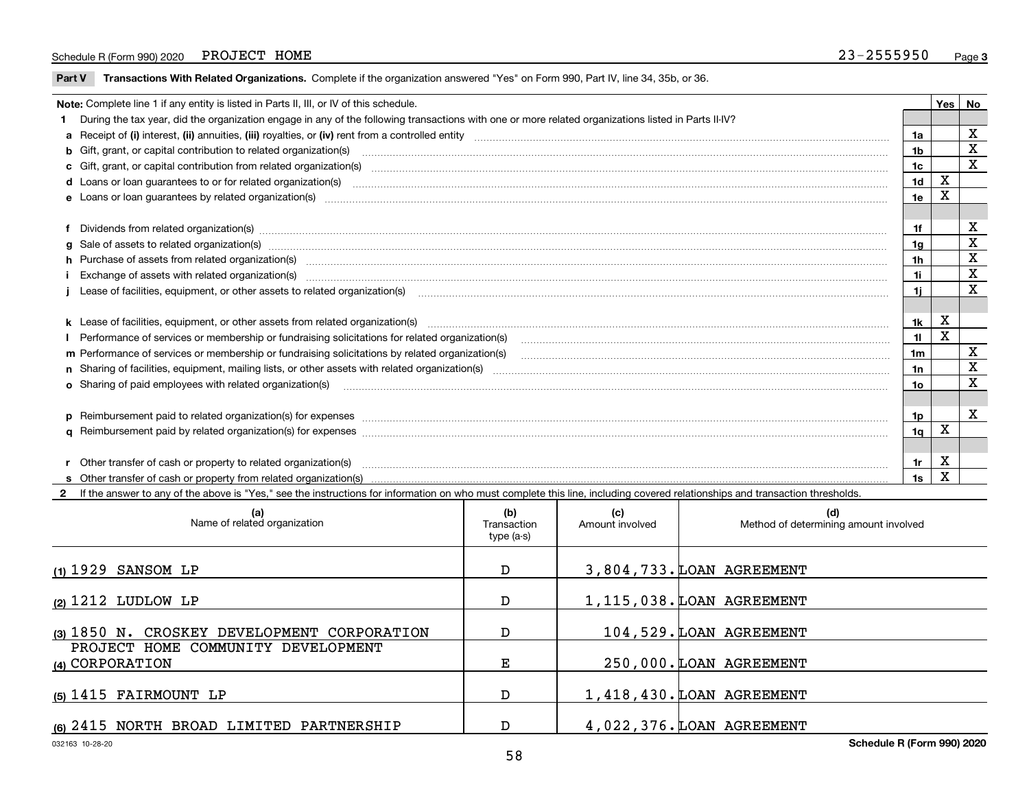#### Schedule R (Form 990) 2020 PROJECT HOME  $23 - 2555950$ PROJECT HOME

**Part V** T**ransactions With Related Organizations.** Complete if the organization answered "Yes" on Form 990, Part IV, line 34, 35b, or 36.

| Note: Complete line 1 if any entity is listed in Parts II, III, or IV of this schedule.                                                                                                                                        |                | Yes | No |
|--------------------------------------------------------------------------------------------------------------------------------------------------------------------------------------------------------------------------------|----------------|-----|----|
| During the tax year, did the organization engage in any of the following transactions with one or more related organizations listed in Parts II-IV?                                                                            |                |     |    |
|                                                                                                                                                                                                                                | 1a             |     | X  |
| b Gift, grant, or capital contribution to related organization(s) manufaction contains and contribution to related organization(s) manufaction contribution for related organization(s) manufaction contains and contribution  | 1b             |     | X  |
|                                                                                                                                                                                                                                | 1 <sub>c</sub> |     | X  |
|                                                                                                                                                                                                                                | 1 <sub>d</sub> | x   |    |
| e Loans or loan guarantees by related organization(s) enconversements and construction of the construction of the constraint of the constraint of the constraint of the constraint of the constraint of the constraint of the  | 1e             | X   |    |
|                                                                                                                                                                                                                                |                |     |    |
| f Dividends from related organization(s) manufactured contains and contained a state of the contact of the contact of the contact of the contact of the contact of the contact of the contact of the contact of the contact of | 1f             |     | X  |
|                                                                                                                                                                                                                                | 1q             |     | X  |
| h Purchase of assets from related organization(s) manufactured and content to content the content of assets from related organization(s)                                                                                       | 1 <sub>h</sub> |     | X  |
| Exchange of assets with related organization(s) www.assettion.com/www.assettion.com/www.assettion.com/www.assettion.com/www.assettion.com/www.assettion.com/www.assettion.com/www.assettion.com/www.assettion.com/www.assettio | 1i             |     | X  |
| Lease of facilities, equipment, or other assets to related organization(s) manufactured content and content and content and content and content and content and content and content and content and content and content and co | 1i.            |     | X  |
|                                                                                                                                                                                                                                |                |     |    |
| k Lease of facilities, equipment, or other assets from related organization(s) manufaction content and content to the assets from related organization(s) manufaction content and content and content and content and content  | 1k             | X   |    |
|                                                                                                                                                                                                                                | 11             | X   |    |
| m Performance of services or membership or fundraising solicitations by related organization(s)                                                                                                                                | 1 <sub>m</sub> |     | X  |
|                                                                                                                                                                                                                                | 1n             |     | X  |
| o Sharing of paid employees with related organization(s) manufactured content to the content of the content of the content of the content of the content of the content of the content of the content of the content of the co | 10             |     | X  |
|                                                                                                                                                                                                                                |                |     |    |
|                                                                                                                                                                                                                                | 1p             |     | X  |
|                                                                                                                                                                                                                                | 1 <sub>q</sub> | X   |    |
|                                                                                                                                                                                                                                |                |     |    |
| r Other transfer of cash or property to related organization(s)                                                                                                                                                                | 1r             | х   |    |
|                                                                                                                                                                                                                                | 1s             | x   |    |

**2**If the answer to any of the above is "Yes," see the instructions for information on who must complete this line, including covered relationships and transaction thresholds.

| (a)<br>Name of related organization                   | (b)<br>Transaction<br>type (a-s) | (c)<br>Amount involved | (d)<br>Method of determining amount involved |
|-------------------------------------------------------|----------------------------------|------------------------|----------------------------------------------|
| $(1)$ 1929 SANSOM LP                                  | D                                |                        | 3,804,733. LOAN AGREEMENT                    |
| $(2)$ 1212 LUDLOW LP                                  | D                                |                        | 1, 115, 038. LOAN AGREEMENT                  |
| (3) 1850 N. CROSKEY DEVELOPMENT CORPORATION           | D                                |                        | 104,529. LOAN AGREEMENT                      |
| PROJECT HOME COMMUNITY DEVELOPMENT<br>(4) CORPORATION | Е                                |                        | 250,000. LOAN AGREEMENT                      |
| (5) 1415 FAIRMOUNT LP                                 | D                                |                        | 1,418,430. LOAN AGREEMENT                    |
| (6) 2415 NORTH BROAD LIMITED PARTNERSHIP              |                                  |                        | 4,022,376. LOAN AGREEMENT                    |
| 032163 10-28-20                                       |                                  |                        | Schedule R (Form 990) 2020                   |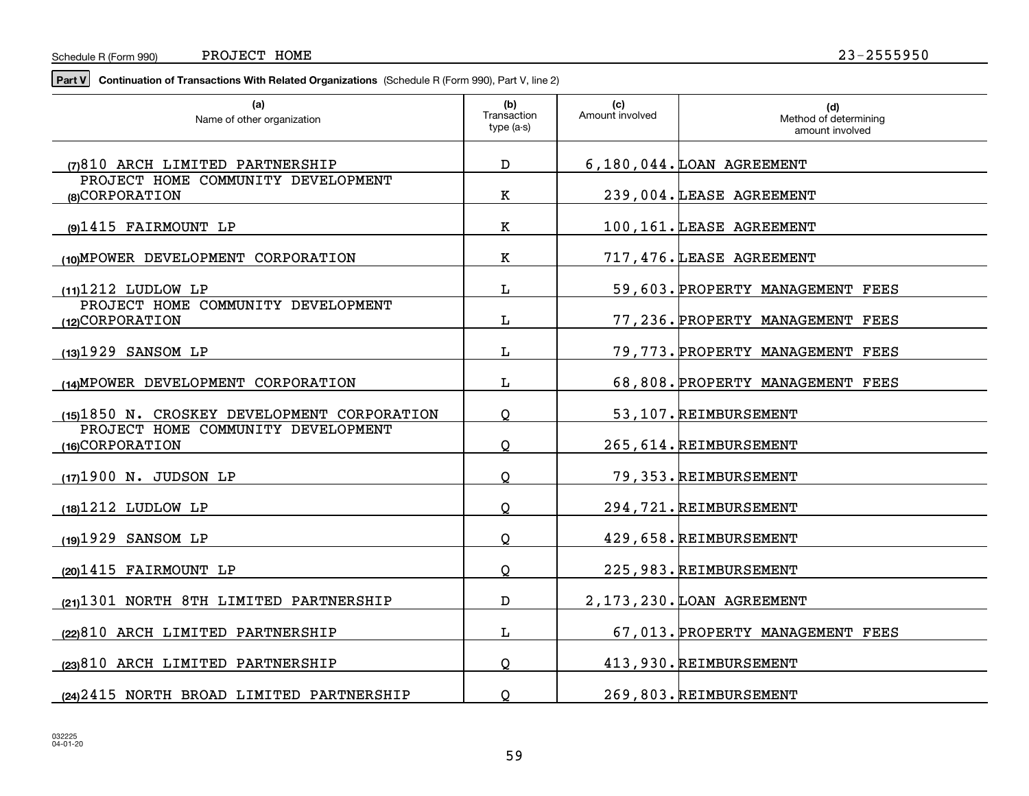#### Schedule R (Form 990) PROJECT HOME 23-2555950

#### **Part V Continuation of Transactions With Related Organizations**  (Schedule R (Form 990), Part V, line 2)

| (a)<br>Name of other organization                     | (b)<br>Transaction<br>type (a-s) | (c)<br>Amount involved | (d)<br>Method of determining<br>amount involved |
|-------------------------------------------------------|----------------------------------|------------------------|-------------------------------------------------|
| (7)810 ARCH LIMITED PARTNERSHIP                       | $\mathbb D$                      |                        | 6,180,044.LOAN AGREEMENT                        |
| PROJECT HOME COMMUNITY DEVELOPMENT<br>(8)CORPORATION  | K                                |                        | 239,004. LEASE AGREEMENT                        |
| (9)1415 FAIRMOUNT LP                                  | $\,$ K                           |                        | 100,161. LEASE AGREEMENT                        |
| (10) MPOWER DEVELOPMENT CORPORATION                   | $\,$ K                           |                        | 717,476. LEASE AGREEMENT                        |
| $(11)$ 1212 LUDLOW LP                                 | L                                |                        | 59,603. PROPERTY MANAGEMENT FEES                |
| PROJECT HOME COMMUNITY DEVELOPMENT<br>(12)CORPORATION | Г                                |                        | 77, 236. PROPERTY MANAGEMENT FEES               |
| $(13)1929$ SANSOM LP                                  | L                                |                        | 79,773. PROPERTY MANAGEMENT FEES                |
| (14) MPOWER DEVELOPMENT CORPORATION                   | L                                |                        | 68,808. PROPERTY MANAGEMENT FEES                |
| (15)1850 N. CROSKEY DEVELOPMENT CORPORATION           | Q                                |                        | 53,107. REIMBURSEMENT                           |
| PROJECT HOME COMMUNITY DEVELOPMENT<br>(16)CORPORATION | Q                                |                        | 265,614. REIMBURSEMENT                          |
| (17)1900 N. JUDSON LP                                 | Q                                |                        | 79,353. REIMBURSEMENT                           |
| $(18)1212$ LUDLOW LP                                  | Q                                |                        | 294,721. REIMBURSEMENT                          |
| (19)1929 SANSOM LP                                    | Q                                |                        | 429,658. REIMBURSEMENT                          |
| (20)1415 FAIRMOUNT LP                                 | $\Omega$                         |                        | 225, 983. REIMBURSEMENT                         |
| (21)1301 NORTH 8TH LIMITED PARTNERSHIP                | $\mathbf D$                      |                        | 2, 173, 230. LOAN AGREEMENT                     |
| (22)810 ARCH LIMITED PARTNERSHIP                      | L                                |                        | 67,013. PROPERTY MANAGEMENT FEES                |
| (23)810 ARCH LIMITED PARTNERSHIP                      | Q                                |                        | 413,930. REIMBURSEMENT                          |
| (24)2415 NORTH BROAD LIMITED PARTNERSHIP              | Q                                |                        | 269,803. REIMBURSEMENT                          |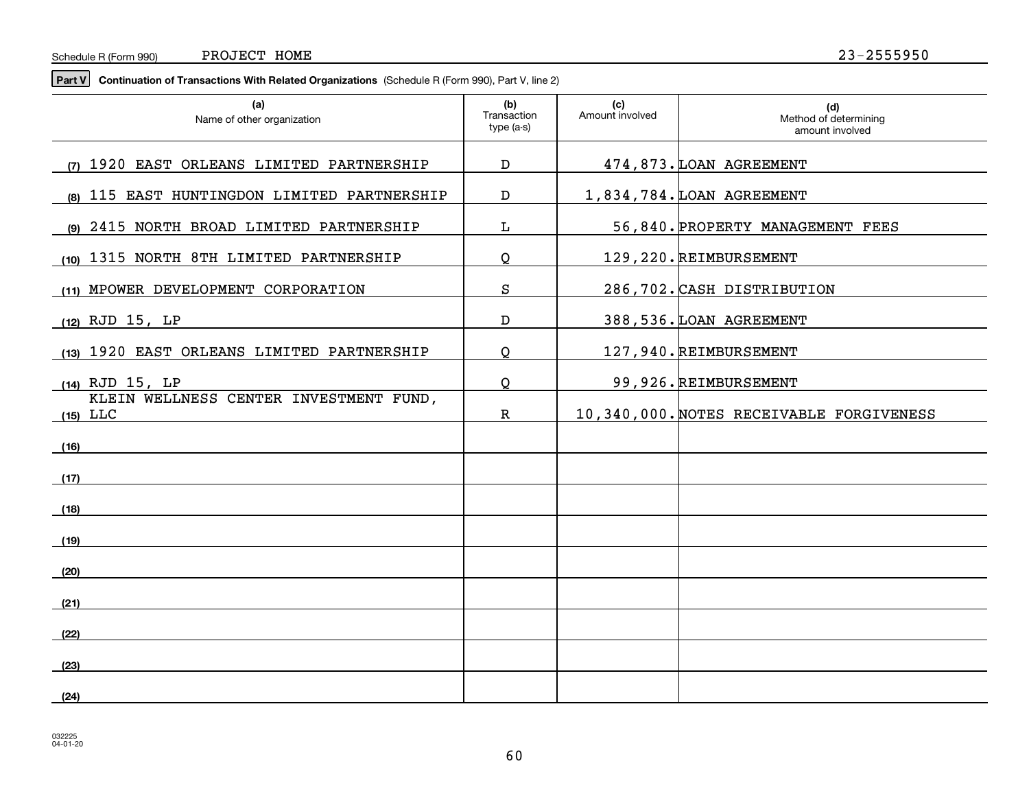#### Schedule R (Form 990) PROJECT HOME 23-2555950

#### **Part V Continuation of Transactions With Related Organizations**  (Schedule R (Form 990), Part V, line 2)

| (a)<br>Name of other organization                    | (b)<br>Transaction<br>type (a-s) | (c)<br>Amount involved | (d)<br>Method of determining<br>amount involved |
|------------------------------------------------------|----------------------------------|------------------------|-------------------------------------------------|
| (7) 1920 EAST ORLEANS LIMITED PARTNERSHIP            | $\mathbf D$                      |                        | 474,873. LOAN AGREEMENT                         |
| (8) 115 EAST HUNTINGDON LIMITED PARTNERSHIP          | $\mathbb D$                      |                        | 1,834,784. LOAN AGREEMENT                       |
| (9) 2415 NORTH BROAD LIMITED PARTNERSHIP             | L                                |                        | 56,840. PROPERTY MANAGEMENT FEES                |
| (10) 1315 NORTH 8TH LIMITED PARTNERSHIP              | Q                                |                        | 129, 220. REIMBURSEMENT                         |
| (11) MPOWER DEVELOPMENT CORPORATION                  | S                                |                        | 286,702. CASH DISTRIBUTION                      |
| (12) RJD 15, LP                                      | $\mathbf D$                      |                        | 388,536. LOAN AGREEMENT                         |
| (13) 1920 EAST ORLEANS LIMITED PARTNERSHIP           | Q                                |                        | 127,940. REIMBURSEMENT                          |
| (14) RJD 15, LP                                      | Q                                |                        | 99,926. REIMBURSEMENT                           |
| KLEIN WELLNESS CENTER INVESTMENT FUND,<br>$(15)$ LLC | ${\bf R}$                        |                        | 10,340,000. NOTES RECEIVABLE FORGIVENESS        |
| (16)                                                 |                                  |                        |                                                 |
| (17)                                                 |                                  |                        |                                                 |
| (18)                                                 |                                  |                        |                                                 |
| (19)                                                 |                                  |                        |                                                 |
| (20)                                                 |                                  |                        |                                                 |
| (21)                                                 |                                  |                        |                                                 |
| (22)                                                 |                                  |                        |                                                 |
| (23)                                                 |                                  |                        |                                                 |
| (24)                                                 |                                  |                        |                                                 |
|                                                      |                                  |                        |                                                 |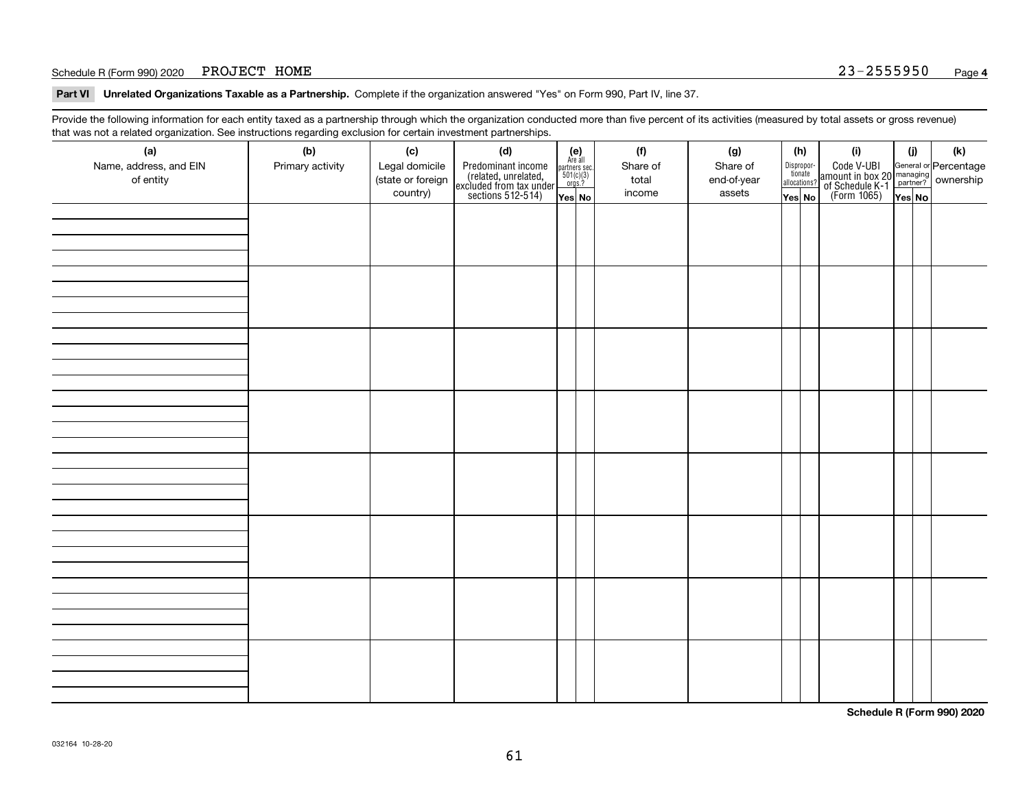#### Schedule R (Form 990) 2020  ${\bf PROJECT}$   ${\bf HOME}$  and the contract of the contract of the contract of the contract of the contract of the contract of the contract of the contract of the contract of the contract of the contrac

**Part VI Unrelated Organizations Taxable as a Partnership. Complete if the organization answered "Yes" on Form 990, Part IV, line 37.** 

Provide the following information for each entity taxed as a partnership through which the organization conducted more than five percent of its activities (measured by total assets or gross revenue) that was not a related organization. See instructions regarding exclusion for certain investment partnerships.

| ັ                      | ັ<br>ັ           |                   | . .                                                                                        |                                                                                                                 |  |          |             |                                  |                                                                                                  |        |     |  |  |  |  |  |  |  |  |
|------------------------|------------------|-------------------|--------------------------------------------------------------------------------------------|-----------------------------------------------------------------------------------------------------------------|--|----------|-------------|----------------------------------|--------------------------------------------------------------------------------------------------|--------|-----|--|--|--|--|--|--|--|--|
| (a)                    | (b)              | (c)               | (d)                                                                                        | $\begin{array}{c} \textbf{(e)}\\ \text{Are all} \\ \text{partners sec}\\ 501(c)(3)\\ \text{orgs.?} \end{array}$ |  | (f)      | (g)         | (h)                              | (i)                                                                                              | (i)    | (k) |  |  |  |  |  |  |  |  |
| Name, address, and EIN | Primary activity | Legal domicile    |                                                                                            |                                                                                                                 |  | Share of | Share of    |                                  |                                                                                                  |        |     |  |  |  |  |  |  |  |  |
| of entity              |                  | (state or foreign |                                                                                            |                                                                                                                 |  | total    | end-of-year | Disproportionate<br>allocations? |                                                                                                  |        |     |  |  |  |  |  |  |  |  |
|                        |                  | country)          | Predominant income<br>(related, unrelated,<br>excluded from tax under<br>sections 512-514) | Yes No                                                                                                          |  | income   | assets      | Yes No                           | Code V-UBI<br>amount in box 20 managing<br>of Schedule K-1<br>(Form 1065)<br>$\overline{Yes}$ No | Yes No |     |  |  |  |  |  |  |  |  |
|                        |                  |                   |                                                                                            |                                                                                                                 |  |          |             |                                  |                                                                                                  |        |     |  |  |  |  |  |  |  |  |
|                        |                  |                   |                                                                                            |                                                                                                                 |  |          |             |                                  |                                                                                                  |        |     |  |  |  |  |  |  |  |  |
|                        |                  |                   |                                                                                            |                                                                                                                 |  |          |             |                                  |                                                                                                  |        |     |  |  |  |  |  |  |  |  |
|                        |                  |                   |                                                                                            |                                                                                                                 |  |          |             |                                  |                                                                                                  |        |     |  |  |  |  |  |  |  |  |
|                        |                  |                   |                                                                                            |                                                                                                                 |  |          |             |                                  |                                                                                                  |        |     |  |  |  |  |  |  |  |  |
|                        |                  |                   |                                                                                            |                                                                                                                 |  |          |             |                                  |                                                                                                  |        |     |  |  |  |  |  |  |  |  |
|                        |                  |                   |                                                                                            |                                                                                                                 |  |          |             |                                  |                                                                                                  |        |     |  |  |  |  |  |  |  |  |
|                        |                  |                   |                                                                                            |                                                                                                                 |  |          |             |                                  |                                                                                                  |        |     |  |  |  |  |  |  |  |  |
|                        |                  |                   |                                                                                            |                                                                                                                 |  |          |             |                                  |                                                                                                  |        |     |  |  |  |  |  |  |  |  |
|                        |                  |                   |                                                                                            |                                                                                                                 |  |          |             |                                  |                                                                                                  |        |     |  |  |  |  |  |  |  |  |
|                        |                  |                   |                                                                                            |                                                                                                                 |  |          |             |                                  |                                                                                                  |        |     |  |  |  |  |  |  |  |  |
|                        |                  |                   |                                                                                            |                                                                                                                 |  |          |             |                                  |                                                                                                  |        |     |  |  |  |  |  |  |  |  |
|                        |                  |                   |                                                                                            |                                                                                                                 |  |          |             |                                  |                                                                                                  |        |     |  |  |  |  |  |  |  |  |
|                        |                  |                   |                                                                                            |                                                                                                                 |  |          |             |                                  |                                                                                                  |        |     |  |  |  |  |  |  |  |  |
|                        |                  |                   |                                                                                            |                                                                                                                 |  |          |             |                                  |                                                                                                  |        |     |  |  |  |  |  |  |  |  |
|                        |                  |                   |                                                                                            |                                                                                                                 |  |          |             |                                  |                                                                                                  |        |     |  |  |  |  |  |  |  |  |
|                        |                  |                   |                                                                                            |                                                                                                                 |  |          |             |                                  |                                                                                                  |        |     |  |  |  |  |  |  |  |  |
|                        |                  |                   |                                                                                            |                                                                                                                 |  |          |             |                                  |                                                                                                  |        |     |  |  |  |  |  |  |  |  |
|                        |                  |                   |                                                                                            |                                                                                                                 |  |          |             |                                  |                                                                                                  |        |     |  |  |  |  |  |  |  |  |
|                        |                  |                   |                                                                                            |                                                                                                                 |  |          |             |                                  |                                                                                                  |        |     |  |  |  |  |  |  |  |  |
|                        |                  |                   |                                                                                            |                                                                                                                 |  |          |             |                                  |                                                                                                  |        |     |  |  |  |  |  |  |  |  |
|                        |                  |                   |                                                                                            |                                                                                                                 |  |          |             |                                  |                                                                                                  |        |     |  |  |  |  |  |  |  |  |
|                        |                  |                   |                                                                                            |                                                                                                                 |  |          |             |                                  |                                                                                                  |        |     |  |  |  |  |  |  |  |  |
|                        |                  |                   |                                                                                            |                                                                                                                 |  |          |             |                                  |                                                                                                  |        |     |  |  |  |  |  |  |  |  |
|                        |                  |                   |                                                                                            |                                                                                                                 |  |          |             |                                  |                                                                                                  |        |     |  |  |  |  |  |  |  |  |
|                        |                  |                   |                                                                                            |                                                                                                                 |  |          |             |                                  |                                                                                                  |        |     |  |  |  |  |  |  |  |  |
|                        |                  |                   |                                                                                            |                                                                                                                 |  |          |             |                                  |                                                                                                  |        |     |  |  |  |  |  |  |  |  |
|                        |                  |                   |                                                                                            |                                                                                                                 |  |          |             |                                  |                                                                                                  |        |     |  |  |  |  |  |  |  |  |
|                        |                  |                   |                                                                                            |                                                                                                                 |  |          |             |                                  |                                                                                                  |        |     |  |  |  |  |  |  |  |  |
|                        |                  |                   |                                                                                            |                                                                                                                 |  |          |             |                                  |                                                                                                  |        |     |  |  |  |  |  |  |  |  |
|                        |                  |                   |                                                                                            |                                                                                                                 |  |          |             |                                  |                                                                                                  |        |     |  |  |  |  |  |  |  |  |
|                        |                  |                   |                                                                                            |                                                                                                                 |  |          |             |                                  |                                                                                                  |        |     |  |  |  |  |  |  |  |  |
|                        |                  |                   |                                                                                            |                                                                                                                 |  |          |             |                                  |                                                                                                  |        |     |  |  |  |  |  |  |  |  |
|                        |                  |                   |                                                                                            |                                                                                                                 |  |          |             |                                  |                                                                                                  |        |     |  |  |  |  |  |  |  |  |
|                        |                  |                   |                                                                                            |                                                                                                                 |  |          |             |                                  |                                                                                                  |        |     |  |  |  |  |  |  |  |  |
|                        |                  |                   |                                                                                            |                                                                                                                 |  |          |             |                                  |                                                                                                  |        |     |  |  |  |  |  |  |  |  |
|                        |                  |                   |                                                                                            |                                                                                                                 |  |          |             |                                  |                                                                                                  |        |     |  |  |  |  |  |  |  |  |
|                        |                  |                   |                                                                                            |                                                                                                                 |  |          |             |                                  |                                                                                                  |        |     |  |  |  |  |  |  |  |  |
|                        |                  |                   |                                                                                            |                                                                                                                 |  |          |             |                                  |                                                                                                  |        |     |  |  |  |  |  |  |  |  |
|                        |                  |                   |                                                                                            |                                                                                                                 |  |          |             |                                  |                                                                                                  |        |     |  |  |  |  |  |  |  |  |

**Schedule R (Form 990) 2020**